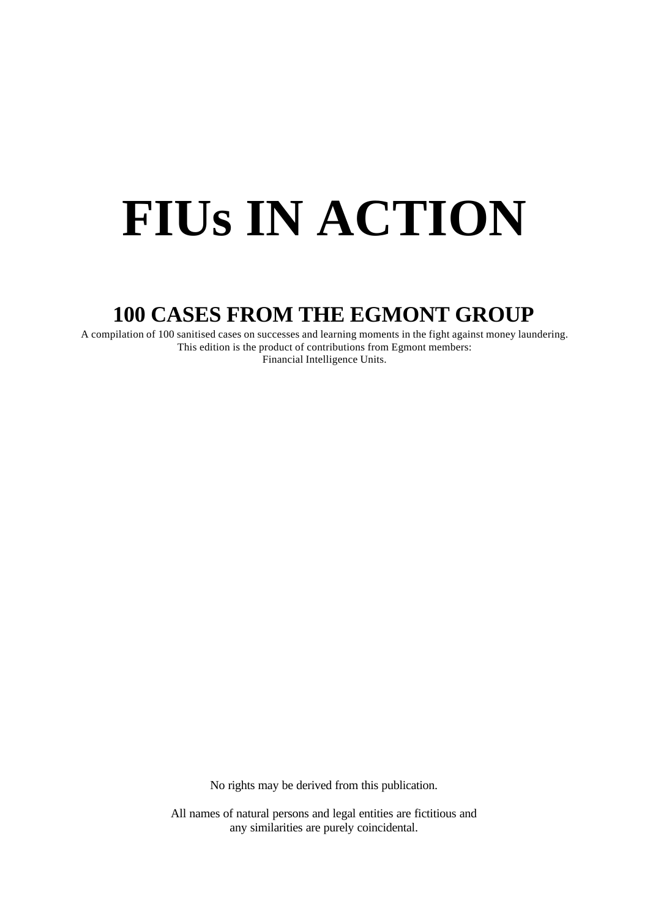# **FIUs IN ACTION**

## **100 CASES FROM THE EGMONT GROUP**

A compilation of 100 sanitised cases on successes and learning moments in the fight against money laundering. This edition is the product of contributions from Egmont members: Financial Intelligence Units.

No rights may be derived from this publication.

All names of natural persons and legal entities are fictitious and any similarities are purely coincidental.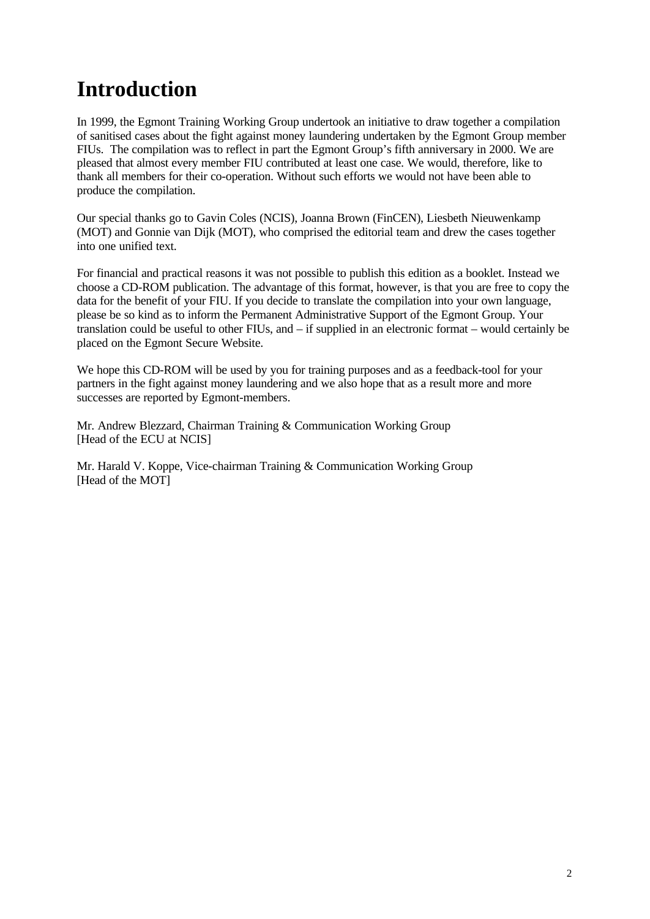# **Introduction**

In 1999, the Egmont Training Working Group undertook an initiative to draw together a compilation of sanitised cases about the fight against money laundering undertaken by the Egmont Group member FIUs. The compilation was to reflect in part the Egmont Group's fifth anniversary in 2000. We are pleased that almost every member FIU contributed at least one case. We would, therefore, like to thank all members for their co-operation. Without such efforts we would not have been able to produce the compilation.

Our special thanks go to Gavin Coles (NCIS), Joanna Brown (FinCEN), Liesbeth Nieuwenkamp (MOT) and Gonnie van Dijk (MOT), who comprised the editorial team and drew the cases together into one unified text.

For financial and practical reasons it was not possible to publish this edition as a booklet. Instead we choose a CD-ROM publication. The advantage of this format, however, is that you are free to copy the data for the benefit of your FIU. If you decide to translate the compilation into your own language, please be so kind as to inform the Permanent Administrative Support of the Egmont Group. Your translation could be useful to other FIUs, and – if supplied in an electronic format – would certainly be placed on the Egmont Secure Website.

We hope this CD-ROM will be used by you for training purposes and as a feedback-tool for your partners in the fight against money laundering and we also hope that as a result more and more successes are reported by Egmont-members.

Mr. Andrew Blezzard, Chairman Training & Communication Working Group [Head of the ECU at NCIS]

Mr. Harald V. Koppe, Vice-chairman Training & Communication Working Group [Head of the MOT]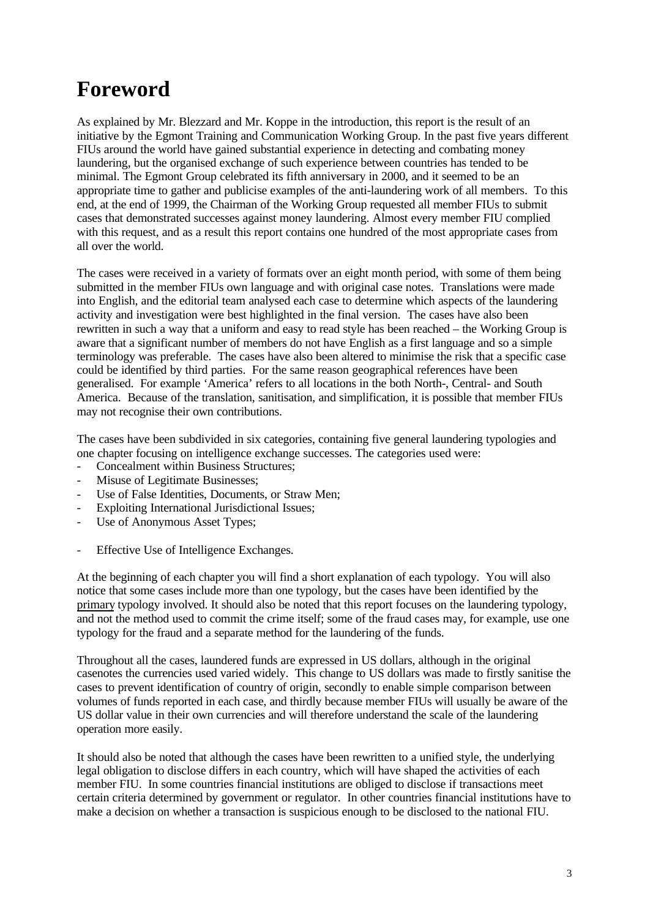# **Foreword**

As explained by Mr. Blezzard and Mr. Koppe in the introduction, this report is the result of an initiative by the Egmont Training and Communication Working Group. In the past five years different FIUs around the world have gained substantial experience in detecting and combating money laundering, but the organised exchange of such experience between countries has tended to be minimal. The Egmont Group celebrated its fifth anniversary in 2000, and it seemed to be an appropriate time to gather and publicise examples of the anti-laundering work of all members. To this end, at the end of 1999, the Chairman of the Working Group requested all member FIUs to submit cases that demonstrated successes against money laundering. Almost every member FIU complied with this request, and as a result this report contains one hundred of the most appropriate cases from all over the world.

The cases were received in a variety of formats over an eight month period, with some of them being submitted in the member FIUs own language and with original case notes. Translations were made into English, and the editorial team analysed each case to determine which aspects of the laundering activity and investigation were best highlighted in the final version. The cases have also been rewritten in such a way that a uniform and easy to read style has been reached – the Working Group is aware that a significant number of members do not have English as a first language and so a simple terminology was preferable. The cases have also been altered to minimise the risk that a specific case could be identified by third parties. For the same reason geographical references have been generalised. For example 'America' refers to all locations in the both North-, Central- and South America. Because of the translation, sanitisation, and simplification, it is possible that member FIUs may not recognise their own contributions.

The cases have been subdivided in six categories, containing five general laundering typologies and one chapter focusing on intelligence exchange successes. The categories used were:

- Concealment within Business Structures;
- Misuse of Legitimate Businesses;
- Use of False Identities, Documents, or Straw Men;
- Exploiting International Jurisdictional Issues;
- Use of Anonymous Asset Types;
- Effective Use of Intelligence Exchanges.

At the beginning of each chapter you will find a short explanation of each typology. You will also notice that some cases include more than one typology, but the cases have been identified by the primary typology involved. It should also be noted that this report focuses on the laundering typology, and not the method used to commit the crime itself; some of the fraud cases may, for example, use one typology for the fraud and a separate method for the laundering of the funds.

Throughout all the cases, laundered funds are expressed in US dollars, although in the original casenotes the currencies used varied widely. This change to US dollars was made to firstly sanitise the cases to prevent identification of country of origin, secondly to enable simple comparison between volumes of funds reported in each case, and thirdly because member FIUs will usually be aware of the US dollar value in their own currencies and will therefore understand the scale of the laundering operation more easily.

It should also be noted that although the cases have been rewritten to a unified style, the underlying legal obligation to disclose differs in each country, which will have shaped the activities of each member FIU. In some countries financial institutions are obliged to disclose if transactions meet certain criteria determined by government or regulator. In other countries financial institutions have to make a decision on whether a transaction is suspicious enough to be disclosed to the national FIU.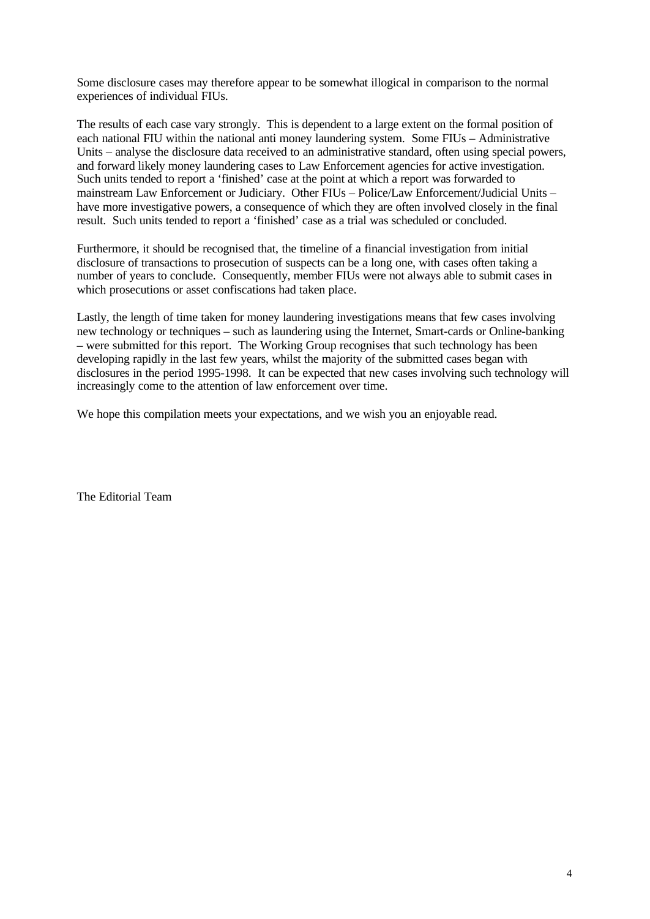Some disclosure cases may therefore appear to be somewhat illogical in comparison to the normal experiences of individual FIUs.

The results of each case vary strongly. This is dependent to a large extent on the formal position of each national FIU within the national anti money laundering system. Some FIUs – Administrative Units – analyse the disclosure data received to an administrative standard, often using special powers, and forward likely money laundering cases to Law Enforcement agencies for active investigation. Such units tended to report a 'finished' case at the point at which a report was forwarded to mainstream Law Enforcement or Judiciary. Other FIUs – Police/Law Enforcement/Judicial Units – have more investigative powers, a consequence of which they are often involved closely in the final result. Such units tended to report a 'finished' case as a trial was scheduled or concluded.

Furthermore, it should be recognised that, the timeline of a financial investigation from initial disclosure of transactions to prosecution of suspects can be a long one, with cases often taking a number of years to conclude. Consequently, member FIUs were not always able to submit cases in which prosecutions or asset confiscations had taken place.

Lastly, the length of time taken for money laundering investigations means that few cases involving new technology or techniques – such as laundering using the Internet, Smart-cards or Online-banking – were submitted for this report. The Working Group recognises that such technology has been developing rapidly in the last few years, whilst the majority of the submitted cases began with disclosures in the period 1995-1998. It can be expected that new cases involving such technology will increasingly come to the attention of law enforcement over time.

We hope this compilation meets your expectations, and we wish you an enjoyable read.

The Editorial Team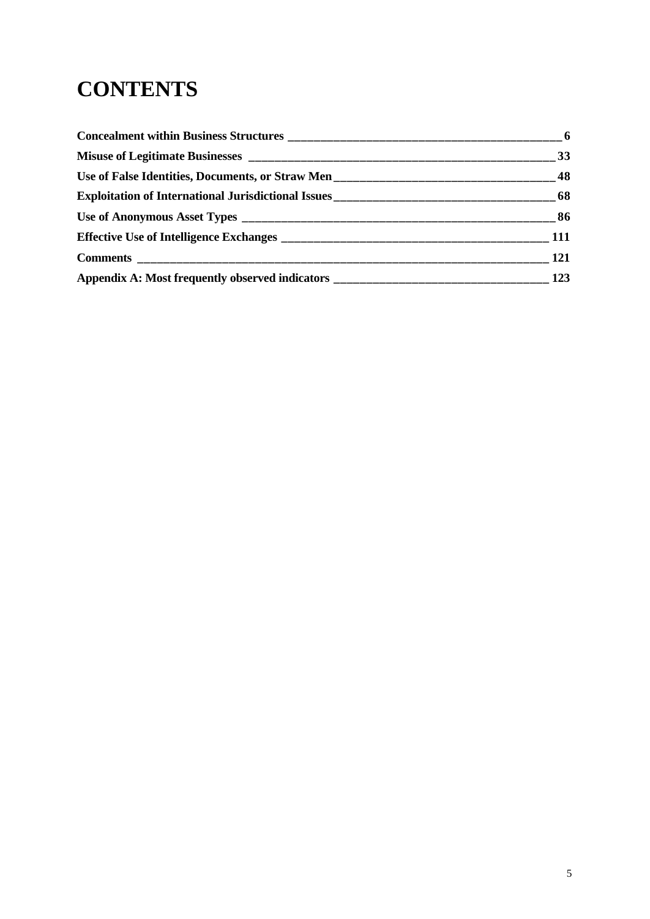# **CONTENTS**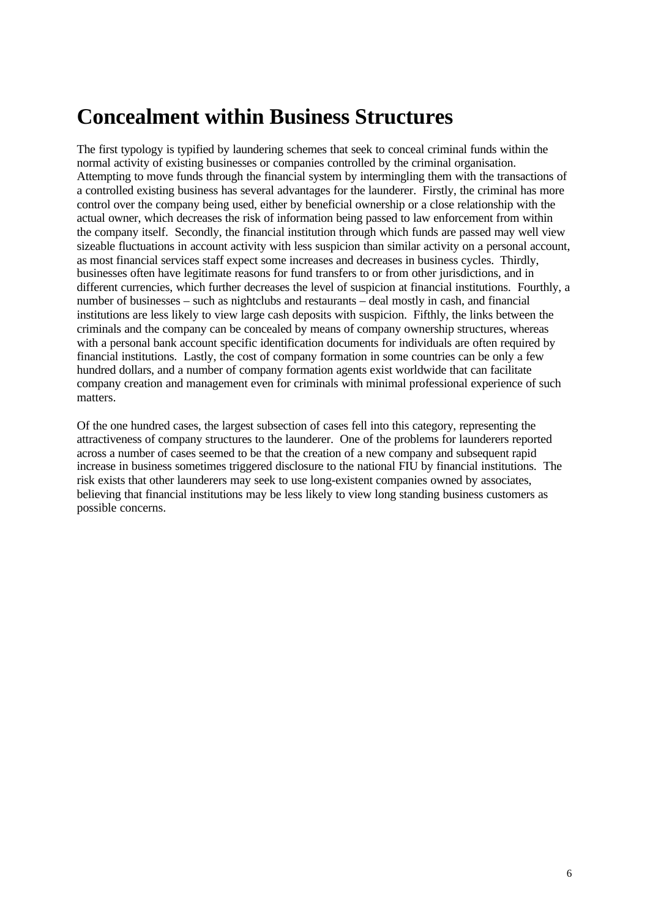# **Concealment within Business Structures**

The first typology is typified by laundering schemes that seek to conceal criminal funds within the normal activity of existing businesses or companies controlled by the criminal organisation. Attempting to move funds through the financial system by intermingling them with the transactions of a controlled existing business has several advantages for the launderer. Firstly, the criminal has more control over the company being used, either by beneficial ownership or a close relationship with the actual owner, which decreases the risk of information being passed to law enforcement from within the company itself. Secondly, the financial institution through which funds are passed may well view sizeable fluctuations in account activity with less suspicion than similar activity on a personal account, as most financial services staff expect some increases and decreases in business cycles. Thirdly, businesses often have legitimate reasons for fund transfers to or from other jurisdictions, and in different currencies, which further decreases the level of suspicion at financial institutions. Fourthly, a number of businesses – such as nightclubs and restaurants – deal mostly in cash, and financial institutions are less likely to view large cash deposits with suspicion. Fifthly, the links between the criminals and the company can be concealed by means of company ownership structures, whereas with a personal bank account specific identification documents for individuals are often required by financial institutions. Lastly, the cost of company formation in some countries can be only a few hundred dollars, and a number of company formation agents exist worldwide that can facilitate company creation and management even for criminals with minimal professional experience of such matters.

Of the one hundred cases, the largest subsection of cases fell into this category, representing the attractiveness of company structures to the launderer. One of the problems for launderers reported across a number of cases seemed to be that the creation of a new company and subsequent rapid increase in business sometimes triggered disclosure to the national FIU by financial institutions. The risk exists that other launderers may seek to use long-existent companies owned by associates, believing that financial institutions may be less likely to view long standing business customers as possible concerns.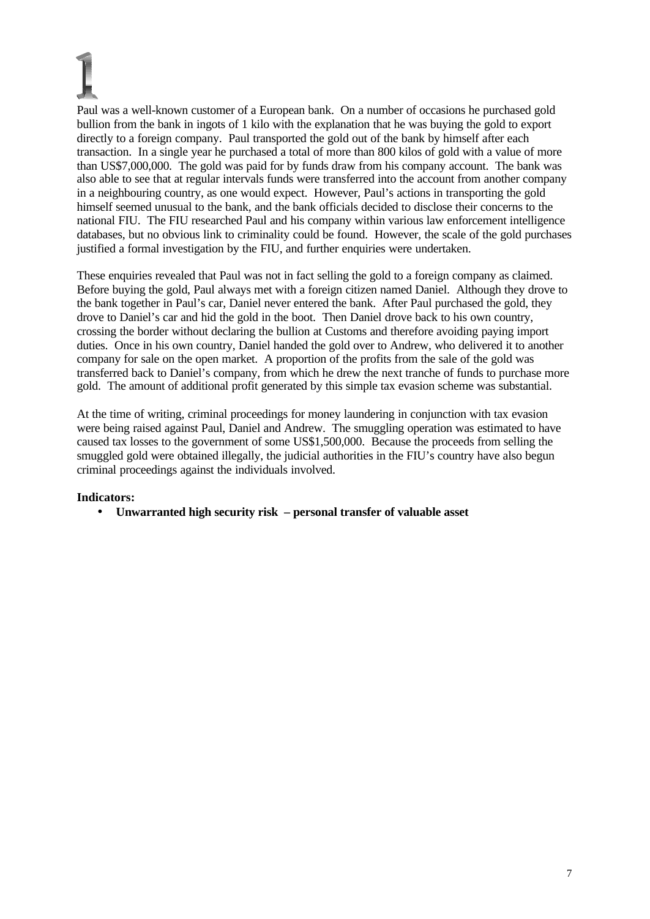Paul was a well-known customer of a European bank. On a number of occasions he purchased gold bullion from the bank in ingots of 1 kilo with the explanation that he was buying the gold to export directly to a foreign company. Paul transported the gold out of the bank by himself after each transaction. In a single year he purchased a total of more than 800 kilos of gold with a value of more than US\$7,000,000. The gold was paid for by funds draw from his company account. The bank was also able to see that at regular intervals funds were transferred into the account from another company in a neighbouring country, as one would expect. However, Paul's actions in transporting the gold himself seemed unusual to the bank, and the bank officials decided to disclose their concerns to the national FIU. The FIU researched Paul and his company within various law enforcement intelligence databases, but no obvious link to criminality could be found. However, the scale of the gold purchases justified a formal investigation by the FIU, and further enquiries were undertaken.

These enquiries revealed that Paul was not in fact selling the gold to a foreign company as claimed. Before buying the gold, Paul always met with a foreign citizen named Daniel. Although they drove to the bank together in Paul's car, Daniel never entered the bank. After Paul purchased the gold, they drove to Daniel's car and hid the gold in the boot. Then Daniel drove back to his own country, crossing the border without declaring the bullion at Customs and therefore avoiding paying import duties. Once in his own country, Daniel handed the gold over to Andrew, who delivered it to another company for sale on the open market. A proportion of the profits from the sale of the gold was transferred back to Daniel's company, from which he drew the next tranche of funds to purchase more gold. The amount of additional profit generated by this simple tax evasion scheme was substantial.

At the time of writing, criminal proceedings for money laundering in conjunction with tax evasion were being raised against Paul, Daniel and Andrew. The smuggling operation was estimated to have caused tax losses to the government of some US\$1,500,000. Because the proceeds from selling the smuggled gold were obtained illegally, the judicial authorities in the FIU's country have also begun criminal proceedings against the individuals involved.

### **Indicators:**

• **Unwarranted high security risk – personal transfer of valuable asset**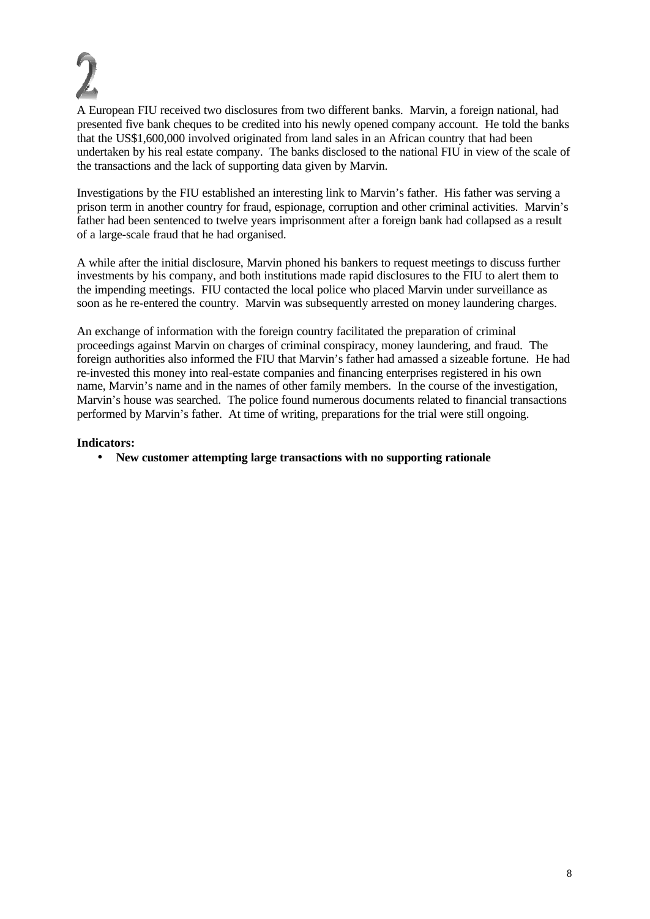A European FIU received two disclosures from two different banks. Marvin, a foreign national, had presented five bank cheques to be credited into his newly opened company account. He told the banks that the US\$1,600,000 involved originated from land sales in an African country that had been undertaken by his real estate company. The banks disclosed to the national FIU in view of the scale of the transactions and the lack of supporting data given by Marvin.

Investigations by the FIU established an interesting link to Marvin's father. His father was serving a prison term in another country for fraud, espionage, corruption and other criminal activities. Marvin's father had been sentenced to twelve years imprisonment after a foreign bank had collapsed as a result of a large-scale fraud that he had organised.

A while after the initial disclosure, Marvin phoned his bankers to request meetings to discuss further investments by his company, and both institutions made rapid disclosures to the FIU to alert them to the impending meetings. FIU contacted the local police who placed Marvin under surveillance as soon as he re-entered the country. Marvin was subsequently arrested on money laundering charges.

An exchange of information with the foreign country facilitated the preparation of criminal proceedings against Marvin on charges of criminal conspiracy, money laundering, and fraud. The foreign authorities also informed the FIU that Marvin's father had amassed a sizeable fortune. He had re-invested this money into real-estate companies and financing enterprises registered in his own name, Marvin's name and in the names of other family members. In the course of the investigation, Marvin's house was searched. The police found numerous documents related to financial transactions performed by Marvin's father. At time of writing, preparations for the trial were still ongoing.

#### **Indicators:**

• **New customer attempting large transactions with no supporting rationale**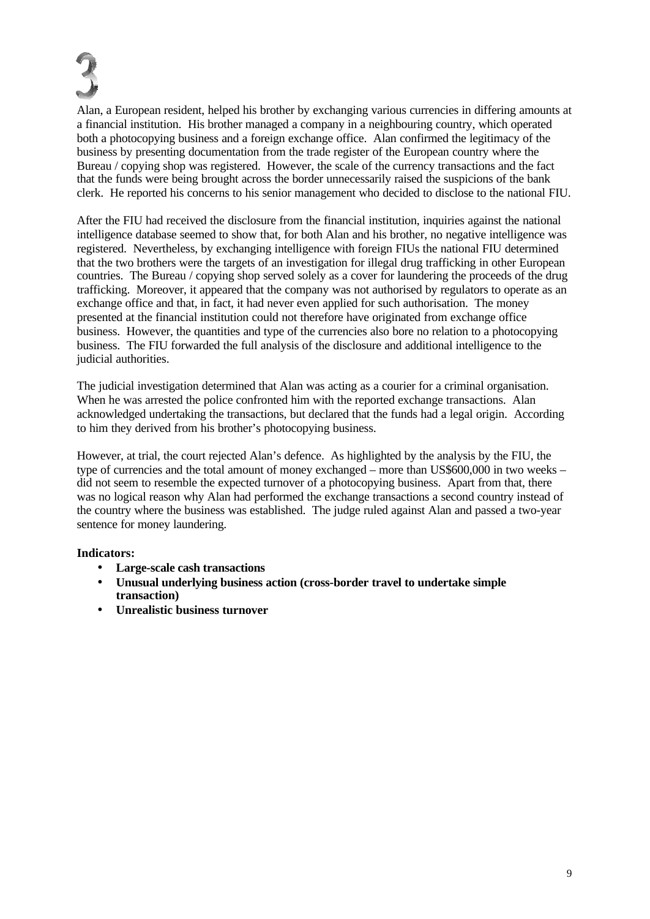

Alan, a European resident, helped his brother by exchanging various currencies in differing amounts at a financial institution. His brother managed a company in a neighbouring country, which operated both a photocopying business and a foreign exchange office. Alan confirmed the legitimacy of the business by presenting documentation from the trade register of the European country where the Bureau / copying shop was registered. However, the scale of the currency transactions and the fact that the funds were being brought across the border unnecessarily raised the suspicions of the bank clerk. He reported his concerns to his senior management who decided to disclose to the national FIU.

After the FIU had received the disclosure from the financial institution, inquiries against the national intelligence database seemed to show that, for both Alan and his brother, no negative intelligence was registered. Nevertheless, by exchanging intelligence with foreign FIUs the national FIU determined that the two brothers were the targets of an investigation for illegal drug trafficking in other European countries. The Bureau / copying shop served solely as a cover for laundering the proceeds of the drug trafficking. Moreover, it appeared that the company was not authorised by regulators to operate as an exchange office and that, in fact, it had never even applied for such authorisation. The money presented at the financial institution could not therefore have originated from exchange office business. However, the quantities and type of the currencies also bore no relation to a photocopying business. The FIU forwarded the full analysis of the disclosure and additional intelligence to the judicial authorities.

The judicial investigation determined that Alan was acting as a courier for a criminal organisation. When he was arrested the police confronted him with the reported exchange transactions. Alan acknowledged undertaking the transactions, but declared that the funds had a legal origin. According to him they derived from his brother's photocopying business.

However, at trial, the court rejected Alan's defence. As highlighted by the analysis by the FIU, the type of currencies and the total amount of money exchanged – more than US\$600,000 in two weeks – did not seem to resemble the expected turnover of a photocopying business. Apart from that, there was no logical reason why Alan had performed the exchange transactions a second country instead of the country where the business was established. The judge ruled against Alan and passed a two-year sentence for money laundering.

- **Large-scale cash transactions**
- **Unusual underlying business action (cross-border travel to undertake simple transaction)**
- **Unrealistic business turnover**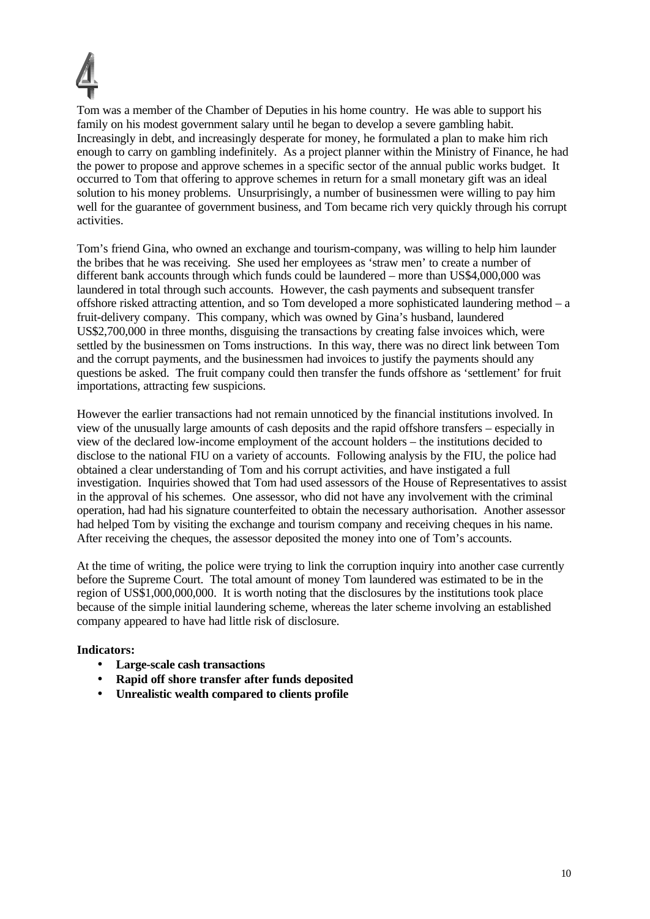

Tom was a member of the Chamber of Deputies in his home country. He was able to support his family on his modest government salary until he began to develop a severe gambling habit. Increasingly in debt, and increasingly desperate for money, he formulated a plan to make him rich enough to carry on gambling indefinitely. As a project planner within the Ministry of Finance, he had the power to propose and approve schemes in a specific sector of the annual public works budget. It occurred to Tom that offering to approve schemes in return for a small monetary gift was an ideal solution to his money problems. Unsurprisingly, a number of businessmen were willing to pay him well for the guarantee of government business, and Tom became rich very quickly through his corrupt activities.

Tom's friend Gina, who owned an exchange and tourism-company, was willing to help him launder the bribes that he was receiving. She used her employees as 'straw men' to create a number of different bank accounts through which funds could be laundered – more than US\$4,000,000 was laundered in total through such accounts. However, the cash payments and subsequent transfer offshore risked attracting attention, and so Tom developed a more sophisticated laundering method – a fruit-delivery company. This company, which was owned by Gina's husband, laundered US\$2,700,000 in three months, disguising the transactions by creating false invoices which, were settled by the businessmen on Toms instructions. In this way, there was no direct link between Tom and the corrupt payments, and the businessmen had invoices to justify the payments should any questions be asked. The fruit company could then transfer the funds offshore as 'settlement' for fruit importations, attracting few suspicions.

However the earlier transactions had not remain unnoticed by the financial institutions involved. In view of the unusually large amounts of cash deposits and the rapid offshore transfers – especially in view of the declared low-income employment of the account holders – the institutions decided to disclose to the national FIU on a variety of accounts. Following analysis by the FIU, the police had obtained a clear understanding of Tom and his corrupt activities, and have instigated a full investigation. Inquiries showed that Tom had used assessors of the House of Representatives to assist in the approval of his schemes. One assessor, who did not have any involvement with the criminal operation, had had his signature counterfeited to obtain the necessary authorisation. Another assessor had helped Tom by visiting the exchange and tourism company and receiving cheques in his name. After receiving the cheques, the assessor deposited the money into one of Tom's accounts.

At the time of writing, the police were trying to link the corruption inquiry into another case currently before the Supreme Court. The total amount of money Tom laundered was estimated to be in the region of US\$1,000,000,000. It is worth noting that the disclosures by the institutions took place because of the simple initial laundering scheme, whereas the later scheme involving an established company appeared to have had little risk of disclosure.

- **Large-scale cash transactions**
- **Rapid off shore transfer after funds deposited**
- **Unrealistic wealth compared to clients profile**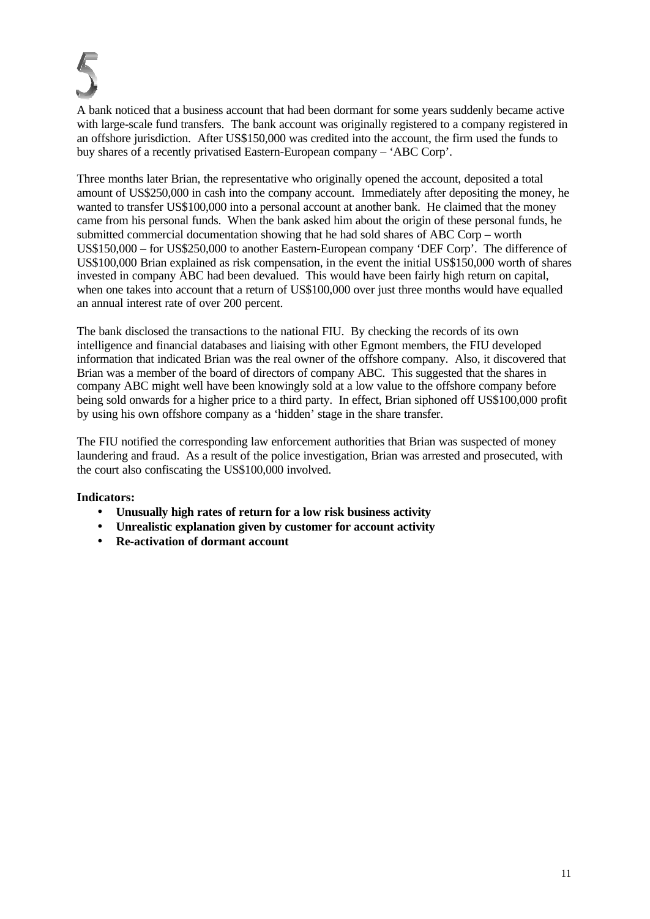

A bank noticed that a business account that had been dormant for some years suddenly became active with large-scale fund transfers. The bank account was originally registered to a company registered in an offshore jurisdiction. After US\$150,000 was credited into the account, the firm used the funds to buy shares of a recently privatised Eastern-European company – 'ABC Corp'.

Three months later Brian, the representative who originally opened the account, deposited a total amount of US\$250,000 in cash into the company account. Immediately after depositing the money, he wanted to transfer US\$100,000 into a personal account at another bank. He claimed that the money came from his personal funds. When the bank asked him about the origin of these personal funds, he submitted commercial documentation showing that he had sold shares of ABC Corp – worth US\$150,000 – for US\$250,000 to another Eastern-European company 'DEF Corp'. The difference of US\$100,000 Brian explained as risk compensation, in the event the initial US\$150,000 worth of shares invested in company ABC had been devalued. This would have been fairly high return on capital, when one takes into account that a return of US\$100,000 over just three months would have equalled an annual interest rate of over 200 percent.

The bank disclosed the transactions to the national FIU. By checking the records of its own intelligence and financial databases and liaising with other Egmont members, the FIU developed information that indicated Brian was the real owner of the offshore company. Also, it discovered that Brian was a member of the board of directors of company ABC. This suggested that the shares in company ABC might well have been knowingly sold at a low value to the offshore company before being sold onwards for a higher price to a third party. In effect, Brian siphoned off US\$100,000 profit by using his own offshore company as a 'hidden' stage in the share transfer.

The FIU notified the corresponding law enforcement authorities that Brian was suspected of money laundering and fraud. As a result of the police investigation, Brian was arrested and prosecuted, with the court also confiscating the US\$100,000 involved.

- **Unusually high rates of return for a low risk business activity**
- **Unrealistic explanation given by customer for account activity**
- **Re-activation of dormant account**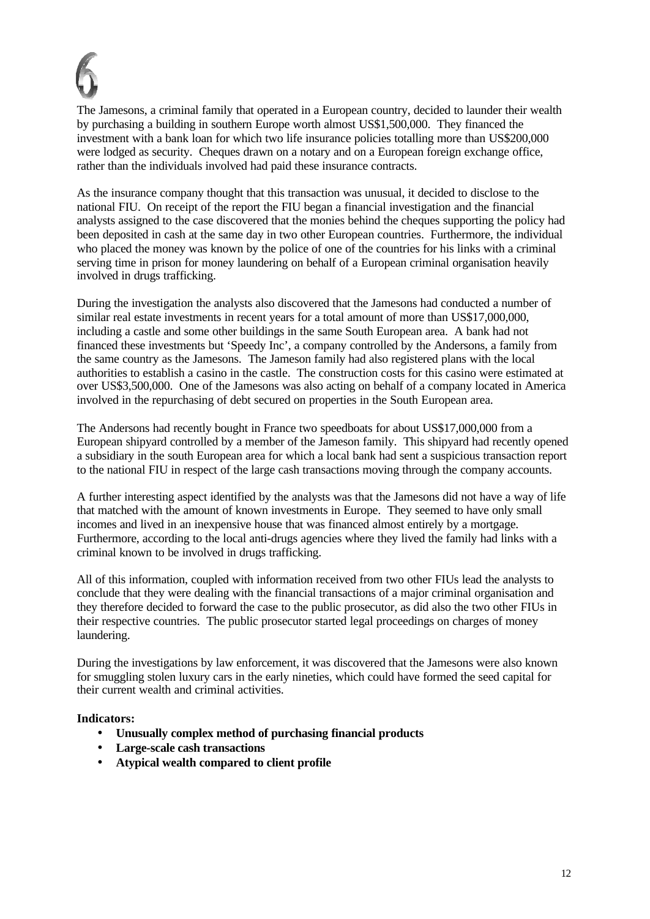

The Jamesons, a criminal family that operated in a European country, decided to launder their wealth by purchasing a building in southern Europe worth almost US\$1,500,000. They financed the investment with a bank loan for which two life insurance policies totalling more than US\$200,000 were lodged as security. Cheques drawn on a notary and on a European foreign exchange office, rather than the individuals involved had paid these insurance contracts.

As the insurance company thought that this transaction was unusual, it decided to disclose to the national FIU. On receipt of the report the FIU began a financial investigation and the financial analysts assigned to the case discovered that the monies behind the cheques supporting the policy had been deposited in cash at the same day in two other European countries. Furthermore, the individual who placed the money was known by the police of one of the countries for his links with a criminal serving time in prison for money laundering on behalf of a European criminal organisation heavily involved in drugs trafficking.

During the investigation the analysts also discovered that the Jamesons had conducted a number of similar real estate investments in recent years for a total amount of more than US\$17,000,000, including a castle and some other buildings in the same South European area. A bank had not financed these investments but 'Speedy Inc', a company controlled by the Andersons, a family from the same country as the Jamesons. The Jameson family had also registered plans with the local authorities to establish a casino in the castle. The construction costs for this casino were estimated at over US\$3,500,000. One of the Jamesons was also acting on behalf of a company located in America involved in the repurchasing of debt secured on properties in the South European area.

The Andersons had recently bought in France two speedboats for about US\$17,000,000 from a European shipyard controlled by a member of the Jameson family. This shipyard had recently opened a subsidiary in the south European area for which a local bank had sent a suspicious transaction report to the national FIU in respect of the large cash transactions moving through the company accounts.

A further interesting aspect identified by the analysts was that the Jamesons did not have a way of life that matched with the amount of known investments in Europe. They seemed to have only small incomes and lived in an inexpensive house that was financed almost entirely by a mortgage. Furthermore, according to the local anti-drugs agencies where they lived the family had links with a criminal known to be involved in drugs trafficking.

All of this information, coupled with information received from two other FIUs lead the analysts to conclude that they were dealing with the financial transactions of a major criminal organisation and they therefore decided to forward the case to the public prosecutor, as did also the two other FIUs in their respective countries. The public prosecutor started legal proceedings on charges of money laundering.

During the investigations by law enforcement, it was discovered that the Jamesons were also known for smuggling stolen luxury cars in the early nineties, which could have formed the seed capital for their current wealth and criminal activities.

- **Unusually complex method of purchasing financial products**
- **Large-scale cash transactions**
- **Atypical wealth compared to client profile**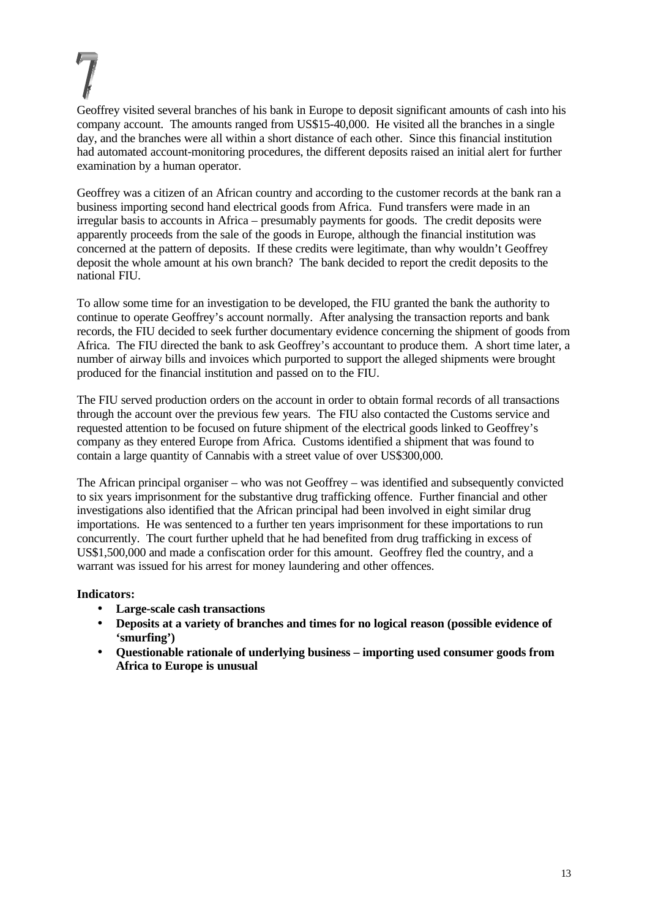Geoffrey visited several branches of his bank in Europe to deposit significant amounts of cash into his company account. The amounts ranged from US\$15-40,000. He visited all the branches in a single day, and the branches were all within a short distance of each other. Since this financial institution had automated account-monitoring procedures, the different deposits raised an initial alert for further examination by a human operator.

Geoffrey was a citizen of an African country and according to the customer records at the bank ran a business importing second hand electrical goods from Africa. Fund transfers were made in an irregular basis to accounts in Africa – presumably payments for goods. The credit deposits were apparently proceeds from the sale of the goods in Europe, although the financial institution was concerned at the pattern of deposits. If these credits were legitimate, than why wouldn't Geoffrey deposit the whole amount at his own branch? The bank decided to report the credit deposits to the national FIU.

To allow some time for an investigation to be developed, the FIU granted the bank the authority to continue to operate Geoffrey's account normally. After analysing the transaction reports and bank records, the FIU decided to seek further documentary evidence concerning the shipment of goods from Africa. The FIU directed the bank to ask Geoffrey's accountant to produce them. A short time later, a number of airway bills and invoices which purported to support the alleged shipments were brought produced for the financial institution and passed on to the FIU.

The FIU served production orders on the account in order to obtain formal records of all transactions through the account over the previous few years. The FIU also contacted the Customs service and requested attention to be focused on future shipment of the electrical goods linked to Geoffrey's company as they entered Europe from Africa. Customs identified a shipment that was found to contain a large quantity of Cannabis with a street value of over US\$300,000.

The African principal organiser – who was not Geoffrey – was identified and subsequently convicted to six years imprisonment for the substantive drug trafficking offence. Further financial and other investigations also identified that the African principal had been involved in eight similar drug importations. He was sentenced to a further ten years imprisonment for these importations to run concurrently. The court further upheld that he had benefited from drug trafficking in excess of US\$1,500,000 and made a confiscation order for this amount. Geoffrey fled the country, and a warrant was issued for his arrest for money laundering and other offences.

- **Large-scale cash transactions**
- **Deposits at a variety of branches and times for no logical reason (possible evidence of 'smurfing')**
- **Questionable rationale of underlying business importing used consumer goods from Africa to Europe is unusual**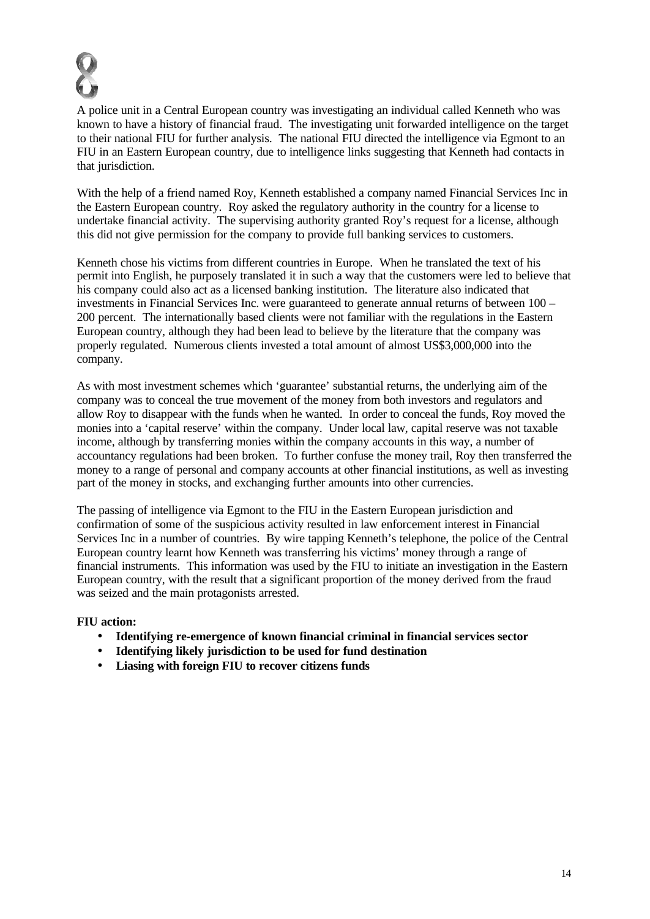

A police unit in a Central European country was investigating an individual called Kenneth who was known to have a history of financial fraud. The investigating unit forwarded intelligence on the target to their national FIU for further analysis. The national FIU directed the intelligence via Egmont to an FIU in an Eastern European country, due to intelligence links suggesting that Kenneth had contacts in that jurisdiction.

With the help of a friend named Roy, Kenneth established a company named Financial Services Inc in the Eastern European country. Roy asked the regulatory authority in the country for a license to undertake financial activity. The supervising authority granted Roy's request for a license, although this did not give permission for the company to provide full banking services to customers.

Kenneth chose his victims from different countries in Europe. When he translated the text of his permit into English, he purposely translated it in such a way that the customers were led to believe that his company could also act as a licensed banking institution. The literature also indicated that investments in Financial Services Inc. were guaranteed to generate annual returns of between 100 – 200 percent. The internationally based clients were not familiar with the regulations in the Eastern European country, although they had been lead to believe by the literature that the company was properly regulated. Numerous clients invested a total amount of almost US\$3,000,000 into the company.

As with most investment schemes which 'guarantee' substantial returns, the underlying aim of the company was to conceal the true movement of the money from both investors and regulators and allow Roy to disappear with the funds when he wanted. In order to conceal the funds, Roy moved the monies into a 'capital reserve' within the company. Under local law, capital reserve was not taxable income, although by transferring monies within the company accounts in this way, a number of accountancy regulations had been broken. To further confuse the money trail, Roy then transferred the money to a range of personal and company accounts at other financial institutions, as well as investing part of the money in stocks, and exchanging further amounts into other currencies.

The passing of intelligence via Egmont to the FIU in the Eastern European jurisdiction and confirmation of some of the suspicious activity resulted in law enforcement interest in Financial Services Inc in a number of countries. By wire tapping Kenneth's telephone, the police of the Central European country learnt how Kenneth was transferring his victims' money through a range of financial instruments. This information was used by the FIU to initiate an investigation in the Eastern European country, with the result that a significant proportion of the money derived from the fraud was seized and the main protagonists arrested.

#### **FIU action:**

- **Identifying re-emergence of known financial criminal in financial services sector**
- **Identifying likely jurisdiction to be used for fund destination**
- **Liasing with foreign FIU to recover citizens funds**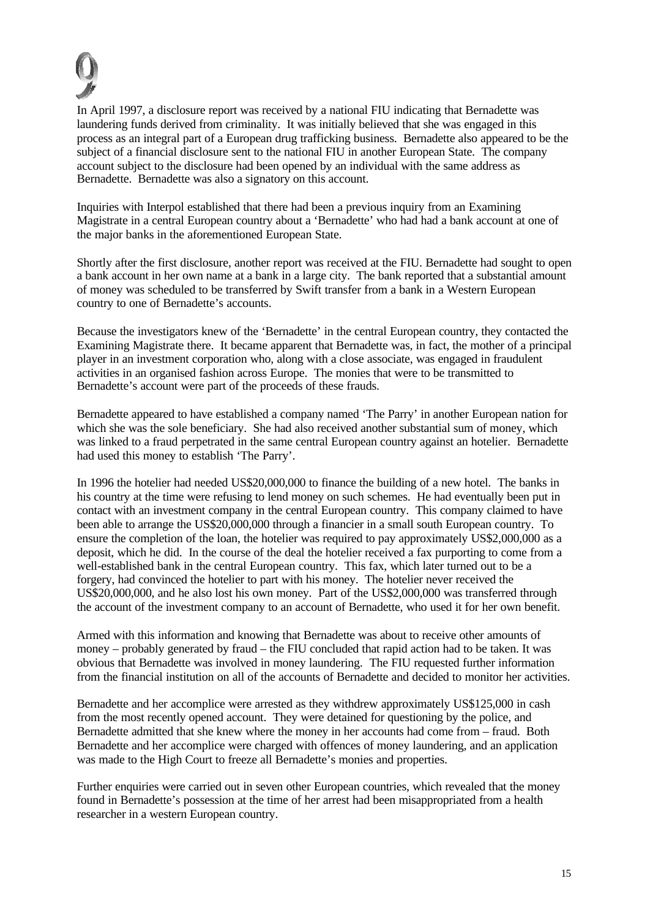

In April 1997, a disclosure report was received by a national FIU indicating that Bernadette was laundering funds derived from criminality. It was initially believed that she was engaged in this process as an integral part of a European drug trafficking business. Bernadette also appeared to be the subject of a financial disclosure sent to the national FIU in another European State. The company account subject to the disclosure had been opened by an individual with the same address as Bernadette. Bernadette was also a signatory on this account.

Inquiries with Interpol established that there had been a previous inquiry from an Examining Magistrate in a central European country about a 'Bernadette' who had had a bank account at one of the major banks in the aforementioned European State.

Shortly after the first disclosure, another report was received at the FIU. Bernadette had sought to open a bank account in her own name at a bank in a large city. The bank reported that a substantial amount of money was scheduled to be transferred by Swift transfer from a bank in a Western European country to one of Bernadette's accounts.

Because the investigators knew of the 'Bernadette' in the central European country, they contacted the Examining Magistrate there. It became apparent that Bernadette was, in fact, the mother of a principal player in an investment corporation who, along with a close associate, was engaged in fraudulent activities in an organised fashion across Europe. The monies that were to be transmitted to Bernadette's account were part of the proceeds of these frauds.

Bernadette appeared to have established a company named 'The Parry' in another European nation for which she was the sole beneficiary. She had also received another substantial sum of money, which was linked to a fraud perpetrated in the same central European country against an hotelier. Bernadette had used this money to establish 'The Parry'.

In 1996 the hotelier had needed US\$20,000,000 to finance the building of a new hotel. The banks in his country at the time were refusing to lend money on such schemes. He had eventually been put in contact with an investment company in the central European country. This company claimed to have been able to arrange the US\$20,000,000 through a financier in a small south European country. To ensure the completion of the loan, the hotelier was required to pay approximately US\$2,000,000 as a deposit, which he did. In the course of the deal the hotelier received a fax purporting to come from a well-established bank in the central European country. This fax, which later turned out to be a forgery, had convinced the hotelier to part with his money. The hotelier never received the US\$20,000,000, and he also lost his own money. Part of the US\$2,000,000 was transferred through the account of the investment company to an account of Bernadette, who used it for her own benefit.

Armed with this information and knowing that Bernadette was about to receive other amounts of money – probably generated by fraud – the FIU concluded that rapid action had to be taken. It was obvious that Bernadette was involved in money laundering. The FIU requested further information from the financial institution on all of the accounts of Bernadette and decided to monitor her activities.

Bernadette and her accomplice were arrested as they withdrew approximately US\$125,000 in cash from the most recently opened account. They were detained for questioning by the police, and Bernadette admitted that she knew where the money in her accounts had come from – fraud. Both Bernadette and her accomplice were charged with offences of money laundering, and an application was made to the High Court to freeze all Bernadette's monies and properties.

Further enquiries were carried out in seven other European countries, which revealed that the money found in Bernadette's possession at the time of her arrest had been misappropriated from a health researcher in a western European country.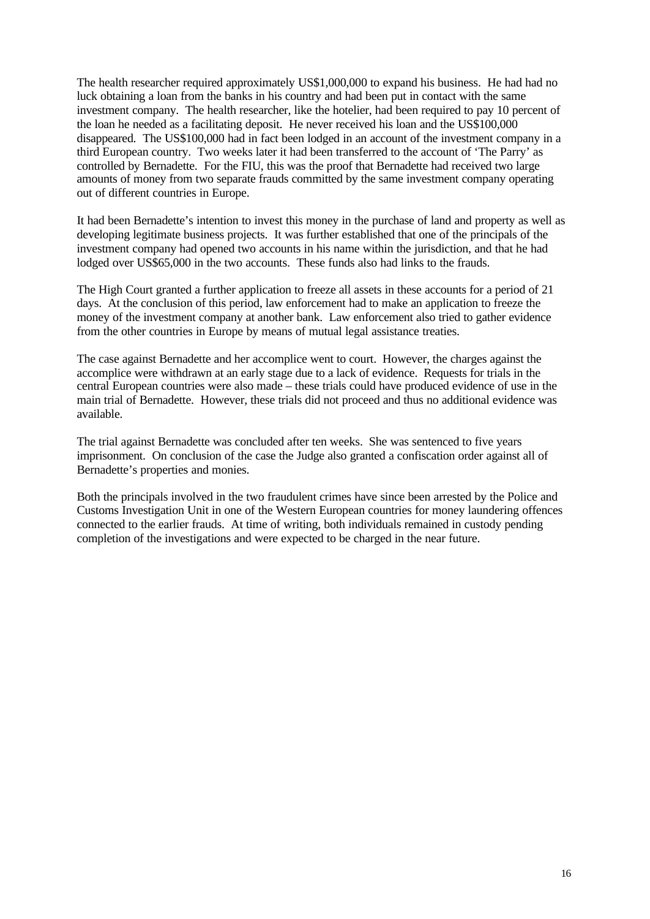The health researcher required approximately US\$1,000,000 to expand his business. He had had no luck obtaining a loan from the banks in his country and had been put in contact with the same investment company. The health researcher, like the hotelier, had been required to pay 10 percent of the loan he needed as a facilitating deposit. He never received his loan and the US\$100,000 disappeared. The US\$100,000 had in fact been lodged in an account of the investment company in a third European country. Two weeks later it had been transferred to the account of 'The Parry' as controlled by Bernadette. For the FIU, this was the proof that Bernadette had received two large amounts of money from two separate frauds committed by the same investment company operating out of different countries in Europe.

It had been Bernadette's intention to invest this money in the purchase of land and property as well as developing legitimate business projects. It was further established that one of the principals of the investment company had opened two accounts in his name within the jurisdiction, and that he had lodged over US\$65,000 in the two accounts. These funds also had links to the frauds.

The High Court granted a further application to freeze all assets in these accounts for a period of 21 days. At the conclusion of this period, law enforcement had to make an application to freeze the money of the investment company at another bank. Law enforcement also tried to gather evidence from the other countries in Europe by means of mutual legal assistance treaties.

The case against Bernadette and her accomplice went to court. However, the charges against the accomplice were withdrawn at an early stage due to a lack of evidence. Requests for trials in the central European countries were also made – these trials could have produced evidence of use in the main trial of Bernadette. However, these trials did not proceed and thus no additional evidence was available.

The trial against Bernadette was concluded after ten weeks. She was sentenced to five years imprisonment. On conclusion of the case the Judge also granted a confiscation order against all of Bernadette's properties and monies.

Both the principals involved in the two fraudulent crimes have since been arrested by the Police and Customs Investigation Unit in one of the Western European countries for money laundering offences connected to the earlier frauds. At time of writing, both individuals remained in custody pending completion of the investigations and were expected to be charged in the near future.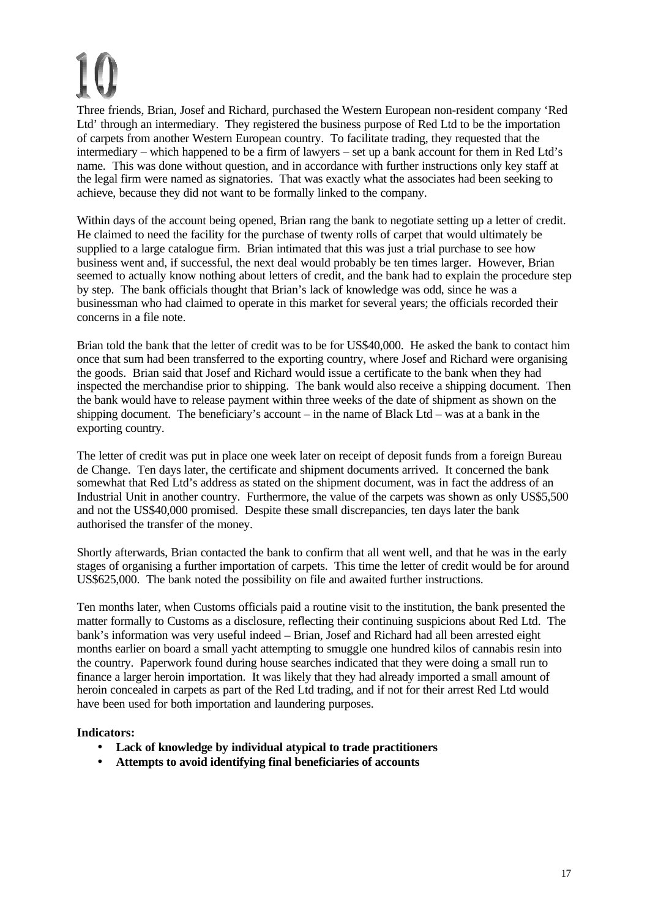Three friends, Brian, Josef and Richard, purchased the Western European non-resident company 'Red Ltd' through an intermediary. They registered the business purpose of Red Ltd to be the importation of carpets from another Western European country. To facilitate trading, they requested that the intermediary – which happened to be a firm of lawyers – set up a bank account for them in Red Ltd's name. This was done without question, and in accordance with further instructions only key staff at the legal firm were named as signatories. That was exactly what the associates had been seeking to achieve, because they did not want to be formally linked to the company.

Within days of the account being opened, Brian rang the bank to negotiate setting up a letter of credit. He claimed to need the facility for the purchase of twenty rolls of carpet that would ultimately be supplied to a large catalogue firm. Brian intimated that this was just a trial purchase to see how business went and, if successful, the next deal would probably be ten times larger. However, Brian seemed to actually know nothing about letters of credit, and the bank had to explain the procedure step by step. The bank officials thought that Brian's lack of knowledge was odd, since he was a businessman who had claimed to operate in this market for several years; the officials recorded their concerns in a file note.

Brian told the bank that the letter of credit was to be for US\$40,000. He asked the bank to contact him once that sum had been transferred to the exporting country, where Josef and Richard were organising the goods. Brian said that Josef and Richard would issue a certificate to the bank when they had inspected the merchandise prior to shipping. The bank would also receive a shipping document. Then the bank would have to release payment within three weeks of the date of shipment as shown on the shipping document. The beneficiary's account – in the name of Black Ltd – was at a bank in the exporting country.

The letter of credit was put in place one week later on receipt of deposit funds from a foreign Bureau de Change. Ten days later, the certificate and shipment documents arrived. It concerned the bank somewhat that Red Ltd's address as stated on the shipment document, was in fact the address of an Industrial Unit in another country. Furthermore, the value of the carpets was shown as only US\$5,500 and not the US\$40,000 promised. Despite these small discrepancies, ten days later the bank authorised the transfer of the money.

Shortly afterwards, Brian contacted the bank to confirm that all went well, and that he was in the early stages of organising a further importation of carpets. This time the letter of credit would be for around US\$625,000. The bank noted the possibility on file and awaited further instructions.

Ten months later, when Customs officials paid a routine visit to the institution, the bank presented the matter formally to Customs as a disclosure, reflecting their continuing suspicions about Red Ltd. The bank's information was very useful indeed – Brian, Josef and Richard had all been arrested eight months earlier on board a small yacht attempting to smuggle one hundred kilos of cannabis resin into the country. Paperwork found during house searches indicated that they were doing a small run to finance a larger heroin importation. It was likely that they had already imported a small amount of heroin concealed in carpets as part of the Red Ltd trading, and if not for their arrest Red Ltd would have been used for both importation and laundering purposes.

- **Lack of knowledge by individual atypical to trade practitioners**
- **Attempts to avoid identifying final beneficiaries of accounts**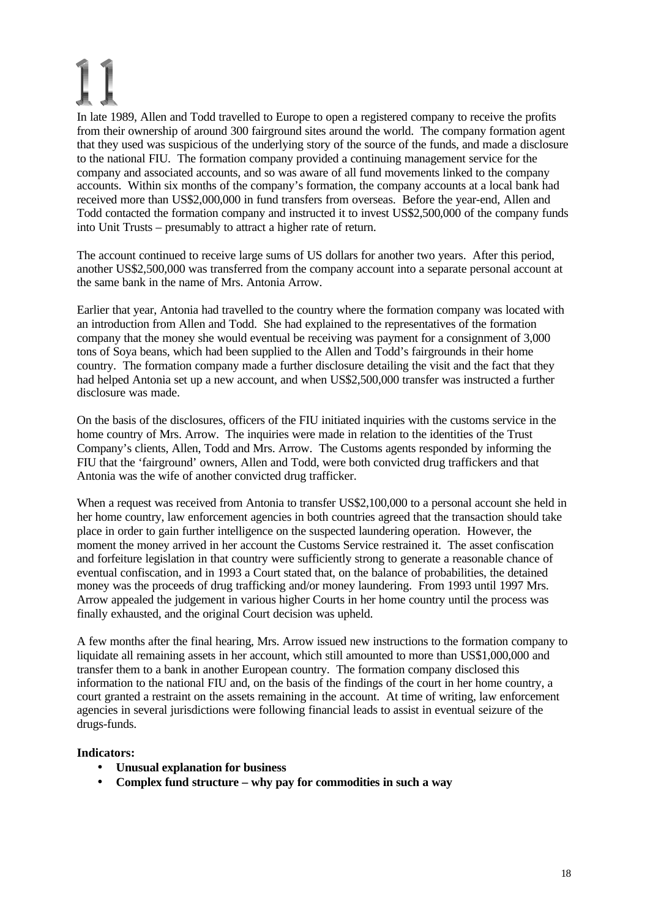In late 1989, Allen and Todd travelled to Europe to open a registered company to receive the profits from their ownership of around 300 fairground sites around the world. The company formation agent that they used was suspicious of the underlying story of the source of the funds, and made a disclosure to the national FIU. The formation company provided a continuing management service for the company and associated accounts, and so was aware of all fund movements linked to the company accounts. Within six months of the company's formation, the company accounts at a local bank had received more than US\$2,000,000 in fund transfers from overseas. Before the year-end, Allen and Todd contacted the formation company and instructed it to invest US\$2,500,000 of the company funds into Unit Trusts – presumably to attract a higher rate of return.

The account continued to receive large sums of US dollars for another two years. After this period, another US\$2,500,000 was transferred from the company account into a separate personal account at the same bank in the name of Mrs. Antonia Arrow.

Earlier that year, Antonia had travelled to the country where the formation company was located with an introduction from Allen and Todd. She had explained to the representatives of the formation company that the money she would eventual be receiving was payment for a consignment of 3,000 tons of Soya beans, which had been supplied to the Allen and Todd's fairgrounds in their home country. The formation company made a further disclosure detailing the visit and the fact that they had helped Antonia set up a new account, and when US\$2,500,000 transfer was instructed a further disclosure was made.

On the basis of the disclosures, officers of the FIU initiated inquiries with the customs service in the home country of Mrs. Arrow. The inquiries were made in relation to the identities of the Trust Company's clients, Allen, Todd and Mrs. Arrow. The Customs agents responded by informing the FIU that the 'fairground' owners, Allen and Todd, were both convicted drug traffickers and that Antonia was the wife of another convicted drug trafficker.

When a request was received from Antonia to transfer US\$2,100,000 to a personal account she held in her home country, law enforcement agencies in both countries agreed that the transaction should take place in order to gain further intelligence on the suspected laundering operation. However, the moment the money arrived in her account the Customs Service restrained it. The asset confiscation and forfeiture legislation in that country were sufficiently strong to generate a reasonable chance of eventual confiscation, and in 1993 a Court stated that, on the balance of probabilities, the detained money was the proceeds of drug trafficking and/or money laundering. From 1993 until 1997 Mrs. Arrow appealed the judgement in various higher Courts in her home country until the process was finally exhausted, and the original Court decision was upheld.

A few months after the final hearing, Mrs. Arrow issued new instructions to the formation company to liquidate all remaining assets in her account, which still amounted to more than US\$1,000,000 and transfer them to a bank in another European country. The formation company disclosed this information to the national FIU and, on the basis of the findings of the court in her home country, a court granted a restraint on the assets remaining in the account. At time of writing, law enforcement agencies in several jurisdictions were following financial leads to assist in eventual seizure of the drugs-funds.

- **Unusual explanation for business**
- **Complex fund structure why pay for commodities in such a way**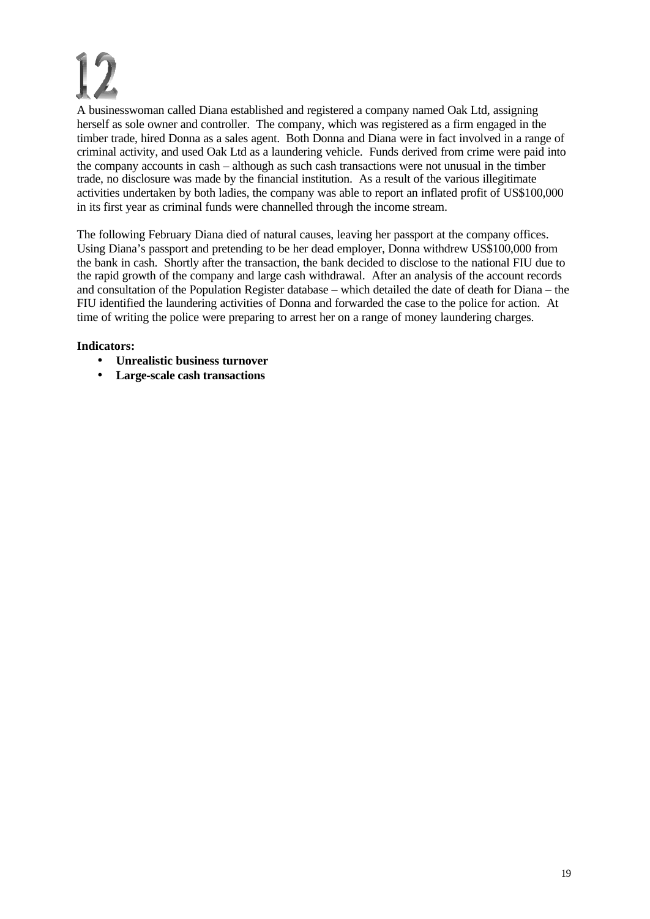A businesswoman called Diana established and registered a company named Oak Ltd, assigning herself as sole owner and controller. The company, which was registered as a firm engaged in the timber trade, hired Donna as a sales agent. Both Donna and Diana were in fact involved in a range of criminal activity, and used Oak Ltd as a laundering vehicle. Funds derived from crime were paid into the company accounts in cash – although as such cash transactions were not unusual in the timber trade, no disclosure was made by the financial institution. As a result of the various illegitimate activities undertaken by both ladies, the company was able to report an inflated profit of US\$100,000 in its first year as criminal funds were channelled through the income stream.

The following February Diana died of natural causes, leaving her passport at the company offices. Using Diana's passport and pretending to be her dead employer, Donna withdrew US\$100,000 from the bank in cash. Shortly after the transaction, the bank decided to disclose to the national FIU due to the rapid growth of the company and large cash withdrawal. After an analysis of the account records and consultation of the Population Register database – which detailed the date of death for Diana – the FIU identified the laundering activities of Donna and forwarded the case to the police for action. At time of writing the police were preparing to arrest her on a range of money laundering charges.

- **Unrealistic business turnover**
- **Large-scale cash transactions**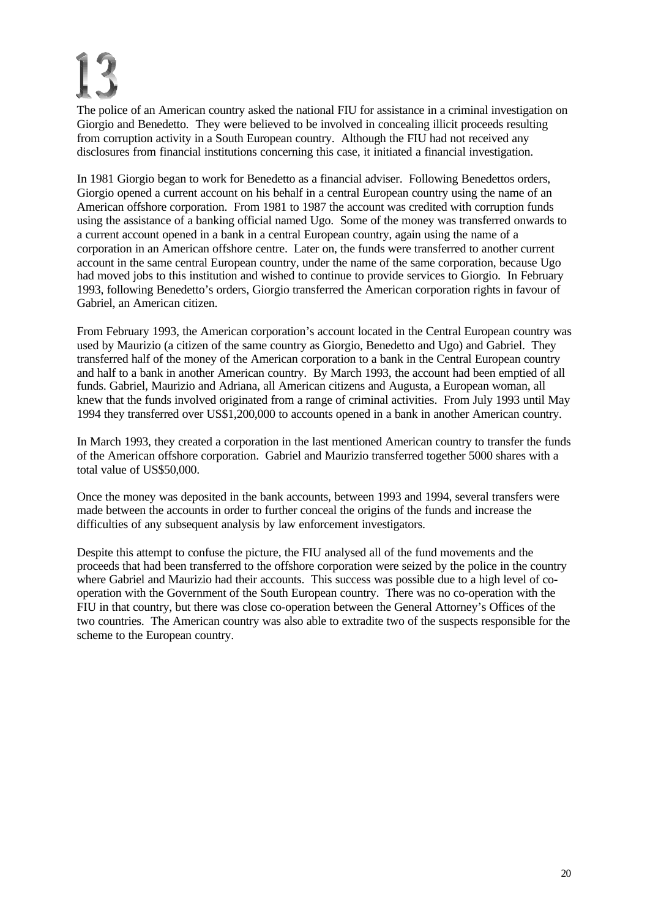The police of an American country asked the national FIU for assistance in a criminal investigation on Giorgio and Benedetto. They were believed to be involved in concealing illicit proceeds resulting from corruption activity in a South European country. Although the FIU had not received any disclosures from financial institutions concerning this case, it initiated a financial investigation.

In 1981 Giorgio began to work for Benedetto as a financial adviser. Following Benedettos orders, Giorgio opened a current account on his behalf in a central European country using the name of an American offshore corporation. From 1981 to 1987 the account was credited with corruption funds using the assistance of a banking official named Ugo. Some of the money was transferred onwards to a current account opened in a bank in a central European country, again using the name of a corporation in an American offshore centre. Later on, the funds were transferred to another current account in the same central European country, under the name of the same corporation, because Ugo had moved jobs to this institution and wished to continue to provide services to Giorgio. In February 1993, following Benedetto's orders, Giorgio transferred the American corporation rights in favour of Gabriel, an American citizen.

From February 1993, the American corporation's account located in the Central European country was used by Maurizio (a citizen of the same country as Giorgio, Benedetto and Ugo) and Gabriel. They transferred half of the money of the American corporation to a bank in the Central European country and half to a bank in another American country. By March 1993, the account had been emptied of all funds. Gabriel, Maurizio and Adriana, all American citizens and Augusta, a European woman, all knew that the funds involved originated from a range of criminal activities. From July 1993 until May 1994 they transferred over US\$1,200,000 to accounts opened in a bank in another American country.

In March 1993, they created a corporation in the last mentioned American country to transfer the funds of the American offshore corporation. Gabriel and Maurizio transferred together 5000 shares with a total value of US\$50,000.

Once the money was deposited in the bank accounts, between 1993 and 1994, several transfers were made between the accounts in order to further conceal the origins of the funds and increase the difficulties of any subsequent analysis by law enforcement investigators.

Despite this attempt to confuse the picture, the FIU analysed all of the fund movements and the proceeds that had been transferred to the offshore corporation were seized by the police in the country where Gabriel and Maurizio had their accounts. This success was possible due to a high level of cooperation with the Government of the South European country. There was no co-operation with the FIU in that country, but there was close co-operation between the General Attorney's Offices of the two countries. The American country was also able to extradite two of the suspects responsible for the scheme to the European country.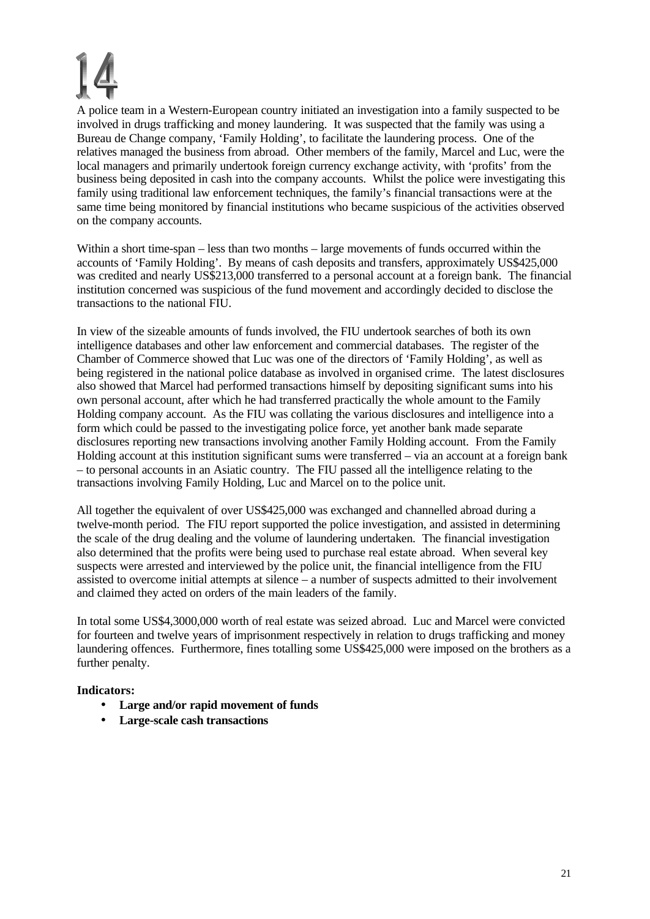A police team in a Western-European country initiated an investigation into a family suspected to be involved in drugs trafficking and money laundering. It was suspected that the family was using a Bureau de Change company, 'Family Holding', to facilitate the laundering process. One of the relatives managed the business from abroad. Other members of the family, Marcel and Luc, were the local managers and primarily undertook foreign currency exchange activity, with 'profits' from the business being deposited in cash into the company accounts. Whilst the police were investigating this family using traditional law enforcement techniques, the family's financial transactions were at the same time being monitored by financial institutions who became suspicious of the activities observed on the company accounts.

Within a short time-span – less than two months – large movements of funds occurred within the accounts of 'Family Holding'. By means of cash deposits and transfers, approximately US\$425,000 was credited and nearly US\$213,000 transferred to a personal account at a foreign bank. The financial institution concerned was suspicious of the fund movement and accordingly decided to disclose the transactions to the national FIU.

In view of the sizeable amounts of funds involved, the FIU undertook searches of both its own intelligence databases and other law enforcement and commercial databases. The register of the Chamber of Commerce showed that Luc was one of the directors of 'Family Holding', as well as being registered in the national police database as involved in organised crime. The latest disclosures also showed that Marcel had performed transactions himself by depositing significant sums into his own personal account, after which he had transferred practically the whole amount to the Family Holding company account. As the FIU was collating the various disclosures and intelligence into a form which could be passed to the investigating police force, yet another bank made separate disclosures reporting new transactions involving another Family Holding account. From the Family Holding account at this institution significant sums were transferred – via an account at a foreign bank – to personal accounts in an Asiatic country. The FIU passed all the intelligence relating to the transactions involving Family Holding, Luc and Marcel on to the police unit.

All together the equivalent of over US\$425,000 was exchanged and channelled abroad during a twelve-month period. The FIU report supported the police investigation, and assisted in determining the scale of the drug dealing and the volume of laundering undertaken. The financial investigation also determined that the profits were being used to purchase real estate abroad. When several key suspects were arrested and interviewed by the police unit, the financial intelligence from the FIU assisted to overcome initial attempts at silence – a number of suspects admitted to their involvement and claimed they acted on orders of the main leaders of the family.

In total some US\$4,3000,000 worth of real estate was seized abroad. Luc and Marcel were convicted for fourteen and twelve years of imprisonment respectively in relation to drugs trafficking and money laundering offences. Furthermore, fines totalling some US\$425,000 were imposed on the brothers as a further penalty.

- **Large and/or rapid movement of funds**
- **Large-scale cash transactions**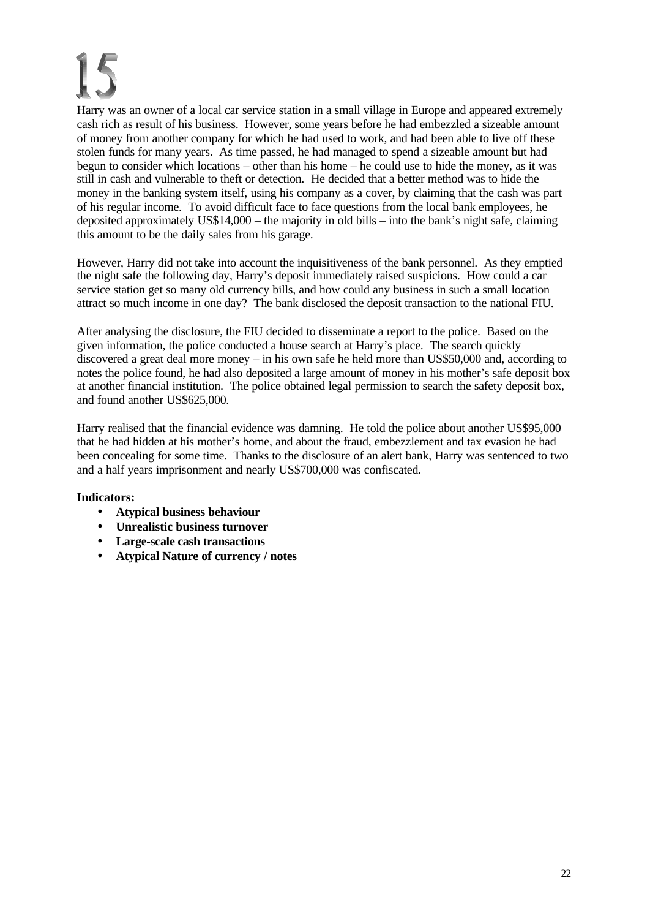Harry was an owner of a local car service station in a small village in Europe and appeared extremely cash rich as result of his business. However, some years before he had embezzled a sizeable amount of money from another company for which he had used to work, and had been able to live off these stolen funds for many years. As time passed, he had managed to spend a sizeable amount but had begun to consider which locations – other than his home – he could use to hide the money, as it was still in cash and vulnerable to theft or detection. He decided that a better method was to hide the money in the banking system itself, using his company as a cover, by claiming that the cash was part of his regular income. To avoid difficult face to face questions from the local bank employees, he deposited approximately US\$14,000 – the majority in old bills – into the bank's night safe, claiming this amount to be the daily sales from his garage.

However, Harry did not take into account the inquisitiveness of the bank personnel. As they emptied the night safe the following day, Harry's deposit immediately raised suspicions. How could a car service station get so many old currency bills, and how could any business in such a small location attract so much income in one day? The bank disclosed the deposit transaction to the national FIU.

After analysing the disclosure, the FIU decided to disseminate a report to the police. Based on the given information, the police conducted a house search at Harry's place. The search quickly discovered a great deal more money – in his own safe he held more than US\$50,000 and, according to notes the police found, he had also deposited a large amount of money in his mother's safe deposit box at another financial institution. The police obtained legal permission to search the safety deposit box, and found another US\$625,000.

Harry realised that the financial evidence was damning. He told the police about another US\$95,000 that he had hidden at his mother's home, and about the fraud, embezzlement and tax evasion he had been concealing for some time. Thanks to the disclosure of an alert bank, Harry was sentenced to two and a half years imprisonment and nearly US\$700,000 was confiscated.

- **Atypical business behaviour**
- **Unrealistic business turnover**
- **Large-scale cash transactions**
- **Atypical Nature of currency / notes**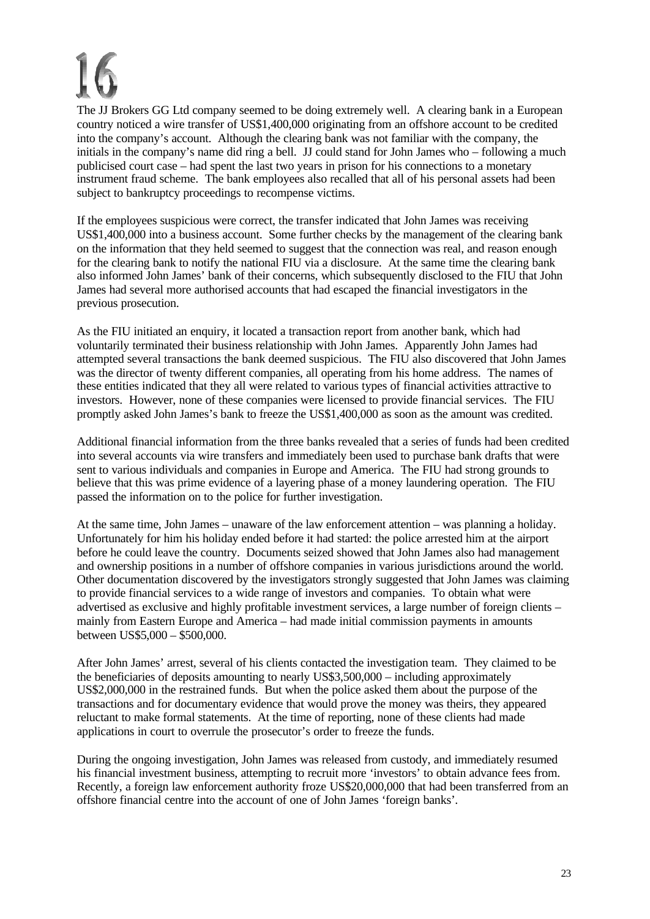The JJ Brokers GG Ltd company seemed to be doing extremely well. A clearing bank in a European country noticed a wire transfer of US\$1,400,000 originating from an offshore account to be credited into the company's account. Although the clearing bank was not familiar with the company, the initials in the company's name did ring a bell. JJ could stand for John James who – following a much publicised court case – had spent the last two years in prison for his connections to a monetary instrument fraud scheme. The bank employees also recalled that all of his personal assets had been subject to bankruptcy proceedings to recompense victims.

If the employees suspicious were correct, the transfer indicated that John James was receiving US\$1,400,000 into a business account. Some further checks by the management of the clearing bank on the information that they held seemed to suggest that the connection was real, and reason enough for the clearing bank to notify the national FIU via a disclosure. At the same time the clearing bank also informed John James' bank of their concerns, which subsequently disclosed to the FIU that John James had several more authorised accounts that had escaped the financial investigators in the previous prosecution.

As the FIU initiated an enquiry, it located a transaction report from another bank, which had voluntarily terminated their business relationship with John James. Apparently John James had attempted several transactions the bank deemed suspicious. The FIU also discovered that John James was the director of twenty different companies, all operating from his home address. The names of these entities indicated that they all were related to various types of financial activities attractive to investors. However, none of these companies were licensed to provide financial services. The FIU promptly asked John James's bank to freeze the US\$1,400,000 as soon as the amount was credited.

Additional financial information from the three banks revealed that a series of funds had been credited into several accounts via wire transfers and immediately been used to purchase bank drafts that were sent to various individuals and companies in Europe and America. The FIU had strong grounds to believe that this was prime evidence of a layering phase of a money laundering operation. The FIU passed the information on to the police for further investigation.

At the same time, John James – unaware of the law enforcement attention – was planning a holiday. Unfortunately for him his holiday ended before it had started: the police arrested him at the airport before he could leave the country. Documents seized showed that John James also had management and ownership positions in a number of offshore companies in various jurisdictions around the world. Other documentation discovered by the investigators strongly suggested that John James was claiming to provide financial services to a wide range of investors and companies. To obtain what were advertised as exclusive and highly profitable investment services, a large number of foreign clients – mainly from Eastern Europe and America – had made initial commission payments in amounts between US\$5,000 – \$500,000.

After John James' arrest, several of his clients contacted the investigation team. They claimed to be the beneficiaries of deposits amounting to nearly US\$3,500,000 – including approximately US\$2,000,000 in the restrained funds. But when the police asked them about the purpose of the transactions and for documentary evidence that would prove the money was theirs, they appeared reluctant to make formal statements. At the time of reporting, none of these clients had made applications in court to overrule the prosecutor's order to freeze the funds.

During the ongoing investigation, John James was released from custody, and immediately resumed his financial investment business, attempting to recruit more 'investors' to obtain advance fees from. Recently, a foreign law enforcement authority froze US\$20,000,000 that had been transferred from an offshore financial centre into the account of one of John James 'foreign banks'.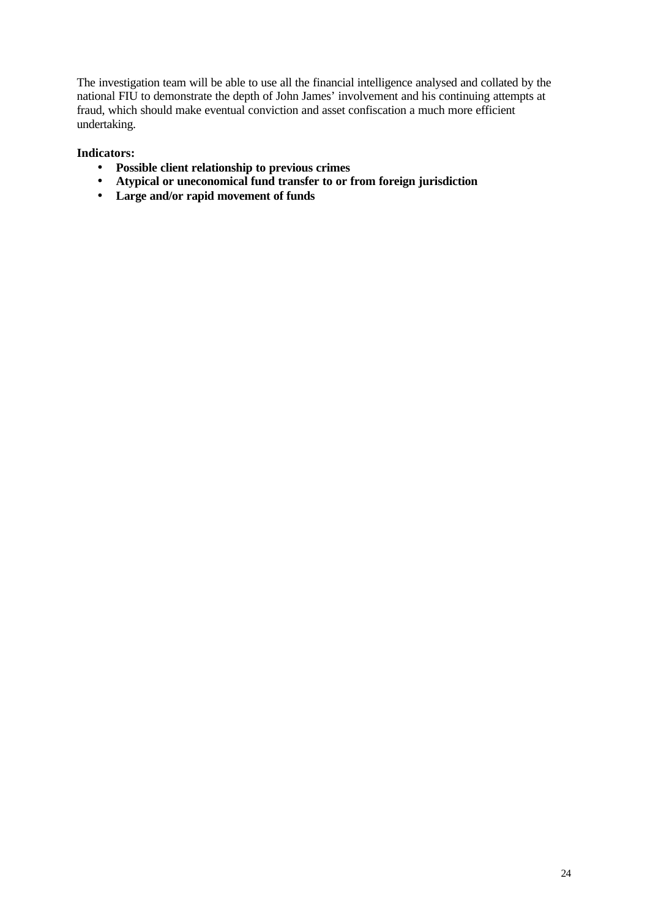The investigation team will be able to use all the financial intelligence analysed and collated by the national FIU to demonstrate the depth of John James' involvement and his continuing attempts at fraud, which should make eventual conviction and asset confiscation a much more efficient undertaking.

- **Possible client relationship to previous crimes**
- **Atypical or uneconomical fund transfer to or from foreign jurisdiction**
- **Large and/or rapid movement of funds**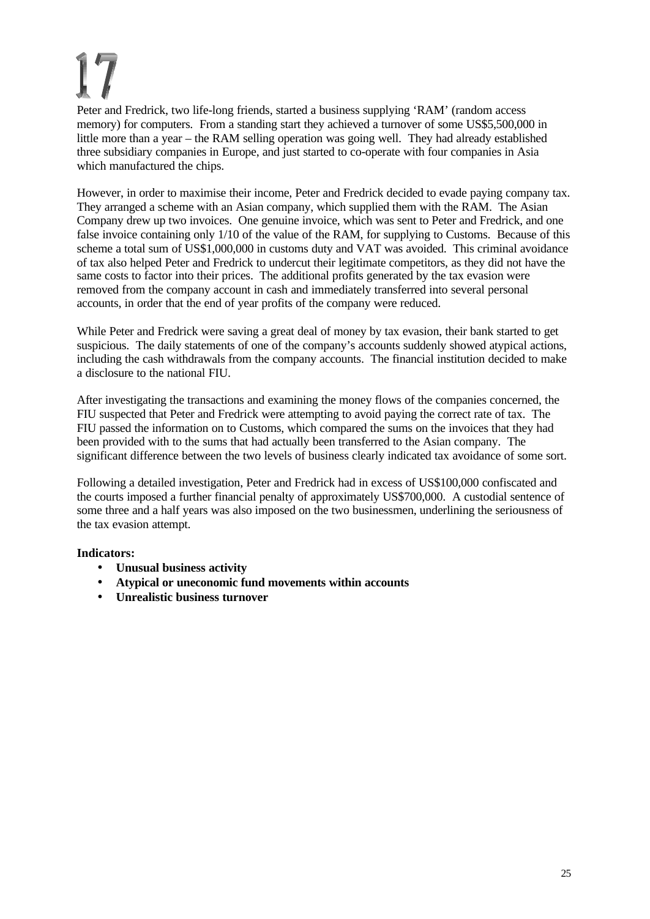Peter and Fredrick, two life-long friends, started a business supplying 'RAM' (random access memory) for computers. From a standing start they achieved a turnover of some US\$5,500,000 in little more than a year – the RAM selling operation was going well. They had already established three subsidiary companies in Europe, and just started to co-operate with four companies in Asia which manufactured the chips.

However, in order to maximise their income, Peter and Fredrick decided to evade paying company tax. They arranged a scheme with an Asian company, which supplied them with the RAM. The Asian Company drew up two invoices. One genuine invoice, which was sent to Peter and Fredrick, and one false invoice containing only 1/10 of the value of the RAM, for supplying to Customs. Because of this scheme a total sum of US\$1,000,000 in customs duty and VAT was avoided. This criminal avoidance of tax also helped Peter and Fredrick to undercut their legitimate competitors, as they did not have the same costs to factor into their prices. The additional profits generated by the tax evasion were removed from the company account in cash and immediately transferred into several personal accounts, in order that the end of year profits of the company were reduced.

While Peter and Fredrick were saving a great deal of money by tax evasion, their bank started to get suspicious. The daily statements of one of the company's accounts suddenly showed atypical actions, including the cash withdrawals from the company accounts. The financial institution decided to make a disclosure to the national FIU.

After investigating the transactions and examining the money flows of the companies concerned, the FIU suspected that Peter and Fredrick were attempting to avoid paying the correct rate of tax. The FIU passed the information on to Customs, which compared the sums on the invoices that they had been provided with to the sums that had actually been transferred to the Asian company. The significant difference between the two levels of business clearly indicated tax avoidance of some sort.

Following a detailed investigation, Peter and Fredrick had in excess of US\$100,000 confiscated and the courts imposed a further financial penalty of approximately US\$700,000. A custodial sentence of some three and a half years was also imposed on the two businessmen, underlining the seriousness of the tax evasion attempt.

- **Unusual business activity**
- **Atypical or uneconomic fund movements within accounts**
- **Unrealistic business turnover**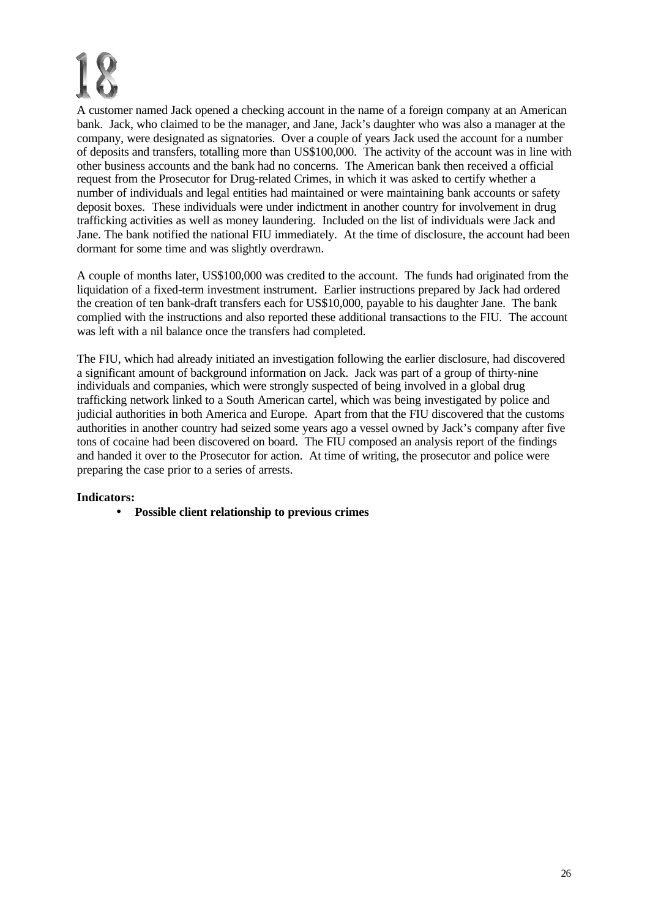A customer named Jack opened a checking account in the name of a foreign company at an American bank. Jack, who claimed to be the manager, and Jane, Jack's daughter who was also a manager at the company, were designated as signatories. Over a couple of years Jack used the account for a number of deposits and transfers, totalling more than US\$100,000. The activity of the account was in line with other business accounts and the bank had no concerns. The American bank then received a official request from the Prosecutor for Drug-related Crimes, in which it was asked to certify whether a number of individuals and legal entities had maintained or were maintaining bank accounts or safety deposit boxes. These individuals were under indictment in another country for involvement in drug trafficking activities as well as money laundering. Included on the list of individuals were Jack and Jane. The bank notified the national FIU immediately. At the time of disclosure, the account had been dormant for some time and was slightly overdrawn.

A couple of months later, US\$100,000 was credited to the account. The funds had originated from the liquidation of a fixed-term investment instrument. Earlier instructions prepared by Jack had ordered the creation of ten bank-draft transfers each for US\$10,000, payable to his daughter Jane. The bank complied with the instructions and also reported these additional transactions to the FIU. The account was left with a nil balance once the transfers had completed.

The FIU, which had already initiated an investigation following the earlier disclosure, had discovered a significant amount of background information on Jack. Jack was part of a group of thirty-nine individuals and companies, which were strongly suspected of being involved in a global drug trafficking network linked to a South American cartel, which was being investigated by police and judicial authorities in both America and Europe. Apart from that the FIU discovered that the customs authorities in another country had seized some years ago a vessel owned by Jack's company after five tons of cocaine had been discovered on board. The FIU composed an analysis report of the findings and handed it over to the Prosecutor for action. At time of writing, the prosecutor and police were preparing the case prior to a series of arrests.

### **Indicators:**

• **Possible client relationship to previous crimes**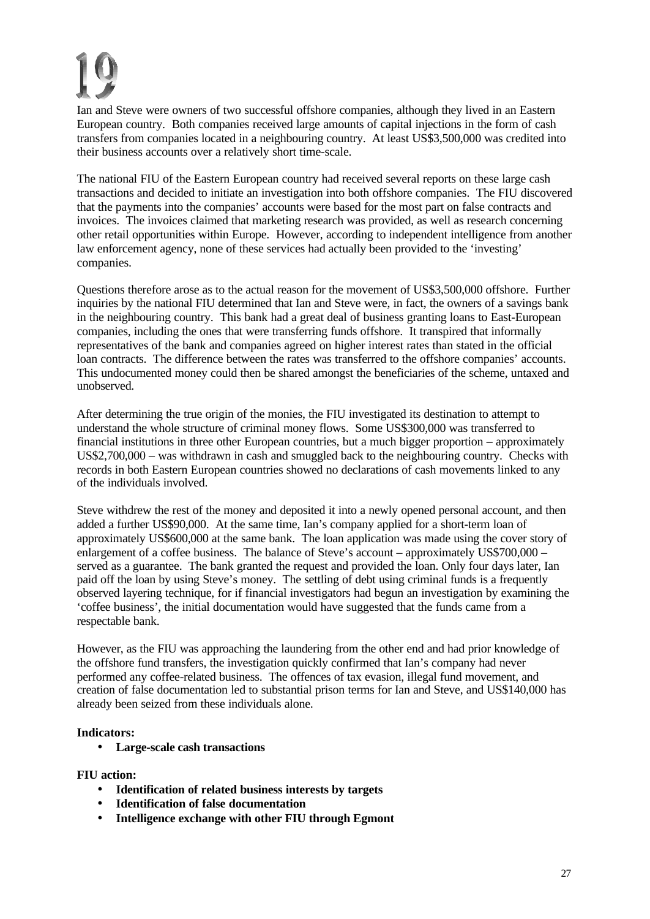Ian and Steve were owners of two successful offshore companies, although they lived in an Eastern European country. Both companies received large amounts of capital injections in the form of cash transfers from companies located in a neighbouring country. At least US\$3,500,000 was credited into their business accounts over a relatively short time-scale.

The national FIU of the Eastern European country had received several reports on these large cash transactions and decided to initiate an investigation into both offshore companies. The FIU discovered that the payments into the companies' accounts were based for the most part on false contracts and invoices. The invoices claimed that marketing research was provided, as well as research concerning other retail opportunities within Europe. However, according to independent intelligence from another law enforcement agency, none of these services had actually been provided to the 'investing' companies.

Questions therefore arose as to the actual reason for the movement of US\$3,500,000 offshore. Further inquiries by the national FIU determined that Ian and Steve were, in fact, the owners of a savings bank in the neighbouring country. This bank had a great deal of business granting loans to East-European companies, including the ones that were transferring funds offshore. It transpired that informally representatives of the bank and companies agreed on higher interest rates than stated in the official loan contracts. The difference between the rates was transferred to the offshore companies' accounts. This undocumented money could then be shared amongst the beneficiaries of the scheme, untaxed and unobserved.

After determining the true origin of the monies, the FIU investigated its destination to attempt to understand the whole structure of criminal money flows. Some US\$300,000 was transferred to financial institutions in three other European countries, but a much bigger proportion – approximately US\$2,700,000 – was withdrawn in cash and smuggled back to the neighbouring country. Checks with records in both Eastern European countries showed no declarations of cash movements linked to any of the individuals involved.

Steve withdrew the rest of the money and deposited it into a newly opened personal account, and then added a further US\$90,000. At the same time, Ian's company applied for a short-term loan of approximately US\$600,000 at the same bank. The loan application was made using the cover story of enlargement of a coffee business. The balance of Steve's account – approximately US\$700,000 – served as a guarantee. The bank granted the request and provided the loan. Only four days later, Ian paid off the loan by using Steve's money. The settling of debt using criminal funds is a frequently observed layering technique, for if financial investigators had begun an investigation by examining the 'coffee business', the initial documentation would have suggested that the funds came from a respectable bank.

However, as the FIU was approaching the laundering from the other end and had prior knowledge of the offshore fund transfers, the investigation quickly confirmed that Ian's company had never performed any coffee-related business. The offences of tax evasion, illegal fund movement, and creation of false documentation led to substantial prison terms for Ian and Steve, and US\$140,000 has already been seized from these individuals alone.

### **Indicators:**

• **Large-scale cash transactions**

### **FIU action:**

- **Identification of related business interests by targets**
- **Identification of false documentation**
- **Intelligence exchange with other FIU through Egmont**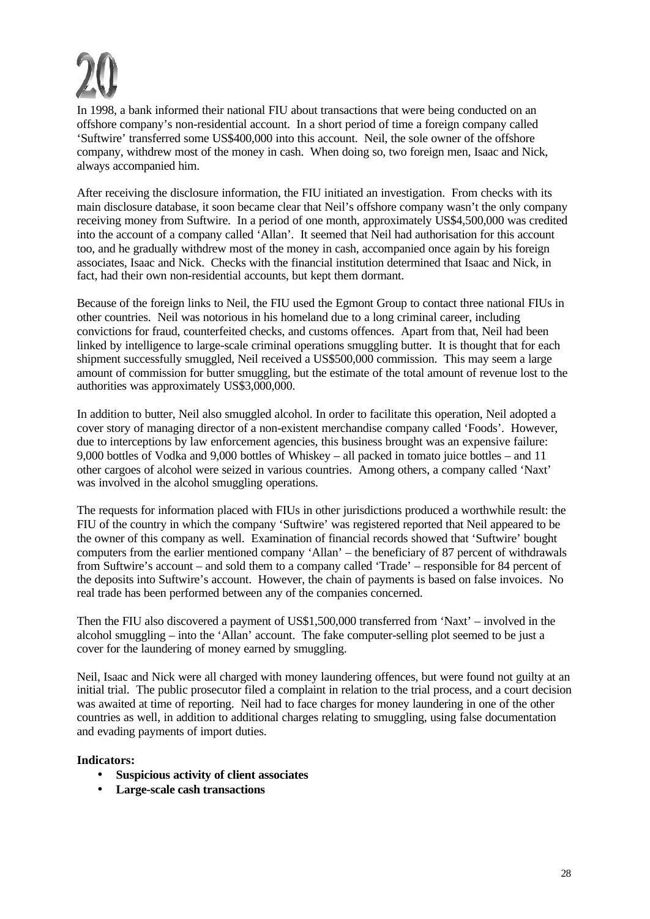In 1998, a bank informed their national FIU about transactions that were being conducted on an offshore company's non-residential account. In a short period of time a foreign company called 'Suftwire' transferred some US\$400,000 into this account. Neil, the sole owner of the offshore company, withdrew most of the money in cash. When doing so, two foreign men, Isaac and Nick, always accompanied him.

After receiving the disclosure information, the FIU initiated an investigation. From checks with its main disclosure database, it soon became clear that Neil's offshore company wasn't the only company receiving money from Suftwire. In a period of one month, approximately US\$4,500,000 was credited into the account of a company called 'Allan'. It seemed that Neil had authorisation for this account too, and he gradually withdrew most of the money in cash, accompanied once again by his foreign associates, Isaac and Nick. Checks with the financial institution determined that Isaac and Nick, in fact, had their own non-residential accounts, but kept them dormant.

Because of the foreign links to Neil, the FIU used the Egmont Group to contact three national FIUs in other countries. Neil was notorious in his homeland due to a long criminal career, including convictions for fraud, counterfeited checks, and customs offences. Apart from that, Neil had been linked by intelligence to large-scale criminal operations smuggling butter. It is thought that for each shipment successfully smuggled, Neil received a US\$500,000 commission. This may seem a large amount of commission for butter smuggling, but the estimate of the total amount of revenue lost to the authorities was approximately US\$3,000,000.

In addition to butter, Neil also smuggled alcohol. In order to facilitate this operation, Neil adopted a cover story of managing director of a non-existent merchandise company called 'Foods'. However, due to interceptions by law enforcement agencies, this business brought was an expensive failure: 9,000 bottles of Vodka and 9,000 bottles of Whiskey – all packed in tomato juice bottles – and 11 other cargoes of alcohol were seized in various countries. Among others, a company called 'Naxt' was involved in the alcohol smuggling operations.

The requests for information placed with FIUs in other jurisdictions produced a worthwhile result: the FIU of the country in which the company 'Suftwire' was registered reported that Neil appeared to be the owner of this company as well. Examination of financial records showed that 'Suftwire' bought computers from the earlier mentioned company 'Allan' – the beneficiary of 87 percent of withdrawals from Suftwire's account – and sold them to a company called 'Trade' – responsible for 84 percent of the deposits into Suftwire's account. However, the chain of payments is based on false invoices. No real trade has been performed between any of the companies concerned.

Then the FIU also discovered a payment of US\$1,500,000 transferred from 'Naxt' – involved in the alcohol smuggling – into the 'Allan' account. The fake computer-selling plot seemed to be just a cover for the laundering of money earned by smuggling.

Neil, Isaac and Nick were all charged with money laundering offences, but were found not guilty at an initial trial. The public prosecutor filed a complaint in relation to the trial process, and a court decision was awaited at time of reporting. Neil had to face charges for money laundering in one of the other countries as well, in addition to additional charges relating to smuggling, using false documentation and evading payments of import duties.

- **Suspicious activity of client associates**
- **Large-scale cash transactions**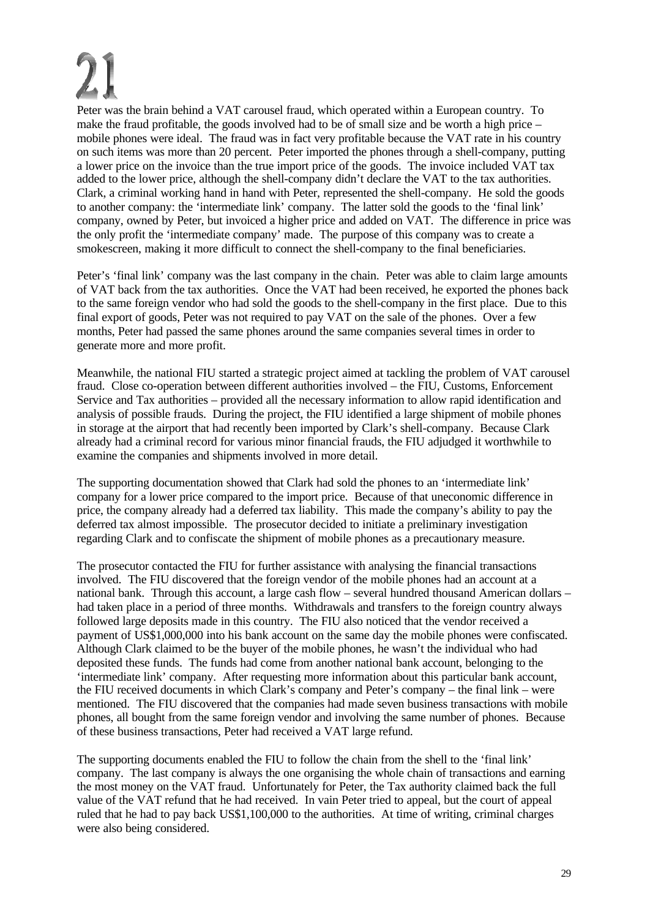Peter was the brain behind a VAT carousel fraud, which operated within a European country. To make the fraud profitable, the goods involved had to be of small size and be worth a high price – mobile phones were ideal. The fraud was in fact very profitable because the VAT rate in his country on such items was more than 20 percent. Peter imported the phones through a shell-company, putting a lower price on the invoice than the true import price of the goods. The invoice included VAT tax added to the lower price, although the shell-company didn't declare the VAT to the tax authorities. Clark, a criminal working hand in hand with Peter, represented the shell-company. He sold the goods to another company: the 'intermediate link' company. The latter sold the goods to the 'final link' company, owned by Peter, but invoiced a higher price and added on VAT. The difference in price was the only profit the 'intermediate company' made. The purpose of this company was to create a smokescreen, making it more difficult to connect the shell-company to the final beneficiaries.

Peter's 'final link' company was the last company in the chain. Peter was able to claim large amounts of VAT back from the tax authorities. Once the VAT had been received, he exported the phones back to the same foreign vendor who had sold the goods to the shell-company in the first place. Due to this final export of goods, Peter was not required to pay VAT on the sale of the phones. Over a few months, Peter had passed the same phones around the same companies several times in order to generate more and more profit.

Meanwhile, the national FIU started a strategic project aimed at tackling the problem of VAT carousel fraud. Close co-operation between different authorities involved – the FIU, Customs, Enforcement Service and Tax authorities – provided all the necessary information to allow rapid identification and analysis of possible frauds. During the project, the FIU identified a large shipment of mobile phones in storage at the airport that had recently been imported by Clark's shell-company. Because Clark already had a criminal record for various minor financial frauds, the FIU adjudged it worthwhile to examine the companies and shipments involved in more detail.

The supporting documentation showed that Clark had sold the phones to an 'intermediate link' company for a lower price compared to the import price. Because of that uneconomic difference in price, the company already had a deferred tax liability. This made the company's ability to pay the deferred tax almost impossible. The prosecutor decided to initiate a preliminary investigation regarding Clark and to confiscate the shipment of mobile phones as a precautionary measure.

The prosecutor contacted the FIU for further assistance with analysing the financial transactions involved. The FIU discovered that the foreign vendor of the mobile phones had an account at a national bank. Through this account, a large cash flow – several hundred thousand American dollars – had taken place in a period of three months. Withdrawals and transfers to the foreign country always followed large deposits made in this country. The FIU also noticed that the vendor received a payment of US\$1,000,000 into his bank account on the same day the mobile phones were confiscated. Although Clark claimed to be the buyer of the mobile phones, he wasn't the individual who had deposited these funds. The funds had come from another national bank account, belonging to the 'intermediate link' company. After requesting more information about this particular bank account, the FIU received documents in which Clark's company and Peter's company – the final link – were mentioned. The FIU discovered that the companies had made seven business transactions with mobile phones, all bought from the same foreign vendor and involving the same number of phones. Because of these business transactions, Peter had received a VAT large refund.

The supporting documents enabled the FIU to follow the chain from the shell to the 'final link' company. The last company is always the one organising the whole chain of transactions and earning the most money on the VAT fraud. Unfortunately for Peter, the Tax authority claimed back the full value of the VAT refund that he had received. In vain Peter tried to appeal, but the court of appeal ruled that he had to pay back US\$1,100,000 to the authorities. At time of writing, criminal charges were also being considered.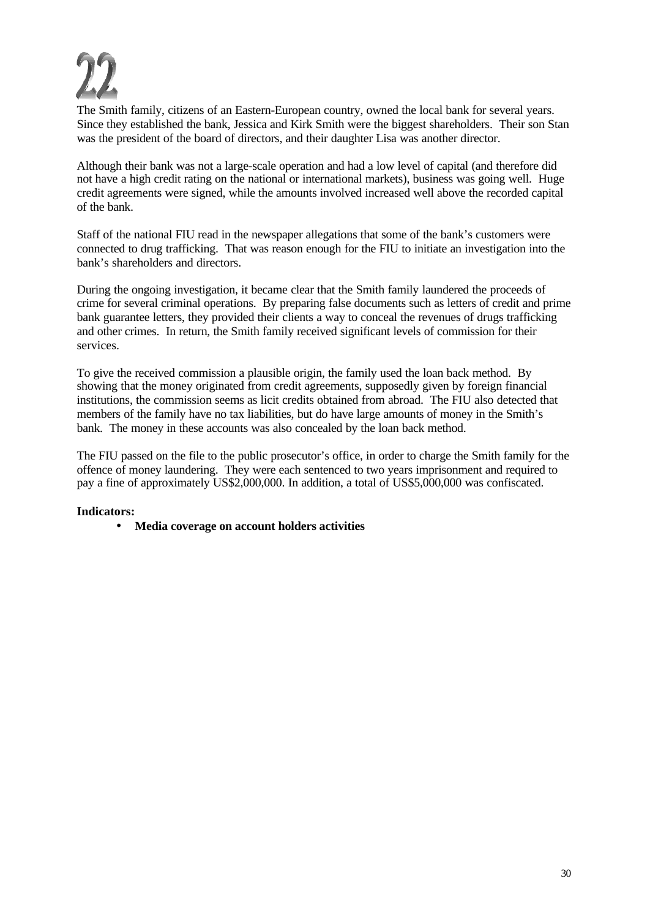The Smith family, citizens of an Eastern-European country, owned the local bank for several years. Since they established the bank, Jessica and Kirk Smith were the biggest shareholders. Their son Stan was the president of the board of directors, and their daughter Lisa was another director.

Although their bank was not a large-scale operation and had a low level of capital (and therefore did not have a high credit rating on the national or international markets), business was going well. Huge credit agreements were signed, while the amounts involved increased well above the recorded capital of the bank.

Staff of the national FIU read in the newspaper allegations that some of the bank's customers were connected to drug trafficking. That was reason enough for the FIU to initiate an investigation into the bank's shareholders and directors.

During the ongoing investigation, it became clear that the Smith family laundered the proceeds of crime for several criminal operations. By preparing false documents such as letters of credit and prime bank guarantee letters, they provided their clients a way to conceal the revenues of drugs trafficking and other crimes. In return, the Smith family received significant levels of commission for their services.

To give the received commission a plausible origin, the family used the loan back method. By showing that the money originated from credit agreements, supposedly given by foreign financial institutions, the commission seems as licit credits obtained from abroad. The FIU also detected that members of the family have no tax liabilities, but do have large amounts of money in the Smith's bank. The money in these accounts was also concealed by the loan back method.

The FIU passed on the file to the public prosecutor's office, in order to charge the Smith family for the offence of money laundering. They were each sentenced to two years imprisonment and required to pay a fine of approximately US\$2,000,000. In addition, a total of US\$5,000,000 was confiscated.

### **Indicators:**

• **Media coverage on account holders activities**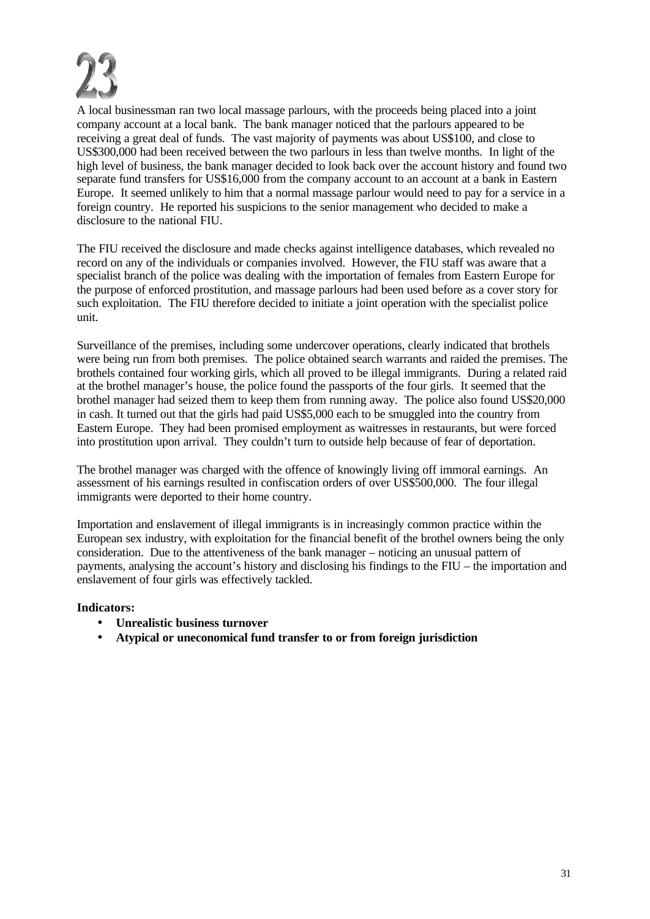

A local businessman ran two local massage parlours, with the proceeds being placed into a joint company account at a local bank. The bank manager noticed that the parlours appeared to be receiving a great deal of funds. The vast majority of payments was about US\$100, and close to US\$300,000 had been received between the two parlours in less than twelve months. In light of the high level of business, the bank manager decided to look back over the account history and found two separate fund transfers for US\$16,000 from the company account to an account at a bank in Eastern Europe. It seemed unlikely to him that a normal massage parlour would need to pay for a service in a foreign country. He reported his suspicions to the senior management who decided to make a disclosure to the national FIU.

The FIU received the disclosure and made checks against intelligence databases, which revealed no record on any of the individuals or companies involved. However, the FIU staff was aware that a specialist branch of the police was dealing with the importation of females from Eastern Europe for the purpose of enforced prostitution, and massage parlours had been used before as a cover story for such exploitation. The FIU therefore decided to initiate a joint operation with the specialist police unit.

Surveillance of the premises, including some undercover operations, clearly indicated that brothels were being run from both premises. The police obtained search warrants and raided the premises. The brothels contained four working girls, which all proved to be illegal immigrants. During a related raid at the brothel manager's house, the police found the passports of the four girls. It seemed that the brothel manager had seized them to keep them from running away. The police also found US\$20,000 in cash. It turned out that the girls had paid US\$5,000 each to be smuggled into the country from Eastern Europe. They had been promised employment as waitresses in restaurants, but were forced into prostitution upon arrival. They couldn't turn to outside help because of fear of deportation.

The brothel manager was charged with the offence of knowingly living off immoral earnings. An assessment of his earnings resulted in confiscation orders of over US\$500,000. The four illegal immigrants were deported to their home country.

Importation and enslavement of illegal immigrants is in increasingly common practice within the European sex industry, with exploitation for the financial benefit of the brothel owners being the only consideration. Due to the attentiveness of the bank manager – noticing an unusual pattern of payments, analysing the account's history and disclosing his findings to the FIU – the importation and enslavement of four girls was effectively tackled.

- **Unrealistic business turnover**
- **Atypical or uneconomical fund transfer to or from foreign jurisdiction**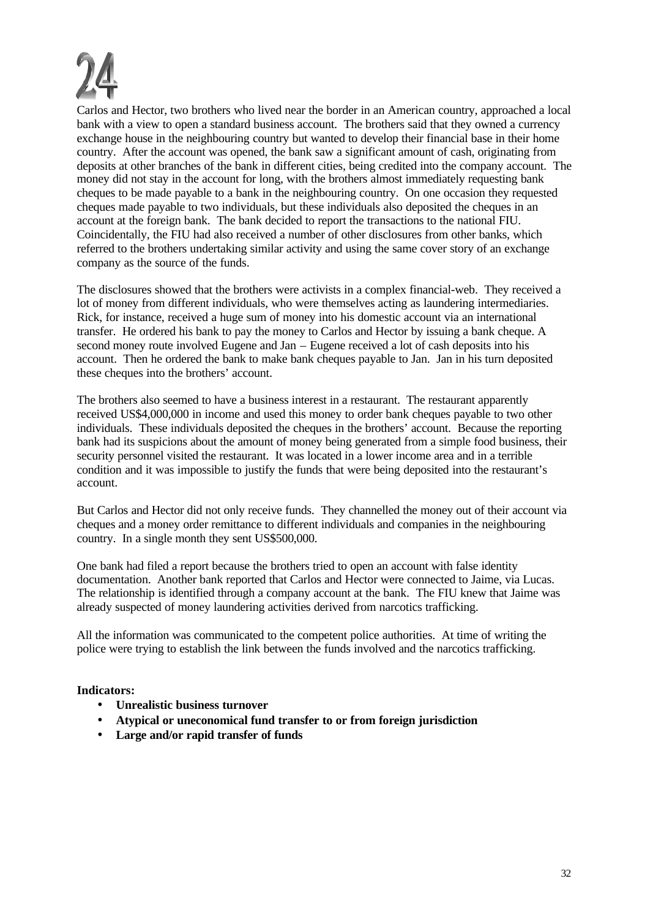

Carlos and Hector, two brothers who lived near the border in an American country, approached a local bank with a view to open a standard business account. The brothers said that they owned a currency exchange house in the neighbouring country but wanted to develop their financial base in their home country. After the account was opened, the bank saw a significant amount of cash, originating from deposits at other branches of the bank in different cities, being credited into the company account. The money did not stay in the account for long, with the brothers almost immediately requesting bank cheques to be made payable to a bank in the neighbouring country. On one occasion they requested cheques made payable to two individuals, but these individuals also deposited the cheques in an account at the foreign bank. The bank decided to report the transactions to the national FIU. Coincidentally, the FIU had also received a number of other disclosures from other banks, which referred to the brothers undertaking similar activity and using the same cover story of an exchange company as the source of the funds.

The disclosures showed that the brothers were activists in a complex financial-web. They received a lot of money from different individuals, who were themselves acting as laundering intermediaries. Rick, for instance, received a huge sum of money into his domestic account via an international transfer. He ordered his bank to pay the money to Carlos and Hector by issuing a bank cheque. A second money route involved Eugene and Jan *–* Eugene received a lot of cash deposits into his account. Then he ordered the bank to make bank cheques payable to Jan. Jan in his turn deposited these cheques into the brothers' account.

The brothers also seemed to have a business interest in a restaurant. The restaurant apparently received US\$4,000,000 in income and used this money to order bank cheques payable to two other individuals. These individuals deposited the cheques in the brothers' account. Because the reporting bank had its suspicions about the amount of money being generated from a simple food business, their security personnel visited the restaurant. It was located in a lower income area and in a terrible condition and it was impossible to justify the funds that were being deposited into the restaurant's account.

But Carlos and Hector did not only receive funds. They channelled the money out of their account via cheques and a money order remittance to different individuals and companies in the neighbouring country. In a single month they sent US\$500,000.

One bank had filed a report because the brothers tried to open an account with false identity documentation. Another bank reported that Carlos and Hector were connected to Jaime, via Lucas. The relationship is identified through a company account at the bank. The FIU knew that Jaime was already suspected of money laundering activities derived from narcotics trafficking.

All the information was communicated to the competent police authorities. At time of writing the police were trying to establish the link between the funds involved and the narcotics trafficking.

- **Unrealistic business turnover**
- **Atypical or uneconomical fund transfer to or from foreign jurisdiction**
- **Large and/or rapid transfer of funds**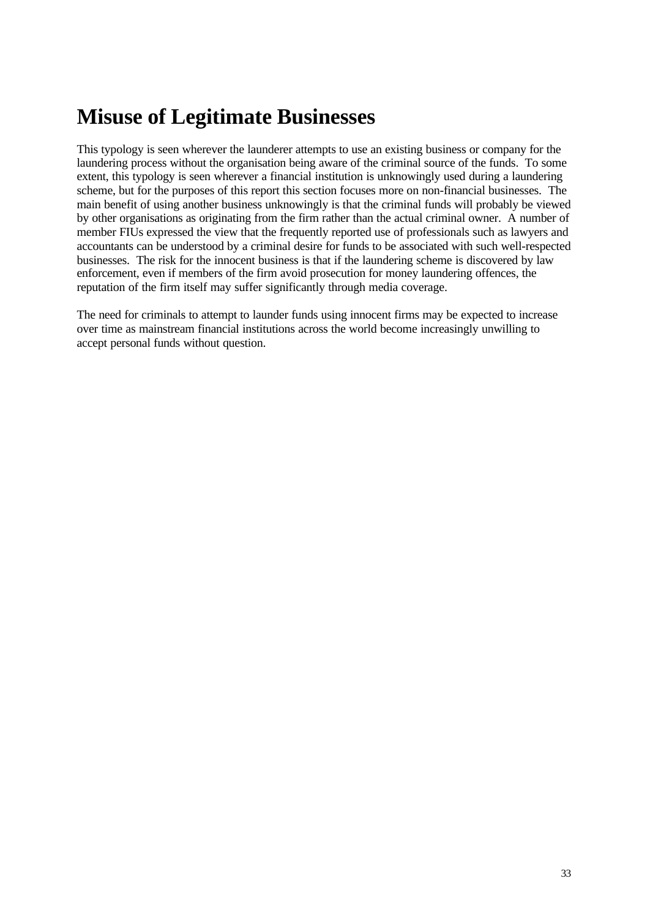# **Misuse of Legitimate Businesses**

This typology is seen wherever the launderer attempts to use an existing business or company for the laundering process without the organisation being aware of the criminal source of the funds. To some extent, this typology is seen wherever a financial institution is unknowingly used during a laundering scheme, but for the purposes of this report this section focuses more on non-financial businesses. The main benefit of using another business unknowingly is that the criminal funds will probably be viewed by other organisations as originating from the firm rather than the actual criminal owner. A number of member FIUs expressed the view that the frequently reported use of professionals such as lawyers and accountants can be understood by a criminal desire for funds to be associated with such well-respected businesses. The risk for the innocent business is that if the laundering scheme is discovered by law enforcement, even if members of the firm avoid prosecution for money laundering offences, the reputation of the firm itself may suffer significantly through media coverage.

The need for criminals to attempt to launder funds using innocent firms may be expected to increase over time as mainstream financial institutions across the world become increasingly unwilling to accept personal funds without question.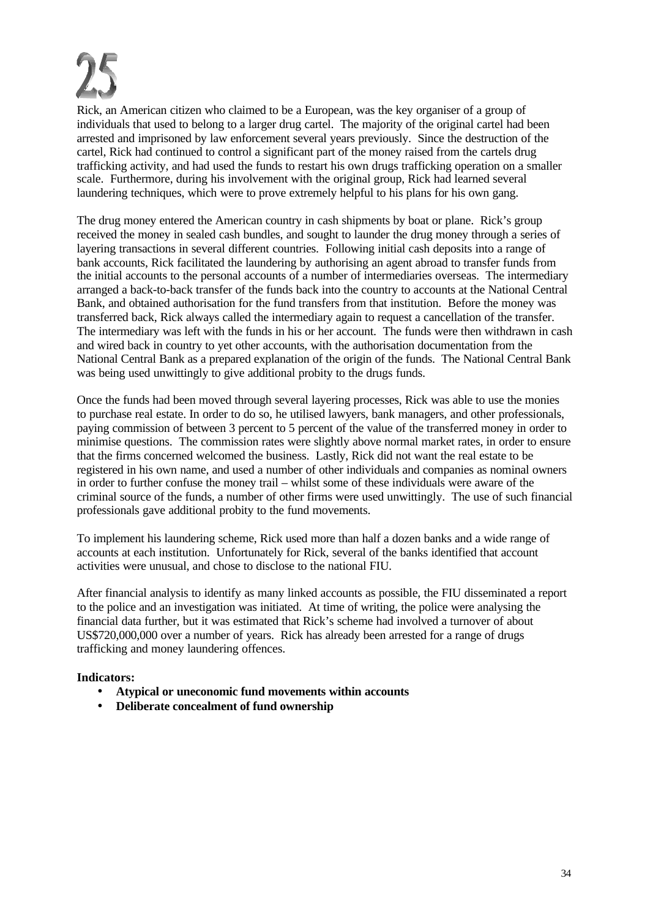Rick, an American citizen who claimed to be a European, was the key organiser of a group of individuals that used to belong to a larger drug cartel. The majority of the original cartel had been arrested and imprisoned by law enforcement several years previously. Since the destruction of the cartel, Rick had continued to control a significant part of the money raised from the cartels drug trafficking activity, and had used the funds to restart his own drugs trafficking operation on a smaller scale. Furthermore, during his involvement with the original group, Rick had learned several laundering techniques, which were to prove extremely helpful to his plans for his own gang.

The drug money entered the American country in cash shipments by boat or plane. Rick's group received the money in sealed cash bundles, and sought to launder the drug money through a series of layering transactions in several different countries. Following initial cash deposits into a range of bank accounts, Rick facilitated the laundering by authorising an agent abroad to transfer funds from the initial accounts to the personal accounts of a number of intermediaries overseas. The intermediary arranged a back-to-back transfer of the funds back into the country to accounts at the National Central Bank, and obtained authorisation for the fund transfers from that institution. Before the money was transferred back, Rick always called the intermediary again to request a cancellation of the transfer. The intermediary was left with the funds in his or her account. The funds were then withdrawn in cash and wired back in country to yet other accounts, with the authorisation documentation from the National Central Bank as a prepared explanation of the origin of the funds. The National Central Bank was being used unwittingly to give additional probity to the drugs funds.

Once the funds had been moved through several layering processes, Rick was able to use the monies to purchase real estate. In order to do so, he utilised lawyers, bank managers, and other professionals, paying commission of between 3 percent to 5 percent of the value of the transferred money in order to minimise questions. The commission rates were slightly above normal market rates, in order to ensure that the firms concerned welcomed the business. Lastly, Rick did not want the real estate to be registered in his own name, and used a number of other individuals and companies as nominal owners in order to further confuse the money trail – whilst some of these individuals were aware of the criminal source of the funds, a number of other firms were used unwittingly. The use of such financial professionals gave additional probity to the fund movements.

To implement his laundering scheme, Rick used more than half a dozen banks and a wide range of accounts at each institution. Unfortunately for Rick, several of the banks identified that account activities were unusual, and chose to disclose to the national FIU.

After financial analysis to identify as many linked accounts as possible, the FIU disseminated a report to the police and an investigation was initiated. At time of writing, the police were analysing the financial data further, but it was estimated that Rick's scheme had involved a turnover of about US\$720,000,000 over a number of years. Rick has already been arrested for a range of drugs trafficking and money laundering offences.

- **Atypical or uneconomic fund movements within accounts**
- **Deliberate concealment of fund ownership**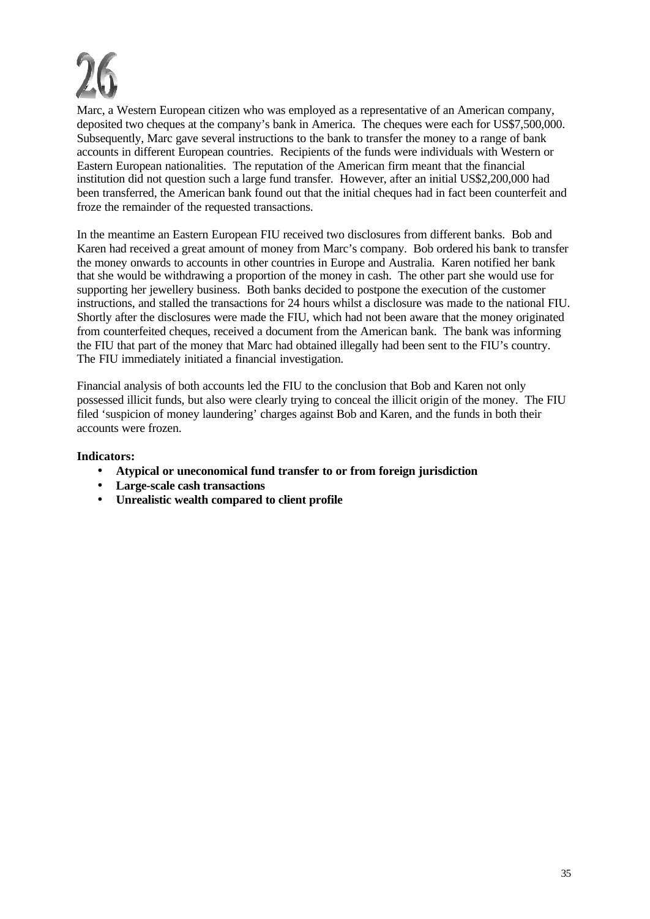Marc, a Western European citizen who was employed as a representative of an American company, deposited two cheques at the company's bank in America. The cheques were each for US\$7,500,000. Subsequently, Marc gave several instructions to the bank to transfer the money to a range of bank accounts in different European countries. Recipients of the funds were individuals with Western or Eastern European nationalities. The reputation of the American firm meant that the financial institution did not question such a large fund transfer. However, after an initial US\$2,200,000 had been transferred, the American bank found out that the initial cheques had in fact been counterfeit and froze the remainder of the requested transactions.

In the meantime an Eastern European FIU received two disclosures from different banks. Bob and Karen had received a great amount of money from Marc's company. Bob ordered his bank to transfer the money onwards to accounts in other countries in Europe and Australia. Karen notified her bank that she would be withdrawing a proportion of the money in cash. The other part she would use for supporting her jewellery business. Both banks decided to postpone the execution of the customer instructions, and stalled the transactions for 24 hours whilst a disclosure was made to the national FIU. Shortly after the disclosures were made the FIU, which had not been aware that the money originated from counterfeited cheques, received a document from the American bank. The bank was informing the FIU that part of the money that Marc had obtained illegally had been sent to the FIU's country. The FIU immediately initiated a financial investigation.

Financial analysis of both accounts led the FIU to the conclusion that Bob and Karen not only possessed illicit funds, but also were clearly trying to conceal the illicit origin of the money. The FIU filed 'suspicion of money laundering' charges against Bob and Karen, and the funds in both their accounts were frozen.

- **Atypical or uneconomical fund transfer to or from foreign jurisdiction**
- **Large-scale cash transactions**
- **Unrealistic wealth compared to client profile**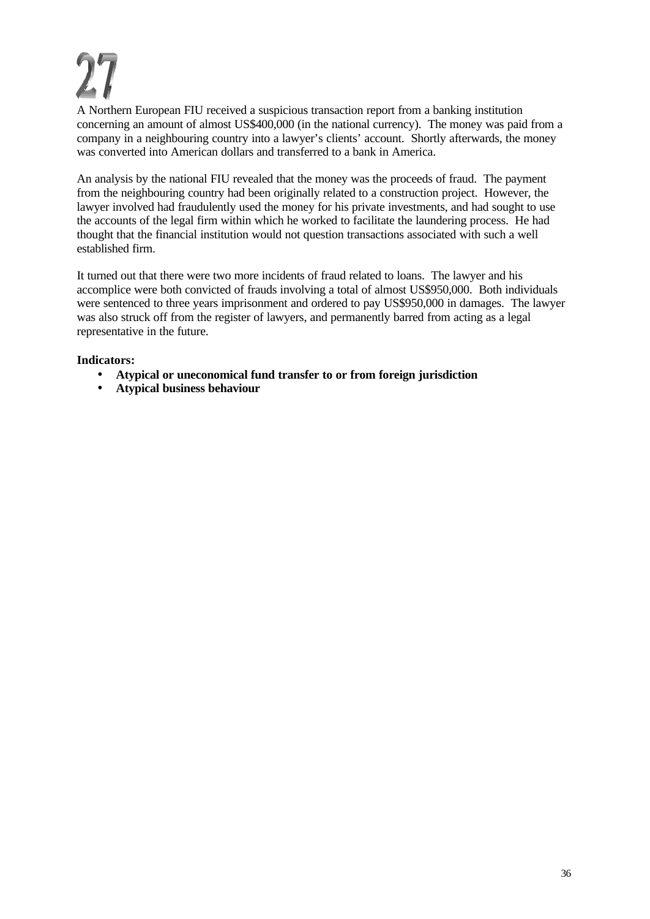A Northern European FIU received a suspicious transaction report from a banking institution concerning an amount of almost US\$400,000 (in the national currency). The money was paid from a company in a neighbouring country into a lawyer's clients' account. Shortly afterwards, the money was converted into American dollars and transferred to a bank in America.

An analysis by the national FIU revealed that the money was the proceeds of fraud. The payment from the neighbouring country had been originally related to a construction project. However, the lawyer involved had fraudulently used the money for his private investments, and had sought to use the accounts of the legal firm within which he worked to facilitate the laundering process. He had thought that the financial institution would not question transactions associated with such a well established firm.

It turned out that there were two more incidents of fraud related to loans. The lawyer and his accomplice were both convicted of frauds involving a total of almost US\$950,000. Both individuals were sentenced to three years imprisonment and ordered to pay US\$950,000 in damages. The lawyer was also struck off from the register of lawyers, and permanently barred from acting as a legal representative in the future.

- **Atypical or uneconomical fund transfer to or from foreign jurisdiction**
- **Atypical business behaviour**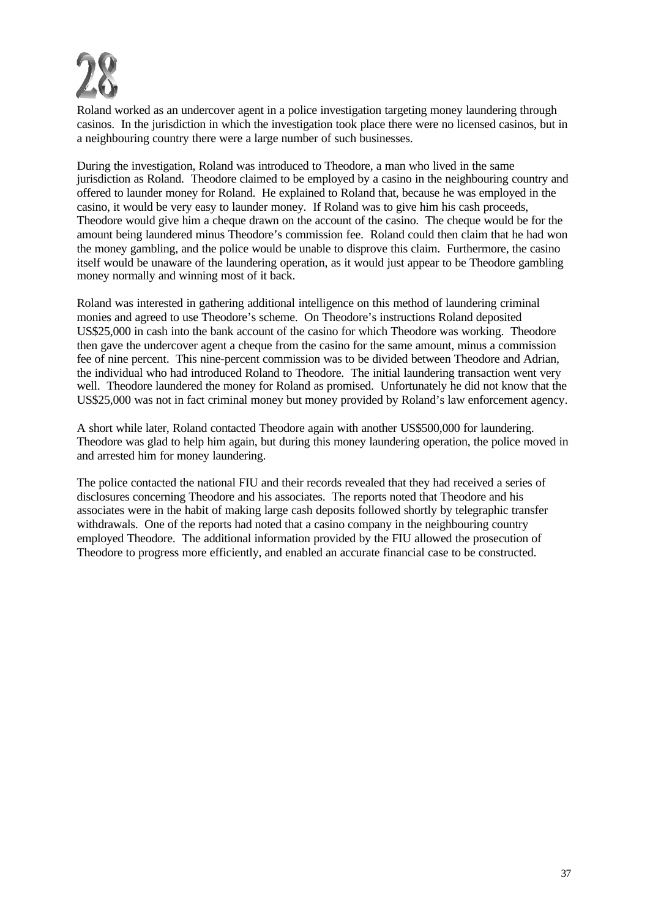

Roland worked as an undercover agent in a police investigation targeting money laundering through casinos. In the jurisdiction in which the investigation took place there were no licensed casinos, but in a neighbouring country there were a large number of such businesses.

During the investigation, Roland was introduced to Theodore, a man who lived in the same jurisdiction as Roland. Theodore claimed to be employed by a casino in the neighbouring country and offered to launder money for Roland. He explained to Roland that, because he was employed in the casino, it would be very easy to launder money. If Roland was to give him his cash proceeds, Theodore would give him a cheque drawn on the account of the casino. The cheque would be for the amount being laundered minus Theodore's commission fee. Roland could then claim that he had won the money gambling, and the police would be unable to disprove this claim. Furthermore, the casino itself would be unaware of the laundering operation, as it would just appear to be Theodore gambling money normally and winning most of it back.

Roland was interested in gathering additional intelligence on this method of laundering criminal monies and agreed to use Theodore's scheme. On Theodore's instructions Roland deposited US\$25,000 in cash into the bank account of the casino for which Theodore was working. Theodore then gave the undercover agent a cheque from the casino for the same amount, minus a commission fee of nine percent. This nine-percent commission was to be divided between Theodore and Adrian, the individual who had introduced Roland to Theodore. The initial laundering transaction went very well. Theodore laundered the money for Roland as promised. Unfortunately he did not know that the US\$25,000 was not in fact criminal money but money provided by Roland's law enforcement agency.

A short while later, Roland contacted Theodore again with another US\$500,000 for laundering. Theodore was glad to help him again, but during this money laundering operation, the police moved in and arrested him for money laundering.

The police contacted the national FIU and their records revealed that they had received a series of disclosures concerning Theodore and his associates. The reports noted that Theodore and his associates were in the habit of making large cash deposits followed shortly by telegraphic transfer withdrawals. One of the reports had noted that a casino company in the neighbouring country employed Theodore. The additional information provided by the FIU allowed the prosecution of Theodore to progress more efficiently, and enabled an accurate financial case to be constructed.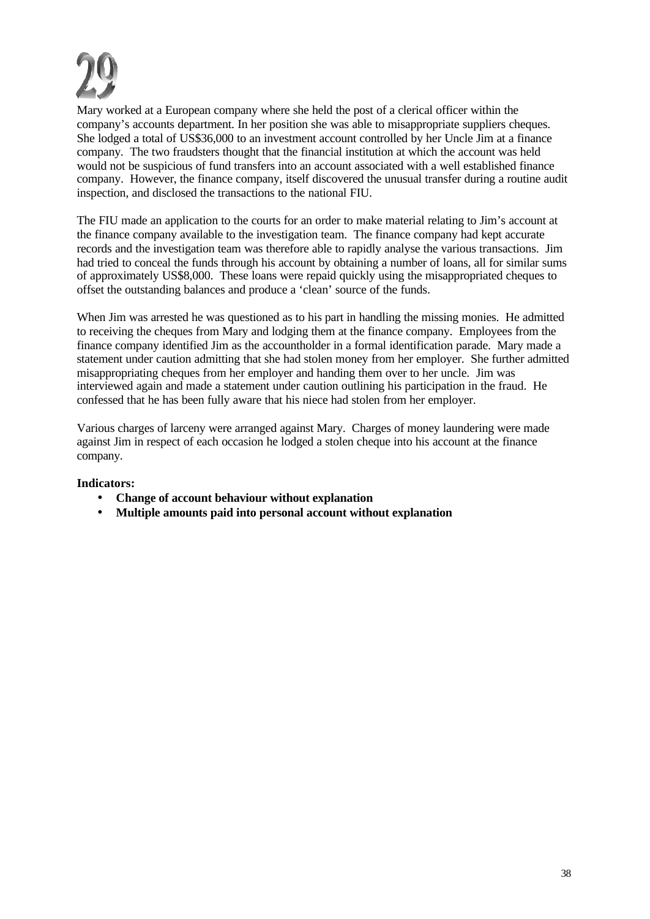

Mary worked at a European company where she held the post of a clerical officer within the company's accounts department. In her position she was able to misappropriate suppliers cheques. She lodged a total of US\$36,000 to an investment account controlled by her Uncle Jim at a finance company. The two fraudsters thought that the financial institution at which the account was held would not be suspicious of fund transfers into an account associated with a well established finance company. However, the finance company, itself discovered the unusual transfer during a routine audit inspection, and disclosed the transactions to the national FIU.

The FIU made an application to the courts for an order to make material relating to Jim's account at the finance company available to the investigation team. The finance company had kept accurate records and the investigation team was therefore able to rapidly analyse the various transactions. Jim had tried to conceal the funds through his account by obtaining a number of loans, all for similar sums of approximately US\$8,000. These loans were repaid quickly using the misappropriated cheques to offset the outstanding balances and produce a 'clean' source of the funds.

When Jim was arrested he was questioned as to his part in handling the missing monies. He admitted to receiving the cheques from Mary and lodging them at the finance company. Employees from the finance company identified Jim as the accountholder in a formal identification parade. Mary made a statement under caution admitting that she had stolen money from her employer. She further admitted misappropriating cheques from her employer and handing them over to her uncle. Jim was interviewed again and made a statement under caution outlining his participation in the fraud. He confessed that he has been fully aware that his niece had stolen from her employer.

Various charges of larceny were arranged against Mary. Charges of money laundering were made against Jim in respect of each occasion he lodged a stolen cheque into his account at the finance company.

- **Change of account behaviour without explanation**
- **Multiple amounts paid into personal account without explanation**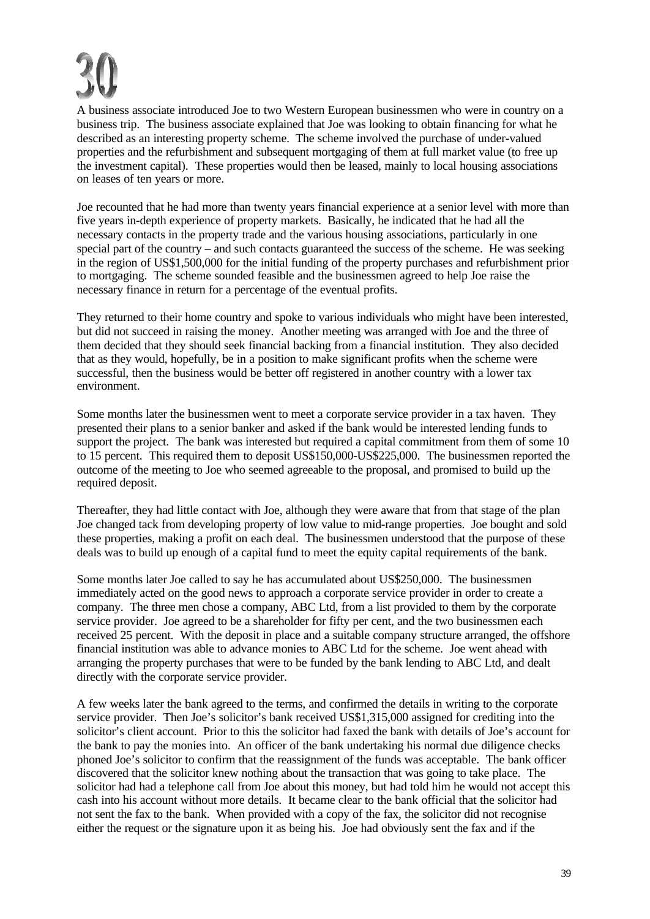A business associate introduced Joe to two Western European businessmen who were in country on a business trip. The business associate explained that Joe was looking to obtain financing for what he described as an interesting property scheme. The scheme involved the purchase of under-valued properties and the refurbishment and subsequent mortgaging of them at full market value (to free up the investment capital). These properties would then be leased, mainly to local housing associations on leases of ten years or more.

Joe recounted that he had more than twenty years financial experience at a senior level with more than five years in-depth experience of property markets. Basically, he indicated that he had all the necessary contacts in the property trade and the various housing associations, particularly in one special part of the country – and such contacts guaranteed the success of the scheme. He was seeking in the region of US\$1,500,000 for the initial funding of the property purchases and refurbishment prior to mortgaging. The scheme sounded feasible and the businessmen agreed to help Joe raise the necessary finance in return for a percentage of the eventual profits.

They returned to their home country and spoke to various individuals who might have been interested, but did not succeed in raising the money. Another meeting was arranged with Joe and the three of them decided that they should seek financial backing from a financial institution. They also decided that as they would, hopefully, be in a position to make significant profits when the scheme were successful, then the business would be better off registered in another country with a lower tax environment.

Some months later the businessmen went to meet a corporate service provider in a tax haven. They presented their plans to a senior banker and asked if the bank would be interested lending funds to support the project. The bank was interested but required a capital commitment from them of some 10 to 15 percent. This required them to deposit US\$150,000-US\$225,000. The businessmen reported the outcome of the meeting to Joe who seemed agreeable to the proposal, and promised to build up the required deposit.

Thereafter, they had little contact with Joe, although they were aware that from that stage of the plan Joe changed tack from developing property of low value to mid-range properties. Joe bought and sold these properties, making a profit on each deal. The businessmen understood that the purpose of these deals was to build up enough of a capital fund to meet the equity capital requirements of the bank.

Some months later Joe called to say he has accumulated about US\$250,000. The businessmen immediately acted on the good news to approach a corporate service provider in order to create a company. The three men chose a company, ABC Ltd, from a list provided to them by the corporate service provider. Joe agreed to be a shareholder for fifty per cent, and the two businessmen each received 25 percent. With the deposit in place and a suitable company structure arranged, the offshore financial institution was able to advance monies to ABC Ltd for the scheme. Joe went ahead with arranging the property purchases that were to be funded by the bank lending to ABC Ltd, and dealt directly with the corporate service provider.

A few weeks later the bank agreed to the terms, and confirmed the details in writing to the corporate service provider. Then Joe's solicitor's bank received US\$1,315,000 assigned for crediting into the solicitor's client account. Prior to this the solicitor had faxed the bank with details of Joe's account for the bank to pay the monies into. An officer of the bank undertaking his normal due diligence checks phoned Joe's solicitor to confirm that the reassignment of the funds was acceptable. The bank officer discovered that the solicitor knew nothing about the transaction that was going to take place. The solicitor had had a telephone call from Joe about this money, but had told him he would not accept this cash into his account without more details. It became clear to the bank official that the solicitor had not sent the fax to the bank. When provided with a copy of the fax, the solicitor did not recognise either the request or the signature upon it as being his. Joe had obviously sent the fax and if the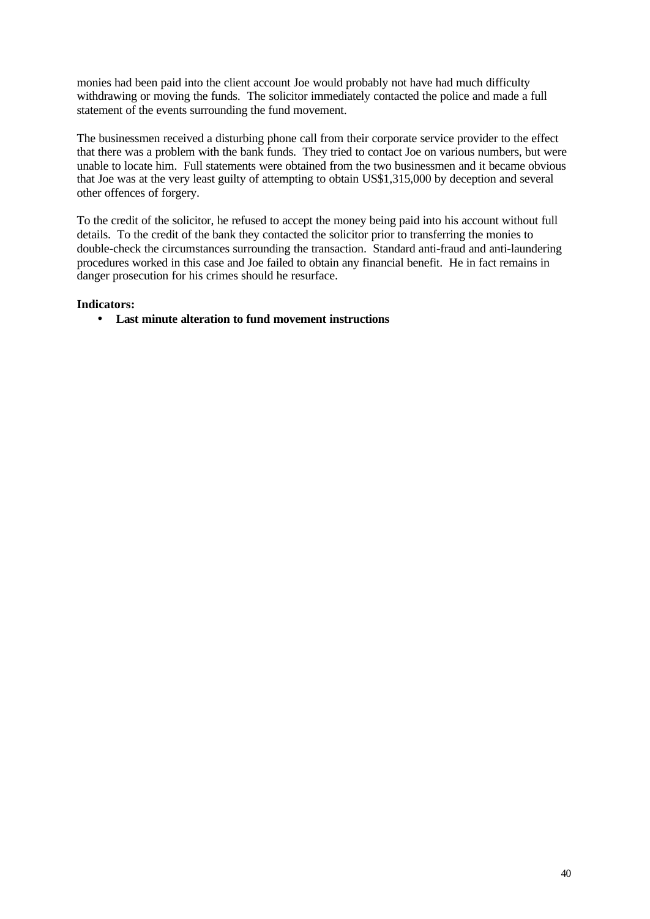monies had been paid into the client account Joe would probably not have had much difficulty withdrawing or moving the funds. The solicitor immediately contacted the police and made a full statement of the events surrounding the fund movement.

The businessmen received a disturbing phone call from their corporate service provider to the effect that there was a problem with the bank funds. They tried to contact Joe on various numbers, but were unable to locate him. Full statements were obtained from the two businessmen and it became obvious that Joe was at the very least guilty of attempting to obtain US\$1,315,000 by deception and several other offences of forgery.

To the credit of the solicitor, he refused to accept the money being paid into his account without full details. To the credit of the bank they contacted the solicitor prior to transferring the monies to double-check the circumstances surrounding the transaction. Standard anti-fraud and anti-laundering procedures worked in this case and Joe failed to obtain any financial benefit. He in fact remains in danger prosecution for his crimes should he resurface.

## **Indicators:**

• **Last minute alteration to fund movement instructions**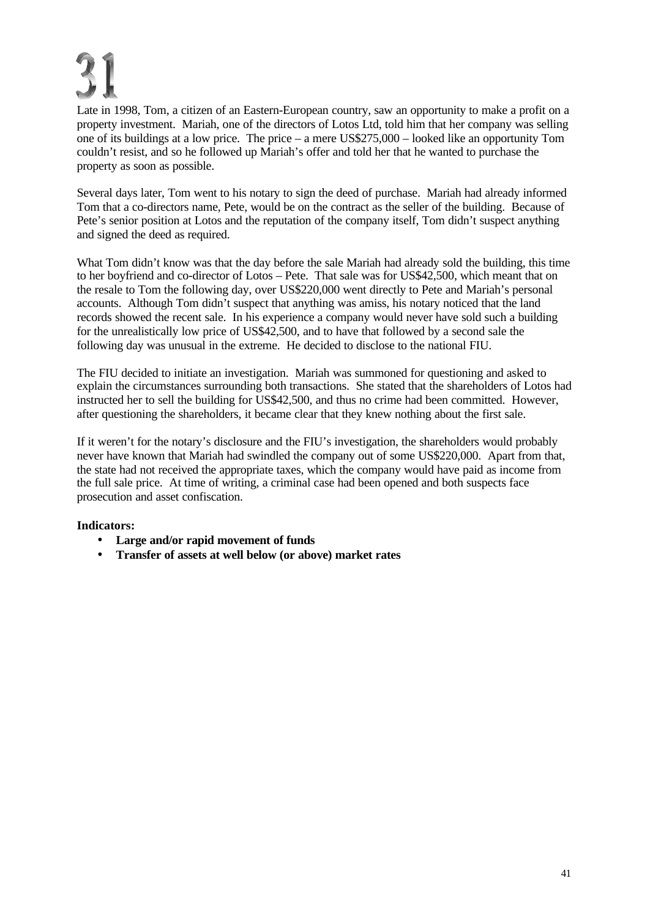Late in 1998, Tom, a citizen of an Eastern-European country, saw an opportunity to make a profit on a property investment. Mariah, one of the directors of Lotos Ltd, told him that her company was selling one of its buildings at a low price. The price – a mere US\$275,000 – looked like an opportunity Tom couldn't resist, and so he followed up Mariah's offer and told her that he wanted to purchase the property as soon as possible.

Several days later, Tom went to his notary to sign the deed of purchase. Mariah had already informed Tom that a co-directors name, Pete, would be on the contract as the seller of the building. Because of Pete's senior position at Lotos and the reputation of the company itself, Tom didn't suspect anything and signed the deed as required.

What Tom didn't know was that the day before the sale Mariah had already sold the building, this time to her boyfriend and co-director of Lotos – Pete. That sale was for US\$42,500, which meant that on the resale to Tom the following day, over US\$220,000 went directly to Pete and Mariah's personal accounts. Although Tom didn't suspect that anything was amiss, his notary noticed that the land records showed the recent sale. In his experience a company would never have sold such a building for the unrealistically low price of US\$42,500, and to have that followed by a second sale the following day was unusual in the extreme. He decided to disclose to the national FIU.

The FIU decided to initiate an investigation. Mariah was summoned for questioning and asked to explain the circumstances surrounding both transactions. She stated that the shareholders of Lotos had instructed her to sell the building for US\$42,500, and thus no crime had been committed. However, after questioning the shareholders, it became clear that they knew nothing about the first sale.

If it weren't for the notary's disclosure and the FIU's investigation, the shareholders would probably never have known that Mariah had swindled the company out of some US\$220,000. Apart from that, the state had not received the appropriate taxes, which the company would have paid as income from the full sale price. At time of writing, a criminal case had been opened and both suspects face prosecution and asset confiscation.

- **Large and/or rapid movement of funds**
- **Transfer of assets at well below (or above) market rates**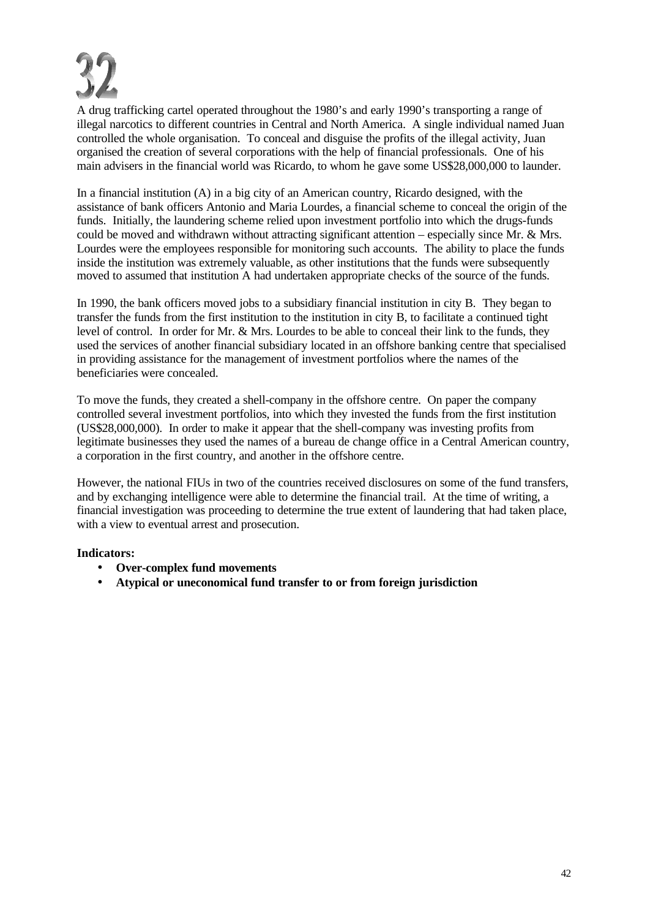

A drug trafficking cartel operated throughout the 1980's and early 1990's transporting a range of illegal narcotics to different countries in Central and North America. A single individual named Juan controlled the whole organisation. To conceal and disguise the profits of the illegal activity, Juan organised the creation of several corporations with the help of financial professionals. One of his main advisers in the financial world was Ricardo, to whom he gave some US\$28,000,000 to launder.

In a financial institution (A) in a big city of an American country, Ricardo designed, with the assistance of bank officers Antonio and Maria Lourdes, a financial scheme to conceal the origin of the funds. Initially, the laundering scheme relied upon investment portfolio into which the drugs-funds could be moved and withdrawn without attracting significant attention – especially since Mr. & Mrs. Lourdes were the employees responsible for monitoring such accounts. The ability to place the funds inside the institution was extremely valuable, as other institutions that the funds were subsequently moved to assumed that institution A had undertaken appropriate checks of the source of the funds.

In 1990, the bank officers moved jobs to a subsidiary financial institution in city B. They began to transfer the funds from the first institution to the institution in city B, to facilitate a continued tight level of control. In order for Mr. & Mrs. Lourdes to be able to conceal their link to the funds, they used the services of another financial subsidiary located in an offshore banking centre that specialised in providing assistance for the management of investment portfolios where the names of the beneficiaries were concealed.

To move the funds, they created a shell-company in the offshore centre. On paper the company controlled several investment portfolios, into which they invested the funds from the first institution (US\$28,000,000). In order to make it appear that the shell-company was investing profits from legitimate businesses they used the names of a bureau de change office in a Central American country, a corporation in the first country, and another in the offshore centre.

However, the national FIUs in two of the countries received disclosures on some of the fund transfers, and by exchanging intelligence were able to determine the financial trail. At the time of writing, a financial investigation was proceeding to determine the true extent of laundering that had taken place, with a view to eventual arrest and prosecution.

- **Over-complex fund movements**
- **Atypical or uneconomical fund transfer to or from foreign jurisdiction**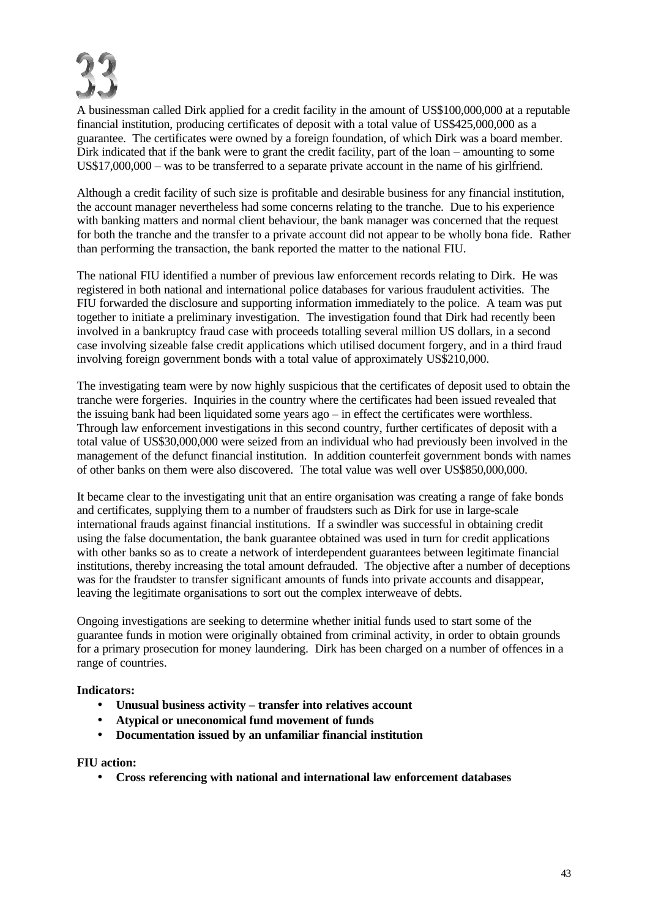

A businessman called Dirk applied for a credit facility in the amount of US\$100,000,000 at a reputable financial institution, producing certificates of deposit with a total value of US\$425,000,000 as a guarantee. The certificates were owned by a foreign foundation, of which Dirk was a board member. Dirk indicated that if the bank were to grant the credit facility, part of the loan – amounting to some US\$17,000,000 – was to be transferred to a separate private account in the name of his girlfriend.

Although a credit facility of such size is profitable and desirable business for any financial institution, the account manager nevertheless had some concerns relating to the tranche. Due to his experience with banking matters and normal client behaviour, the bank manager was concerned that the request for both the tranche and the transfer to a private account did not appear to be wholly bona fide. Rather than performing the transaction, the bank reported the matter to the national FIU.

The national FIU identified a number of previous law enforcement records relating to Dirk. He was registered in both national and international police databases for various fraudulent activities. The FIU forwarded the disclosure and supporting information immediately to the police. A team was put together to initiate a preliminary investigation. The investigation found that Dirk had recently been involved in a bankruptcy fraud case with proceeds totalling several million US dollars, in a second case involving sizeable false credit applications which utilised document forgery, and in a third fraud involving foreign government bonds with a total value of approximately US\$210,000.

The investigating team were by now highly suspicious that the certificates of deposit used to obtain the tranche were forgeries. Inquiries in the country where the certificates had been issued revealed that the issuing bank had been liquidated some years ago – in effect the certificates were worthless. Through law enforcement investigations in this second country, further certificates of deposit with a total value of US\$30,000,000 were seized from an individual who had previously been involved in the management of the defunct financial institution. In addition counterfeit government bonds with names of other banks on them were also discovered. The total value was well over US\$850,000,000.

It became clear to the investigating unit that an entire organisation was creating a range of fake bonds and certificates, supplying them to a number of fraudsters such as Dirk for use in large-scale international frauds against financial institutions. If a swindler was successful in obtaining credit using the false documentation, the bank guarantee obtained was used in turn for credit applications with other banks so as to create a network of interdependent guarantees between legitimate financial institutions, thereby increasing the total amount defrauded. The objective after a number of deceptions was for the fraudster to transfer significant amounts of funds into private accounts and disappear, leaving the legitimate organisations to sort out the complex interweave of debts.

Ongoing investigations are seeking to determine whether initial funds used to start some of the guarantee funds in motion were originally obtained from criminal activity, in order to obtain grounds for a primary prosecution for money laundering. Dirk has been charged on a number of offences in a range of countries.

## **Indicators:**

- **Unusual business activity transfer into relatives account**
- **Atypical or uneconomical fund movement of funds**
- **Documentation issued by an unfamiliar financial institution**

## **FIU action:**

• **Cross referencing with national and international law enforcement databases**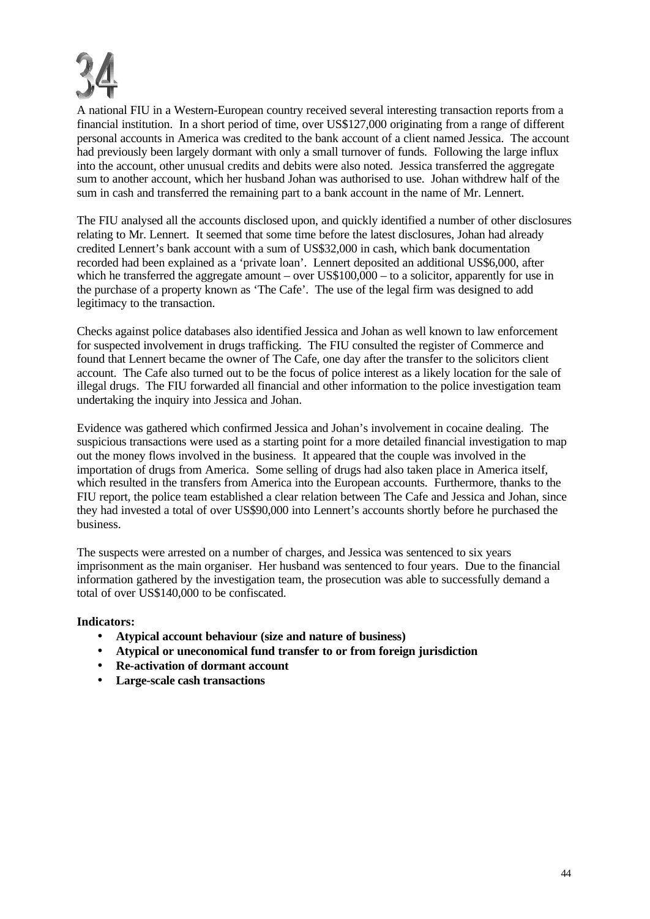

A national FIU in a Western-European country received several interesting transaction reports from a financial institution. In a short period of time, over US\$127,000 originating from a range of different personal accounts in America was credited to the bank account of a client named Jessica. The account had previously been largely dormant with only a small turnover of funds. Following the large influx into the account, other unusual credits and debits were also noted. Jessica transferred the aggregate sum to another account, which her husband Johan was authorised to use. Johan withdrew half of the sum in cash and transferred the remaining part to a bank account in the name of Mr. Lennert.

The FIU analysed all the accounts disclosed upon, and quickly identified a number of other disclosures relating to Mr. Lennert. It seemed that some time before the latest disclosures, Johan had already credited Lennert's bank account with a sum of US\$32,000 in cash, which bank documentation recorded had been explained as a 'private loan'. Lennert deposited an additional US\$6,000, after which he transferred the aggregate amount – over  $US$100,000$  – to a solicitor, apparently for use in the purchase of a property known as 'The Cafe'. The use of the legal firm was designed to add legitimacy to the transaction.

Checks against police databases also identified Jessica and Johan as well known to law enforcement for suspected involvement in drugs trafficking. The FIU consulted the register of Commerce and found that Lennert became the owner of The Cafe, one day after the transfer to the solicitors client account. The Cafe also turned out to be the focus of police interest as a likely location for the sale of illegal drugs. The FIU forwarded all financial and other information to the police investigation team undertaking the inquiry into Jessica and Johan.

Evidence was gathered which confirmed Jessica and Johan's involvement in cocaine dealing. The suspicious transactions were used as a starting point for a more detailed financial investigation to map out the money flows involved in the business. It appeared that the couple was involved in the importation of drugs from America. Some selling of drugs had also taken place in America itself, which resulted in the transfers from America into the European accounts. Furthermore, thanks to the FIU report, the police team established a clear relation between The Cafe and Jessica and Johan, since they had invested a total of over US\$90,000 into Lennert's accounts shortly before he purchased the business.

The suspects were arrested on a number of charges, and Jessica was sentenced to six years imprisonment as the main organiser. Her husband was sentenced to four years. Due to the financial information gathered by the investigation team, the prosecution was able to successfully demand a total of over US\$140,000 to be confiscated.

- **Atypical account behaviour (size and nature of business)**
- **Atypical or uneconomical fund transfer to or from foreign jurisdiction**
- **Re-activation of dormant account**
- **Large-scale cash transactions**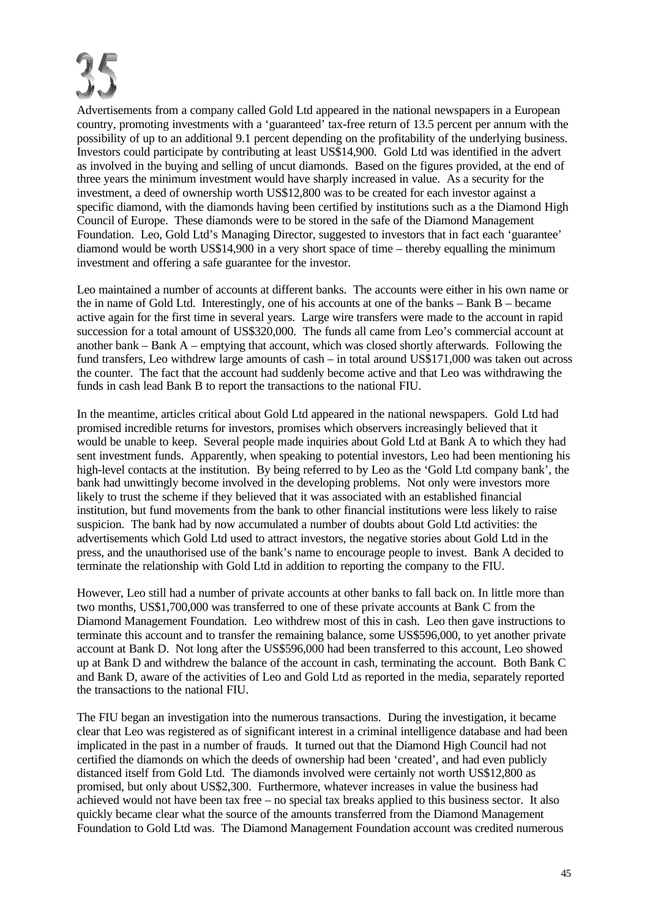Advertisements from a company called Gold Ltd appeared in the national newspapers in a European country, promoting investments with a 'guaranteed' tax-free return of 13.5 percent per annum with the possibility of up to an additional 9.1 percent depending on the profitability of the underlying business. Investors could participate by contributing at least US\$14,900. Gold Ltd was identified in the advert as involved in the buying and selling of uncut diamonds. Based on the figures provided, at the end of three years the minimum investment would have sharply increased in value. As a security for the investment, a deed of ownership worth US\$12,800 was to be created for each investor against a specific diamond, with the diamonds having been certified by institutions such as a the Diamond High Council of Europe. These diamonds were to be stored in the safe of the Diamond Management Foundation. Leo, Gold Ltd's Managing Director, suggested to investors that in fact each 'guarantee' diamond would be worth US\$14,900 in a very short space of time – thereby equalling the minimum investment and offering a safe guarantee for the investor.

Leo maintained a number of accounts at different banks. The accounts were either in his own name or the in name of Gold Ltd. Interestingly, one of his accounts at one of the banks – Bank B – became active again for the first time in several years. Large wire transfers were made to the account in rapid succession for a total amount of US\$320,000. The funds all came from Leo's commercial account at another bank – Bank A – emptying that account, which was closed shortly afterwards. Following the fund transfers, Leo withdrew large amounts of cash – in total around US\$171,000 was taken out across the counter. The fact that the account had suddenly become active and that Leo was withdrawing the funds in cash lead Bank B to report the transactions to the national FIU.

In the meantime, articles critical about Gold Ltd appeared in the national newspapers. Gold Ltd had promised incredible returns for investors, promises which observers increasingly believed that it would be unable to keep. Several people made inquiries about Gold Ltd at Bank A to which they had sent investment funds. Apparently, when speaking to potential investors, Leo had been mentioning his high-level contacts at the institution. By being referred to by Leo as the 'Gold Ltd company bank', the bank had unwittingly become involved in the developing problems. Not only were investors more likely to trust the scheme if they believed that it was associated with an established financial institution, but fund movements from the bank to other financial institutions were less likely to raise suspicion. The bank had by now accumulated a number of doubts about Gold Ltd activities: the advertisements which Gold Ltd used to attract investors, the negative stories about Gold Ltd in the press, and the unauthorised use of the bank's name to encourage people to invest. Bank A decided to terminate the relationship with Gold Ltd in addition to reporting the company to the FIU.

However, Leo still had a number of private accounts at other banks to fall back on. In little more than two months, US\$1,700,000 was transferred to one of these private accounts at Bank C from the Diamond Management Foundation. Leo withdrew most of this in cash. Leo then gave instructions to terminate this account and to transfer the remaining balance, some US\$596,000, to yet another private account at Bank D. Not long after the US\$596,000 had been transferred to this account, Leo showed up at Bank D and withdrew the balance of the account in cash, terminating the account. Both Bank C and Bank D, aware of the activities of Leo and Gold Ltd as reported in the media, separately reported the transactions to the national FIU.

The FIU began an investigation into the numerous transactions. During the investigation, it became clear that Leo was registered as of significant interest in a criminal intelligence database and had been implicated in the past in a number of frauds. It turned out that the Diamond High Council had not certified the diamonds on which the deeds of ownership had been 'created', and had even publicly distanced itself from Gold Ltd. The diamonds involved were certainly not worth US\$12,800 as promised, but only about US\$2,300. Furthermore, whatever increases in value the business had achieved would not have been tax free – no special tax breaks applied to this business sector. It also quickly became clear what the source of the amounts transferred from the Diamond Management Foundation to Gold Ltd was. The Diamond Management Foundation account was credited numerous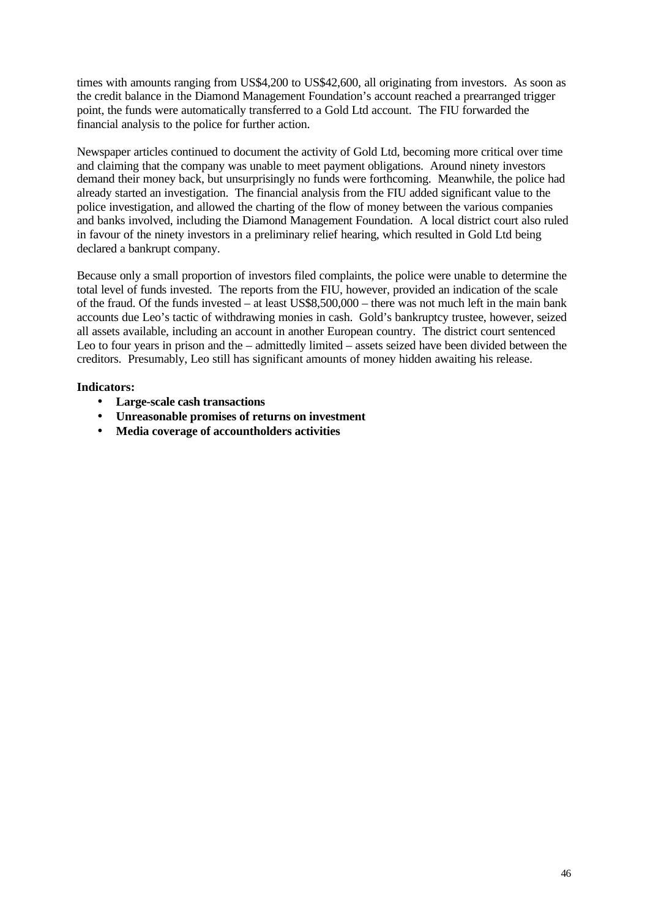times with amounts ranging from US\$4,200 to US\$42,600, all originating from investors. As soon as the credit balance in the Diamond Management Foundation's account reached a prearranged trigger point, the funds were automatically transferred to a Gold Ltd account. The FIU forwarded the financial analysis to the police for further action.

Newspaper articles continued to document the activity of Gold Ltd, becoming more critical over time and claiming that the company was unable to meet payment obligations. Around ninety investors demand their money back, but unsurprisingly no funds were forthcoming. Meanwhile, the police had already started an investigation. The financial analysis from the FIU added significant value to the police investigation, and allowed the charting of the flow of money between the various companies and banks involved, including the Diamond Management Foundation. A local district court also ruled in favour of the ninety investors in a preliminary relief hearing, which resulted in Gold Ltd being declared a bankrupt company.

Because only a small proportion of investors filed complaints, the police were unable to determine the total level of funds invested. The reports from the FIU, however, provided an indication of the scale of the fraud. Of the funds invested – at least US\$8,500,000 – there was not much left in the main bank accounts due Leo's tactic of withdrawing monies in cash. Gold's bankruptcy trustee, however, seized all assets available, including an account in another European country. The district court sentenced Leo to four years in prison and the – admittedly limited – assets seized have been divided between the creditors. Presumably, Leo still has significant amounts of money hidden awaiting his release.

- **Large-scale cash transactions**
- **Unreasonable promises of returns on investment**
- **Media coverage of accountholders activities**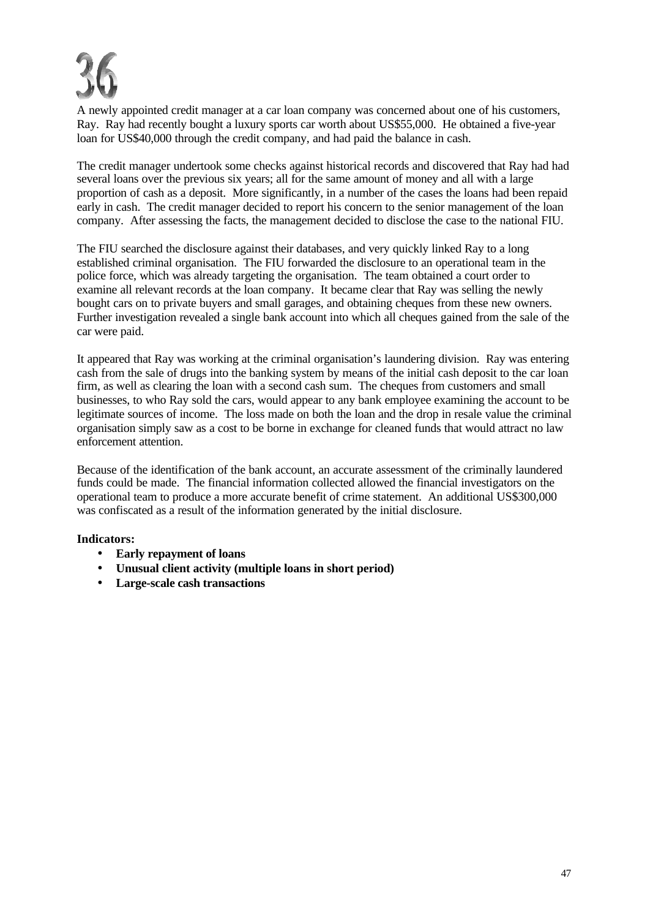

A newly appointed credit manager at a car loan company was concerned about one of his customers, Ray. Ray had recently bought a luxury sports car worth about US\$55,000. He obtained a five-year loan for US\$40,000 through the credit company, and had paid the balance in cash.

The credit manager undertook some checks against historical records and discovered that Ray had had several loans over the previous six years; all for the same amount of money and all with a large proportion of cash as a deposit. More significantly, in a number of the cases the loans had been repaid early in cash. The credit manager decided to report his concern to the senior management of the loan company. After assessing the facts, the management decided to disclose the case to the national FIU.

The FIU searched the disclosure against their databases, and very quickly linked Ray to a long established criminal organisation. The FIU forwarded the disclosure to an operational team in the police force, which was already targeting the organisation. The team obtained a court order to examine all relevant records at the loan company. It became clear that Ray was selling the newly bought cars on to private buyers and small garages, and obtaining cheques from these new owners. Further investigation revealed a single bank account into which all cheques gained from the sale of the car were paid.

It appeared that Ray was working at the criminal organisation's laundering division. Ray was entering cash from the sale of drugs into the banking system by means of the initial cash deposit to the car loan firm, as well as clearing the loan with a second cash sum. The cheques from customers and small businesses, to who Ray sold the cars, would appear to any bank employee examining the account to be legitimate sources of income. The loss made on both the loan and the drop in resale value the criminal organisation simply saw as a cost to be borne in exchange for cleaned funds that would attract no law enforcement attention.

Because of the identification of the bank account, an accurate assessment of the criminally laundered funds could be made. The financial information collected allowed the financial investigators on the operational team to produce a more accurate benefit of crime statement. An additional US\$300,000 was confiscated as a result of the information generated by the initial disclosure.

- **Early repayment of loans**
- **Unusual client activity (multiple loans in short period)**
- **Large-scale cash transactions**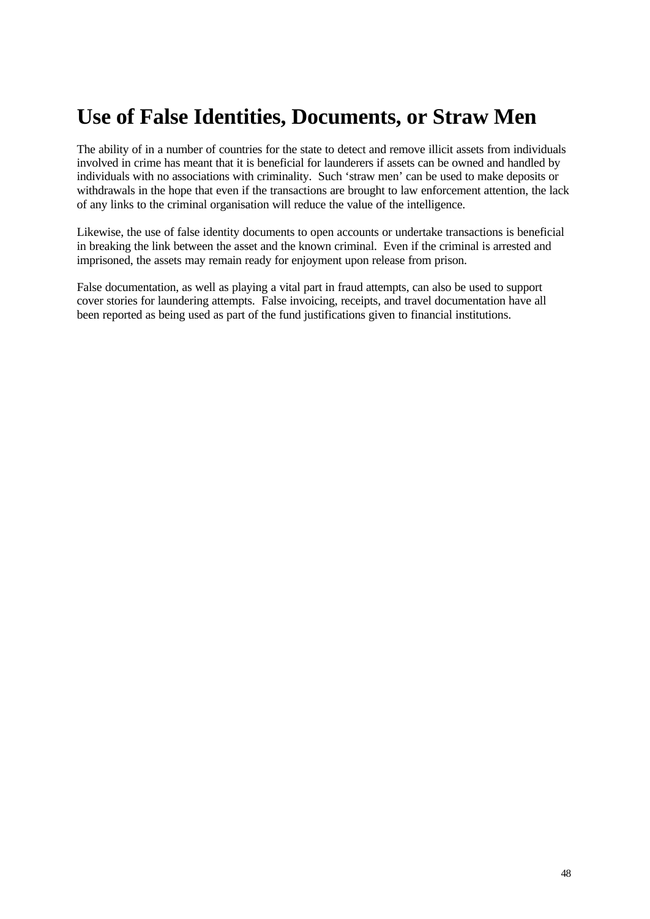# **Use of False Identities, Documents, or Straw Men**

The ability of in a number of countries for the state to detect and remove illicit assets from individuals involved in crime has meant that it is beneficial for launderers if assets can be owned and handled by individuals with no associations with criminality. Such 'straw men' can be used to make deposits or withdrawals in the hope that even if the transactions are brought to law enforcement attention, the lack of any links to the criminal organisation will reduce the value of the intelligence.

Likewise, the use of false identity documents to open accounts or undertake transactions is beneficial in breaking the link between the asset and the known criminal. Even if the criminal is arrested and imprisoned, the assets may remain ready for enjoyment upon release from prison.

False documentation, as well as playing a vital part in fraud attempts, can also be used to support cover stories for laundering attempts. False invoicing, receipts, and travel documentation have all been reported as being used as part of the fund justifications given to financial institutions.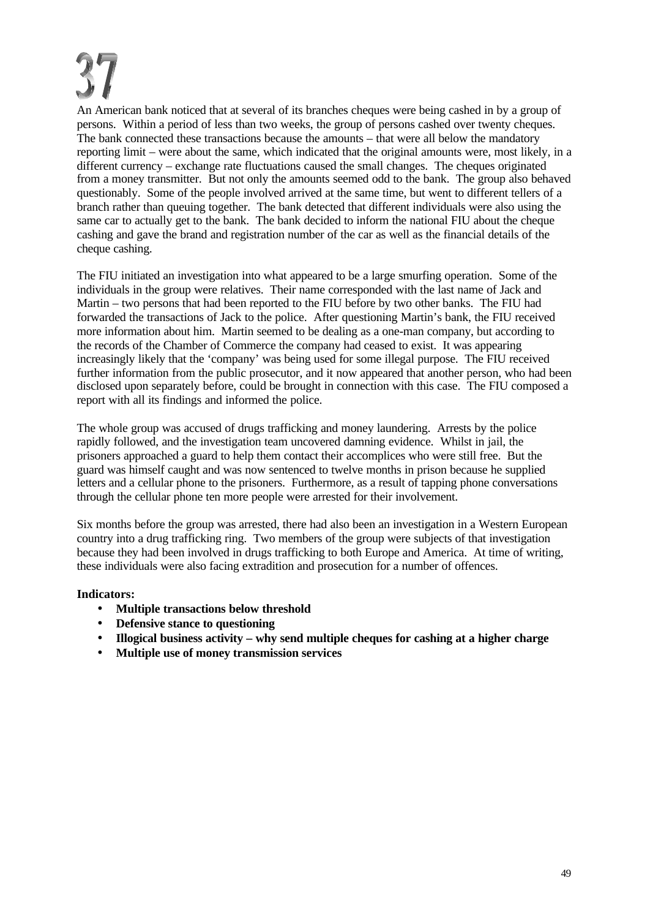An American bank noticed that at several of its branches cheques were being cashed in by a group of persons. Within a period of less than two weeks, the group of persons cashed over twenty cheques. The bank connected these transactions because the amounts – that were all below the mandatory reporting limit – were about the same, which indicated that the original amounts were, most likely, in a different currency – exchange rate fluctuations caused the small changes. The cheques originated from a money transmitter. But not only the amounts seemed odd to the bank. The group also behaved questionably. Some of the people involved arrived at the same time, but went to different tellers of a branch rather than queuing together. The bank detected that different individuals were also using the same car to actually get to the bank. The bank decided to inform the national FIU about the cheque cashing and gave the brand and registration number of the car as well as the financial details of the cheque cashing.

The FIU initiated an investigation into what appeared to be a large smurfing operation. Some of the individuals in the group were relatives. Their name corresponded with the last name of Jack and Martin – two persons that had been reported to the FIU before by two other banks. The FIU had forwarded the transactions of Jack to the police. After questioning Martin's bank, the FIU received more information about him. Martin seemed to be dealing as a one-man company, but according to the records of the Chamber of Commerce the company had ceased to exist. It was appearing increasingly likely that the 'company' was being used for some illegal purpose. The FIU received further information from the public prosecutor, and it now appeared that another person, who had been disclosed upon separately before, could be brought in connection with this case. The FIU composed a report with all its findings and informed the police.

The whole group was accused of drugs trafficking and money laundering. Arrests by the police rapidly followed, and the investigation team uncovered damning evidence. Whilst in jail, the prisoners approached a guard to help them contact their accomplices who were still free. But the guard was himself caught and was now sentenced to twelve months in prison because he supplied letters and a cellular phone to the prisoners. Furthermore, as a result of tapping phone conversations through the cellular phone ten more people were arrested for their involvement.

Six months before the group was arrested, there had also been an investigation in a Western European country into a drug trafficking ring. Two members of the group were subjects of that investigation because they had been involved in drugs trafficking to both Europe and America. At time of writing, these individuals were also facing extradition and prosecution for a number of offences.

- **Multiple transactions below threshold**
- **Defensive stance to questioning**
- **Illogical business activity why send multiple cheques for cashing at a higher charge**
- **Multiple use of money transmission services**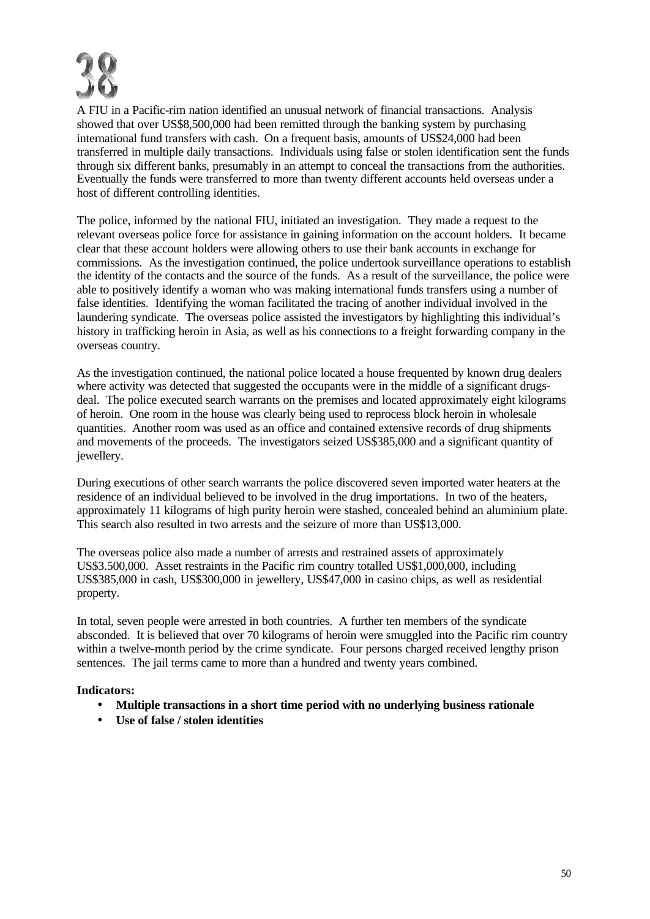

A FIU in a Pacific-rim nation identified an unusual network of financial transactions. Analysis showed that over US\$8,500,000 had been remitted through the banking system by purchasing international fund transfers with cash. On a frequent basis, amounts of US\$24,000 had been transferred in multiple daily transactions. Individuals using false or stolen identification sent the funds through six different banks, presumably in an attempt to conceal the transactions from the authorities. Eventually the funds were transferred to more than twenty different accounts held overseas under a host of different controlling identities.

The police, informed by the national FIU, initiated an investigation. They made a request to the relevant overseas police force for assistance in gaining information on the account holders. It became clear that these account holders were allowing others to use their bank accounts in exchange for commissions. As the investigation continued, the police undertook surveillance operations to establish the identity of the contacts and the source of the funds. As a result of the surveillance, the police were able to positively identify a woman who was making international funds transfers using a number of false identities. Identifying the woman facilitated the tracing of another individual involved in the laundering syndicate. The overseas police assisted the investigators by highlighting this individual's history in trafficking heroin in Asia, as well as his connections to a freight forwarding company in the overseas country.

As the investigation continued, the national police located a house frequented by known drug dealers where activity was detected that suggested the occupants were in the middle of a significant drugsdeal. The police executed search warrants on the premises and located approximately eight kilograms of heroin. One room in the house was clearly being used to reprocess block heroin in wholesale quantities. Another room was used as an office and contained extensive records of drug shipments and movements of the proceeds. The investigators seized US\$385,000 and a significant quantity of jewellery.

During executions of other search warrants the police discovered seven imported water heaters at the residence of an individual believed to be involved in the drug importations. In two of the heaters, approximately 11 kilograms of high purity heroin were stashed, concealed behind an aluminium plate. This search also resulted in two arrests and the seizure of more than US\$13,000.

The overseas police also made a number of arrests and restrained assets of approximately US\$3.500,000. Asset restraints in the Pacific rim country totalled US\$1,000,000, including US\$385,000 in cash, US\$300,000 in jewellery, US\$47,000 in casino chips, as well as residential property.

In total, seven people were arrested in both countries. A further ten members of the syndicate absconded. It is believed that over 70 kilograms of heroin were smuggled into the Pacific rim country within a twelve-month period by the crime syndicate. Four persons charged received lengthy prison sentences. The jail terms came to more than a hundred and twenty years combined.

- **Multiple transactions in a short time period with no underlying business rationale**
- **Use of false / stolen identities**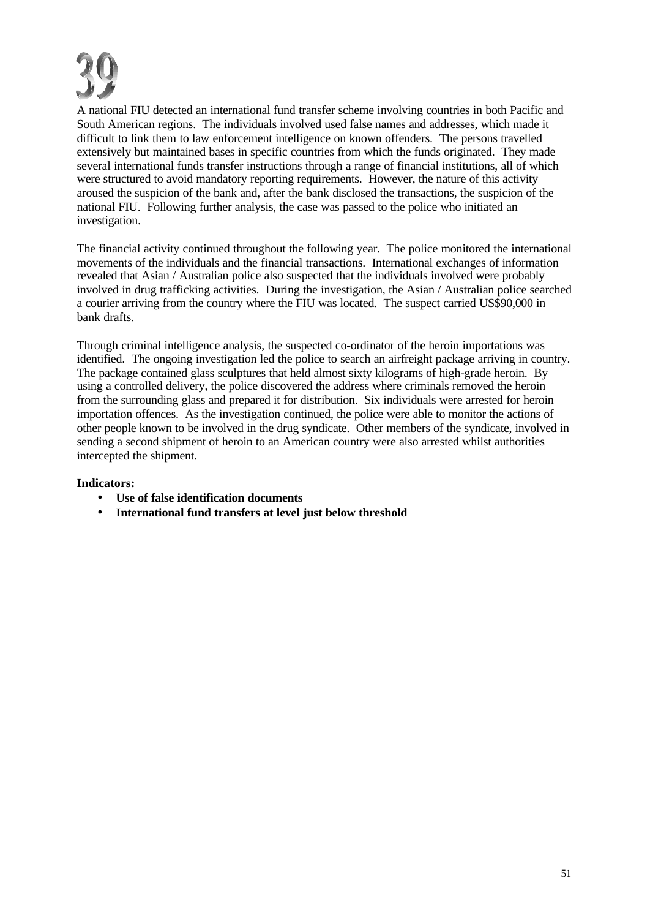A national FIU detected an international fund transfer scheme involving countries in both Pacific and South American regions. The individuals involved used false names and addresses, which made it difficult to link them to law enforcement intelligence on known offenders. The persons travelled extensively but maintained bases in specific countries from which the funds originated. They made several international funds transfer instructions through a range of financial institutions, all of which were structured to avoid mandatory reporting requirements. However, the nature of this activity aroused the suspicion of the bank and, after the bank disclosed the transactions, the suspicion of the national FIU. Following further analysis, the case was passed to the police who initiated an investigation.

The financial activity continued throughout the following year. The police monitored the international movements of the individuals and the financial transactions. International exchanges of information revealed that Asian / Australian police also suspected that the individuals involved were probably involved in drug trafficking activities. During the investigation, the Asian / Australian police searched a courier arriving from the country where the FIU was located. The suspect carried US\$90,000 in bank drafts.

Through criminal intelligence analysis, the suspected co-ordinator of the heroin importations was identified. The ongoing investigation led the police to search an airfreight package arriving in country. The package contained glass sculptures that held almost sixty kilograms of high-grade heroin. By using a controlled delivery, the police discovered the address where criminals removed the heroin from the surrounding glass and prepared it for distribution. Six individuals were arrested for heroin importation offences. As the investigation continued, the police were able to monitor the actions of other people known to be involved in the drug syndicate. Other members of the syndicate, involved in sending a second shipment of heroin to an American country were also arrested whilst authorities intercepted the shipment.

- **Use of false identification documents**
- **International fund transfers at level just below threshold**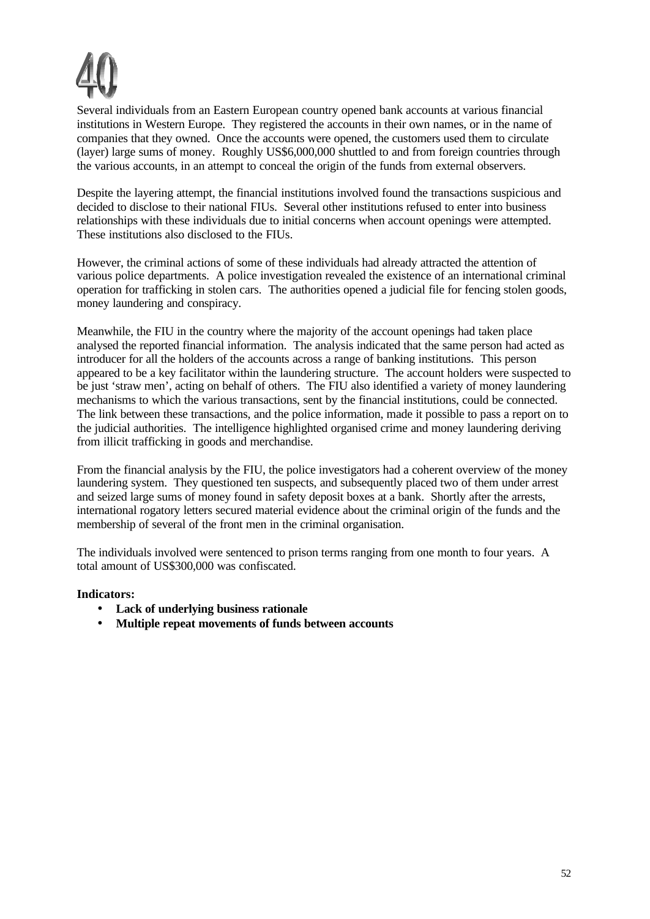

Several individuals from an Eastern European country opened bank accounts at various financial institutions in Western Europe. They registered the accounts in their own names, or in the name of companies that they owned. Once the accounts were opened, the customers used them to circulate (layer) large sums of money. Roughly US\$6,000,000 shuttled to and from foreign countries through the various accounts, in an attempt to conceal the origin of the funds from external observers.

Despite the layering attempt, the financial institutions involved found the transactions suspicious and decided to disclose to their national FIUs. Several other institutions refused to enter into business relationships with these individuals due to initial concerns when account openings were attempted. These institutions also disclosed to the FIUs.

However, the criminal actions of some of these individuals had already attracted the attention of various police departments. A police investigation revealed the existence of an international criminal operation for trafficking in stolen cars. The authorities opened a judicial file for fencing stolen goods, money laundering and conspiracy.

Meanwhile, the FIU in the country where the majority of the account openings had taken place analysed the reported financial information. The analysis indicated that the same person had acted as introducer for all the holders of the accounts across a range of banking institutions. This person appeared to be a key facilitator within the laundering structure. The account holders were suspected to be just 'straw men', acting on behalf of others. The FIU also identified a variety of money laundering mechanisms to which the various transactions, sent by the financial institutions, could be connected. The link between these transactions, and the police information, made it possible to pass a report on to the judicial authorities. The intelligence highlighted organised crime and money laundering deriving from illicit trafficking in goods and merchandise.

From the financial analysis by the FIU, the police investigators had a coherent overview of the money laundering system. They questioned ten suspects, and subsequently placed two of them under arrest and seized large sums of money found in safety deposit boxes at a bank. Shortly after the arrests, international rogatory letters secured material evidence about the criminal origin of the funds and the membership of several of the front men in the criminal organisation.

The individuals involved were sentenced to prison terms ranging from one month to four years. A total amount of US\$300,000 was confiscated.

- **Lack of underlying business rationale**
- **Multiple repeat movements of funds between accounts**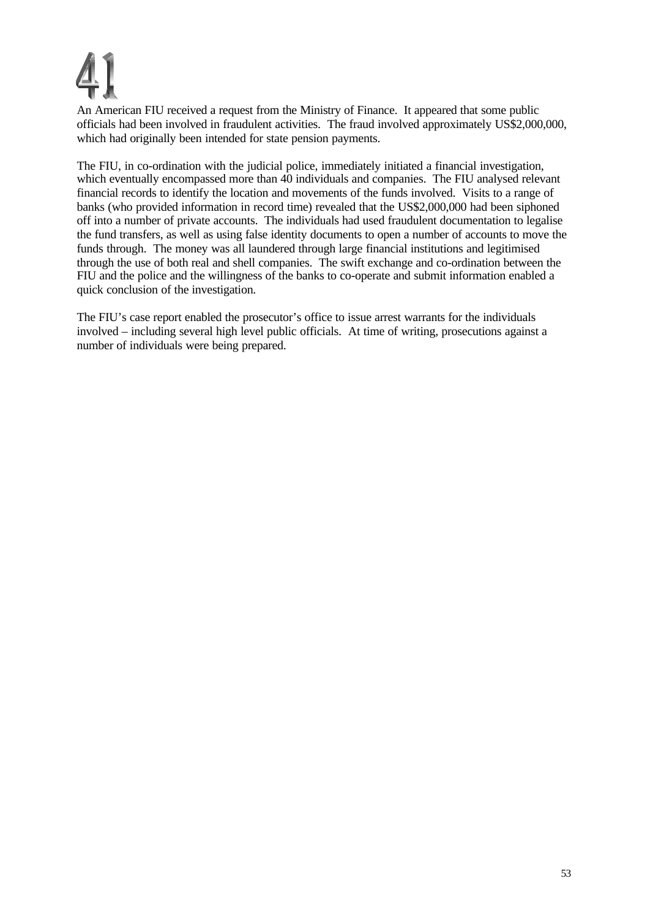An American FIU received a request from the Ministry of Finance. It appeared that some public officials had been involved in fraudulent activities. The fraud involved approximately US\$2,000,000, which had originally been intended for state pension payments.

The FIU, in co-ordination with the judicial police, immediately initiated a financial investigation, which eventually encompassed more than 40 individuals and companies. The FIU analysed relevant financial records to identify the location and movements of the funds involved. Visits to a range of banks (who provided information in record time) revealed that the US\$2,000,000 had been siphoned off into a number of private accounts. The individuals had used fraudulent documentation to legalise the fund transfers, as well as using false identity documents to open a number of accounts to move the funds through. The money was all laundered through large financial institutions and legitimised through the use of both real and shell companies. The swift exchange and co-ordination between the FIU and the police and the willingness of the banks to co-operate and submit information enabled a quick conclusion of the investigation.

The FIU's case report enabled the prosecutor's office to issue arrest warrants for the individuals involved – including several high level public officials. At time of writing, prosecutions against a number of individuals were being prepared.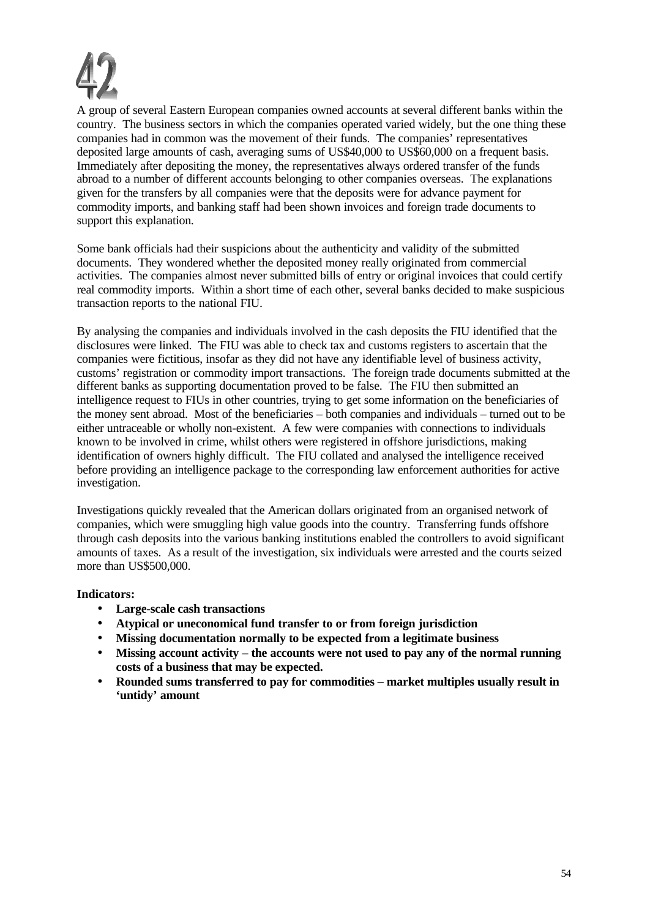

A group of several Eastern European companies owned accounts at several different banks within the country. The business sectors in which the companies operated varied widely, but the one thing these companies had in common was the movement of their funds. The companies' representatives deposited large amounts of cash, averaging sums of US\$40,000 to US\$60,000 on a frequent basis. Immediately after depositing the money, the representatives always ordered transfer of the funds abroad to a number of different accounts belonging to other companies overseas. The explanations given for the transfers by all companies were that the deposits were for advance payment for commodity imports, and banking staff had been shown invoices and foreign trade documents to support this explanation.

Some bank officials had their suspicions about the authenticity and validity of the submitted documents. They wondered whether the deposited money really originated from commercial activities. The companies almost never submitted bills of entry or original invoices that could certify real commodity imports. Within a short time of each other, several banks decided to make suspicious transaction reports to the national FIU.

By analysing the companies and individuals involved in the cash deposits the FIU identified that the disclosures were linked. The FIU was able to check tax and customs registers to ascertain that the companies were fictitious, insofar as they did not have any identifiable level of business activity, customs' registration or commodity import transactions. The foreign trade documents submitted at the different banks as supporting documentation proved to be false. The FIU then submitted an intelligence request to FIUs in other countries, trying to get some information on the beneficiaries of the money sent abroad. Most of the beneficiaries – both companies and individuals – turned out to be either untraceable or wholly non-existent. A few were companies with connections to individuals known to be involved in crime, whilst others were registered in offshore jurisdictions, making identification of owners highly difficult. The FIU collated and analysed the intelligence received before providing an intelligence package to the corresponding law enforcement authorities for active investigation.

Investigations quickly revealed that the American dollars originated from an organised network of companies, which were smuggling high value goods into the country. Transferring funds offshore through cash deposits into the various banking institutions enabled the controllers to avoid significant amounts of taxes. As a result of the investigation, six individuals were arrested and the courts seized more than US\$500,000.

- **Large-scale cash transactions**
- **Atypical or uneconomical fund transfer to or from foreign jurisdiction**
- **Missing documentation normally to be expected from a legitimate business**
- **Missing account activity the accounts were not used to pay any of the normal running costs of a business that may be expected.**
- **Rounded sums transferred to pay for commodities market multiples usually result in 'untidy' amount**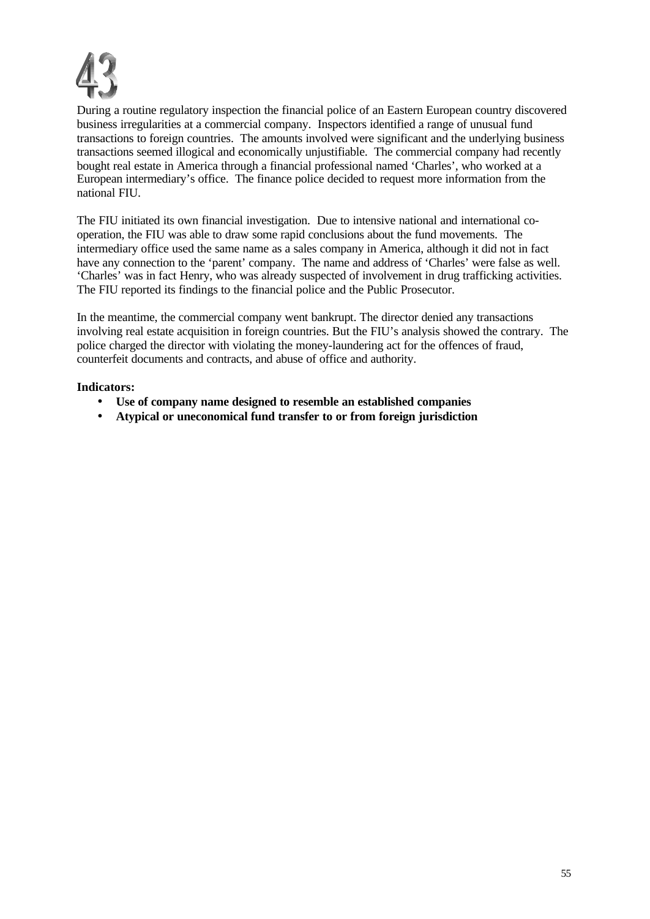

During a routine regulatory inspection the financial police of an Eastern European country discovered business irregularities at a commercial company. Inspectors identified a range of unusual fund transactions to foreign countries. The amounts involved were significant and the underlying business transactions seemed illogical and economically unjustifiable. The commercial company had recently bought real estate in America through a financial professional named 'Charles', who worked at a European intermediary's office. The finance police decided to request more information from the national FIU.

The FIU initiated its own financial investigation. Due to intensive national and international cooperation, the FIU was able to draw some rapid conclusions about the fund movements. The intermediary office used the same name as a sales company in America, although it did not in fact have any connection to the 'parent' company. The name and address of 'Charles' were false as well. 'Charles' was in fact Henry, who was already suspected of involvement in drug trafficking activities. The FIU reported its findings to the financial police and the Public Prosecutor.

In the meantime, the commercial company went bankrupt. The director denied any transactions involving real estate acquisition in foreign countries. But the FIU's analysis showed the contrary. The police charged the director with violating the money-laundering act for the offences of fraud, counterfeit documents and contracts, and abuse of office and authority.

- **Use of company name designed to resemble an established companies**
- **Atypical or uneconomical fund transfer to or from foreign jurisdiction**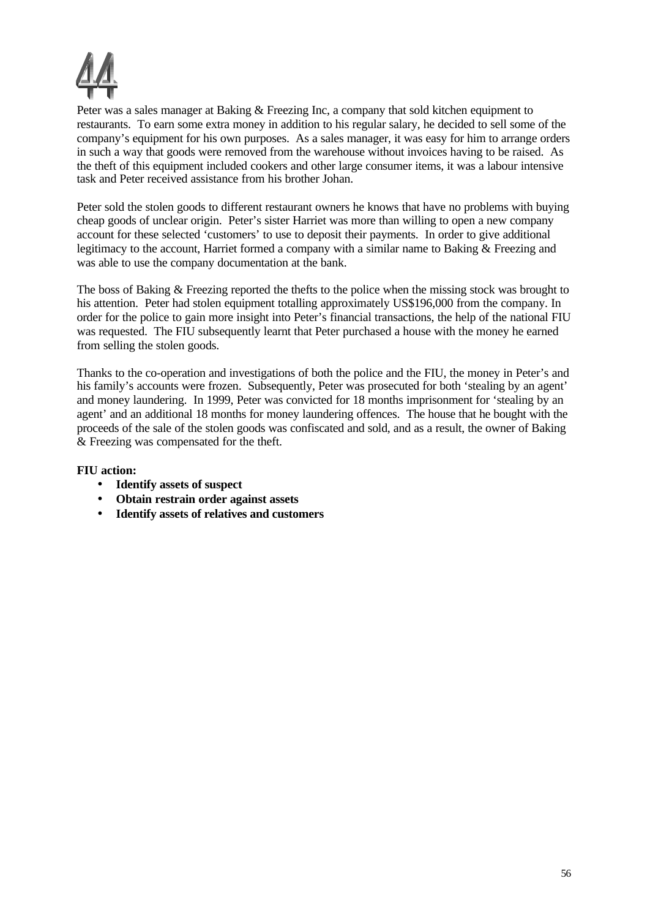

Peter was a sales manager at Baking & Freezing Inc, a company that sold kitchen equipment to restaurants. To earn some extra money in addition to his regular salary, he decided to sell some of the company's equipment for his own purposes. As a sales manager, it was easy for him to arrange orders in such a way that goods were removed from the warehouse without invoices having to be raised. As the theft of this equipment included cookers and other large consumer items, it was a labour intensive task and Peter received assistance from his brother Johan.

Peter sold the stolen goods to different restaurant owners he knows that have no problems with buying cheap goods of unclear origin. Peter's sister Harriet was more than willing to open a new company account for these selected 'customers' to use to deposit their payments. In order to give additional legitimacy to the account, Harriet formed a company with a similar name to Baking & Freezing and was able to use the company documentation at the bank.

The boss of Baking & Freezing reported the thefts to the police when the missing stock was brought to his attention. Peter had stolen equipment totalling approximately US\$196,000 from the company. In order for the police to gain more insight into Peter's financial transactions, the help of the national FIU was requested. The FIU subsequently learnt that Peter purchased a house with the money he earned from selling the stolen goods.

Thanks to the co-operation and investigations of both the police and the FIU, the money in Peter's and his family's accounts were frozen. Subsequently, Peter was prosecuted for both 'stealing by an agent' and money laundering. In 1999, Peter was convicted for 18 months imprisonment for 'stealing by an agent' and an additional 18 months for money laundering offences. The house that he bought with the proceeds of the sale of the stolen goods was confiscated and sold, and as a result, the owner of Baking & Freezing was compensated for the theft.

# **FIU action:**

- **Identify assets of suspect**
- **Obtain restrain order against assets**
- **Identify assets of relatives and customers**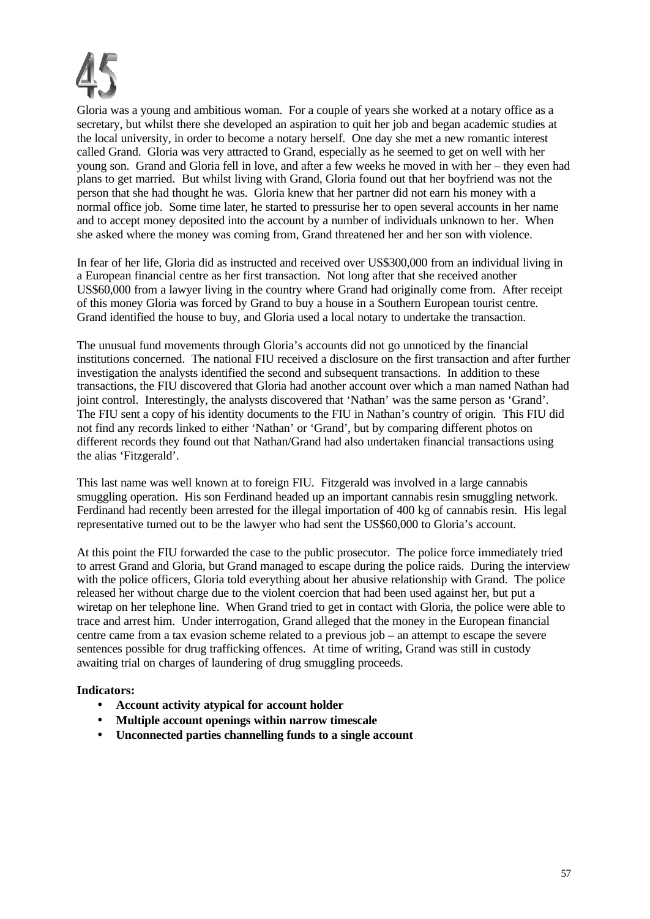

Gloria was a young and ambitious woman. For a couple of years she worked at a notary office as a secretary, but whilst there she developed an aspiration to quit her job and began academic studies at the local university, in order to become a notary herself. One day she met a new romantic interest called Grand. Gloria was very attracted to Grand, especially as he seemed to get on well with her young son. Grand and Gloria fell in love, and after a few weeks he moved in with her – they even had plans to get married. But whilst living with Grand, Gloria found out that her boyfriend was not the person that she had thought he was. Gloria knew that her partner did not earn his money with a normal office job. Some time later, he started to pressurise her to open several accounts in her name and to accept money deposited into the account by a number of individuals unknown to her. When she asked where the money was coming from, Grand threatened her and her son with violence.

In fear of her life, Gloria did as instructed and received over US\$300,000 from an individual living in a European financial centre as her first transaction. Not long after that she received another US\$60,000 from a lawyer living in the country where Grand had originally come from. After receipt of this money Gloria was forced by Grand to buy a house in a Southern European tourist centre. Grand identified the house to buy, and Gloria used a local notary to undertake the transaction.

The unusual fund movements through Gloria's accounts did not go unnoticed by the financial institutions concerned. The national FIU received a disclosure on the first transaction and after further investigation the analysts identified the second and subsequent transactions. In addition to these transactions, the FIU discovered that Gloria had another account over which a man named Nathan had joint control. Interestingly, the analysts discovered that 'Nathan' was the same person as 'Grand'. The FIU sent a copy of his identity documents to the FIU in Nathan's country of origin. This FIU did not find any records linked to either 'Nathan' or 'Grand', but by comparing different photos on different records they found out that Nathan/Grand had also undertaken financial transactions using the alias 'Fitzgerald'.

This last name was well known at to foreign FIU. Fitzgerald was involved in a large cannabis smuggling operation. His son Ferdinand headed up an important cannabis resin smuggling network. Ferdinand had recently been arrested for the illegal importation of 400 kg of cannabis resin. His legal representative turned out to be the lawyer who had sent the US\$60,000 to Gloria's account.

At this point the FIU forwarded the case to the public prosecutor. The police force immediately tried to arrest Grand and Gloria, but Grand managed to escape during the police raids. During the interview with the police officers, Gloria told everything about her abusive relationship with Grand. The police released her without charge due to the violent coercion that had been used against her, but put a wiretap on her telephone line. When Grand tried to get in contact with Gloria, the police were able to trace and arrest him. Under interrogation, Grand alleged that the money in the European financial centre came from a tax evasion scheme related to a previous job – an attempt to escape the severe sentences possible for drug trafficking offences. At time of writing, Grand was still in custody awaiting trial on charges of laundering of drug smuggling proceeds.

- **Account activity atypical for account holder**
- **Multiple account openings within narrow timescale**
- **Unconnected parties channelling funds to a single account**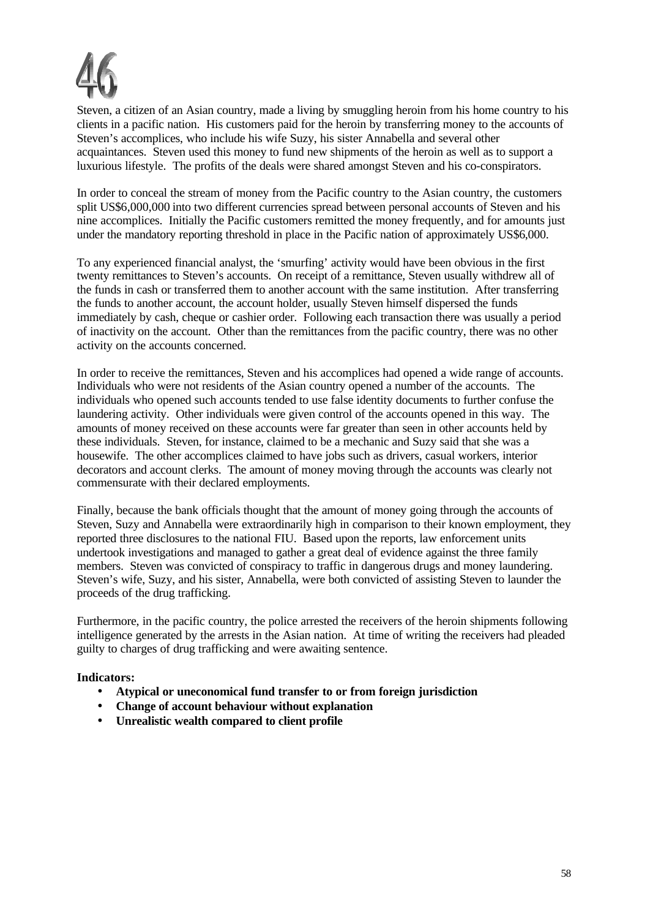

Steven, a citizen of an Asian country, made a living by smuggling heroin from his home country to his clients in a pacific nation. His customers paid for the heroin by transferring money to the accounts of Steven's accomplices, who include his wife Suzy, his sister Annabella and several other acquaintances. Steven used this money to fund new shipments of the heroin as well as to support a luxurious lifestyle. The profits of the deals were shared amongst Steven and his co-conspirators.

In order to conceal the stream of money from the Pacific country to the Asian country, the customers split US\$6,000,000 into two different currencies spread between personal accounts of Steven and his nine accomplices. Initially the Pacific customers remitted the money frequently, and for amounts just under the mandatory reporting threshold in place in the Pacific nation of approximately US\$6,000.

To any experienced financial analyst, the 'smurfing' activity would have been obvious in the first twenty remittances to Steven's accounts. On receipt of a remittance, Steven usually withdrew all of the funds in cash or transferred them to another account with the same institution. After transferring the funds to another account, the account holder, usually Steven himself dispersed the funds immediately by cash, cheque or cashier order. Following each transaction there was usually a period of inactivity on the account. Other than the remittances from the pacific country, there was no other activity on the accounts concerned.

In order to receive the remittances, Steven and his accomplices had opened a wide range of accounts. Individuals who were not residents of the Asian country opened a number of the accounts. The individuals who opened such accounts tended to use false identity documents to further confuse the laundering activity. Other individuals were given control of the accounts opened in this way. The amounts of money received on these accounts were far greater than seen in other accounts held by these individuals. Steven, for instance, claimed to be a mechanic and Suzy said that she was a housewife. The other accomplices claimed to have jobs such as drivers, casual workers, interior decorators and account clerks. The amount of money moving through the accounts was clearly not commensurate with their declared employments.

Finally, because the bank officials thought that the amount of money going through the accounts of Steven, Suzy and Annabella were extraordinarily high in comparison to their known employment, they reported three disclosures to the national FIU. Based upon the reports, law enforcement units undertook investigations and managed to gather a great deal of evidence against the three family members. Steven was convicted of conspiracy to traffic in dangerous drugs and money laundering. Steven's wife, Suzy, and his sister, Annabella, were both convicted of assisting Steven to launder the proceeds of the drug trafficking.

Furthermore, in the pacific country, the police arrested the receivers of the heroin shipments following intelligence generated by the arrests in the Asian nation. At time of writing the receivers had pleaded guilty to charges of drug trafficking and were awaiting sentence.

- **Atypical or uneconomical fund transfer to or from foreign jurisdiction**
- **Change of account behaviour without explanation**
- **Unrealistic wealth compared to client profile**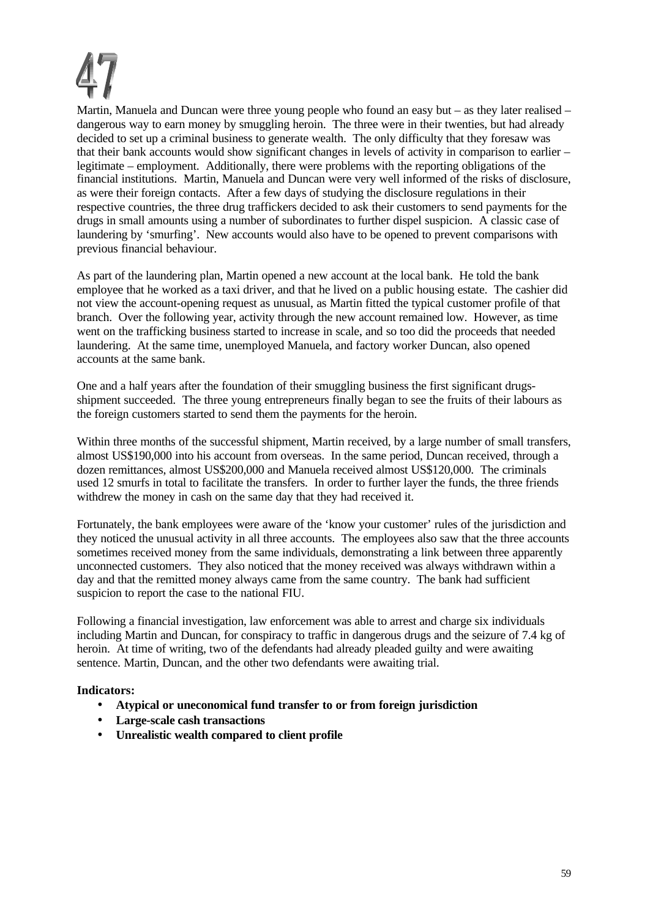Martin, Manuela and Duncan were three young people who found an easy but – as they later realised – dangerous way to earn money by smuggling heroin. The three were in their twenties, but had already decided to set up a criminal business to generate wealth. The only difficulty that they foresaw was that their bank accounts would show significant changes in levels of activity in comparison to earlier – legitimate – employment. Additionally, there were problems with the reporting obligations of the financial institutions. Martin, Manuela and Duncan were very well informed of the risks of disclosure, as were their foreign contacts. After a few days of studying the disclosure regulations in their respective countries, the three drug traffickers decided to ask their customers to send payments for the drugs in small amounts using a number of subordinates to further dispel suspicion. A classic case of laundering by 'smurfing'. New accounts would also have to be opened to prevent comparisons with previous financial behaviour.

As part of the laundering plan, Martin opened a new account at the local bank. He told the bank employee that he worked as a taxi driver, and that he lived on a public housing estate. The cashier did not view the account-opening request as unusual, as Martin fitted the typical customer profile of that branch. Over the following year, activity through the new account remained low. However, as time went on the trafficking business started to increase in scale, and so too did the proceeds that needed laundering. At the same time, unemployed Manuela, and factory worker Duncan, also opened accounts at the same bank.

One and a half years after the foundation of their smuggling business the first significant drugsshipment succeeded. The three young entrepreneurs finally began to see the fruits of their labours as the foreign customers started to send them the payments for the heroin.

Within three months of the successful shipment, Martin received, by a large number of small transfers, almost US\$190,000 into his account from overseas. In the same period, Duncan received, through a dozen remittances, almost US\$200,000 and Manuela received almost US\$120,000. The criminals used 12 smurfs in total to facilitate the transfers. In order to further layer the funds, the three friends withdrew the money in cash on the same day that they had received it.

Fortunately, the bank employees were aware of the 'know your customer' rules of the jurisdiction and they noticed the unusual activity in all three accounts. The employees also saw that the three accounts sometimes received money from the same individuals, demonstrating a link between three apparently unconnected customers. They also noticed that the money received was always withdrawn within a day and that the remitted money always came from the same country. The bank had sufficient suspicion to report the case to the national FIU.

Following a financial investigation, law enforcement was able to arrest and charge six individuals including Martin and Duncan, for conspiracy to traffic in dangerous drugs and the seizure of 7.4 kg of heroin. At time of writing, two of the defendants had already pleaded guilty and were awaiting sentence. Martin, Duncan, and the other two defendants were awaiting trial.

- **Atypical or uneconomical fund transfer to or from foreign jurisdiction**
- **Large-scale cash transactions**
- **Unrealistic wealth compared to client profile**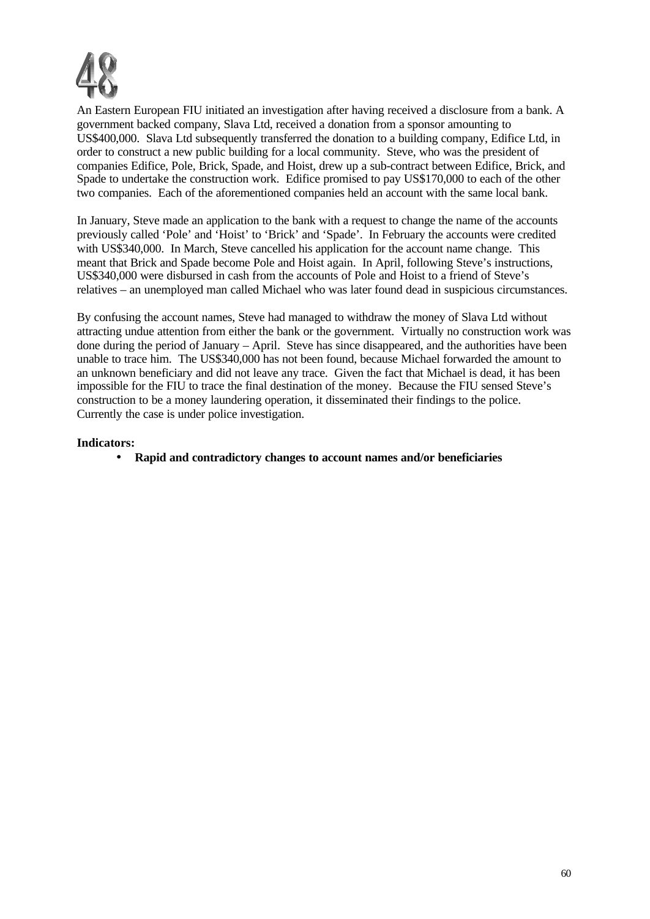

An Eastern European FIU initiated an investigation after having received a disclosure from a bank. A government backed company, Slava Ltd, received a donation from a sponsor amounting to US\$400,000. Slava Ltd subsequently transferred the donation to a building company, Edifice Ltd, in order to construct a new public building for a local community. Steve, who was the president of companies Edifice, Pole, Brick, Spade, and Hoist, drew up a sub-contract between Edifice, Brick, and Spade to undertake the construction work. Edifice promised to pay US\$170,000 to each of the other two companies. Each of the aforementioned companies held an account with the same local bank.

In January, Steve made an application to the bank with a request to change the name of the accounts previously called 'Pole' and 'Hoist' to 'Brick' and 'Spade'. In February the accounts were credited with US\$340,000. In March, Steve cancelled his application for the account name change. This meant that Brick and Spade become Pole and Hoist again. In April, following Steve's instructions, US\$340,000 were disbursed in cash from the accounts of Pole and Hoist to a friend of Steve's relatives – an unemployed man called Michael who was later found dead in suspicious circumstances.

By confusing the account names, Steve had managed to withdraw the money of Slava Ltd without attracting undue attention from either the bank or the government. Virtually no construction work was done during the period of January – April. Steve has since disappeared, and the authorities have been unable to trace him. The US\$340,000 has not been found, because Michael forwarded the amount to an unknown beneficiary and did not leave any trace. Given the fact that Michael is dead, it has been impossible for the FIU to trace the final destination of the money. Because the FIU sensed Steve's construction to be a money laundering operation, it disseminated their findings to the police. Currently the case is under police investigation.

## **Indicators:**

• **Rapid and contradictory changes to account names and/or beneficiaries**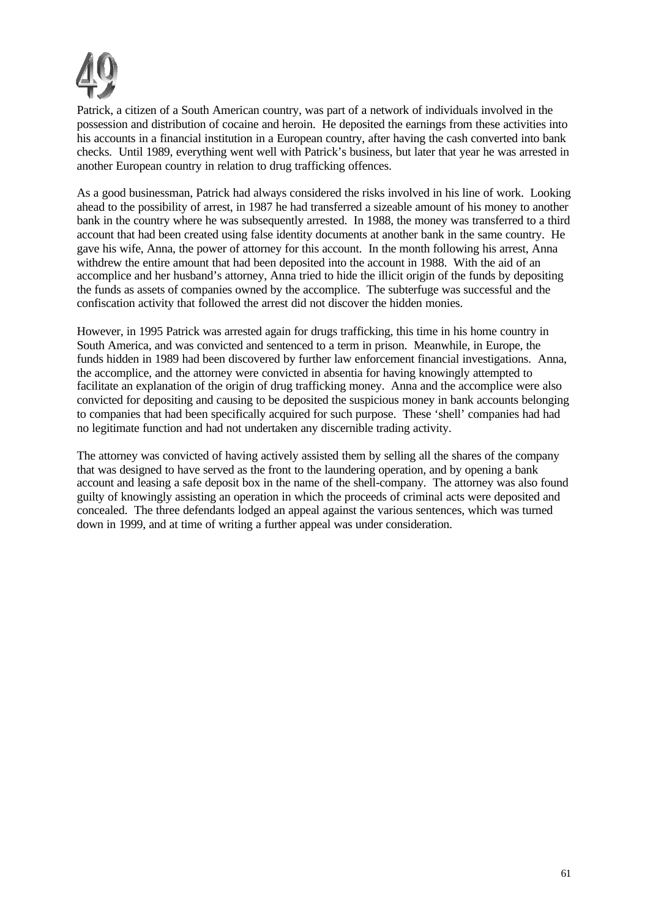

Patrick, a citizen of a South American country, was part of a network of individuals involved in the possession and distribution of cocaine and heroin. He deposited the earnings from these activities into his accounts in a financial institution in a European country, after having the cash converted into bank checks. Until 1989, everything went well with Patrick's business, but later that year he was arrested in another European country in relation to drug trafficking offences.

As a good businessman, Patrick had always considered the risks involved in his line of work. Looking ahead to the possibility of arrest, in 1987 he had transferred a sizeable amount of his money to another bank in the country where he was subsequently arrested. In 1988, the money was transferred to a third account that had been created using false identity documents at another bank in the same country. He gave his wife, Anna, the power of attorney for this account. In the month following his arrest, Anna withdrew the entire amount that had been deposited into the account in 1988. With the aid of an accomplice and her husband's attorney, Anna tried to hide the illicit origin of the funds by depositing the funds as assets of companies owned by the accomplice. The subterfuge was successful and the confiscation activity that followed the arrest did not discover the hidden monies.

However, in 1995 Patrick was arrested again for drugs trafficking, this time in his home country in South America, and was convicted and sentenced to a term in prison. Meanwhile, in Europe, the funds hidden in 1989 had been discovered by further law enforcement financial investigations. Anna, the accomplice, and the attorney were convicted in absentia for having knowingly attempted to facilitate an explanation of the origin of drug trafficking money. Anna and the accomplice were also convicted for depositing and causing to be deposited the suspicious money in bank accounts belonging to companies that had been specifically acquired for such purpose. These 'shell' companies had had no legitimate function and had not undertaken any discernible trading activity.

The attorney was convicted of having actively assisted them by selling all the shares of the company that was designed to have served as the front to the laundering operation, and by opening a bank account and leasing a safe deposit box in the name of the shell-company. The attorney was also found guilty of knowingly assisting an operation in which the proceeds of criminal acts were deposited and concealed. The three defendants lodged an appeal against the various sentences, which was turned down in 1999, and at time of writing a further appeal was under consideration.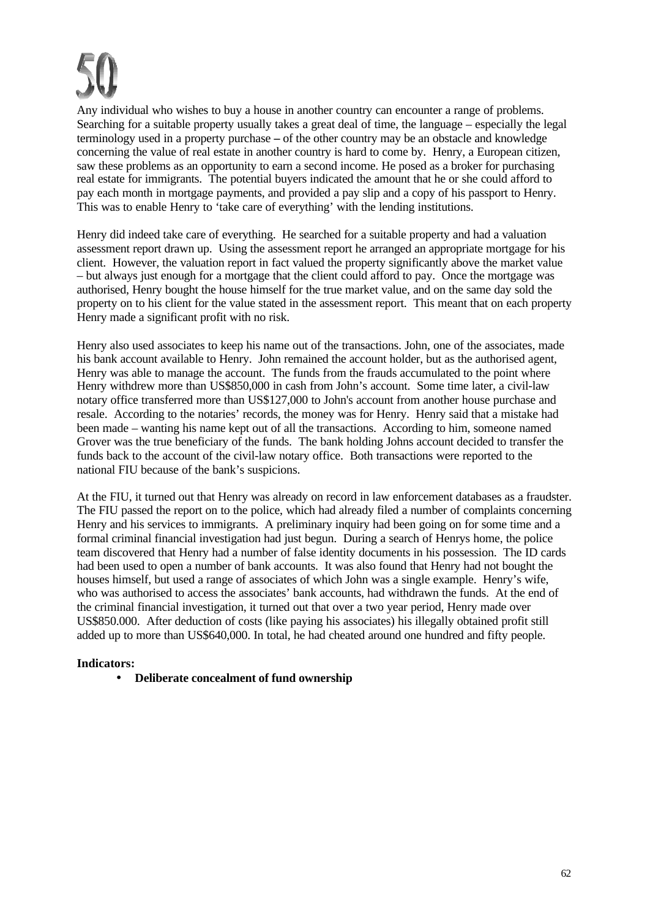Any individual who wishes to buy a house in another country can encounter a range of problems. Searching for a suitable property usually takes a great deal of time, the language – especially the legal terminology used in a property purchase **–** of the other country may be an obstacle and knowledge concerning the value of real estate in another country is hard to come by. Henry, a European citizen, saw these problems as an opportunity to earn a second income. He posed as a broker for purchasing real estate for immigrants. The potential buyers indicated the amount that he or she could afford to pay each month in mortgage payments, and provided a pay slip and a copy of his passport to Henry. This was to enable Henry to 'take care of everything' with the lending institutions.

Henry did indeed take care of everything. He searched for a suitable property and had a valuation assessment report drawn up. Using the assessment report he arranged an appropriate mortgage for his client. However, the valuation report in fact valued the property significantly above the market value – but always just enough for a mortgage that the client could afford to pay. Once the mortgage was authorised, Henry bought the house himself for the true market value, and on the same day sold the property on to his client for the value stated in the assessment report. This meant that on each property Henry made a significant profit with no risk.

Henry also used associates to keep his name out of the transactions. John, one of the associates, made his bank account available to Henry. John remained the account holder, but as the authorised agent, Henry was able to manage the account. The funds from the frauds accumulated to the point where Henry withdrew more than US\$850,000 in cash from John's account. Some time later, a civil-law notary office transferred more than US\$127,000 to John's account from another house purchase and resale. According to the notaries' records, the money was for Henry. Henry said that a mistake had been made – wanting his name kept out of all the transactions. According to him, someone named Grover was the true beneficiary of the funds. The bank holding Johns account decided to transfer the funds back to the account of the civil-law notary office. Both transactions were reported to the national FIU because of the bank's suspicions.

At the FIU, it turned out that Henry was already on record in law enforcement databases as a fraudster. The FIU passed the report on to the police, which had already filed a number of complaints concerning Henry and his services to immigrants. A preliminary inquiry had been going on for some time and a formal criminal financial investigation had just begun. During a search of Henrys home, the police team discovered that Henry had a number of false identity documents in his possession. The ID cards had been used to open a number of bank accounts. It was also found that Henry had not bought the houses himself, but used a range of associates of which John was a single example. Henry's wife, who was authorised to access the associates' bank accounts, had withdrawn the funds. At the end of the criminal financial investigation, it turned out that over a two year period, Henry made over US\$850.000. After deduction of costs (like paying his associates) his illegally obtained profit still added up to more than US\$640,000. In total, he had cheated around one hundred and fifty people.

# **Indicators:**

• **Deliberate concealment of fund ownership**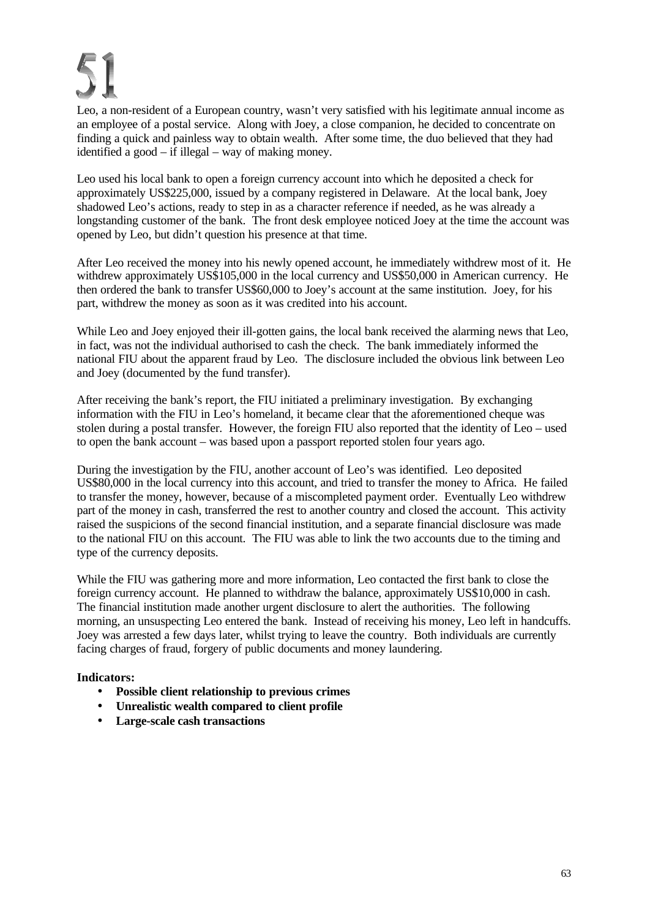Leo, a non-resident of a European country, wasn't very satisfied with his legitimate annual income as an employee of a postal service. Along with Joey, a close companion, he decided to concentrate on finding a quick and painless way to obtain wealth. After some time, the duo believed that they had identified a good – if illegal – way of making money.

Leo used his local bank to open a foreign currency account into which he deposited a check for approximately US\$225,000, issued by a company registered in Delaware. At the local bank, Joey shadowed Leo's actions, ready to step in as a character reference if needed, as he was already a longstanding customer of the bank. The front desk employee noticed Joey at the time the account was opened by Leo, but didn't question his presence at that time.

After Leo received the money into his newly opened account, he immediately withdrew most of it. He withdrew approximately US\$105,000 in the local currency and US\$50,000 in American currency. He then ordered the bank to transfer US\$60,000 to Joey's account at the same institution. Joey, for his part, withdrew the money as soon as it was credited into his account.

While Leo and Joey enjoyed their ill-gotten gains, the local bank received the alarming news that Leo, in fact, was not the individual authorised to cash the check. The bank immediately informed the national FIU about the apparent fraud by Leo. The disclosure included the obvious link between Leo and Joey (documented by the fund transfer).

After receiving the bank's report, the FIU initiated a preliminary investigation. By exchanging information with the FIU in Leo's homeland, it became clear that the aforementioned cheque was stolen during a postal transfer. However, the foreign FIU also reported that the identity of Leo – used to open the bank account – was based upon a passport reported stolen four years ago.

During the investigation by the FIU, another account of Leo's was identified. Leo deposited US\$80,000 in the local currency into this account, and tried to transfer the money to Africa. He failed to transfer the money, however, because of a miscompleted payment order. Eventually Leo withdrew part of the money in cash, transferred the rest to another country and closed the account. This activity raised the suspicions of the second financial institution, and a separate financial disclosure was made to the national FIU on this account. The FIU was able to link the two accounts due to the timing and type of the currency deposits.

While the FIU was gathering more and more information, Leo contacted the first bank to close the foreign currency account. He planned to withdraw the balance, approximately US\$10,000 in cash. The financial institution made another urgent disclosure to alert the authorities. The following morning, an unsuspecting Leo entered the bank. Instead of receiving his money, Leo left in handcuffs. Joey was arrested a few days later, whilst trying to leave the country. Both individuals are currently facing charges of fraud, forgery of public documents and money laundering.

- **Possible client relationship to previous crimes**
- **Unrealistic wealth compared to client profile**
- **Large-scale cash transactions**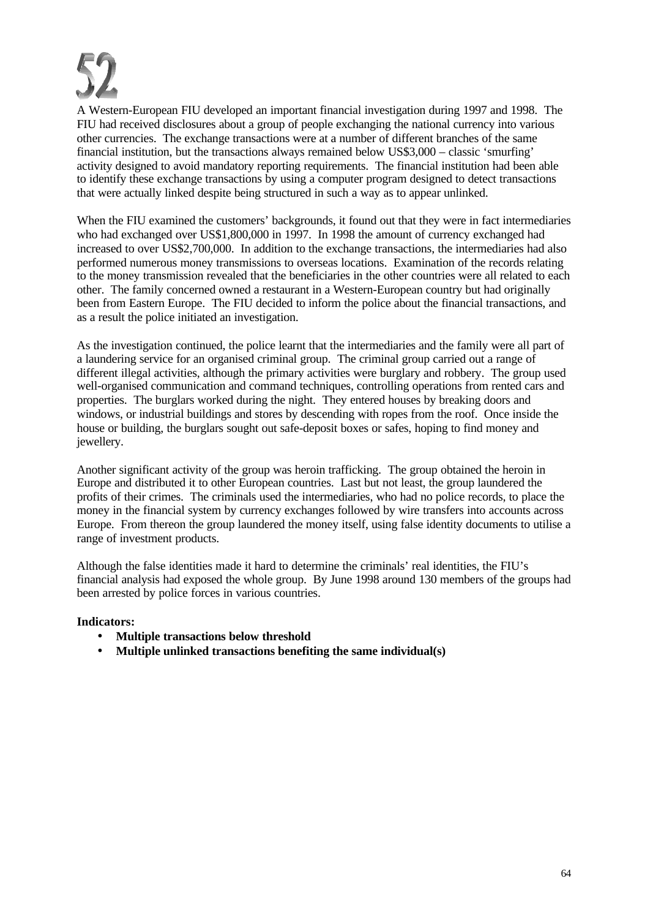

A Western-European FIU developed an important financial investigation during 1997 and 1998. The FIU had received disclosures about a group of people exchanging the national currency into various other currencies. The exchange transactions were at a number of different branches of the same financial institution, but the transactions always remained below US\$3,000 – classic 'smurfing' activity designed to avoid mandatory reporting requirements. The financial institution had been able to identify these exchange transactions by using a computer program designed to detect transactions that were actually linked despite being structured in such a way as to appear unlinked.

When the FIU examined the customers' backgrounds, it found out that they were in fact intermediaries who had exchanged over US\$1,800,000 in 1997. In 1998 the amount of currency exchanged had increased to over US\$2,700,000. In addition to the exchange transactions, the intermediaries had also performed numerous money transmissions to overseas locations. Examination of the records relating to the money transmission revealed that the beneficiaries in the other countries were all related to each other. The family concerned owned a restaurant in a Western-European country but had originally been from Eastern Europe. The FIU decided to inform the police about the financial transactions, and as a result the police initiated an investigation.

As the investigation continued, the police learnt that the intermediaries and the family were all part of a laundering service for an organised criminal group. The criminal group carried out a range of different illegal activities, although the primary activities were burglary and robbery. The group used well-organised communication and command techniques, controlling operations from rented cars and properties. The burglars worked during the night. They entered houses by breaking doors and windows, or industrial buildings and stores by descending with ropes from the roof. Once inside the house or building, the burglars sought out safe-deposit boxes or safes, hoping to find money and jewellery.

Another significant activity of the group was heroin trafficking. The group obtained the heroin in Europe and distributed it to other European countries. Last but not least, the group laundered the profits of their crimes. The criminals used the intermediaries, who had no police records, to place the money in the financial system by currency exchanges followed by wire transfers into accounts across Europe. From thereon the group laundered the money itself, using false identity documents to utilise a range of investment products.

Although the false identities made it hard to determine the criminals' real identities, the FIU's financial analysis had exposed the whole group. By June 1998 around 130 members of the groups had been arrested by police forces in various countries.

- **Multiple transactions below threshold**
- **Multiple unlinked transactions benefiting the same individual(s)**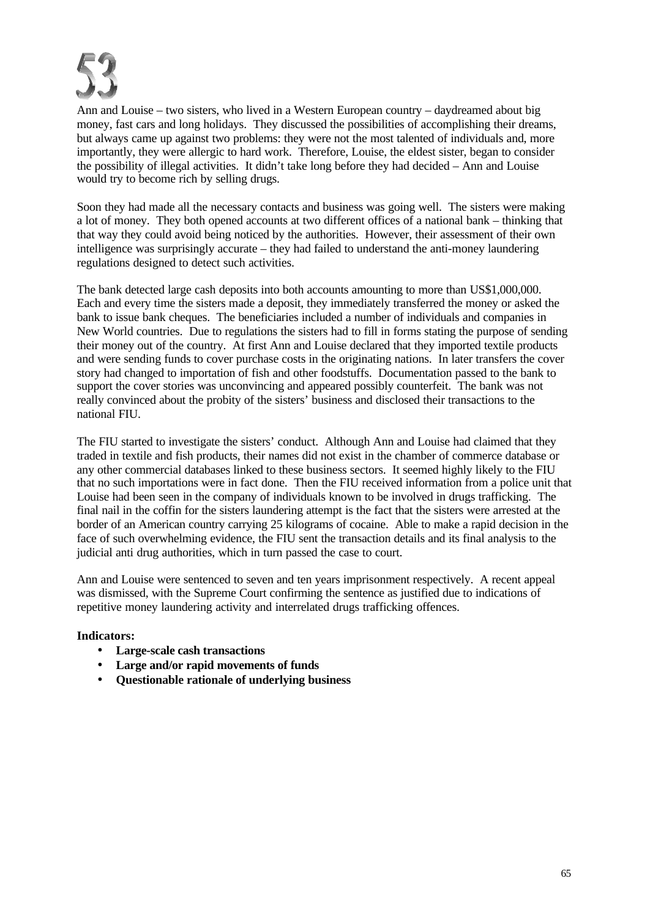

Ann and Louise – two sisters, who lived in a Western European country – daydreamed about big money, fast cars and long holidays. They discussed the possibilities of accomplishing their dreams, but always came up against two problems: they were not the most talented of individuals and, more importantly, they were allergic to hard work. Therefore, Louise, the eldest sister, began to consider the possibility of illegal activities. It didn't take long before they had decided – Ann and Louise would try to become rich by selling drugs.

Soon they had made all the necessary contacts and business was going well. The sisters were making a lot of money. They both opened accounts at two different offices of a national bank – thinking that that way they could avoid being noticed by the authorities. However, their assessment of their own intelligence was surprisingly accurate – they had failed to understand the anti-money laundering regulations designed to detect such activities.

The bank detected large cash deposits into both accounts amounting to more than US\$1,000,000. Each and every time the sisters made a deposit, they immediately transferred the money or asked the bank to issue bank cheques. The beneficiaries included a number of individuals and companies in New World countries. Due to regulations the sisters had to fill in forms stating the purpose of sending their money out of the country. At first Ann and Louise declared that they imported textile products and were sending funds to cover purchase costs in the originating nations. In later transfers the cover story had changed to importation of fish and other foodstuffs. Documentation passed to the bank to support the cover stories was unconvincing and appeared possibly counterfeit. The bank was not really convinced about the probity of the sisters' business and disclosed their transactions to the national FIU.

The FIU started to investigate the sisters' conduct. Although Ann and Louise had claimed that they traded in textile and fish products, their names did not exist in the chamber of commerce database or any other commercial databases linked to these business sectors. It seemed highly likely to the FIU that no such importations were in fact done. Then the FIU received information from a police unit that Louise had been seen in the company of individuals known to be involved in drugs trafficking. The final nail in the coffin for the sisters laundering attempt is the fact that the sisters were arrested at the border of an American country carrying 25 kilograms of cocaine. Able to make a rapid decision in the face of such overwhelming evidence, the FIU sent the transaction details and its final analysis to the judicial anti drug authorities, which in turn passed the case to court.

Ann and Louise were sentenced to seven and ten years imprisonment respectively. A recent appeal was dismissed, with the Supreme Court confirming the sentence as justified due to indications of repetitive money laundering activity and interrelated drugs trafficking offences.

- **Large-scale cash transactions**
- **Large and/or rapid movements of funds**
- **Questionable rationale of underlying business**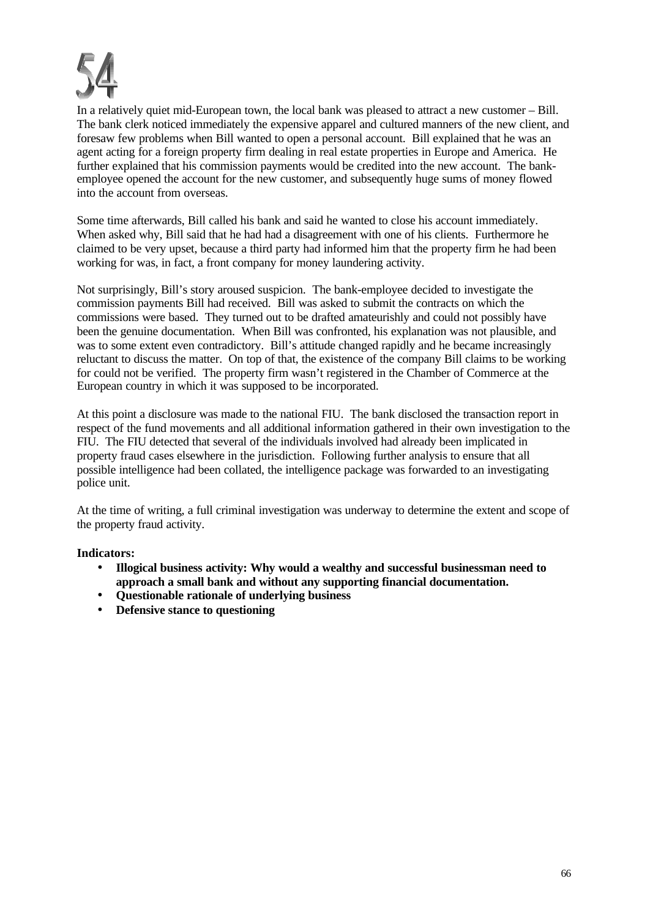

In a relatively quiet mid-European town, the local bank was pleased to attract a new customer – Bill. The bank clerk noticed immediately the expensive apparel and cultured manners of the new client, and foresaw few problems when Bill wanted to open a personal account. Bill explained that he was an agent acting for a foreign property firm dealing in real estate properties in Europe and America. He further explained that his commission payments would be credited into the new account. The bankemployee opened the account for the new customer, and subsequently huge sums of money flowed into the account from overseas.

Some time afterwards, Bill called his bank and said he wanted to close his account immediately. When asked why, Bill said that he had had a disagreement with one of his clients. Furthermore he claimed to be very upset, because a third party had informed him that the property firm he had been working for was, in fact, a front company for money laundering activity.

Not surprisingly, Bill's story aroused suspicion. The bank-employee decided to investigate the commission payments Bill had received. Bill was asked to submit the contracts on which the commissions were based. They turned out to be drafted amateurishly and could not possibly have been the genuine documentation. When Bill was confronted, his explanation was not plausible, and was to some extent even contradictory. Bill's attitude changed rapidly and he became increasingly reluctant to discuss the matter. On top of that, the existence of the company Bill claims to be working for could not be verified. The property firm wasn't registered in the Chamber of Commerce at the European country in which it was supposed to be incorporated.

At this point a disclosure was made to the national FIU. The bank disclosed the transaction report in respect of the fund movements and all additional information gathered in their own investigation to the FIU. The FIU detected that several of the individuals involved had already been implicated in property fraud cases elsewhere in the jurisdiction. Following further analysis to ensure that all possible intelligence had been collated, the intelligence package was forwarded to an investigating police unit.

At the time of writing, a full criminal investigation was underway to determine the extent and scope of the property fraud activity.

- **Illogical business activity: Why would a wealthy and successful businessman need to approach a small bank and without any supporting financial documentation.**
- **Questionable rationale of underlying business**
- **Defensive stance to questioning**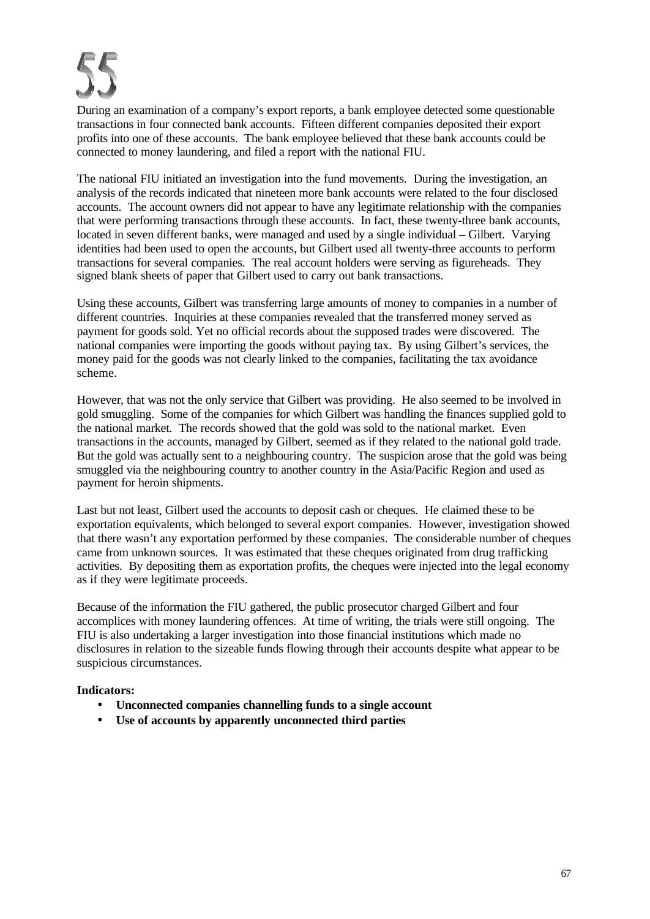During an examination of a company's export reports, a bank employee detected some questionable transactions in four connected bank accounts. Fifteen different companies deposited their export profits into one of these accounts. The bank employee believed that these bank accounts could be connected to money laundering, and filed a report with the national FIU.

The national FIU initiated an investigation into the fund movements. During the investigation, an analysis of the records indicated that nineteen more bank accounts were related to the four disclosed accounts. The account owners did not appear to have any legitimate relationship with the companies that were performing transactions through these accounts. In fact, these twenty-three bank accounts, located in seven different banks, were managed and used by a single individual – Gilbert. Varying identities had been used to open the accounts, but Gilbert used all twenty-three accounts to perform transactions for several companies. The real account holders were serving as figureheads. They signed blank sheets of paper that Gilbert used to carry out bank transactions.

Using these accounts, Gilbert was transferring large amounts of money to companies in a number of different countries. Inquiries at these companies revealed that the transferred money served as payment for goods sold. Yet no official records about the supposed trades were discovered. The national companies were importing the goods without paying tax. By using Gilbert's services, the money paid for the goods was not clearly linked to the companies, facilitating the tax avoidance scheme.

However, that was not the only service that Gilbert was providing. He also seemed to be involved in gold smuggling. Some of the companies for which Gilbert was handling the finances supplied gold to the national market. The records showed that the gold was sold to the national market. Even transactions in the accounts, managed by Gilbert, seemed as if they related to the national gold trade. But the gold was actually sent to a neighbouring country. The suspicion arose that the gold was being smuggled via the neighbouring country to another country in the Asia/Pacific Region and used as payment for heroin shipments.

Last but not least, Gilbert used the accounts to deposit cash or cheques. He claimed these to be exportation equivalents, which belonged to several export companies. However, investigation showed that there wasn't any exportation performed by these companies. The considerable number of cheques came from unknown sources. It was estimated that these cheques originated from drug trafficking activities. By depositing them as exportation profits, the cheques were injected into the legal economy as if they were legitimate proceeds.

Because of the information the FIU gathered, the public prosecutor charged Gilbert and four accomplices with money laundering offences. At time of writing, the trials were still ongoing. The FIU is also undertaking a larger investigation into those financial institutions which made no disclosures in relation to the sizeable funds flowing through their accounts despite what appear to be suspicious circumstances.

- **Unconnected companies channelling funds to a single account**
- **Use of accounts by apparently unconnected third parties**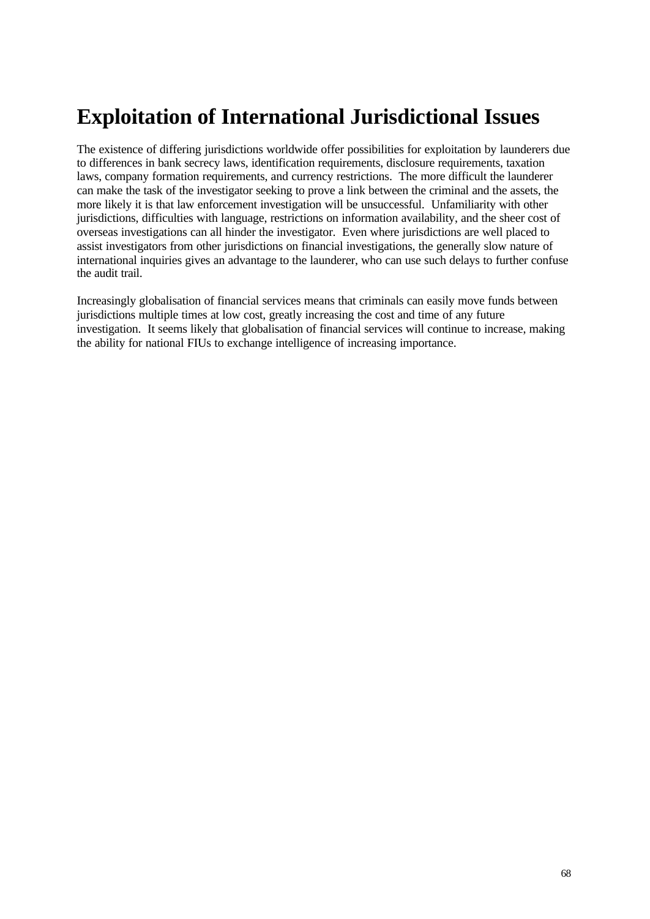# **Exploitation of International Jurisdictional Issues**

The existence of differing jurisdictions worldwide offer possibilities for exploitation by launderers due to differences in bank secrecy laws, identification requirements, disclosure requirements, taxation laws, company formation requirements, and currency restrictions. The more difficult the launderer can make the task of the investigator seeking to prove a link between the criminal and the assets, the more likely it is that law enforcement investigation will be unsuccessful. Unfamiliarity with other jurisdictions, difficulties with language, restrictions on information availability, and the sheer cost of overseas investigations can all hinder the investigator. Even where jurisdictions are well placed to assist investigators from other jurisdictions on financial investigations, the generally slow nature of international inquiries gives an advantage to the launderer, who can use such delays to further confuse the audit trail.

Increasingly globalisation of financial services means that criminals can easily move funds between jurisdictions multiple times at low cost, greatly increasing the cost and time of any future investigation. It seems likely that globalisation of financial services will continue to increase, making the ability for national FIUs to exchange intelligence of increasing importance.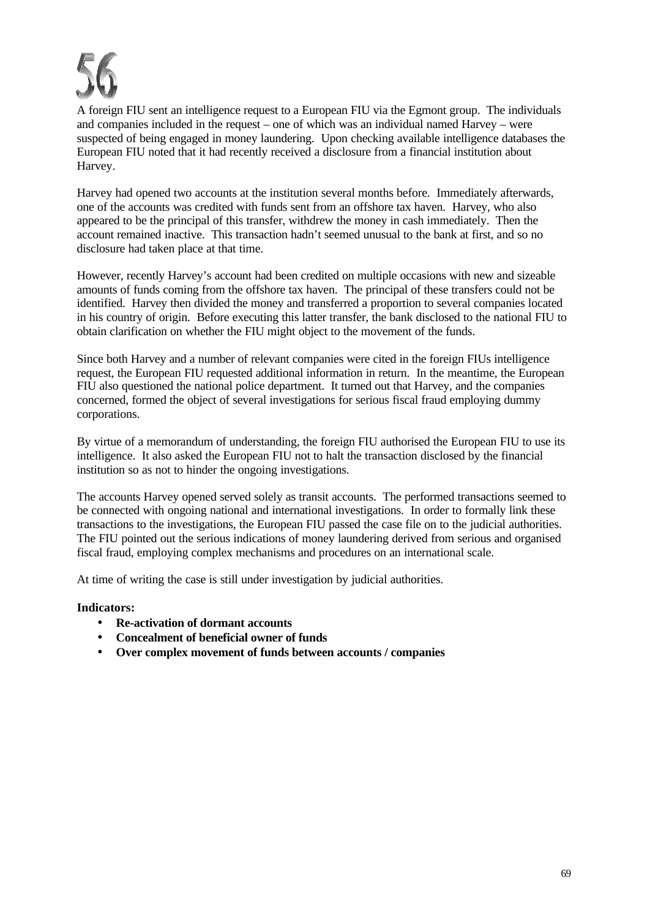

A foreign FIU sent an intelligence request to a European FIU via the Egmont group. The individuals and companies included in the request – one of which was an individual named Harvey – were suspected of being engaged in money laundering. Upon checking available intelligence databases the European FIU noted that it had recently received a disclosure from a financial institution about Harvey.

Harvey had opened two accounts at the institution several months before. Immediately afterwards, one of the accounts was credited with funds sent from an offshore tax haven. Harvey, who also appeared to be the principal of this transfer, withdrew the money in cash immediately. Then the account remained inactive. This transaction hadn't seemed unusual to the bank at first, and so no disclosure had taken place at that time.

However, recently Harvey's account had been credited on multiple occasions with new and sizeable amounts of funds coming from the offshore tax haven. The principal of these transfers could not be identified. Harvey then divided the money and transferred a proportion to several companies located in his country of origin. Before executing this latter transfer, the bank disclosed to the national FIU to obtain clarification on whether the FIU might object to the movement of the funds.

Since both Harvey and a number of relevant companies were cited in the foreign FIUs intelligence request, the European FIU requested additional information in return. In the meantime, the European FIU also questioned the national police department. It turned out that Harvey, and the companies concerned, formed the object of several investigations for serious fiscal fraud employing dummy corporations.

By virtue of a memorandum of understanding, the foreign FIU authorised the European FIU to use its intelligence. It also asked the European FIU not to halt the transaction disclosed by the financial institution so as not to hinder the ongoing investigations.

The accounts Harvey opened served solely as transit accounts. The performed transactions seemed to be connected with ongoing national and international investigations. In order to formally link these transactions to the investigations, the European FIU passed the case file on to the judicial authorities. The FIU pointed out the serious indications of money laundering derived from serious and organised fiscal fraud, employing complex mechanisms and procedures on an international scale.

At time of writing the case is still under investigation by judicial authorities.

- **Re-activation of dormant accounts**
- **Concealment of beneficial owner of funds**
- **Over complex movement of funds between accounts / companies**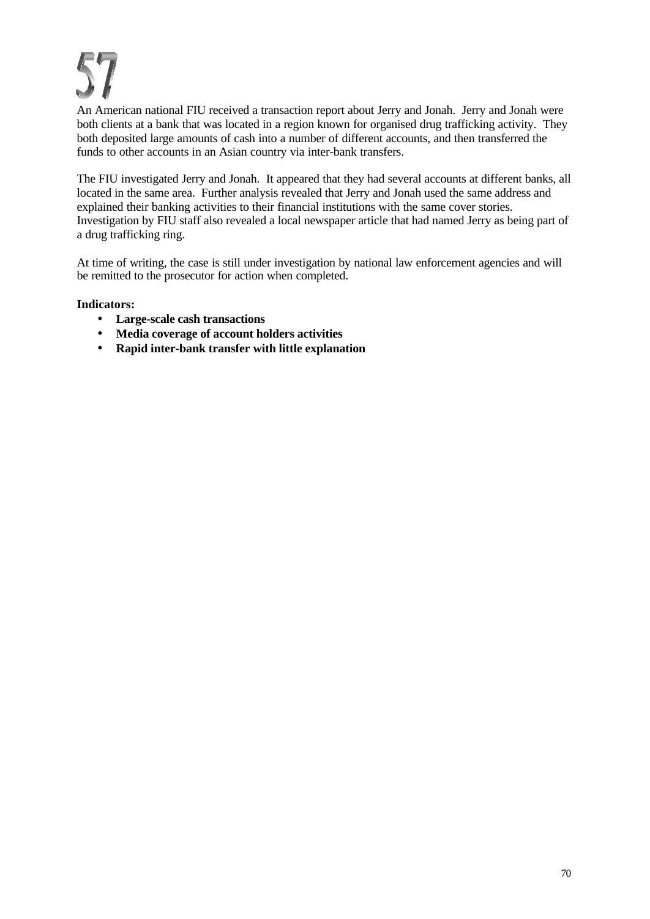An American national FIU received a transaction report about Jerry and Jonah. Jerry and Jonah were both clients at a bank that was located in a region known for organised drug trafficking activity. They both deposited large amounts of cash into a number of different accounts, and then transferred the funds to other accounts in an Asian country via inter-bank transfers.

The FIU investigated Jerry and Jonah. It appeared that they had several accounts at different banks, all located in the same area. Further analysis revealed that Jerry and Jonah used the same address and explained their banking activities to their financial institutions with the same cover stories. Investigation by FIU staff also revealed a local newspaper article that had named Jerry as being part of a drug trafficking ring.

At time of writing, the case is still under investigation by national law enforcement agencies and will be remitted to the prosecutor for action when completed.

- **Large-scale cash transactions**
- **Media coverage of account holders activities**
- **Rapid inter-bank transfer with little explanation**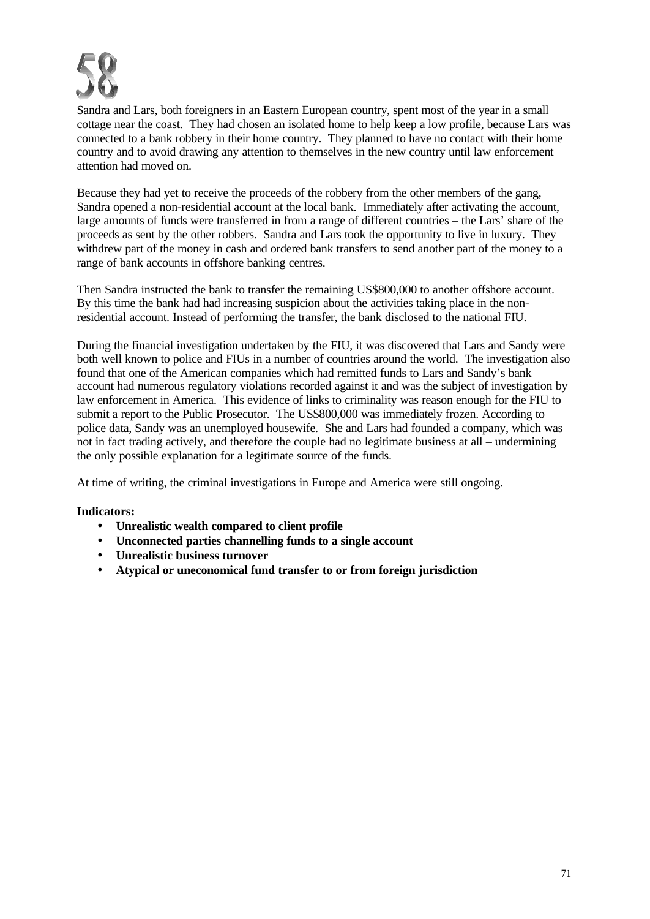

Sandra and Lars, both foreigners in an Eastern European country, spent most of the year in a small cottage near the coast. They had chosen an isolated home to help keep a low profile, because Lars was connected to a bank robbery in their home country. They planned to have no contact with their home country and to avoid drawing any attention to themselves in the new country until law enforcement attention had moved on.

Because they had yet to receive the proceeds of the robbery from the other members of the gang, Sandra opened a non-residential account at the local bank. Immediately after activating the account, large amounts of funds were transferred in from a range of different countries – the Lars' share of the proceeds as sent by the other robbers. Sandra and Lars took the opportunity to live in luxury. They withdrew part of the money in cash and ordered bank transfers to send another part of the money to a range of bank accounts in offshore banking centres.

Then Sandra instructed the bank to transfer the remaining US\$800,000 to another offshore account. By this time the bank had had increasing suspicion about the activities taking place in the nonresidential account. Instead of performing the transfer, the bank disclosed to the national FIU.

During the financial investigation undertaken by the FIU, it was discovered that Lars and Sandy were both well known to police and FIUs in a number of countries around the world. The investigation also found that one of the American companies which had remitted funds to Lars and Sandy's bank account had numerous regulatory violations recorded against it and was the subject of investigation by law enforcement in America. This evidence of links to criminality was reason enough for the FIU to submit a report to the Public Prosecutor. The US\$800,000 was immediately frozen. According to police data, Sandy was an unemployed housewife. She and Lars had founded a company, which was not in fact trading actively, and therefore the couple had no legitimate business at all – undermining the only possible explanation for a legitimate source of the funds.

At time of writing, the criminal investigations in Europe and America were still ongoing.

- **Unrealistic wealth compared to client profile**
- **Unconnected parties channelling funds to a single account**
- **Unrealistic business turnover**
- **Atypical or uneconomical fund transfer to or from foreign jurisdiction**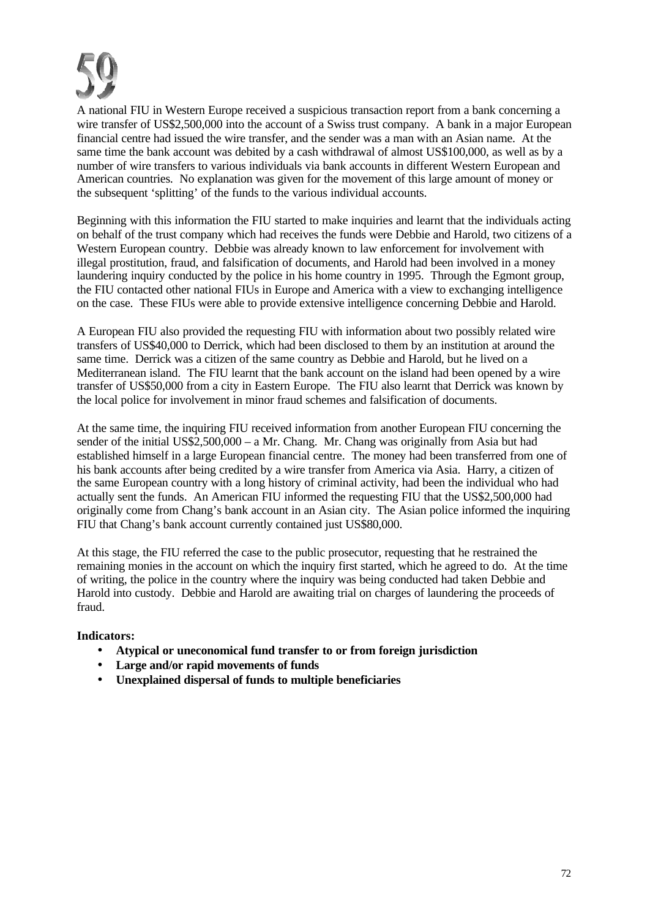

A national FIU in Western Europe received a suspicious transaction report from a bank concerning a wire transfer of US\$2,500,000 into the account of a Swiss trust company. A bank in a major European financial centre had issued the wire transfer, and the sender was a man with an Asian name. At the same time the bank account was debited by a cash withdrawal of almost US\$100,000, as well as by a number of wire transfers to various individuals via bank accounts in different Western European and American countries. No explanation was given for the movement of this large amount of money or the subsequent 'splitting' of the funds to the various individual accounts.

Beginning with this information the FIU started to make inquiries and learnt that the individuals acting on behalf of the trust company which had receives the funds were Debbie and Harold, two citizens of a Western European country. Debbie was already known to law enforcement for involvement with illegal prostitution, fraud, and falsification of documents, and Harold had been involved in a money laundering inquiry conducted by the police in his home country in 1995. Through the Egmont group, the FIU contacted other national FIUs in Europe and America with a view to exchanging intelligence on the case. These FIUs were able to provide extensive intelligence concerning Debbie and Harold.

A European FIU also provided the requesting FIU with information about two possibly related wire transfers of US\$40,000 to Derrick, which had been disclosed to them by an institution at around the same time. Derrick was a citizen of the same country as Debbie and Harold, but he lived on a Mediterranean island. The FIU learnt that the bank account on the island had been opened by a wire transfer of US\$50,000 from a city in Eastern Europe. The FIU also learnt that Derrick was known by the local police for involvement in minor fraud schemes and falsification of documents.

At the same time, the inquiring FIU received information from another European FIU concerning the sender of the initial US\$2,500,000 – a Mr. Chang. Mr. Chang was originally from Asia but had established himself in a large European financial centre. The money had been transferred from one of his bank accounts after being credited by a wire transfer from America via Asia. Harry, a citizen of the same European country with a long history of criminal activity, had been the individual who had actually sent the funds. An American FIU informed the requesting FIU that the US\$2,500,000 had originally come from Chang's bank account in an Asian city. The Asian police informed the inquiring FIU that Chang's bank account currently contained just US\$80,000.

At this stage, the FIU referred the case to the public prosecutor, requesting that he restrained the remaining monies in the account on which the inquiry first started, which he agreed to do. At the time of writing, the police in the country where the inquiry was being conducted had taken Debbie and Harold into custody. Debbie and Harold are awaiting trial on charges of laundering the proceeds of fraud.

- **Atypical or uneconomical fund transfer to or from foreign jurisdiction**
- **Large and/or rapid movements of funds**
- **Unexplained dispersal of funds to multiple beneficiaries**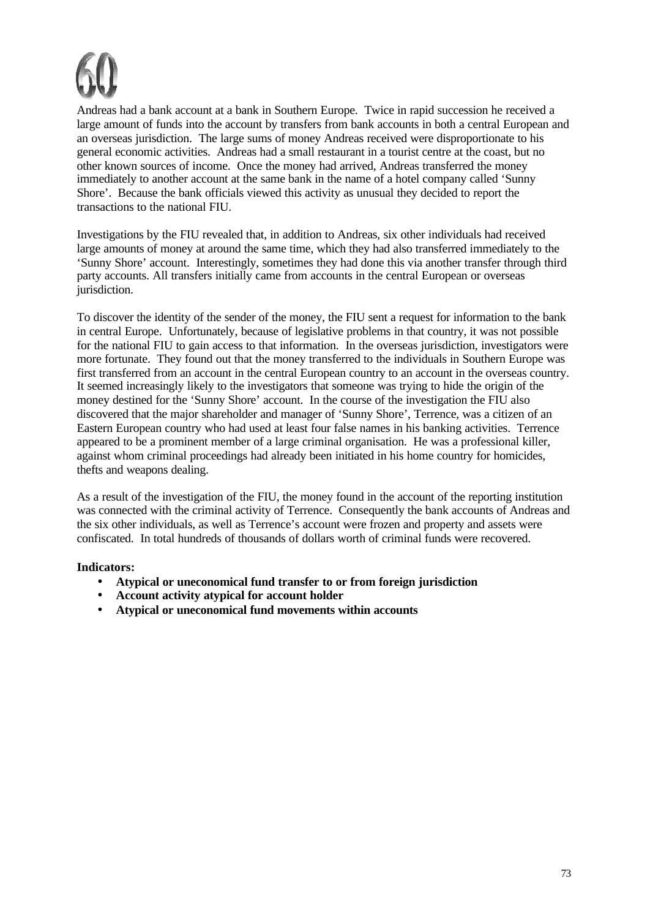

Andreas had a bank account at a bank in Southern Europe. Twice in rapid succession he received a large amount of funds into the account by transfers from bank accounts in both a central European and an overseas jurisdiction. The large sums of money Andreas received were disproportionate to his general economic activities. Andreas had a small restaurant in a tourist centre at the coast, but no other known sources of income. Once the money had arrived, Andreas transferred the money immediately to another account at the same bank in the name of a hotel company called 'Sunny Shore'. Because the bank officials viewed this activity as unusual they decided to report the transactions to the national FIU.

Investigations by the FIU revealed that, in addition to Andreas, six other individuals had received large amounts of money at around the same time, which they had also transferred immediately to the 'Sunny Shore' account. Interestingly, sometimes they had done this via another transfer through third party accounts. All transfers initially came from accounts in the central European or overseas jurisdiction.

To discover the identity of the sender of the money, the FIU sent a request for information to the bank in central Europe. Unfortunately, because of legislative problems in that country, it was not possible for the national FIU to gain access to that information. In the overseas jurisdiction, investigators were more fortunate. They found out that the money transferred to the individuals in Southern Europe was first transferred from an account in the central European country to an account in the overseas country. It seemed increasingly likely to the investigators that someone was trying to hide the origin of the money destined for the 'Sunny Shore' account. In the course of the investigation the FIU also discovered that the major shareholder and manager of 'Sunny Shore', Terrence, was a citizen of an Eastern European country who had used at least four false names in his banking activities. Terrence appeared to be a prominent member of a large criminal organisation. He was a professional killer, against whom criminal proceedings had already been initiated in his home country for homicides, thefts and weapons dealing.

As a result of the investigation of the FIU, the money found in the account of the reporting institution was connected with the criminal activity of Terrence. Consequently the bank accounts of Andreas and the six other individuals, as well as Terrence's account were frozen and property and assets were confiscated. In total hundreds of thousands of dollars worth of criminal funds were recovered.

- **Atypical or uneconomical fund transfer to or from foreign jurisdiction**
- **Account activity atypical for account holder**
- **Atypical or uneconomical fund movements within accounts**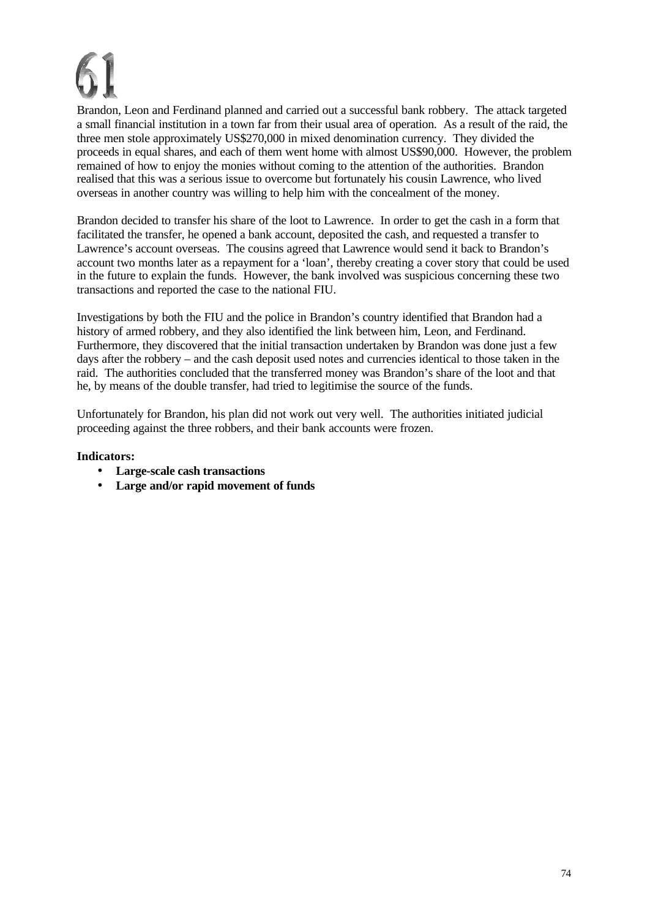Brandon, Leon and Ferdinand planned and carried out a successful bank robbery. The attack targeted a small financial institution in a town far from their usual area of operation. As a result of the raid, the three men stole approximately US\$270,000 in mixed denomination currency. They divided the proceeds in equal shares, and each of them went home with almost US\$90,000. However, the problem remained of how to enjoy the monies without coming to the attention of the authorities. Brandon realised that this was a serious issue to overcome but fortunately his cousin Lawrence, who lived overseas in another country was willing to help him with the concealment of the money.

Brandon decided to transfer his share of the loot to Lawrence. In order to get the cash in a form that facilitated the transfer, he opened a bank account, deposited the cash, and requested a transfer to Lawrence's account overseas. The cousins agreed that Lawrence would send it back to Brandon's account two months later as a repayment for a 'loan', thereby creating a cover story that could be used in the future to explain the funds. However, the bank involved was suspicious concerning these two transactions and reported the case to the national FIU.

Investigations by both the FIU and the police in Brandon's country identified that Brandon had a history of armed robbery, and they also identified the link between him, Leon, and Ferdinand. Furthermore, they discovered that the initial transaction undertaken by Brandon was done just a few days after the robbery – and the cash deposit used notes and currencies identical to those taken in the raid. The authorities concluded that the transferred money was Brandon's share of the loot and that he, by means of the double transfer, had tried to legitimise the source of the funds.

Unfortunately for Brandon, his plan did not work out very well. The authorities initiated judicial proceeding against the three robbers, and their bank accounts were frozen.

- **Large-scale cash transactions**
- **Large and/or rapid movement of funds**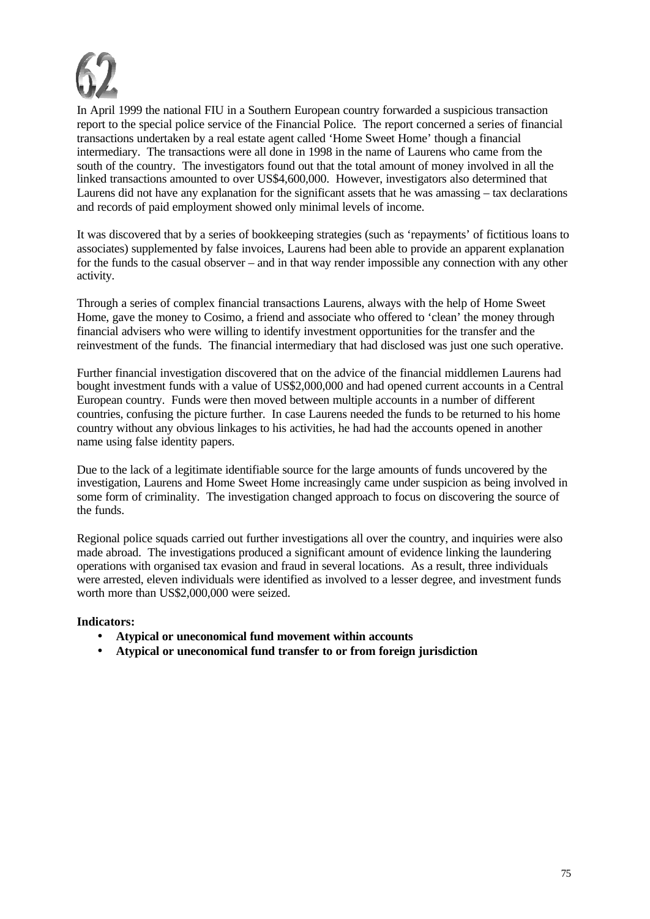

In April 1999 the national FIU in a Southern European country forwarded a suspicious transaction report to the special police service of the Financial Police. The report concerned a series of financial transactions undertaken by a real estate agent called 'Home Sweet Home' though a financial intermediary. The transactions were all done in 1998 in the name of Laurens who came from the south of the country. The investigators found out that the total amount of money involved in all the linked transactions amounted to over US\$4,600,000. However, investigators also determined that Laurens did not have any explanation for the significant assets that he was amassing – tax declarations and records of paid employment showed only minimal levels of income.

It was discovered that by a series of bookkeeping strategies (such as 'repayments' of fictitious loans to associates) supplemented by false invoices, Laurens had been able to provide an apparent explanation for the funds to the casual observer – and in that way render impossible any connection with any other activity.

Through a series of complex financial transactions Laurens, always with the help of Home Sweet Home, gave the money to Cosimo, a friend and associate who offered to 'clean' the money through financial advisers who were willing to identify investment opportunities for the transfer and the reinvestment of the funds. The financial intermediary that had disclosed was just one such operative.

Further financial investigation discovered that on the advice of the financial middlemen Laurens had bought investment funds with a value of US\$2,000,000 and had opened current accounts in a Central European country. Funds were then moved between multiple accounts in a number of different countries, confusing the picture further. In case Laurens needed the funds to be returned to his home country without any obvious linkages to his activities, he had had the accounts opened in another name using false identity papers.

Due to the lack of a legitimate identifiable source for the large amounts of funds uncovered by the investigation, Laurens and Home Sweet Home increasingly came under suspicion as being involved in some form of criminality. The investigation changed approach to focus on discovering the source of the funds.

Regional police squads carried out further investigations all over the country, and inquiries were also made abroad. The investigations produced a significant amount of evidence linking the laundering operations with organised tax evasion and fraud in several locations. As a result, three individuals were arrested, eleven individuals were identified as involved to a lesser degree, and investment funds worth more than US\$2,000,000 were seized.

- **Atypical or uneconomical fund movement within accounts**
- **Atypical or uneconomical fund transfer to or from foreign jurisdiction**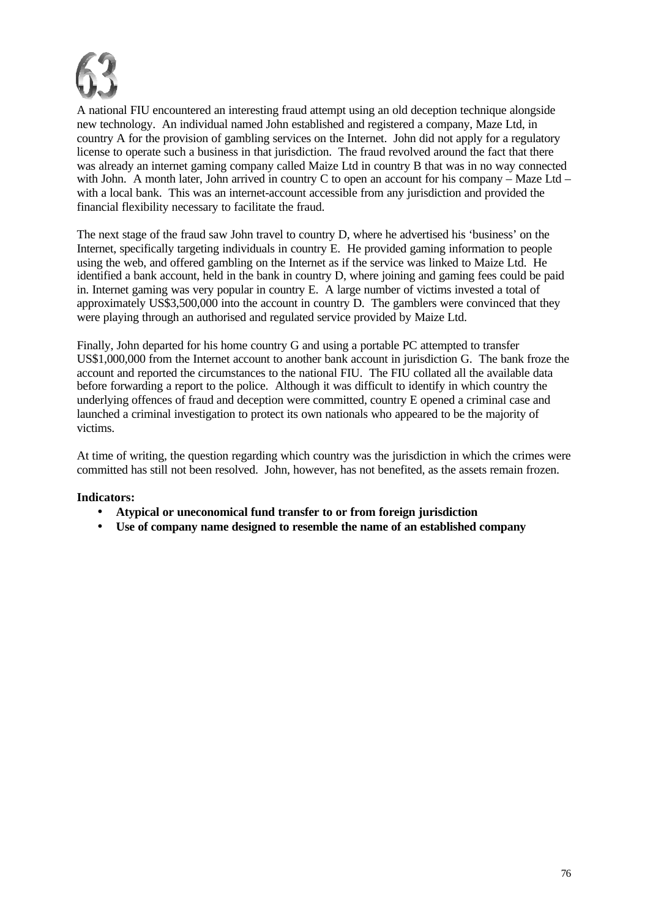

A national FIU encountered an interesting fraud attempt using an old deception technique alongside new technology. An individual named John established and registered a company, Maze Ltd, in country A for the provision of gambling services on the Internet. John did not apply for a regulatory license to operate such a business in that jurisdiction. The fraud revolved around the fact that there was already an internet gaming company called Maize Ltd in country B that was in no way connected with John. A month later, John arrived in country C to open an account for his company – Maze Ltd – with a local bank. This was an internet-account accessible from any jurisdiction and provided the financial flexibility necessary to facilitate the fraud.

The next stage of the fraud saw John travel to country D, where he advertised his 'business' on the Internet, specifically targeting individuals in country E. He provided gaming information to people using the web, and offered gambling on the Internet as if the service was linked to Maize Ltd. He identified a bank account, held in the bank in country D, where joining and gaming fees could be paid in. Internet gaming was very popular in country E. A large number of victims invested a total of approximately US\$3,500,000 into the account in country D. The gamblers were convinced that they were playing through an authorised and regulated service provided by Maize Ltd.

Finally, John departed for his home country G and using a portable PC attempted to transfer US\$1,000,000 from the Internet account to another bank account in jurisdiction G. The bank froze the account and reported the circumstances to the national FIU. The FIU collated all the available data before forwarding a report to the police. Although it was difficult to identify in which country the underlying offences of fraud and deception were committed, country E opened a criminal case and launched a criminal investigation to protect its own nationals who appeared to be the majority of victims.

At time of writing, the question regarding which country was the jurisdiction in which the crimes were committed has still not been resolved. John, however, has not benefited, as the assets remain frozen.

- **Atypical or uneconomical fund transfer to or from foreign jurisdiction**
- **Use of company name designed to resemble the name of an established company**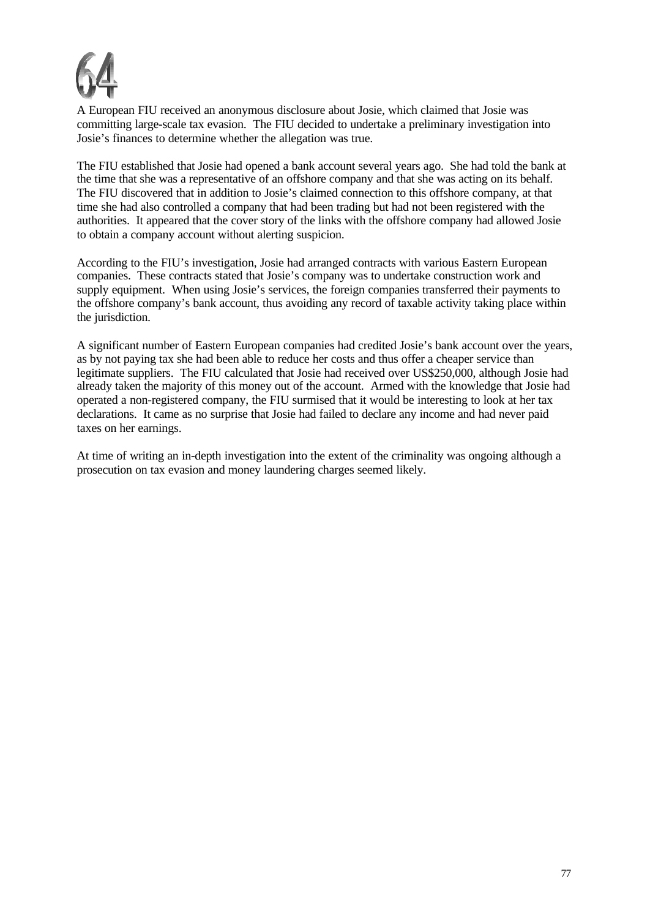

A European FIU received an anonymous disclosure about Josie, which claimed that Josie was committing large-scale tax evasion. The FIU decided to undertake a preliminary investigation into Josie's finances to determine whether the allegation was true.

The FIU established that Josie had opened a bank account several years ago. She had told the bank at the time that she was a representative of an offshore company and that she was acting on its behalf. The FIU discovered that in addition to Josie's claimed connection to this offshore company, at that time she had also controlled a company that had been trading but had not been registered with the authorities. It appeared that the cover story of the links with the offshore company had allowed Josie to obtain a company account without alerting suspicion.

According to the FIU's investigation, Josie had arranged contracts with various Eastern European companies. These contracts stated that Josie's company was to undertake construction work and supply equipment. When using Josie's services, the foreign companies transferred their payments to the offshore company's bank account, thus avoiding any record of taxable activity taking place within the jurisdiction.

A significant number of Eastern European companies had credited Josie's bank account over the years, as by not paying tax she had been able to reduce her costs and thus offer a cheaper service than legitimate suppliers. The FIU calculated that Josie had received over US\$250,000, although Josie had already taken the majority of this money out of the account. Armed with the knowledge that Josie had operated a non-registered company, the FIU surmised that it would be interesting to look at her tax declarations. It came as no surprise that Josie had failed to declare any income and had never paid taxes on her earnings.

At time of writing an in-depth investigation into the extent of the criminality was ongoing although a prosecution on tax evasion and money laundering charges seemed likely.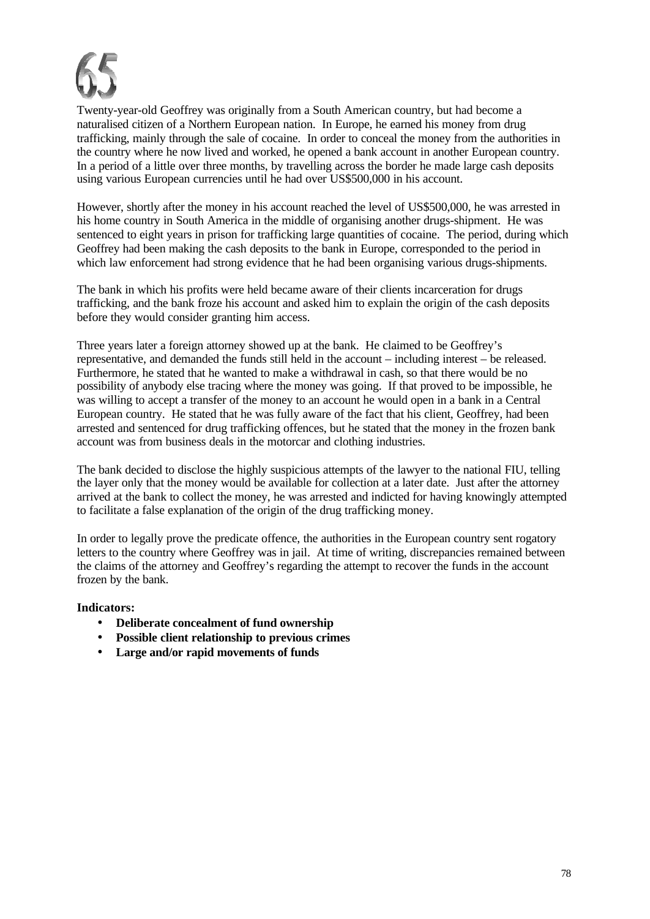

Twenty-year-old Geoffrey was originally from a South American country, but had become a naturalised citizen of a Northern European nation. In Europe, he earned his money from drug trafficking, mainly through the sale of cocaine. In order to conceal the money from the authorities in the country where he now lived and worked, he opened a bank account in another European country. In a period of a little over three months, by travelling across the border he made large cash deposits using various European currencies until he had over US\$500,000 in his account.

However, shortly after the money in his account reached the level of US\$500,000, he was arrested in his home country in South America in the middle of organising another drugs-shipment. He was sentenced to eight years in prison for trafficking large quantities of cocaine. The period, during which Geoffrey had been making the cash deposits to the bank in Europe, corresponded to the period in which law enforcement had strong evidence that he had been organising various drugs-shipments.

The bank in which his profits were held became aware of their clients incarceration for drugs trafficking, and the bank froze his account and asked him to explain the origin of the cash deposits before they would consider granting him access.

Three years later a foreign attorney showed up at the bank. He claimed to be Geoffrey's representative, and demanded the funds still held in the account – including interest – be released. Furthermore, he stated that he wanted to make a withdrawal in cash, so that there would be no possibility of anybody else tracing where the money was going. If that proved to be impossible, he was willing to accept a transfer of the money to an account he would open in a bank in a Central European country. He stated that he was fully aware of the fact that his client, Geoffrey, had been arrested and sentenced for drug trafficking offences, but he stated that the money in the frozen bank account was from business deals in the motorcar and clothing industries.

The bank decided to disclose the highly suspicious attempts of the lawyer to the national FIU, telling the layer only that the money would be available for collection at a later date. Just after the attorney arrived at the bank to collect the money, he was arrested and indicted for having knowingly attempted to facilitate a false explanation of the origin of the drug trafficking money.

In order to legally prove the predicate offence, the authorities in the European country sent rogatory letters to the country where Geoffrey was in jail. At time of writing, discrepancies remained between the claims of the attorney and Geoffrey's regarding the attempt to recover the funds in the account frozen by the bank.

- **Deliberate concealment of fund ownership**
- **Possible client relationship to previous crimes**
- **Large and/or rapid movements of funds**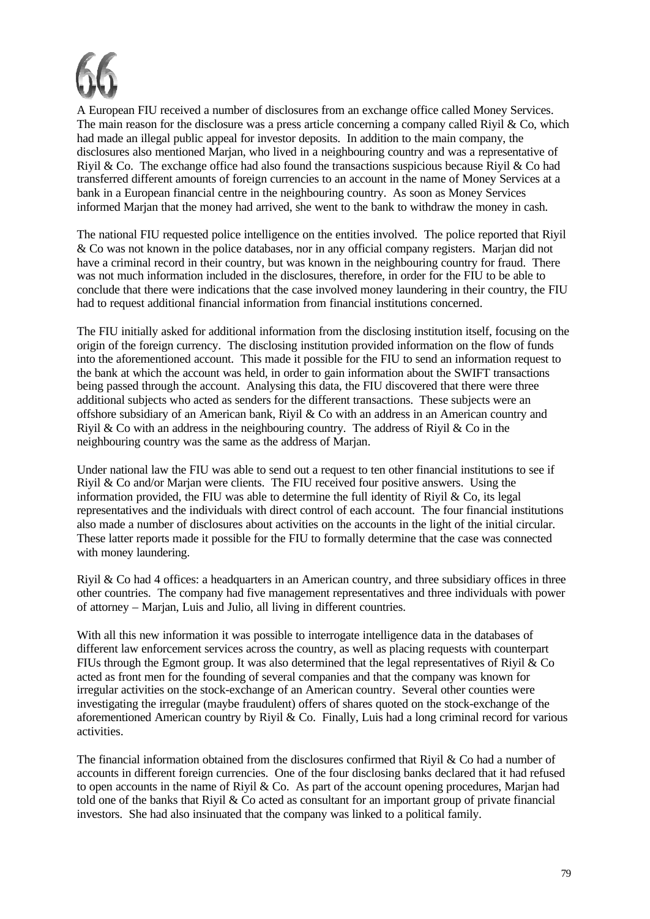

A European FIU received a number of disclosures from an exchange office called Money Services. The main reason for the disclosure was a press article concerning a company called Riyil & Co, which had made an illegal public appeal for investor deposits. In addition to the main company, the disclosures also mentioned Marjan, who lived in a neighbouring country and was a representative of Rivil & Co. The exchange office had also found the transactions suspicious because Rivil & Co had transferred different amounts of foreign currencies to an account in the name of Money Services at a bank in a European financial centre in the neighbouring country. As soon as Money Services informed Marjan that the money had arrived, she went to the bank to withdraw the money in cash.

The national FIU requested police intelligence on the entities involved. The police reported that Riyil & Co was not known in the police databases, nor in any official company registers. Marjan did not have a criminal record in their country, but was known in the neighbouring country for fraud. There was not much information included in the disclosures, therefore, in order for the FIU to be able to conclude that there were indications that the case involved money laundering in their country, the FIU had to request additional financial information from financial institutions concerned.

The FIU initially asked for additional information from the disclosing institution itself, focusing on the origin of the foreign currency. The disclosing institution provided information on the flow of funds into the aforementioned account. This made it possible for the FIU to send an information request to the bank at which the account was held, in order to gain information about the SWIFT transactions being passed through the account. Analysing this data, the FIU discovered that there were three additional subjects who acted as senders for the different transactions. These subjects were an offshore subsidiary of an American bank, Riyil & Co with an address in an American country and Rivil & Co with an address in the neighbouring country. The address of Rivil & Co in the neighbouring country was the same as the address of Marjan.

Under national law the FIU was able to send out a request to ten other financial institutions to see if Riyil & Co and/or Marjan were clients. The FIU received four positive answers. Using the information provided, the FIU was able to determine the full identity of Riyil  $\&$  Co, its legal representatives and the individuals with direct control of each account. The four financial institutions also made a number of disclosures about activities on the accounts in the light of the initial circular. These latter reports made it possible for the FIU to formally determine that the case was connected with money laundering.

Riyil & Co had 4 offices: a headquarters in an American country, and three subsidiary offices in three other countries. The company had five management representatives and three individuals with power of attorney – Marjan, Luis and Julio, all living in different countries.

With all this new information it was possible to interrogate intelligence data in the databases of different law enforcement services across the country, as well as placing requests with counterpart FIUs through the Egmont group. It was also determined that the legal representatives of Rivil  $\&$  Co acted as front men for the founding of several companies and that the company was known for irregular activities on the stock-exchange of an American country. Several other counties were investigating the irregular (maybe fraudulent) offers of shares quoted on the stock-exchange of the aforementioned American country by Riyil & Co. Finally, Luis had a long criminal record for various activities.

The financial information obtained from the disclosures confirmed that Riyil & Co had a number of accounts in different foreign currencies. One of the four disclosing banks declared that it had refused to open accounts in the name of Riyil & Co. As part of the account opening procedures, Marjan had told one of the banks that Riyil & Co acted as consultant for an important group of private financial investors. She had also insinuated that the company was linked to a political family.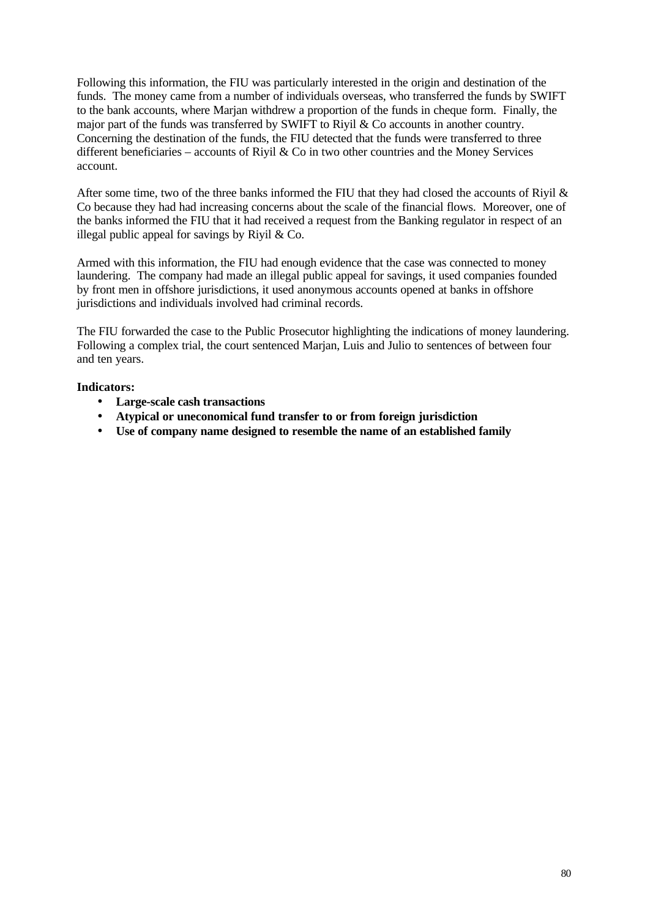Following this information, the FIU was particularly interested in the origin and destination of the funds. The money came from a number of individuals overseas, who transferred the funds by SWIFT to the bank accounts, where Marjan withdrew a proportion of the funds in cheque form. Finally, the major part of the funds was transferred by SWIFT to Riyil & Co accounts in another country. Concerning the destination of the funds, the FIU detected that the funds were transferred to three different beneficiaries – accounts of Riyil & Co in two other countries and the Money Services account.

After some time, two of the three banks informed the FIU that they had closed the accounts of Riyil & Co because they had had increasing concerns about the scale of the financial flows. Moreover, one of the banks informed the FIU that it had received a request from the Banking regulator in respect of an illegal public appeal for savings by Riyil  $& Co.$ 

Armed with this information, the FIU had enough evidence that the case was connected to money laundering. The company had made an illegal public appeal for savings, it used companies founded by front men in offshore jurisdictions, it used anonymous accounts opened at banks in offshore jurisdictions and individuals involved had criminal records.

The FIU forwarded the case to the Public Prosecutor highlighting the indications of money laundering. Following a complex trial, the court sentenced Marjan, Luis and Julio to sentences of between four and ten years.

- **Large-scale cash transactions**
- **Atypical or uneconomical fund transfer to or from foreign jurisdiction**
- **Use of company name designed to resemble the name of an established family**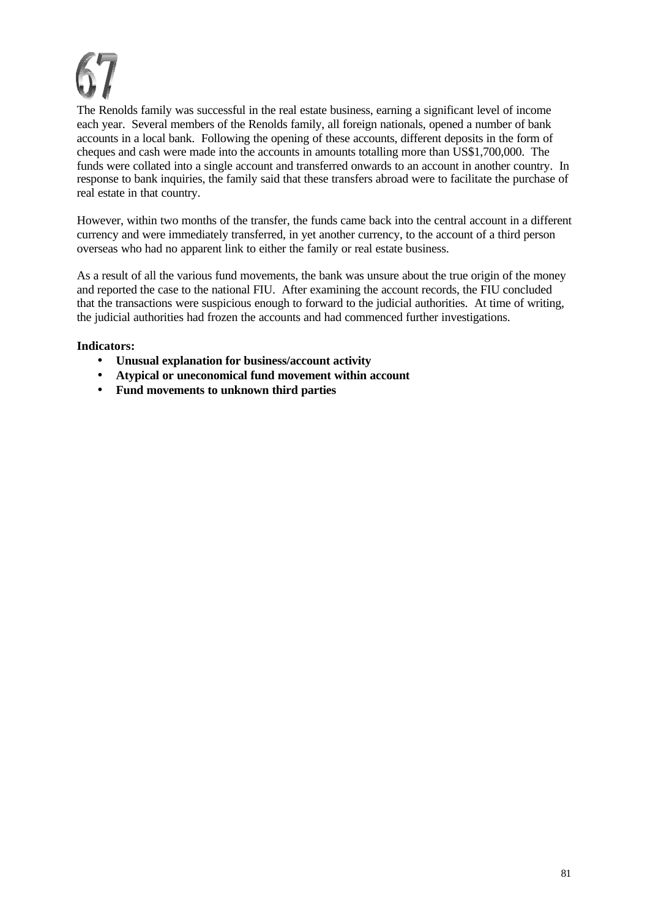The Renolds family was successful in the real estate business, earning a significant level of income each year. Several members of the Renolds family, all foreign nationals, opened a number of bank accounts in a local bank. Following the opening of these accounts, different deposits in the form of cheques and cash were made into the accounts in amounts totalling more than US\$1,700,000. The funds were collated into a single account and transferred onwards to an account in another country. In response to bank inquiries, the family said that these transfers abroad were to facilitate the purchase of real estate in that country.

However, within two months of the transfer, the funds came back into the central account in a different currency and were immediately transferred, in yet another currency, to the account of a third person overseas who had no apparent link to either the family or real estate business.

As a result of all the various fund movements, the bank was unsure about the true origin of the money and reported the case to the national FIU. After examining the account records, the FIU concluded that the transactions were suspicious enough to forward to the judicial authorities. At time of writing, the judicial authorities had frozen the accounts and had commenced further investigations.

- **Unusual explanation for business/account activity**
- **Atypical or uneconomical fund movement within account**
- **Fund movements to unknown third parties**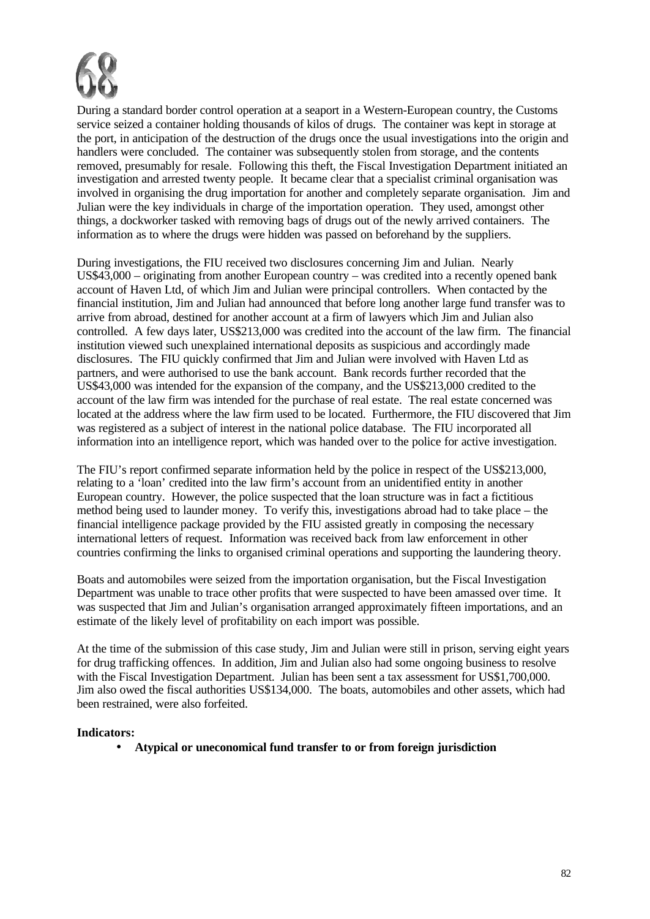

During a standard border control operation at a seaport in a Western-European country, the Customs service seized a container holding thousands of kilos of drugs. The container was kept in storage at the port, in anticipation of the destruction of the drugs once the usual investigations into the origin and handlers were concluded. The container was subsequently stolen from storage, and the contents removed, presumably for resale. Following this theft, the Fiscal Investigation Department initiated an investigation and arrested twenty people. It became clear that a specialist criminal organisation was involved in organising the drug importation for another and completely separate organisation. Jim and Julian were the key individuals in charge of the importation operation. They used, amongst other things, a dockworker tasked with removing bags of drugs out of the newly arrived containers. The information as to where the drugs were hidden was passed on beforehand by the suppliers.

During investigations, the FIU received two disclosures concerning Jim and Julian. Nearly US\$43,000 – originating from another European country – was credited into a recently opened bank account of Haven Ltd, of which Jim and Julian were principal controllers. When contacted by the financial institution, Jim and Julian had announced that before long another large fund transfer was to arrive from abroad, destined for another account at a firm of lawyers which Jim and Julian also controlled. A few days later, US\$213,000 was credited into the account of the law firm. The financial institution viewed such unexplained international deposits as suspicious and accordingly made disclosures. The FIU quickly confirmed that Jim and Julian were involved with Haven Ltd as partners, and were authorised to use the bank account. Bank records further recorded that the US\$43,000 was intended for the expansion of the company, and the US\$213,000 credited to the account of the law firm was intended for the purchase of real estate. The real estate concerned was located at the address where the law firm used to be located. Furthermore, the FIU discovered that Jim was registered as a subject of interest in the national police database. The FIU incorporated all information into an intelligence report, which was handed over to the police for active investigation.

The FIU's report confirmed separate information held by the police in respect of the US\$213,000, relating to a 'loan' credited into the law firm's account from an unidentified entity in another European country. However, the police suspected that the loan structure was in fact a fictitious method being used to launder money. To verify this, investigations abroad had to take place – the financial intelligence package provided by the FIU assisted greatly in composing the necessary international letters of request. Information was received back from law enforcement in other countries confirming the links to organised criminal operations and supporting the laundering theory.

Boats and automobiles were seized from the importation organisation, but the Fiscal Investigation Department was unable to trace other profits that were suspected to have been amassed over time. It was suspected that Jim and Julian's organisation arranged approximately fifteen importations, and an estimate of the likely level of profitability on each import was possible.

At the time of the submission of this case study, Jim and Julian were still in prison, serving eight years for drug trafficking offences. In addition, Jim and Julian also had some ongoing business to resolve with the Fiscal Investigation Department. Julian has been sent a tax assessment for US\$1,700,000. Jim also owed the fiscal authorities US\$134,000. The boats, automobiles and other assets, which had been restrained, were also forfeited.

#### **Indicators:**

• **Atypical or uneconomical fund transfer to or from foreign jurisdiction**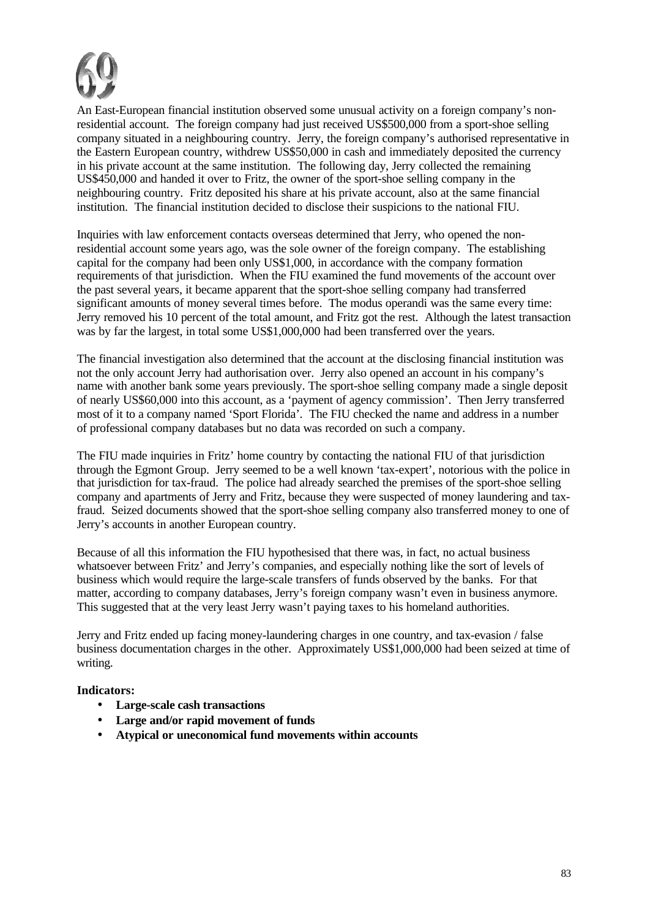

An East-European financial institution observed some unusual activity on a foreign company's nonresidential account. The foreign company had just received US\$500,000 from a sport-shoe selling company situated in a neighbouring country. Jerry, the foreign company's authorised representative in the Eastern European country, withdrew US\$50,000 in cash and immediately deposited the currency in his private account at the same institution. The following day, Jerry collected the remaining US\$450,000 and handed it over to Fritz, the owner of the sport-shoe selling company in the neighbouring country. Fritz deposited his share at his private account, also at the same financial institution. The financial institution decided to disclose their suspicions to the national FIU.

Inquiries with law enforcement contacts overseas determined that Jerry, who opened the nonresidential account some years ago, was the sole owner of the foreign company. The establishing capital for the company had been only US\$1,000, in accordance with the company formation requirements of that jurisdiction. When the FIU examined the fund movements of the account over the past several years, it became apparent that the sport-shoe selling company had transferred significant amounts of money several times before. The modus operandi was the same every time: Jerry removed his 10 percent of the total amount, and Fritz got the rest. Although the latest transaction was by far the largest, in total some US\$1,000,000 had been transferred over the years.

The financial investigation also determined that the account at the disclosing financial institution was not the only account Jerry had authorisation over. Jerry also opened an account in his company's name with another bank some years previously. The sport-shoe selling company made a single deposit of nearly US\$60,000 into this account, as a 'payment of agency commission'. Then Jerry transferred most of it to a company named 'Sport Florida'. The FIU checked the name and address in a number of professional company databases but no data was recorded on such a company.

The FIU made inquiries in Fritz' home country by contacting the national FIU of that jurisdiction through the Egmont Group. Jerry seemed to be a well known 'tax-expert', notorious with the police in that jurisdiction for tax-fraud. The police had already searched the premises of the sport-shoe selling company and apartments of Jerry and Fritz, because they were suspected of money laundering and taxfraud. Seized documents showed that the sport-shoe selling company also transferred money to one of Jerry's accounts in another European country.

Because of all this information the FIU hypothesised that there was, in fact, no actual business whatsoever between Fritz' and Jerry's companies, and especially nothing like the sort of levels of business which would require the large-scale transfers of funds observed by the banks. For that matter, according to company databases, Jerry's foreign company wasn't even in business anymore. This suggested that at the very least Jerry wasn't paying taxes to his homeland authorities.

Jerry and Fritz ended up facing money-laundering charges in one country, and tax-evasion / false business documentation charges in the other. Approximately US\$1,000,000 had been seized at time of writing.

- **Large-scale cash transactions**
- **Large and/or rapid movement of funds**
- **Atypical or uneconomical fund movements within accounts**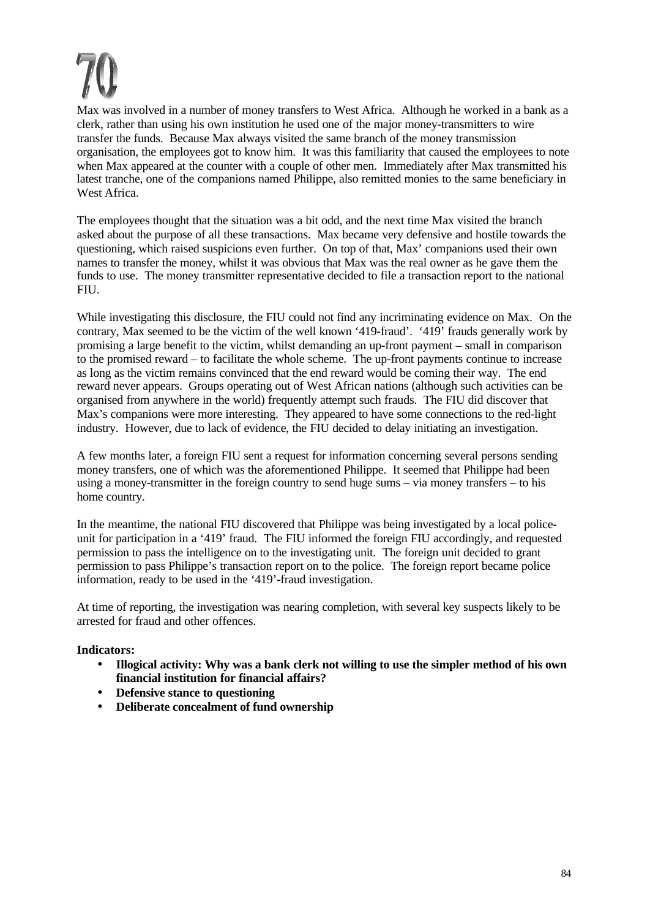Max was involved in a number of money transfers to West Africa. Although he worked in a bank as a clerk, rather than using his own institution he used one of the major money-transmitters to wire transfer the funds. Because Max always visited the same branch of the money transmission organisation, the employees got to know him. It was this familiarity that caused the employees to note when Max appeared at the counter with a couple of other men. Immediately after Max transmitted his latest tranche, one of the companions named Philippe, also remitted monies to the same beneficiary in West Africa.

The employees thought that the situation was a bit odd, and the next time Max visited the branch asked about the purpose of all these transactions. Max became very defensive and hostile towards the questioning, which raised suspicions even further. On top of that, Max' companions used their own names to transfer the money, whilst it was obvious that Max was the real owner as he gave them the funds to use. The money transmitter representative decided to file a transaction report to the national FIU.

While investigating this disclosure, the FIU could not find any incriminating evidence on Max. On the contrary, Max seemed to be the victim of the well known '419-fraud'. '419' frauds generally work by promising a large benefit to the victim, whilst demanding an up-front payment – small in comparison to the promised reward – to facilitate the whole scheme. The up-front payments continue to increase as long as the victim remains convinced that the end reward would be coming their way. The end reward never appears. Groups operating out of West African nations (although such activities can be organised from anywhere in the world) frequently attempt such frauds. The FIU did discover that Max's companions were more interesting. They appeared to have some connections to the red-light industry. However, due to lack of evidence, the FIU decided to delay initiating an investigation.

A few months later, a foreign FIU sent a request for information concerning several persons sending money transfers, one of which was the aforementioned Philippe. It seemed that Philippe had been using a money-transmitter in the foreign country to send huge sums – via money transfers – to his home country.

In the meantime, the national FIU discovered that Philippe was being investigated by a local policeunit for participation in a '419' fraud. The FIU informed the foreign FIU accordingly, and requested permission to pass the intelligence on to the investigating unit. The foreign unit decided to grant permission to pass Philippe's transaction report on to the police. The foreign report became police information, ready to be used in the '419'-fraud investigation.

At time of reporting, the investigation was nearing completion, with several key suspects likely to be arrested for fraud and other offences.

- **Illogical activity: Why was a bank clerk not willing to use the simpler method of his own financial institution for financial affairs?**
- **Defensive stance to questioning**
- **Deliberate concealment of fund ownership**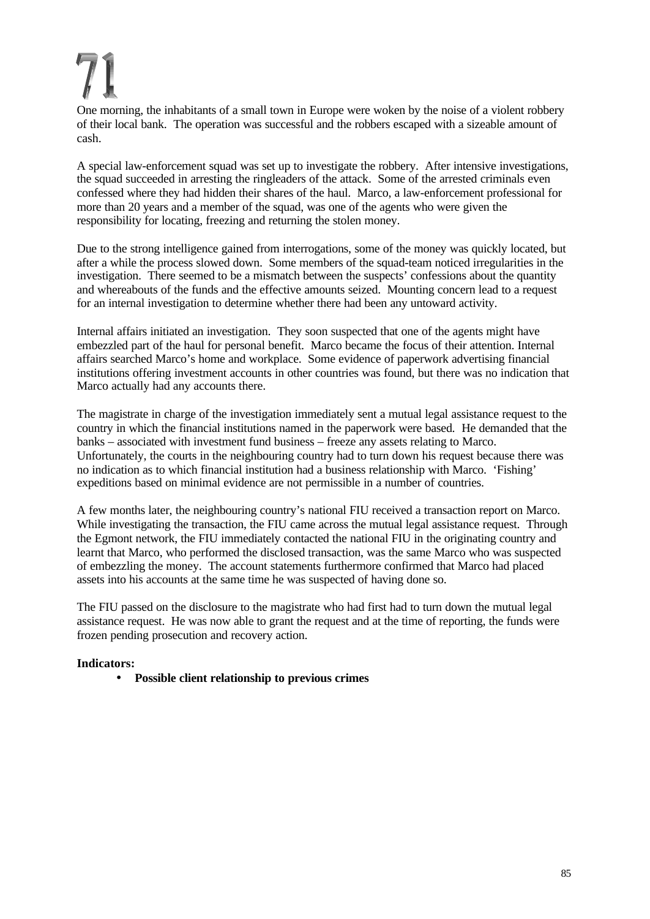One morning, the inhabitants of a small town in Europe were woken by the noise of a violent robbery of their local bank. The operation was successful and the robbers escaped with a sizeable amount of cash.

A special law-enforcement squad was set up to investigate the robbery. After intensive investigations, the squad succeeded in arresting the ringleaders of the attack. Some of the arrested criminals even confessed where they had hidden their shares of the haul. Marco, a law-enforcement professional for more than 20 years and a member of the squad, was one of the agents who were given the responsibility for locating, freezing and returning the stolen money.

Due to the strong intelligence gained from interrogations, some of the money was quickly located, but after a while the process slowed down. Some members of the squad-team noticed irregularities in the investigation. There seemed to be a mismatch between the suspects' confessions about the quantity and whereabouts of the funds and the effective amounts seized. Mounting concern lead to a request for an internal investigation to determine whether there had been any untoward activity.

Internal affairs initiated an investigation. They soon suspected that one of the agents might have embezzled part of the haul for personal benefit. Marco became the focus of their attention. Internal affairs searched Marco's home and workplace. Some evidence of paperwork advertising financial institutions offering investment accounts in other countries was found, but there was no indication that Marco actually had any accounts there.

The magistrate in charge of the investigation immediately sent a mutual legal assistance request to the country in which the financial institutions named in the paperwork were based. He demanded that the banks – associated with investment fund business – freeze any assets relating to Marco. Unfortunately, the courts in the neighbouring country had to turn down his request because there was no indication as to which financial institution had a business relationship with Marco. 'Fishing' expeditions based on minimal evidence are not permissible in a number of countries.

A few months later, the neighbouring country's national FIU received a transaction report on Marco. While investigating the transaction, the FIU came across the mutual legal assistance request. Through the Egmont network, the FIU immediately contacted the national FIU in the originating country and learnt that Marco, who performed the disclosed transaction, was the same Marco who was suspected of embezzling the money. The account statements furthermore confirmed that Marco had placed assets into his accounts at the same time he was suspected of having done so.

The FIU passed on the disclosure to the magistrate who had first had to turn down the mutual legal assistance request. He was now able to grant the request and at the time of reporting, the funds were frozen pending prosecution and recovery action.

# **Indicators:**

• **Possible client relationship to previous crimes**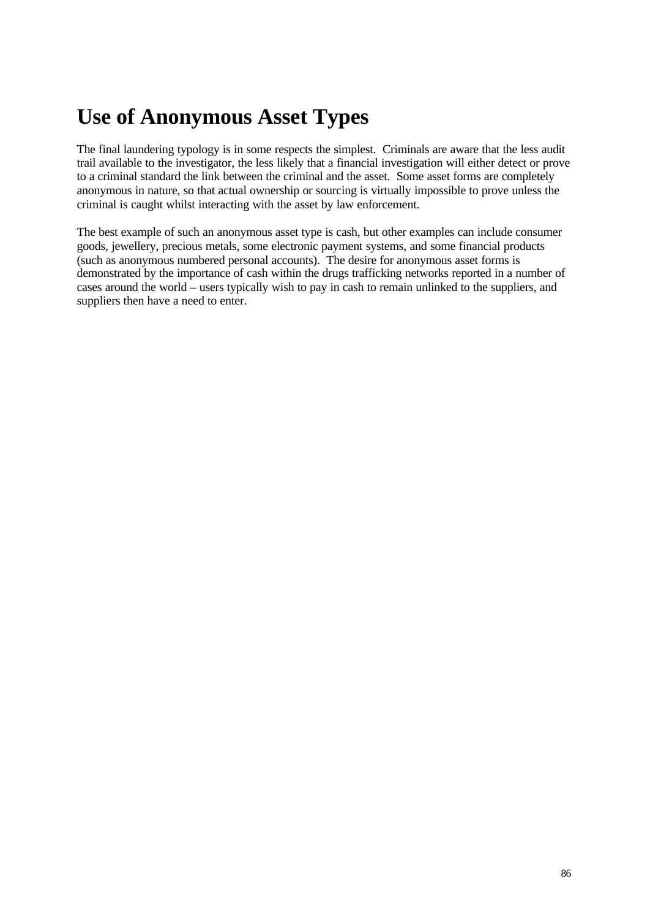# **Use of Anonymous Asset Types**

The final laundering typology is in some respects the simplest. Criminals are aware that the less audit trail available to the investigator, the less likely that a financial investigation will either detect or prove to a criminal standard the link between the criminal and the asset. Some asset forms are completely anonymous in nature, so that actual ownership or sourcing is virtually impossible to prove unless the criminal is caught whilst interacting with the asset by law enforcement.

The best example of such an anonymous asset type is cash, but other examples can include consumer goods, jewellery, precious metals, some electronic payment systems, and some financial products (such as anonymous numbered personal accounts). The desire for anonymous asset forms is demonstrated by the importance of cash within the drugs trafficking networks reported in a number of cases around the world – users typically wish to pay in cash to remain unlinked to the suppliers, and suppliers then have a need to enter.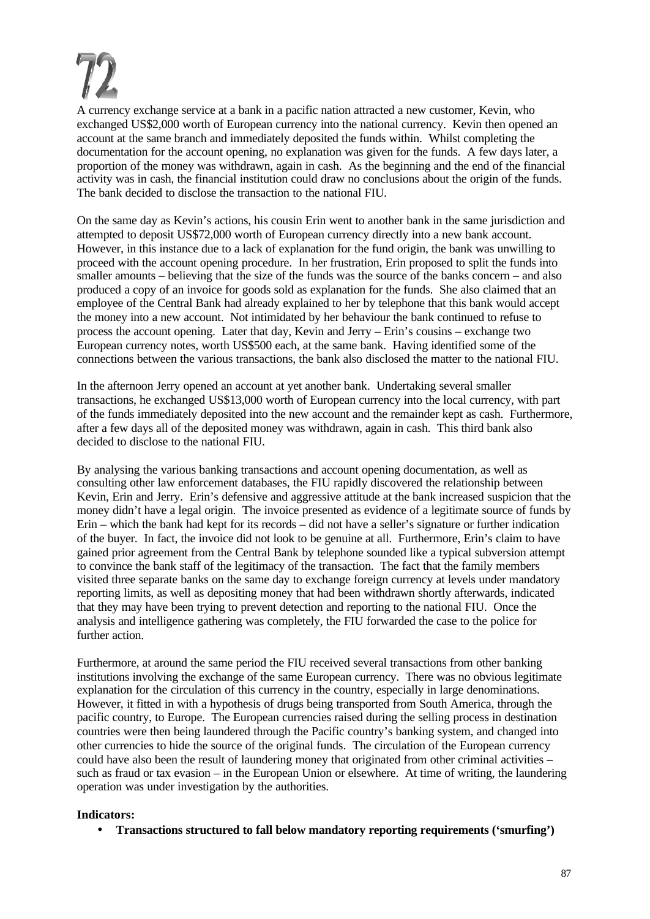

A currency exchange service at a bank in a pacific nation attracted a new customer, Kevin, who exchanged US\$2,000 worth of European currency into the national currency. Kevin then opened an account at the same branch and immediately deposited the funds within. Whilst completing the documentation for the account opening, no explanation was given for the funds. A few days later, a proportion of the money was withdrawn, again in cash. As the beginning and the end of the financial activity was in cash, the financial institution could draw no conclusions about the origin of the funds. The bank decided to disclose the transaction to the national FIU.

On the same day as Kevin's actions, his cousin Erin went to another bank in the same jurisdiction and attempted to deposit US\$72,000 worth of European currency directly into a new bank account. However, in this instance due to a lack of explanation for the fund origin, the bank was unwilling to proceed with the account opening procedure. In her frustration, Erin proposed to split the funds into smaller amounts – believing that the size of the funds was the source of the banks concern – and also produced a copy of an invoice for goods sold as explanation for the funds. She also claimed that an employee of the Central Bank had already explained to her by telephone that this bank would accept the money into a new account. Not intimidated by her behaviour the bank continued to refuse to process the account opening. Later that day, Kevin and Jerry – Erin's cousins – exchange two European currency notes, worth US\$500 each, at the same bank. Having identified some of the connections between the various transactions, the bank also disclosed the matter to the national FIU.

In the afternoon Jerry opened an account at yet another bank. Undertaking several smaller transactions, he exchanged US\$13,000 worth of European currency into the local currency, with part of the funds immediately deposited into the new account and the remainder kept as cash. Furthermore, after a few days all of the deposited money was withdrawn, again in cash. This third bank also decided to disclose to the national FIU.

By analysing the various banking transactions and account opening documentation, as well as consulting other law enforcement databases, the FIU rapidly discovered the relationship between Kevin, Erin and Jerry. Erin's defensive and aggressive attitude at the bank increased suspicion that the money didn't have a legal origin. The invoice presented as evidence of a legitimate source of funds by Erin – which the bank had kept for its records – did not have a seller's signature or further indication of the buyer. In fact, the invoice did not look to be genuine at all. Furthermore, Erin's claim to have gained prior agreement from the Central Bank by telephone sounded like a typical subversion attempt to convince the bank staff of the legitimacy of the transaction. The fact that the family members visited three separate banks on the same day to exchange foreign currency at levels under mandatory reporting limits, as well as depositing money that had been withdrawn shortly afterwards, indicated that they may have been trying to prevent detection and reporting to the national FIU. Once the analysis and intelligence gathering was completely, the FIU forwarded the case to the police for further action.

Furthermore, at around the same period the FIU received several transactions from other banking institutions involving the exchange of the same European currency. There was no obvious legitimate explanation for the circulation of this currency in the country, especially in large denominations. However, it fitted in with a hypothesis of drugs being transported from South America, through the pacific country, to Europe. The European currencies raised during the selling process in destination countries were then being laundered through the Pacific country's banking system, and changed into other currencies to hide the source of the original funds. The circulation of the European currency could have also been the result of laundering money that originated from other criminal activities – such as fraud or tax evasion – in the European Union or elsewhere. At time of writing, the laundering operation was under investigation by the authorities.

#### **Indicators:**

• **Transactions structured to fall below mandatory reporting requirements ('smurfing')**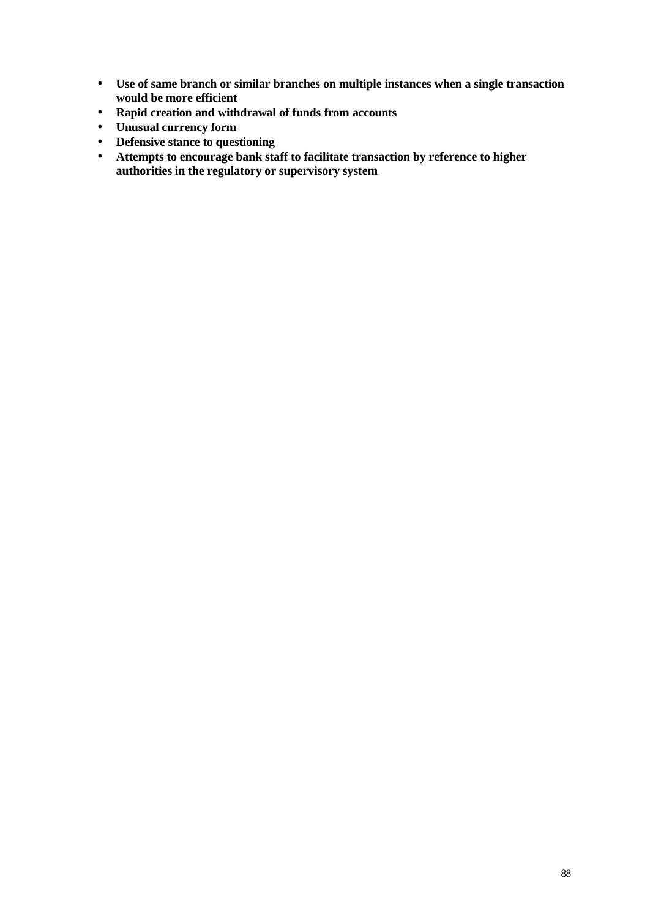- **Use of same branch or similar branches on multiple instances when a single transaction would be more efficient**
- **Rapid creation and withdrawal of funds from accounts**
- **Unusual currency form**
- **Defensive stance to questioning**
- **Attempts to encourage bank staff to facilitate transaction by reference to higher authorities in the regulatory or supervisory system**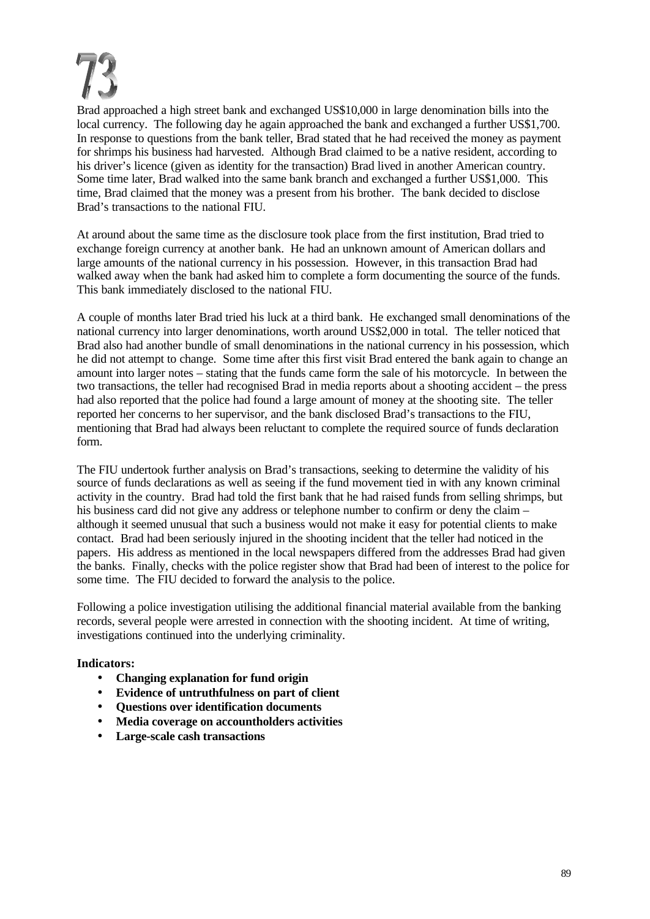Brad approached a high street bank and exchanged US\$10,000 in large denomination bills into the local currency. The following day he again approached the bank and exchanged a further US\$1,700. In response to questions from the bank teller, Brad stated that he had received the money as payment for shrimps his business had harvested. Although Brad claimed to be a native resident, according to his driver's licence (given as identity for the transaction) Brad lived in another American country. Some time later, Brad walked into the same bank branch and exchanged a further US\$1,000. This time, Brad claimed that the money was a present from his brother. The bank decided to disclose Brad's transactions to the national FIU.

At around about the same time as the disclosure took place from the first institution, Brad tried to exchange foreign currency at another bank. He had an unknown amount of American dollars and large amounts of the national currency in his possession. However, in this transaction Brad had walked away when the bank had asked him to complete a form documenting the source of the funds. This bank immediately disclosed to the national FIU.

A couple of months later Brad tried his luck at a third bank. He exchanged small denominations of the national currency into larger denominations, worth around US\$2,000 in total. The teller noticed that Brad also had another bundle of small denominations in the national currency in his possession, which he did not attempt to change. Some time after this first visit Brad entered the bank again to change an amount into larger notes – stating that the funds came form the sale of his motorcycle. In between the two transactions, the teller had recognised Brad in media reports about a shooting accident – the press had also reported that the police had found a large amount of money at the shooting site. The teller reported her concerns to her supervisor, and the bank disclosed Brad's transactions to the FIU, mentioning that Brad had always been reluctant to complete the required source of funds declaration form.

The FIU undertook further analysis on Brad's transactions, seeking to determine the validity of his source of funds declarations as well as seeing if the fund movement tied in with any known criminal activity in the country. Brad had told the first bank that he had raised funds from selling shrimps, but his business card did not give any address or telephone number to confirm or deny the claim – although it seemed unusual that such a business would not make it easy for potential clients to make contact. Brad had been seriously injured in the shooting incident that the teller had noticed in the papers. His address as mentioned in the local newspapers differed from the addresses Brad had given the banks. Finally, checks with the police register show that Brad had been of interest to the police for some time. The FIU decided to forward the analysis to the police.

Following a police investigation utilising the additional financial material available from the banking records, several people were arrested in connection with the shooting incident. At time of writing, investigations continued into the underlying criminality.

- **Changing explanation for fund origin**
- **Evidence of untruthfulness on part of client**
- **Questions over identification documents**
- **Media coverage on accountholders activities**
- **Large-scale cash transactions**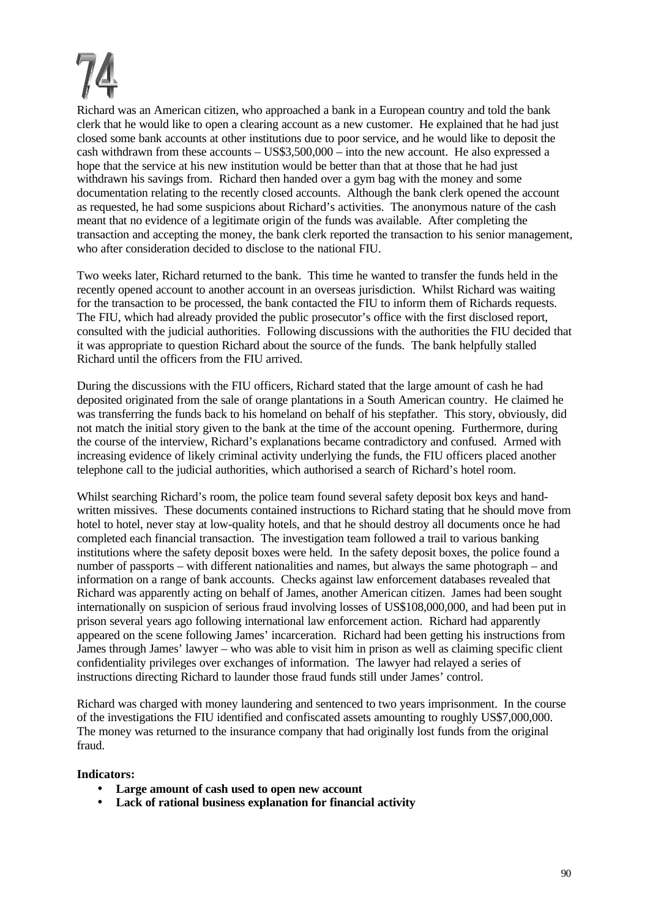Richard was an American citizen, who approached a bank in a European country and told the bank clerk that he would like to open a clearing account as a new customer. He explained that he had just closed some bank accounts at other institutions due to poor service, and he would like to deposit the cash withdrawn from these accounts – US\$3,500,000 – into the new account. He also expressed a hope that the service at his new institution would be better than that at those that he had just withdrawn his savings from. Richard then handed over a gym bag with the money and some documentation relating to the recently closed accounts. Although the bank clerk opened the account as requested, he had some suspicions about Richard's activities. The anonymous nature of the cash meant that no evidence of a legitimate origin of the funds was available. After completing the transaction and accepting the money, the bank clerk reported the transaction to his senior management, who after consideration decided to disclose to the national FIU.

Two weeks later, Richard returned to the bank. This time he wanted to transfer the funds held in the recently opened account to another account in an overseas jurisdiction. Whilst Richard was waiting for the transaction to be processed, the bank contacted the FIU to inform them of Richards requests. The FIU, which had already provided the public prosecutor's office with the first disclosed report, consulted with the judicial authorities. Following discussions with the authorities the FIU decided that it was appropriate to question Richard about the source of the funds. The bank helpfully stalled Richard until the officers from the FIU arrived.

During the discussions with the FIU officers, Richard stated that the large amount of cash he had deposited originated from the sale of orange plantations in a South American country. He claimed he was transferring the funds back to his homeland on behalf of his stepfather. This story, obviously, did not match the initial story given to the bank at the time of the account opening. Furthermore, during the course of the interview, Richard's explanations became contradictory and confused. Armed with increasing evidence of likely criminal activity underlying the funds, the FIU officers placed another telephone call to the judicial authorities, which authorised a search of Richard's hotel room.

Whilst searching Richard's room, the police team found several safety deposit box keys and handwritten missives. These documents contained instructions to Richard stating that he should move from hotel to hotel, never stay at low-quality hotels, and that he should destroy all documents once he had completed each financial transaction. The investigation team followed a trail to various banking institutions where the safety deposit boxes were held. In the safety deposit boxes, the police found a number of passports – with different nationalities and names, but always the same photograph – and information on a range of bank accounts. Checks against law enforcement databases revealed that Richard was apparently acting on behalf of James, another American citizen. James had been sought internationally on suspicion of serious fraud involving losses of US\$108,000,000, and had been put in prison several years ago following international law enforcement action. Richard had apparently appeared on the scene following James' incarceration. Richard had been getting his instructions from James through James' lawyer – who was able to visit him in prison as well as claiming specific client confidentiality privileges over exchanges of information. The lawyer had relayed a series of instructions directing Richard to launder those fraud funds still under James' control.

Richard was charged with money laundering and sentenced to two years imprisonment. In the course of the investigations the FIU identified and confiscated assets amounting to roughly US\$7,000,000. The money was returned to the insurance company that had originally lost funds from the original fraud.

- **Large amount of cash used to open new account**
- **Lack of rational business explanation for financial activity**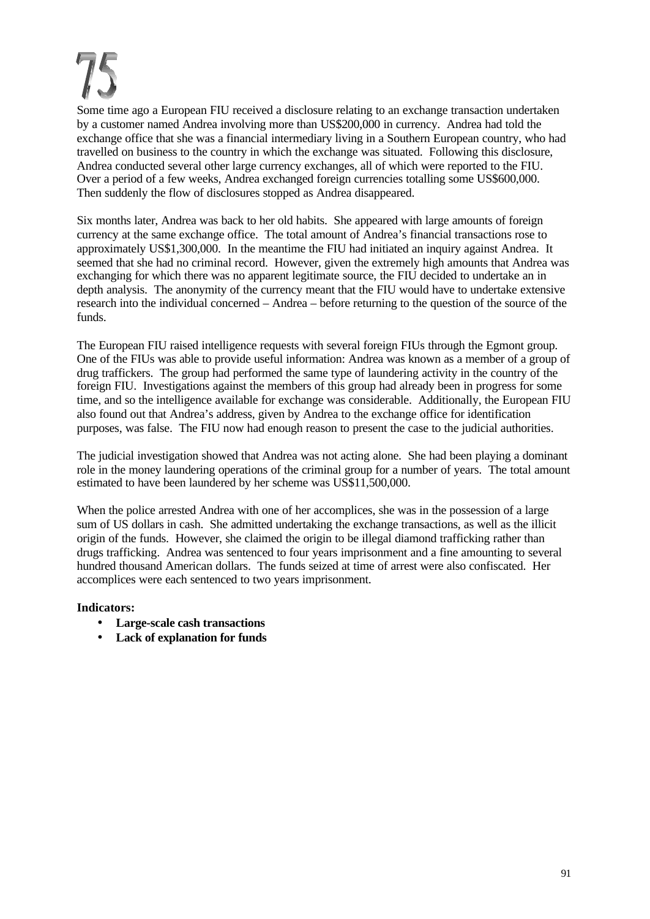Some time ago a European FIU received a disclosure relating to an exchange transaction undertaken by a customer named Andrea involving more than US\$200,000 in currency. Andrea had told the exchange office that she was a financial intermediary living in a Southern European country, who had travelled on business to the country in which the exchange was situated. Following this disclosure, Andrea conducted several other large currency exchanges, all of which were reported to the FIU. Over a period of a few weeks, Andrea exchanged foreign currencies totalling some US\$600,000. Then suddenly the flow of disclosures stopped as Andrea disappeared.

Six months later, Andrea was back to her old habits. She appeared with large amounts of foreign currency at the same exchange office. The total amount of Andrea's financial transactions rose to approximately US\$1,300,000. In the meantime the FIU had initiated an inquiry against Andrea. It seemed that she had no criminal record. However, given the extremely high amounts that Andrea was exchanging for which there was no apparent legitimate source, the FIU decided to undertake an in depth analysis. The anonymity of the currency meant that the FIU would have to undertake extensive research into the individual concerned – Andrea – before returning to the question of the source of the funds.

The European FIU raised intelligence requests with several foreign FIUs through the Egmont group. One of the FIUs was able to provide useful information: Andrea was known as a member of a group of drug traffickers. The group had performed the same type of laundering activity in the country of the foreign FIU. Investigations against the members of this group had already been in progress for some time, and so the intelligence available for exchange was considerable. Additionally, the European FIU also found out that Andrea's address, given by Andrea to the exchange office for identification purposes, was false. The FIU now had enough reason to present the case to the judicial authorities.

The judicial investigation showed that Andrea was not acting alone. She had been playing a dominant role in the money laundering operations of the criminal group for a number of years. The total amount estimated to have been laundered by her scheme was US\$11,500,000.

When the police arrested Andrea with one of her accomplices, she was in the possession of a large sum of US dollars in cash. She admitted undertaking the exchange transactions, as well as the illicit origin of the funds. However, she claimed the origin to be illegal diamond trafficking rather than drugs trafficking. Andrea was sentenced to four years imprisonment and a fine amounting to several hundred thousand American dollars. The funds seized at time of arrest were also confiscated. Her accomplices were each sentenced to two years imprisonment.

- **Large-scale cash transactions**
- **Lack of explanation for funds**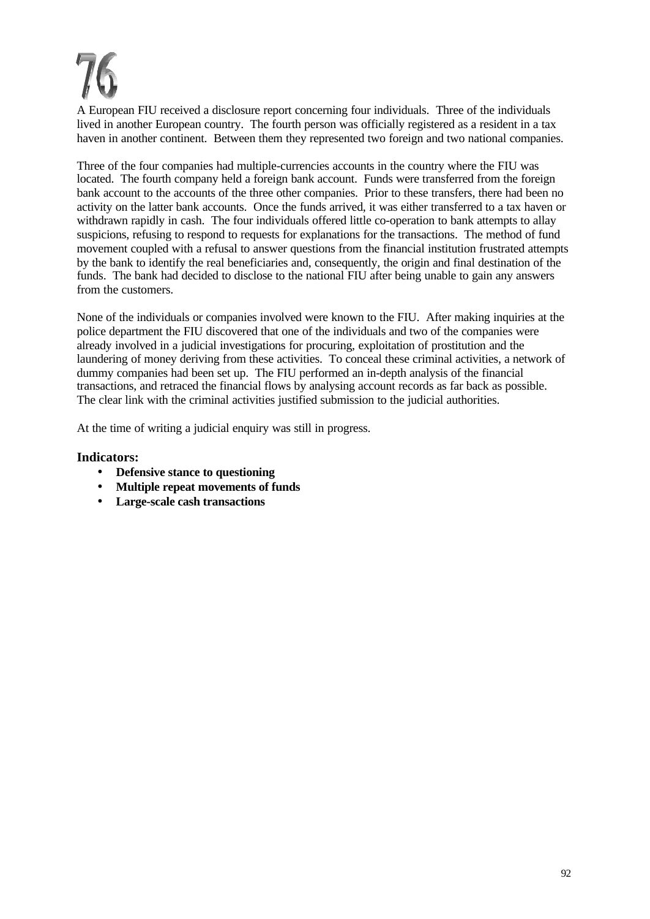A European FIU received a disclosure report concerning four individuals. Three of the individuals lived in another European country. The fourth person was officially registered as a resident in a tax haven in another continent. Between them they represented two foreign and two national companies.

Three of the four companies had multiple-currencies accounts in the country where the FIU was located. The fourth company held a foreign bank account. Funds were transferred from the foreign bank account to the accounts of the three other companies. Prior to these transfers, there had been no activity on the latter bank accounts. Once the funds arrived, it was either transferred to a tax haven or withdrawn rapidly in cash. The four individuals offered little co-operation to bank attempts to allay suspicions, refusing to respond to requests for explanations for the transactions. The method of fund movement coupled with a refusal to answer questions from the financial institution frustrated attempts by the bank to identify the real beneficiaries and, consequently, the origin and final destination of the funds. The bank had decided to disclose to the national FIU after being unable to gain any answers from the customers.

None of the individuals or companies involved were known to the FIU. After making inquiries at the police department the FIU discovered that one of the individuals and two of the companies were already involved in a judicial investigations for procuring, exploitation of prostitution and the laundering of money deriving from these activities. To conceal these criminal activities, a network of dummy companies had been set up. The FIU performed an in-depth analysis of the financial transactions, and retraced the financial flows by analysing account records as far back as possible. The clear link with the criminal activities justified submission to the judicial authorities.

At the time of writing a judicial enquiry was still in progress.

- **Defensive stance to questioning**
- **Multiple repeat movements of funds**
- **Large-scale cash transactions**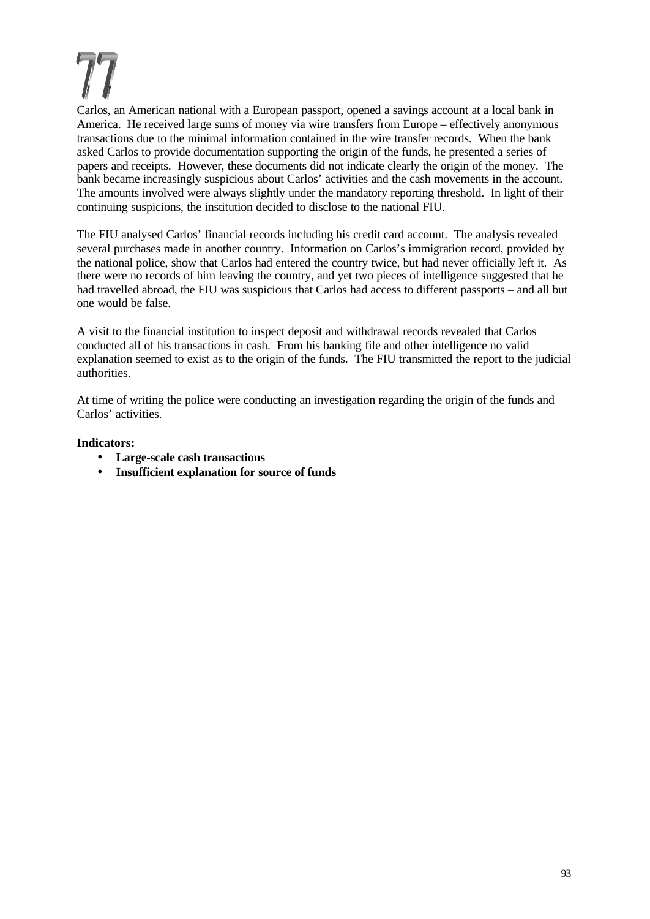Carlos, an American national with a European passport, opened a savings account at a local bank in America. He received large sums of money via wire transfers from Europe – effectively anonymous transactions due to the minimal information contained in the wire transfer records. When the bank asked Carlos to provide documentation supporting the origin of the funds, he presented a series of papers and receipts. However, these documents did not indicate clearly the origin of the money. The bank became increasingly suspicious about Carlos' activities and the cash movements in the account. The amounts involved were always slightly under the mandatory reporting threshold. In light of their continuing suspicions, the institution decided to disclose to the national FIU.

The FIU analysed Carlos' financial records including his credit card account. The analysis revealed several purchases made in another country. Information on Carlos's immigration record, provided by the national police, show that Carlos had entered the country twice, but had never officially left it. As there were no records of him leaving the country, and yet two pieces of intelligence suggested that he had travelled abroad, the FIU was suspicious that Carlos had access to different passports – and all but one would be false.

A visit to the financial institution to inspect deposit and withdrawal records revealed that Carlos conducted all of his transactions in cash. From his banking file and other intelligence no valid explanation seemed to exist as to the origin of the funds. The FIU transmitted the report to the judicial authorities.

At time of writing the police were conducting an investigation regarding the origin of the funds and Carlos' activities.

- **Large-scale cash transactions**
- **Insufficient explanation for source of funds**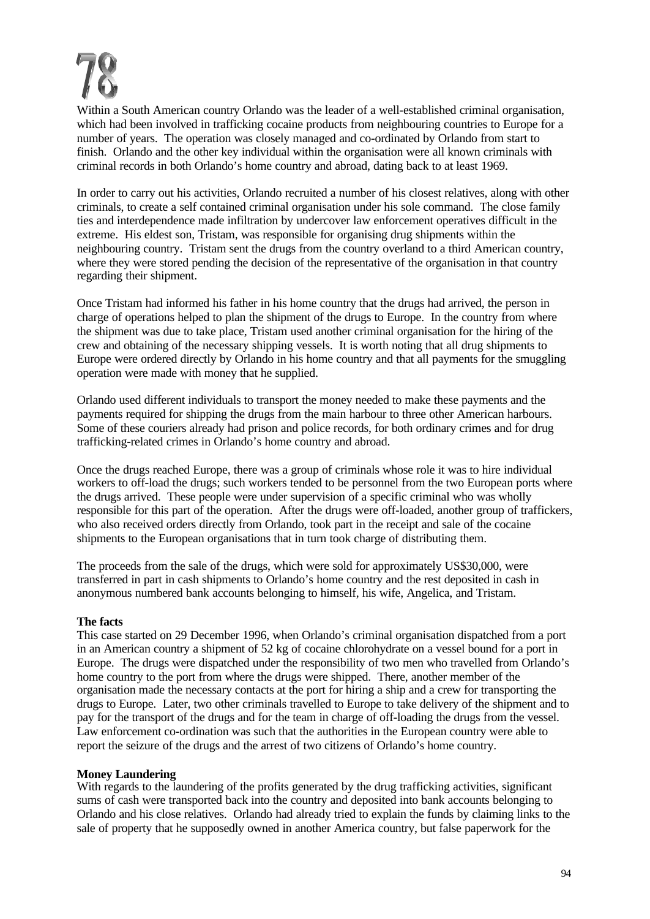

Within a South American country Orlando was the leader of a well-established criminal organisation, which had been involved in trafficking cocaine products from neighbouring countries to Europe for a number of years. The operation was closely managed and co-ordinated by Orlando from start to finish. Orlando and the other key individual within the organisation were all known criminals with criminal records in both Orlando's home country and abroad, dating back to at least 1969.

In order to carry out his activities, Orlando recruited a number of his closest relatives, along with other criminals, to create a self contained criminal organisation under his sole command. The close family ties and interdependence made infiltration by undercover law enforcement operatives difficult in the extreme. His eldest son, Tristam, was responsible for organising drug shipments within the neighbouring country. Tristam sent the drugs from the country overland to a third American country, where they were stored pending the decision of the representative of the organisation in that country regarding their shipment.

Once Tristam had informed his father in his home country that the drugs had arrived, the person in charge of operations helped to plan the shipment of the drugs to Europe. In the country from where the shipment was due to take place, Tristam used another criminal organisation for the hiring of the crew and obtaining of the necessary shipping vessels. It is worth noting that all drug shipments to Europe were ordered directly by Orlando in his home country and that all payments for the smuggling operation were made with money that he supplied.

Orlando used different individuals to transport the money needed to make these payments and the payments required for shipping the drugs from the main harbour to three other American harbours. Some of these couriers already had prison and police records, for both ordinary crimes and for drug trafficking-related crimes in Orlando's home country and abroad.

Once the drugs reached Europe, there was a group of criminals whose role it was to hire individual workers to off-load the drugs; such workers tended to be personnel from the two European ports where the drugs arrived. These people were under supervision of a specific criminal who was wholly responsible for this part of the operation. After the drugs were off-loaded, another group of traffickers, who also received orders directly from Orlando, took part in the receipt and sale of the cocaine shipments to the European organisations that in turn took charge of distributing them.

The proceeds from the sale of the drugs, which were sold for approximately US\$30,000, were transferred in part in cash shipments to Orlando's home country and the rest deposited in cash in anonymous numbered bank accounts belonging to himself, his wife, Angelica, and Tristam.

#### **The facts**

This case started on 29 December 1996, when Orlando's criminal organisation dispatched from a port in an American country a shipment of 52 kg of cocaine chlorohydrate on a vessel bound for a port in Europe. The drugs were dispatched under the responsibility of two men who travelled from Orlando's home country to the port from where the drugs were shipped. There, another member of the organisation made the necessary contacts at the port for hiring a ship and a crew for transporting the drugs to Europe. Later, two other criminals travelled to Europe to take delivery of the shipment and to pay for the transport of the drugs and for the team in charge of off-loading the drugs from the vessel. Law enforcement co-ordination was such that the authorities in the European country were able to report the seizure of the drugs and the arrest of two citizens of Orlando's home country.

#### **Money Laundering**

With regards to the laundering of the profits generated by the drug trafficking activities, significant sums of cash were transported back into the country and deposited into bank accounts belonging to Orlando and his close relatives. Orlando had already tried to explain the funds by claiming links to the sale of property that he supposedly owned in another America country, but false paperwork for the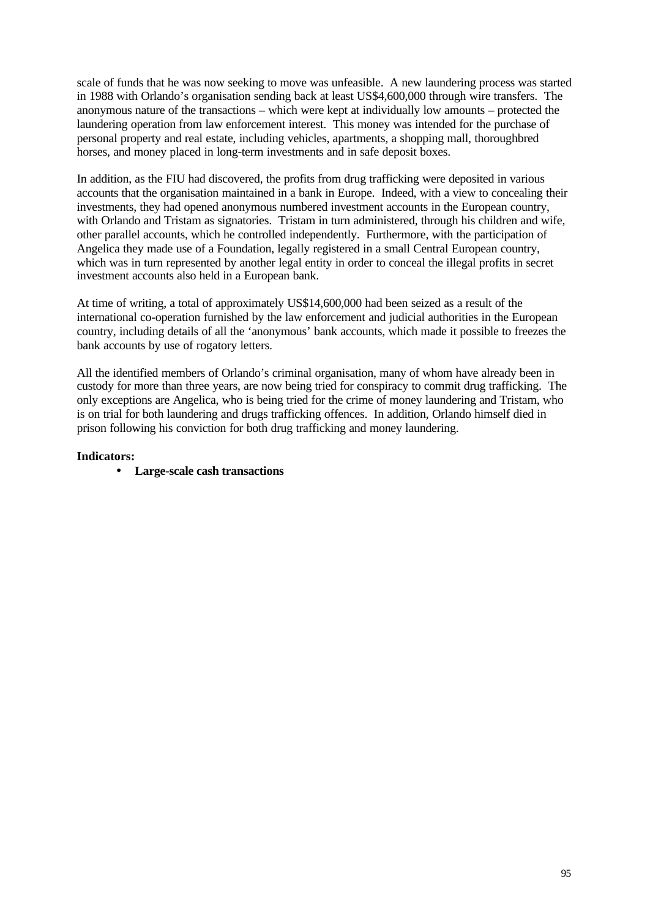scale of funds that he was now seeking to move was unfeasible. A new laundering process was started in 1988 with Orlando's organisation sending back at least US\$4,600,000 through wire transfers. The anonymous nature of the transactions – which were kept at individually low amounts – protected the laundering operation from law enforcement interest. This money was intended for the purchase of personal property and real estate, including vehicles, apartments, a shopping mall, thoroughbred horses, and money placed in long-term investments and in safe deposit boxes.

In addition, as the FIU had discovered, the profits from drug trafficking were deposited in various accounts that the organisation maintained in a bank in Europe. Indeed, with a view to concealing their investments, they had opened anonymous numbered investment accounts in the European country, with Orlando and Tristam as signatories. Tristam in turn administered, through his children and wife, other parallel accounts, which he controlled independently. Furthermore, with the participation of Angelica they made use of a Foundation, legally registered in a small Central European country, which was in turn represented by another legal entity in order to conceal the illegal profits in secret investment accounts also held in a European bank.

At time of writing, a total of approximately US\$14,600,000 had been seized as a result of the international co-operation furnished by the law enforcement and judicial authorities in the European country, including details of all the 'anonymous' bank accounts, which made it possible to freezes the bank accounts by use of rogatory letters.

All the identified members of Orlando's criminal organisation, many of whom have already been in custody for more than three years, are now being tried for conspiracy to commit drug trafficking. The only exceptions are Angelica, who is being tried for the crime of money laundering and Tristam, who is on trial for both laundering and drugs trafficking offences. In addition, Orlando himself died in prison following his conviction for both drug trafficking and money laundering.

#### **Indicators:**

• **Large-scale cash transactions**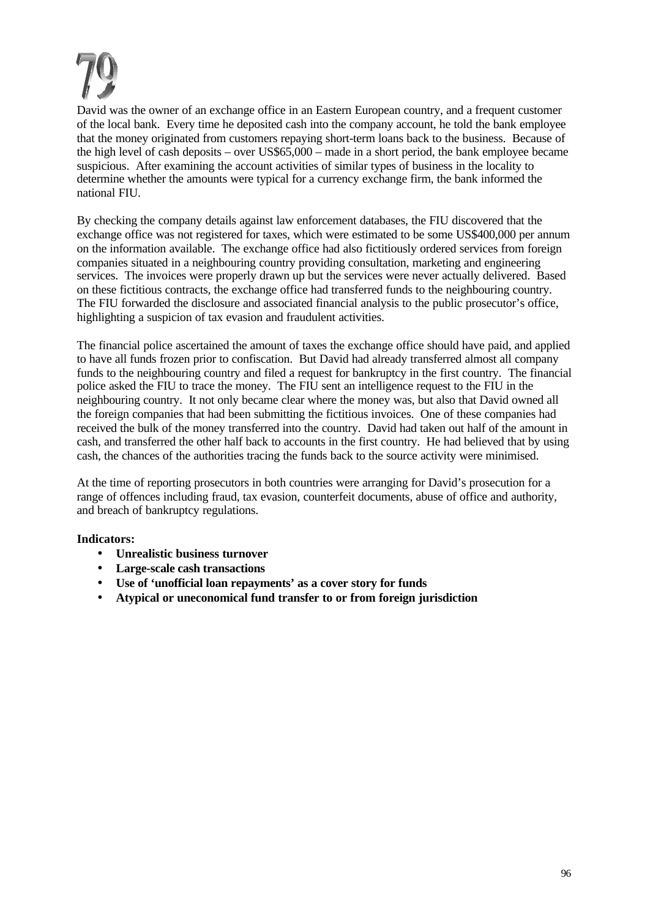David was the owner of an exchange office in an Eastern European country, and a frequent customer of the local bank. Every time he deposited cash into the company account, he told the bank employee that the money originated from customers repaying short-term loans back to the business. Because of the high level of cash deposits – over US\$65,000 – made in a short period, the bank employee became suspicious. After examining the account activities of similar types of business in the locality to determine whether the amounts were typical for a currency exchange firm, the bank informed the national FIU.

By checking the company details against law enforcement databases, the FIU discovered that the exchange office was not registered for taxes, which were estimated to be some US\$400,000 per annum on the information available. The exchange office had also fictitiously ordered services from foreign companies situated in a neighbouring country providing consultation, marketing and engineering services. The invoices were properly drawn up but the services were never actually delivered. Based on these fictitious contracts, the exchange office had transferred funds to the neighbouring country. The FIU forwarded the disclosure and associated financial analysis to the public prosecutor's office, highlighting a suspicion of tax evasion and fraudulent activities.

The financial police ascertained the amount of taxes the exchange office should have paid, and applied to have all funds frozen prior to confiscation. But David had already transferred almost all company funds to the neighbouring country and filed a request for bankruptcy in the first country. The financial police asked the FIU to trace the money. The FIU sent an intelligence request to the FIU in the neighbouring country. It not only became clear where the money was, but also that David owned all the foreign companies that had been submitting the fictitious invoices. One of these companies had received the bulk of the money transferred into the country. David had taken out half of the amount in cash, and transferred the other half back to accounts in the first country. He had believed that by using cash, the chances of the authorities tracing the funds back to the source activity were minimised.

At the time of reporting prosecutors in both countries were arranging for David's prosecution for a range of offences including fraud, tax evasion, counterfeit documents, abuse of office and authority, and breach of bankruptcy regulations.

- **Unrealistic business turnover**
- **Large-scale cash transactions**
- **Use of 'unofficial loan repayments' as a cover story for funds**
- **Atypical or uneconomical fund transfer to or from foreign jurisdiction**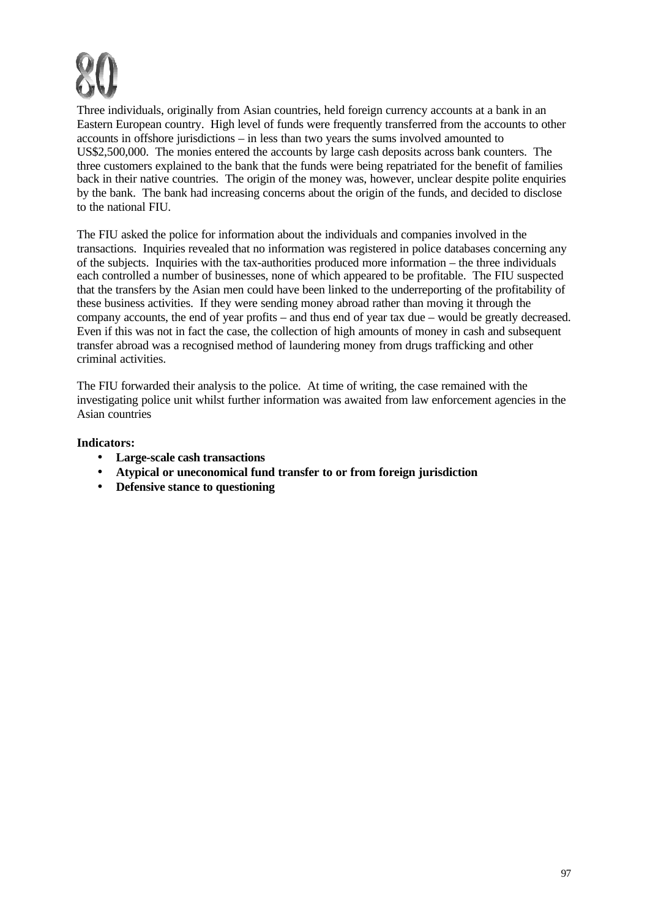

Three individuals, originally from Asian countries, held foreign currency accounts at a bank in an Eastern European country. High level of funds were frequently transferred from the accounts to other accounts in offshore jurisdictions – in less than two years the sums involved amounted to US\$2,500,000. The monies entered the accounts by large cash deposits across bank counters. The three customers explained to the bank that the funds were being repatriated for the benefit of families back in their native countries. The origin of the money was, however, unclear despite polite enquiries by the bank. The bank had increasing concerns about the origin of the funds, and decided to disclose to the national FIU.

The FIU asked the police for information about the individuals and companies involved in the transactions. Inquiries revealed that no information was registered in police databases concerning any of the subjects. Inquiries with the tax-authorities produced more information – the three individuals each controlled a number of businesses, none of which appeared to be profitable. The FIU suspected that the transfers by the Asian men could have been linked to the underreporting of the profitability of these business activities. If they were sending money abroad rather than moving it through the company accounts, the end of year profits – and thus end of year tax due – would be greatly decreased. Even if this was not in fact the case, the collection of high amounts of money in cash and subsequent transfer abroad was a recognised method of laundering money from drugs trafficking and other criminal activities.

The FIU forwarded their analysis to the police. At time of writing, the case remained with the investigating police unit whilst further information was awaited from law enforcement agencies in the Asian countries

- **Large-scale cash transactions**
- **Atypical or uneconomical fund transfer to or from foreign jurisdiction**
- **Defensive stance to questioning**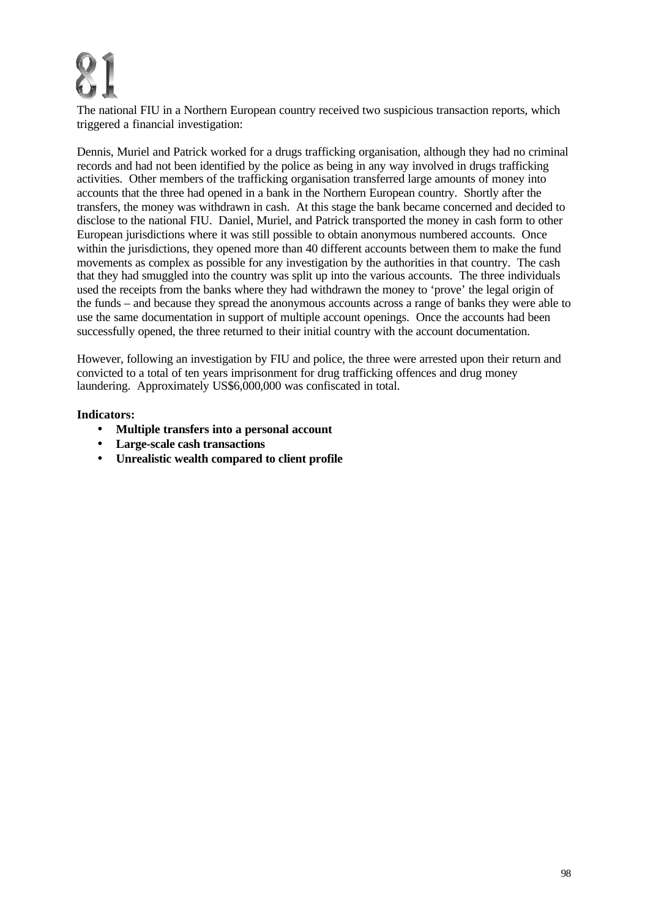The national FIU in a Northern European country received two suspicious transaction reports, which triggered a financial investigation:

Dennis, Muriel and Patrick worked for a drugs trafficking organisation, although they had no criminal records and had not been identified by the police as being in any way involved in drugs trafficking activities. Other members of the trafficking organisation transferred large amounts of money into accounts that the three had opened in a bank in the Northern European country. Shortly after the transfers, the money was withdrawn in cash. At this stage the bank became concerned and decided to disclose to the national FIU. Daniel, Muriel, and Patrick transported the money in cash form to other European jurisdictions where it was still possible to obtain anonymous numbered accounts. Once within the jurisdictions, they opened more than 40 different accounts between them to make the fund movements as complex as possible for any investigation by the authorities in that country. The cash that they had smuggled into the country was split up into the various accounts. The three individuals used the receipts from the banks where they had withdrawn the money to 'prove' the legal origin of the funds – and because they spread the anonymous accounts across a range of banks they were able to use the same documentation in support of multiple account openings. Once the accounts had been successfully opened, the three returned to their initial country with the account documentation.

However, following an investigation by FIU and police, the three were arrested upon their return and convicted to a total of ten years imprisonment for drug trafficking offences and drug money laundering. Approximately US\$6,000,000 was confiscated in total.

- **Multiple transfers into a personal account**
- **Large-scale cash transactions**
- **Unrealistic wealth compared to client profile**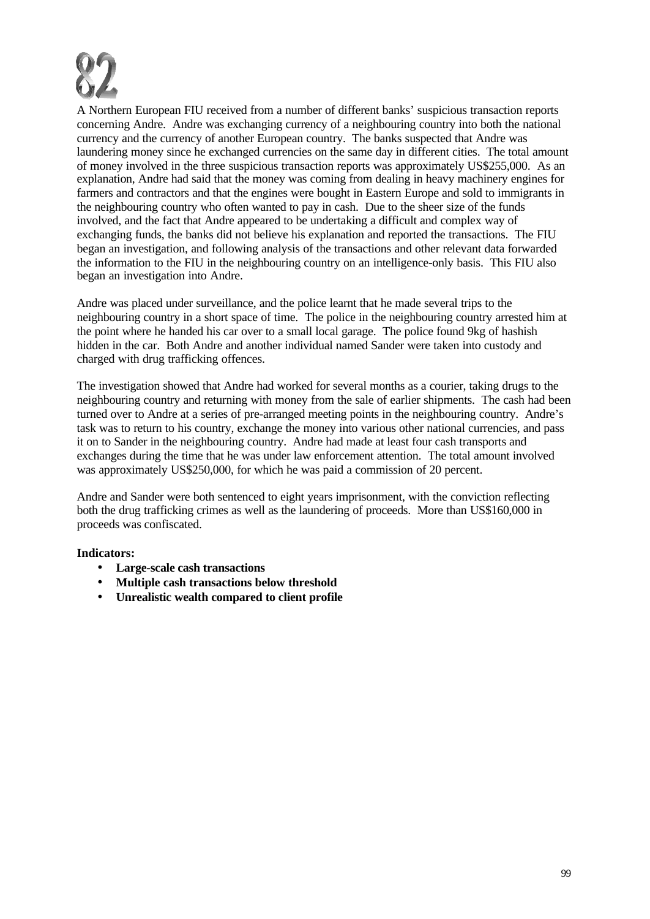

A Northern European FIU received from a number of different banks' suspicious transaction reports concerning Andre. Andre was exchanging currency of a neighbouring country into both the national currency and the currency of another European country. The banks suspected that Andre was laundering money since he exchanged currencies on the same day in different cities. The total amount of money involved in the three suspicious transaction reports was approximately US\$255,000. As an explanation, Andre had said that the money was coming from dealing in heavy machinery engines for farmers and contractors and that the engines were bought in Eastern Europe and sold to immigrants in the neighbouring country who often wanted to pay in cash. Due to the sheer size of the funds involved, and the fact that Andre appeared to be undertaking a difficult and complex way of exchanging funds, the banks did not believe his explanation and reported the transactions. The FIU began an investigation, and following analysis of the transactions and other relevant data forwarded the information to the FIU in the neighbouring country on an intelligence-only basis. This FIU also began an investigation into Andre.

Andre was placed under surveillance, and the police learnt that he made several trips to the neighbouring country in a short space of time. The police in the neighbouring country arrested him at the point where he handed his car over to a small local garage. The police found 9kg of hashish hidden in the car. Both Andre and another individual named Sander were taken into custody and charged with drug trafficking offences.

The investigation showed that Andre had worked for several months as a courier, taking drugs to the neighbouring country and returning with money from the sale of earlier shipments. The cash had been turned over to Andre at a series of pre-arranged meeting points in the neighbouring country. Andre's task was to return to his country, exchange the money into various other national currencies, and pass it on to Sander in the neighbouring country. Andre had made at least four cash transports and exchanges during the time that he was under law enforcement attention. The total amount involved was approximately US\$250,000, for which he was paid a commission of 20 percent.

Andre and Sander were both sentenced to eight years imprisonment, with the conviction reflecting both the drug trafficking crimes as well as the laundering of proceeds. More than US\$160,000 in proceeds was confiscated.

- **Large-scale cash transactions**
- **Multiple cash transactions below threshold**
- **Unrealistic wealth compared to client profile**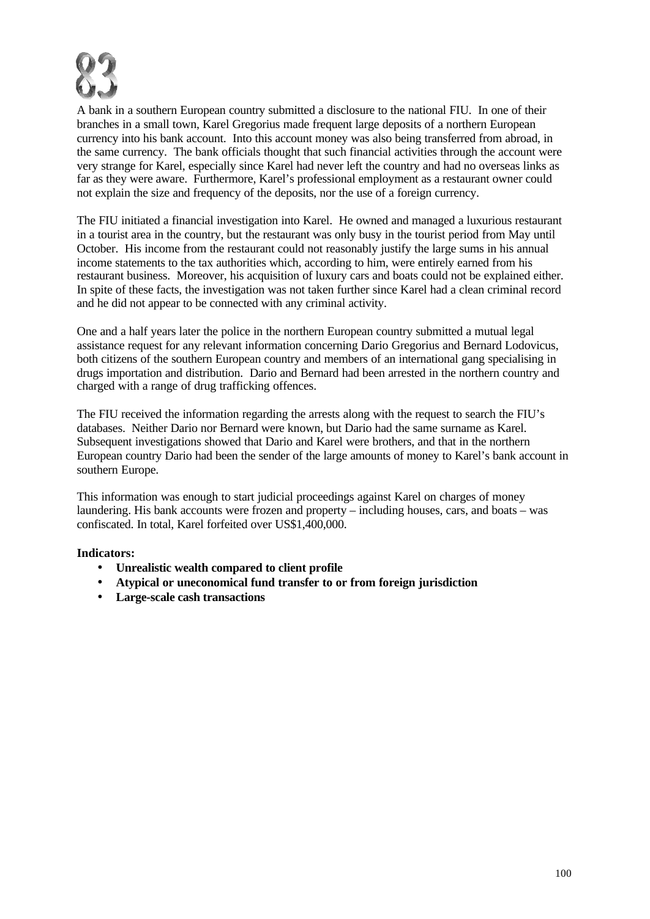

A bank in a southern European country submitted a disclosure to the national FIU. In one of their branches in a small town, Karel Gregorius made frequent large deposits of a northern European currency into his bank account. Into this account money was also being transferred from abroad, in the same currency. The bank officials thought that such financial activities through the account were very strange for Karel, especially since Karel had never left the country and had no overseas links as far as they were aware. Furthermore, Karel's professional employment as a restaurant owner could not explain the size and frequency of the deposits, nor the use of a foreign currency.

The FIU initiated a financial investigation into Karel. He owned and managed a luxurious restaurant in a tourist area in the country, but the restaurant was only busy in the tourist period from May until October. His income from the restaurant could not reasonably justify the large sums in his annual income statements to the tax authorities which, according to him, were entirely earned from his restaurant business. Moreover, his acquisition of luxury cars and boats could not be explained either. In spite of these facts, the investigation was not taken further since Karel had a clean criminal record and he did not appear to be connected with any criminal activity.

One and a half years later the police in the northern European country submitted a mutual legal assistance request for any relevant information concerning Dario Gregorius and Bernard Lodovicus, both citizens of the southern European country and members of an international gang specialising in drugs importation and distribution. Dario and Bernard had been arrested in the northern country and charged with a range of drug trafficking offences.

The FIU received the information regarding the arrests along with the request to search the FIU's databases. Neither Dario nor Bernard were known, but Dario had the same surname as Karel. Subsequent investigations showed that Dario and Karel were brothers, and that in the northern European country Dario had been the sender of the large amounts of money to Karel's bank account in southern Europe.

This information was enough to start judicial proceedings against Karel on charges of money laundering. His bank accounts were frozen and property – including houses, cars, and boats – was confiscated. In total, Karel forfeited over US\$1,400,000.

- **Unrealistic wealth compared to client profile**
- **Atypical or uneconomical fund transfer to or from foreign jurisdiction**
- **Large-scale cash transactions**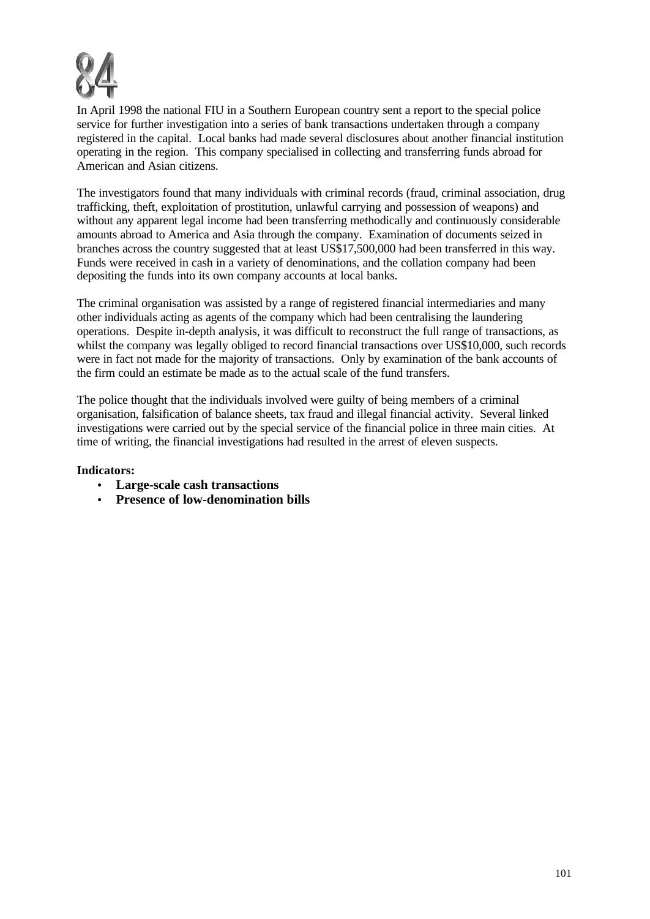

In April 1998 the national FIU in a Southern European country sent a report to the special police service for further investigation into a series of bank transactions undertaken through a company registered in the capital. Local banks had made several disclosures about another financial institution operating in the region. This company specialised in collecting and transferring funds abroad for American and Asian citizens.

The investigators found that many individuals with criminal records (fraud, criminal association, drug trafficking, theft, exploitation of prostitution, unlawful carrying and possession of weapons) and without any apparent legal income had been transferring methodically and continuously considerable amounts abroad to America and Asia through the company. Examination of documents seized in branches across the country suggested that at least US\$17,500,000 had been transferred in this way. Funds were received in cash in a variety of denominations, and the collation company had been depositing the funds into its own company accounts at local banks.

The criminal organisation was assisted by a range of registered financial intermediaries and many other individuals acting as agents of the company which had been centralising the laundering operations. Despite in-depth analysis, it was difficult to reconstruct the full range of transactions, as whilst the company was legally obliged to record financial transactions over US\$10,000, such records were in fact not made for the majority of transactions. Only by examination of the bank accounts of the firm could an estimate be made as to the actual scale of the fund transfers.

The police thought that the individuals involved were guilty of being members of a criminal organisation, falsification of balance sheets, tax fraud and illegal financial activity. Several linked investigations were carried out by the special service of the financial police in three main cities. At time of writing, the financial investigations had resulted in the arrest of eleven suspects.

- **Large-scale cash transactions**
- **Presence of low-denomination bills**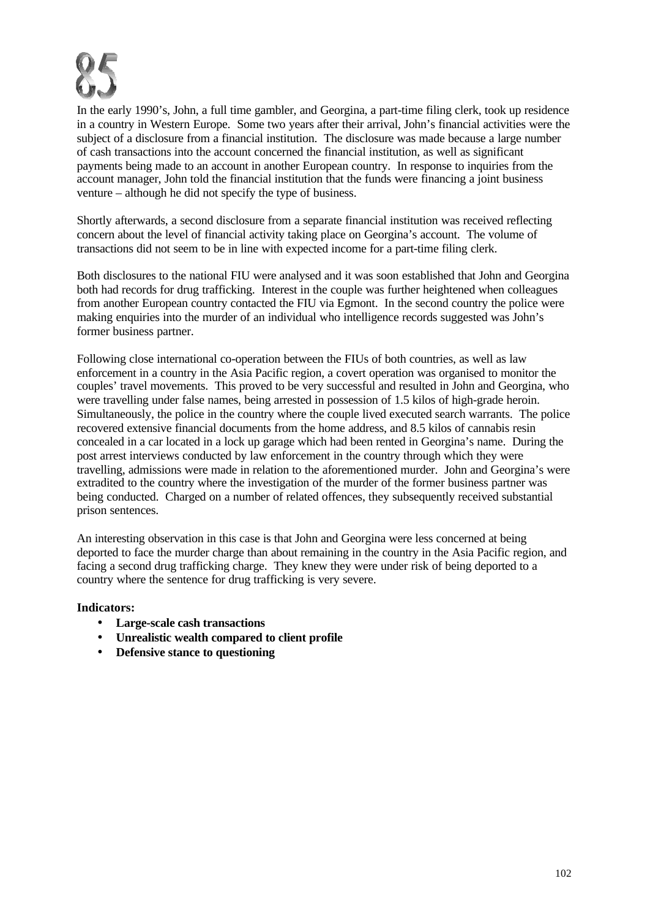

In the early 1990's, John, a full time gambler, and Georgina, a part-time filing clerk, took up residence in a country in Western Europe. Some two years after their arrival, John's financial activities were the subject of a disclosure from a financial institution. The disclosure was made because a large number of cash transactions into the account concerned the financial institution, as well as significant payments being made to an account in another European country. In response to inquiries from the account manager, John told the financial institution that the funds were financing a joint business venture – although he did not specify the type of business.

Shortly afterwards, a second disclosure from a separate financial institution was received reflecting concern about the level of financial activity taking place on Georgina's account. The volume of transactions did not seem to be in line with expected income for a part-time filing clerk.

Both disclosures to the national FIU were analysed and it was soon established that John and Georgina both had records for drug trafficking. Interest in the couple was further heightened when colleagues from another European country contacted the FIU via Egmont. In the second country the police were making enquiries into the murder of an individual who intelligence records suggested was John's former business partner.

Following close international co-operation between the FIUs of both countries, as well as law enforcement in a country in the Asia Pacific region, a covert operation was organised to monitor the couples' travel movements. This proved to be very successful and resulted in John and Georgina, who were travelling under false names, being arrested in possession of 1.5 kilos of high-grade heroin. Simultaneously, the police in the country where the couple lived executed search warrants. The police recovered extensive financial documents from the home address, and 8.5 kilos of cannabis resin concealed in a car located in a lock up garage which had been rented in Georgina's name. During the post arrest interviews conducted by law enforcement in the country through which they were travelling, admissions were made in relation to the aforementioned murder. John and Georgina's were extradited to the country where the investigation of the murder of the former business partner was being conducted. Charged on a number of related offences, they subsequently received substantial prison sentences.

An interesting observation in this case is that John and Georgina were less concerned at being deported to face the murder charge than about remaining in the country in the Asia Pacific region, and facing a second drug trafficking charge. They knew they were under risk of being deported to a country where the sentence for drug trafficking is very severe.

- **Large-scale cash transactions**
- **Unrealistic wealth compared to client profile**
- **Defensive stance to questioning**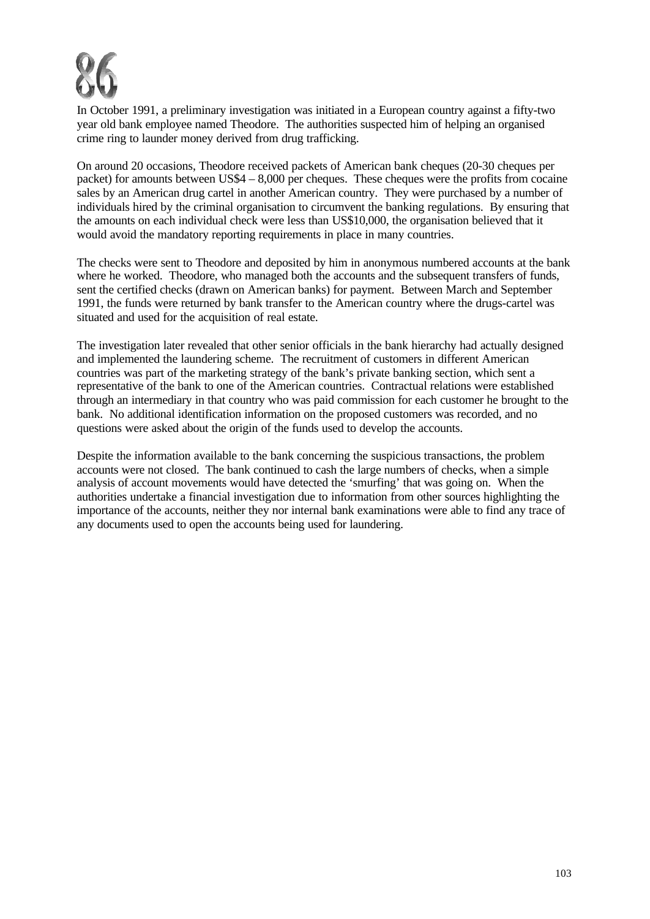

In October 1991, a preliminary investigation was initiated in a European country against a fifty-two year old bank employee named Theodore. The authorities suspected him of helping an organised crime ring to launder money derived from drug trafficking.

On around 20 occasions, Theodore received packets of American bank cheques (20-30 cheques per packet) for amounts between US\$4 – 8,000 per cheques. These cheques were the profits from cocaine sales by an American drug cartel in another American country. They were purchased by a number of individuals hired by the criminal organisation to circumvent the banking regulations. By ensuring that the amounts on each individual check were less than US\$10,000, the organisation believed that it would avoid the mandatory reporting requirements in place in many countries.

The checks were sent to Theodore and deposited by him in anonymous numbered accounts at the bank where he worked. Theodore, who managed both the accounts and the subsequent transfers of funds, sent the certified checks (drawn on American banks) for payment. Between March and September 1991, the funds were returned by bank transfer to the American country where the drugs-cartel was situated and used for the acquisition of real estate.

The investigation later revealed that other senior officials in the bank hierarchy had actually designed and implemented the laundering scheme. The recruitment of customers in different American countries was part of the marketing strategy of the bank's private banking section, which sent a representative of the bank to one of the American countries. Contractual relations were established through an intermediary in that country who was paid commission for each customer he brought to the bank. No additional identification information on the proposed customers was recorded, and no questions were asked about the origin of the funds used to develop the accounts.

Despite the information available to the bank concerning the suspicious transactions, the problem accounts were not closed. The bank continued to cash the large numbers of checks, when a simple analysis of account movements would have detected the 'smurfing' that was going on. When the authorities undertake a financial investigation due to information from other sources highlighting the importance of the accounts, neither they nor internal bank examinations were able to find any trace of any documents used to open the accounts being used for laundering.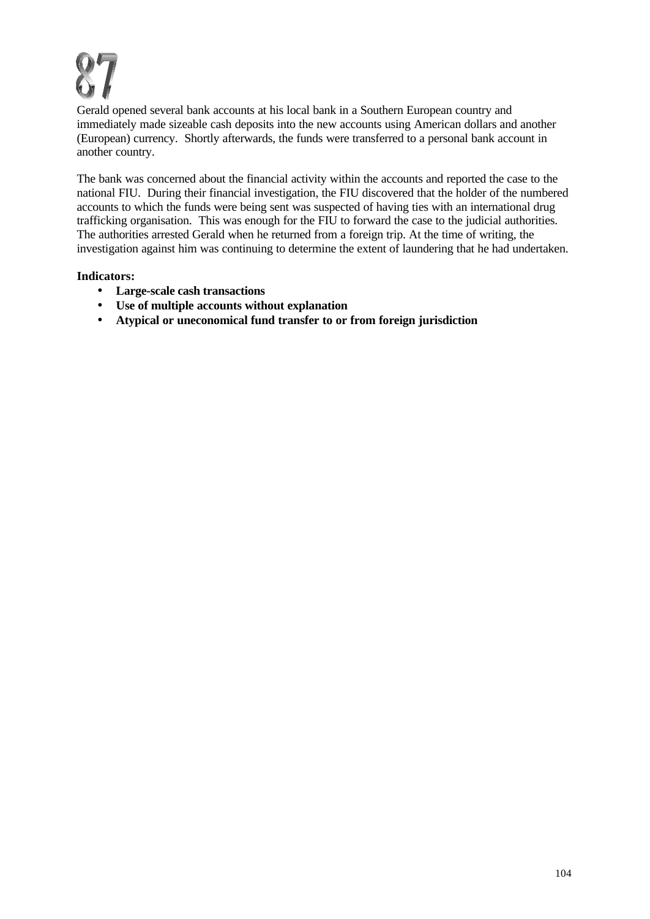Gerald opened several bank accounts at his local bank in a Southern European country and immediately made sizeable cash deposits into the new accounts using American dollars and another (European) currency. Shortly afterwards, the funds were transferred to a personal bank account in another country.

The bank was concerned about the financial activity within the accounts and reported the case to the national FIU. During their financial investigation, the FIU discovered that the holder of the numbered accounts to which the funds were being sent was suspected of having ties with an international drug trafficking organisation. This was enough for the FIU to forward the case to the judicial authorities. The authorities arrested Gerald when he returned from a foreign trip. At the time of writing, the investigation against him was continuing to determine the extent of laundering that he had undertaken.

- **Large-scale cash transactions**
- **Use of multiple accounts without explanation**
- **Atypical or uneconomical fund transfer to or from foreign jurisdiction**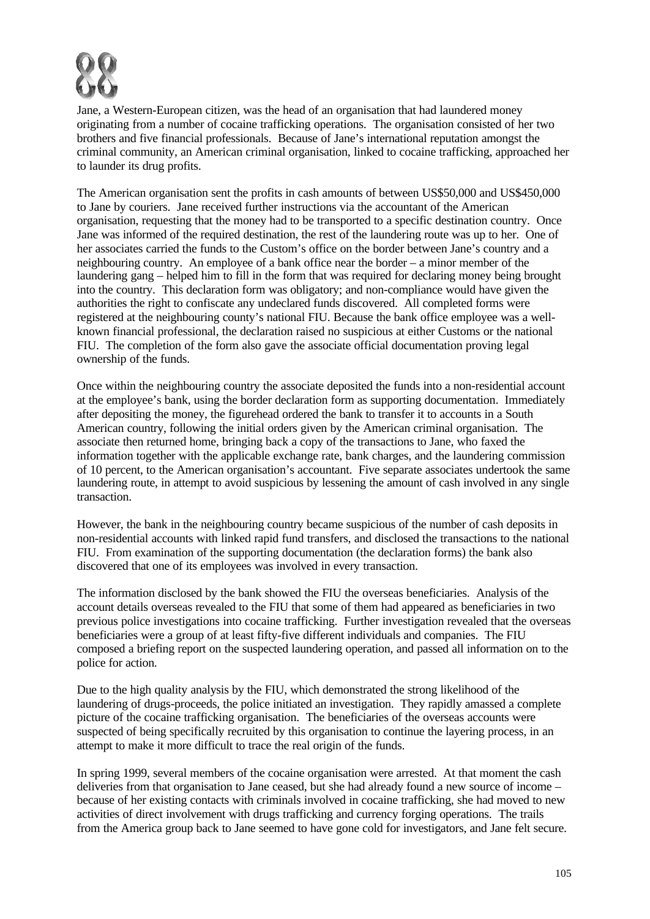

Jane, a Western-European citizen, was the head of an organisation that had laundered money originating from a number of cocaine trafficking operations. The organisation consisted of her two brothers and five financial professionals. Because of Jane's international reputation amongst the criminal community, an American criminal organisation, linked to cocaine trafficking, approached her to launder its drug profits.

The American organisation sent the profits in cash amounts of between US\$50,000 and US\$450,000 to Jane by couriers. Jane received further instructions via the accountant of the American organisation, requesting that the money had to be transported to a specific destination country. Once Jane was informed of the required destination, the rest of the laundering route was up to her. One of her associates carried the funds to the Custom's office on the border between Jane's country and a neighbouring country. An employee of a bank office near the border – a minor member of the laundering gang – helped him to fill in the form that was required for declaring money being brought into the country. This declaration form was obligatory; and non-compliance would have given the authorities the right to confiscate any undeclared funds discovered. All completed forms were registered at the neighbouring county's national FIU. Because the bank office employee was a wellknown financial professional, the declaration raised no suspicious at either Customs or the national FIU. The completion of the form also gave the associate official documentation proving legal ownership of the funds.

Once within the neighbouring country the associate deposited the funds into a non-residential account at the employee's bank, using the border declaration form as supporting documentation. Immediately after depositing the money, the figurehead ordered the bank to transfer it to accounts in a South American country, following the initial orders given by the American criminal organisation. The associate then returned home, bringing back a copy of the transactions to Jane, who faxed the information together with the applicable exchange rate, bank charges, and the laundering commission of 10 percent, to the American organisation's accountant. Five separate associates undertook the same laundering route, in attempt to avoid suspicious by lessening the amount of cash involved in any single transaction.

However, the bank in the neighbouring country became suspicious of the number of cash deposits in non-residential accounts with linked rapid fund transfers, and disclosed the transactions to the national FIU. From examination of the supporting documentation (the declaration forms) the bank also discovered that one of its employees was involved in every transaction.

The information disclosed by the bank showed the FIU the overseas beneficiaries. Analysis of the account details overseas revealed to the FIU that some of them had appeared as beneficiaries in two previous police investigations into cocaine trafficking. Further investigation revealed that the overseas beneficiaries were a group of at least fifty-five different individuals and companies. The FIU composed a briefing report on the suspected laundering operation, and passed all information on to the police for action.

Due to the high quality analysis by the FIU, which demonstrated the strong likelihood of the laundering of drugs-proceeds, the police initiated an investigation. They rapidly amassed a complete picture of the cocaine trafficking organisation. The beneficiaries of the overseas accounts were suspected of being specifically recruited by this organisation to continue the layering process, in an attempt to make it more difficult to trace the real origin of the funds.

In spring 1999, several members of the cocaine organisation were arrested. At that moment the cash deliveries from that organisation to Jane ceased, but she had already found a new source of income – because of her existing contacts with criminals involved in cocaine trafficking, she had moved to new activities of direct involvement with drugs trafficking and currency forging operations. The trails from the America group back to Jane seemed to have gone cold for investigators, and Jane felt secure.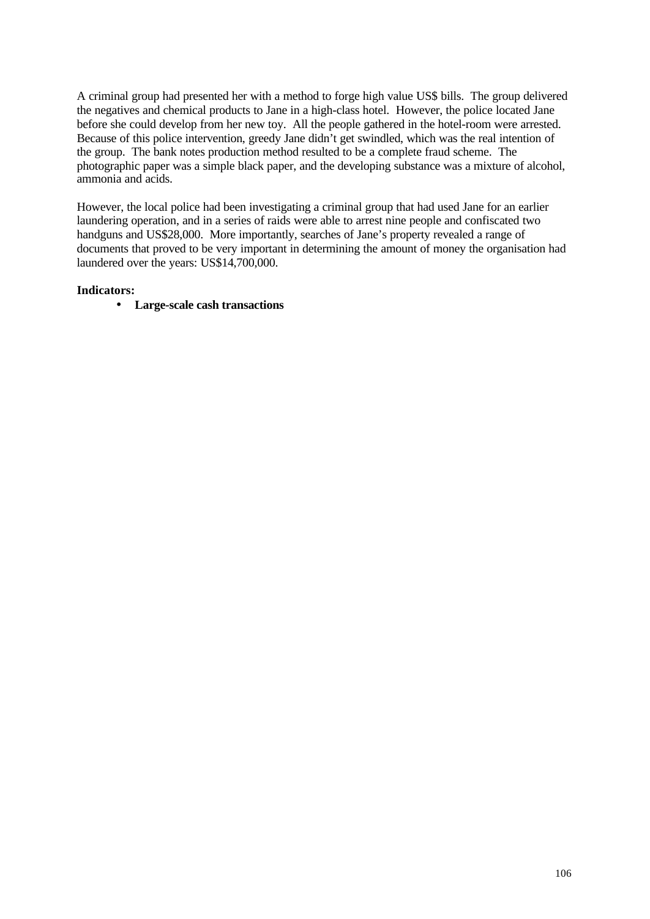A criminal group had presented her with a method to forge high value US\$ bills. The group delivered the negatives and chemical products to Jane in a high-class hotel. However, the police located Jane before she could develop from her new toy. All the people gathered in the hotel-room were arrested. Because of this police intervention, greedy Jane didn't get swindled, which was the real intention of the group. The bank notes production method resulted to be a complete fraud scheme. The photographic paper was a simple black paper, and the developing substance was a mixture of alcohol, ammonia and acids.

However, the local police had been investigating a criminal group that had used Jane for an earlier laundering operation, and in a series of raids were able to arrest nine people and confiscated two handguns and US\$28,000. More importantly, searches of Jane's property revealed a range of documents that proved to be very important in determining the amount of money the organisation had laundered over the years: US\$14,700,000.

### **Indicators:**

• **Large-scale cash transactions**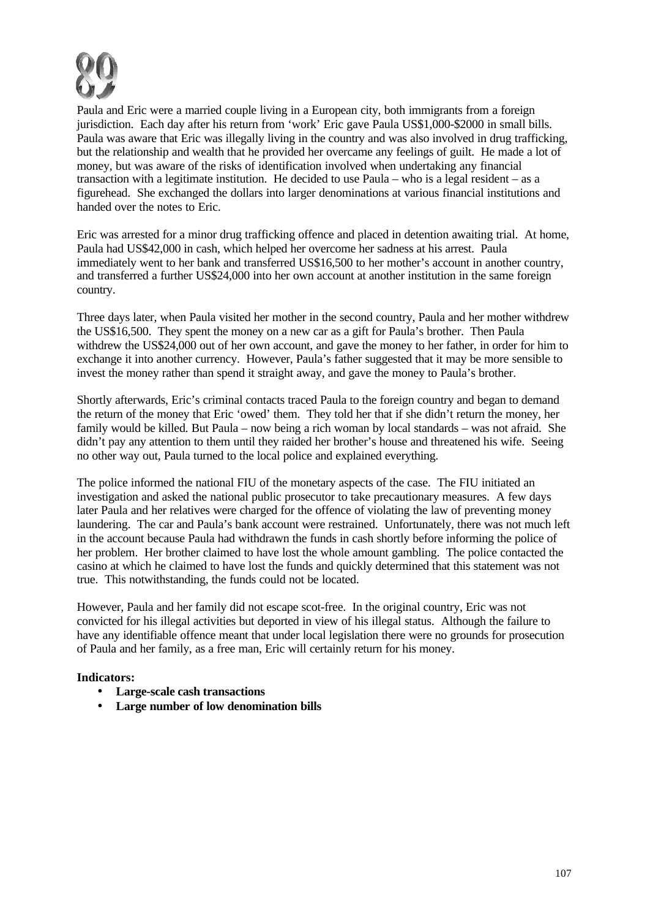

Paula and Eric were a married couple living in a European city, both immigrants from a foreign jurisdiction. Each day after his return from 'work' Eric gave Paula US\$1,000-\$2000 in small bills. Paula was aware that Eric was illegally living in the country and was also involved in drug trafficking, but the relationship and wealth that he provided her overcame any feelings of guilt. He made a lot of money, but was aware of the risks of identification involved when undertaking any financial transaction with a legitimate institution. He decided to use Paula – who is a legal resident – as a figurehead. She exchanged the dollars into larger denominations at various financial institutions and handed over the notes to Eric.

Eric was arrested for a minor drug trafficking offence and placed in detention awaiting trial. At home, Paula had US\$42,000 in cash, which helped her overcome her sadness at his arrest. Paula immediately went to her bank and transferred US\$16,500 to her mother's account in another country, and transferred a further US\$24,000 into her own account at another institution in the same foreign country.

Three days later, when Paula visited her mother in the second country, Paula and her mother withdrew the US\$16,500. They spent the money on a new car as a gift for Paula's brother. Then Paula withdrew the US\$24,000 out of her own account, and gave the money to her father, in order for him to exchange it into another currency. However, Paula's father suggested that it may be more sensible to invest the money rather than spend it straight away, and gave the money to Paula's brother.

Shortly afterwards, Eric's criminal contacts traced Paula to the foreign country and began to demand the return of the money that Eric 'owed' them. They told her that if she didn't return the money, her family would be killed. But Paula – now being a rich woman by local standards – was not afraid. She didn't pay any attention to them until they raided her brother's house and threatened his wife. Seeing no other way out, Paula turned to the local police and explained everything.

The police informed the national FIU of the monetary aspects of the case. The FIU initiated an investigation and asked the national public prosecutor to take precautionary measures. A few days later Paula and her relatives were charged for the offence of violating the law of preventing money laundering. The car and Paula's bank account were restrained. Unfortunately, there was not much left in the account because Paula had withdrawn the funds in cash shortly before informing the police of her problem. Her brother claimed to have lost the whole amount gambling. The police contacted the casino at which he claimed to have lost the funds and quickly determined that this statement was not true. This notwithstanding, the funds could not be located.

However, Paula and her family did not escape scot-free. In the original country, Eric was not convicted for his illegal activities but deported in view of his illegal status. Although the failure to have any identifiable offence meant that under local legislation there were no grounds for prosecution of Paula and her family, as a free man, Eric will certainly return for his money.

- **Large-scale cash transactions**
- **Large number of low denomination bills**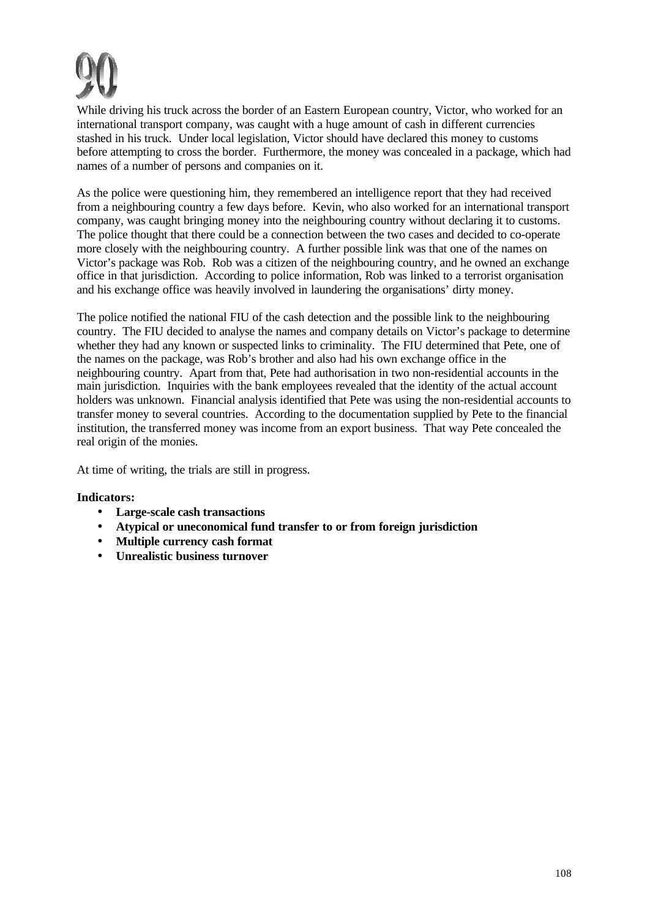

While driving his truck across the border of an Eastern European country, Victor, who worked for an international transport company, was caught with a huge amount of cash in different currencies stashed in his truck. Under local legislation, Victor should have declared this money to customs before attempting to cross the border. Furthermore, the money was concealed in a package, which had names of a number of persons and companies on it.

As the police were questioning him, they remembered an intelligence report that they had received from a neighbouring country a few days before. Kevin, who also worked for an international transport company, was caught bringing money into the neighbouring country without declaring it to customs. The police thought that there could be a connection between the two cases and decided to co-operate more closely with the neighbouring country. A further possible link was that one of the names on Victor's package was Rob. Rob was a citizen of the neighbouring country, and he owned an exchange office in that jurisdiction. According to police information, Rob was linked to a terrorist organisation and his exchange office was heavily involved in laundering the organisations' dirty money.

The police notified the national FIU of the cash detection and the possible link to the neighbouring country. The FIU decided to analyse the names and company details on Victor's package to determine whether they had any known or suspected links to criminality. The FIU determined that Pete, one of the names on the package, was Rob's brother and also had his own exchange office in the neighbouring country. Apart from that, Pete had authorisation in two non-residential accounts in the main jurisdiction. Inquiries with the bank employees revealed that the identity of the actual account holders was unknown. Financial analysis identified that Pete was using the non-residential accounts to transfer money to several countries. According to the documentation supplied by Pete to the financial institution, the transferred money was income from an export business. That way Pete concealed the real origin of the monies.

At time of writing, the trials are still in progress.

- **Large-scale cash transactions**
- **Atypical or uneconomical fund transfer to or from foreign jurisdiction**
- **Multiple currency cash format**
- **Unrealistic business turnover**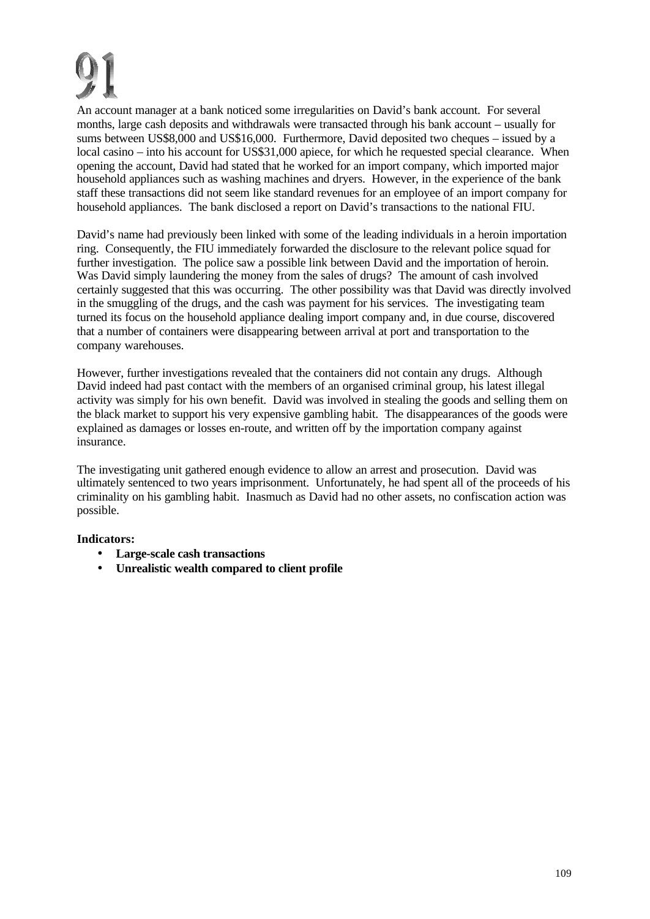An account manager at a bank noticed some irregularities on David's bank account. For several months, large cash deposits and withdrawals were transacted through his bank account – usually for sums between US\$8,000 and US\$16,000. Furthermore, David deposited two cheques – issued by a local casino – into his account for US\$31,000 apiece, for which he requested special clearance. When opening the account, David had stated that he worked for an import company, which imported major household appliances such as washing machines and dryers. However, in the experience of the bank staff these transactions did not seem like standard revenues for an employee of an import company for household appliances. The bank disclosed a report on David's transactions to the national FIU.

David's name had previously been linked with some of the leading individuals in a heroin importation ring. Consequently, the FIU immediately forwarded the disclosure to the relevant police squad for further investigation. The police saw a possible link between David and the importation of heroin. Was David simply laundering the money from the sales of drugs? The amount of cash involved certainly suggested that this was occurring. The other possibility was that David was directly involved in the smuggling of the drugs, and the cash was payment for his services. The investigating team turned its focus on the household appliance dealing import company and, in due course, discovered that a number of containers were disappearing between arrival at port and transportation to the company warehouses.

However, further investigations revealed that the containers did not contain any drugs. Although David indeed had past contact with the members of an organised criminal group, his latest illegal activity was simply for his own benefit. David was involved in stealing the goods and selling them on the black market to support his very expensive gambling habit. The disappearances of the goods were explained as damages or losses en-route, and written off by the importation company against insurance.

The investigating unit gathered enough evidence to allow an arrest and prosecution. David was ultimately sentenced to two years imprisonment. Unfortunately, he had spent all of the proceeds of his criminality on his gambling habit. Inasmuch as David had no other assets, no confiscation action was possible.

## **Indicators:**

- **Large-scale cash transactions**
- **Unrealistic wealth compared to client profile**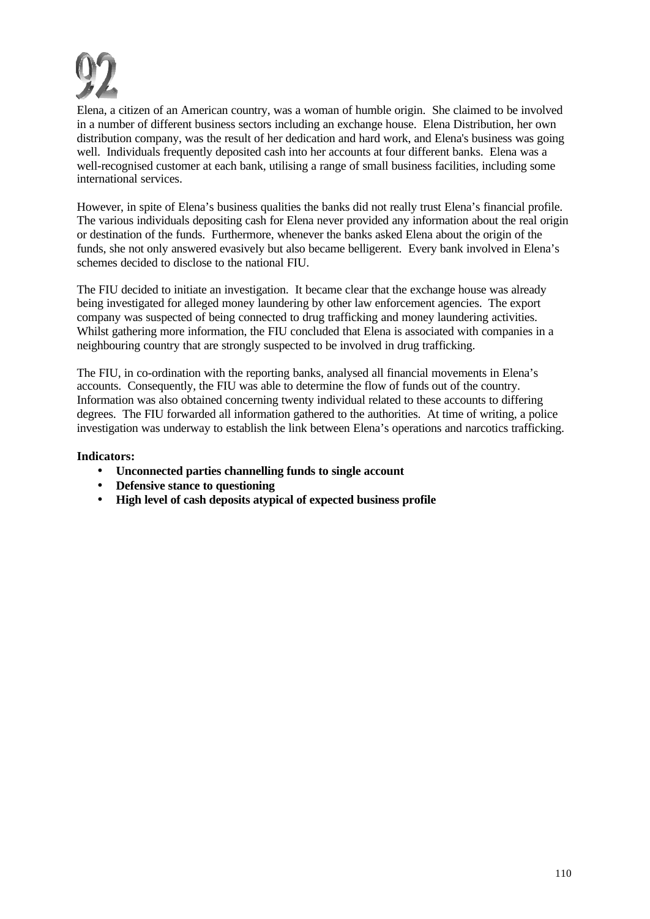

Elena, a citizen of an American country, was a woman of humble origin. She claimed to be involved in a number of different business sectors including an exchange house. Elena Distribution, her own distribution company, was the result of her dedication and hard work, and Elena's business was going well. Individuals frequently deposited cash into her accounts at four different banks. Elena was a well-recognised customer at each bank, utilising a range of small business facilities, including some international services.

However, in spite of Elena's business qualities the banks did not really trust Elena's financial profile. The various individuals depositing cash for Elena never provided any information about the real origin or destination of the funds. Furthermore, whenever the banks asked Elena about the origin of the funds, she not only answered evasively but also became belligerent. Every bank involved in Elena's schemes decided to disclose to the national FIU.

The FIU decided to initiate an investigation. It became clear that the exchange house was already being investigated for alleged money laundering by other law enforcement agencies. The export company was suspected of being connected to drug trafficking and money laundering activities. Whilst gathering more information, the FIU concluded that Elena is associated with companies in a neighbouring country that are strongly suspected to be involved in drug trafficking.

The FIU, in co-ordination with the reporting banks, analysed all financial movements in Elena's accounts. Consequently, the FIU was able to determine the flow of funds out of the country. Information was also obtained concerning twenty individual related to these accounts to differing degrees. The FIU forwarded all information gathered to the authorities. At time of writing, a police investigation was underway to establish the link between Elena's operations and narcotics trafficking.

## **Indicators:**

- **Unconnected parties channelling funds to single account**
- **Defensive stance to questioning**
- **High level of cash deposits atypical of expected business profile**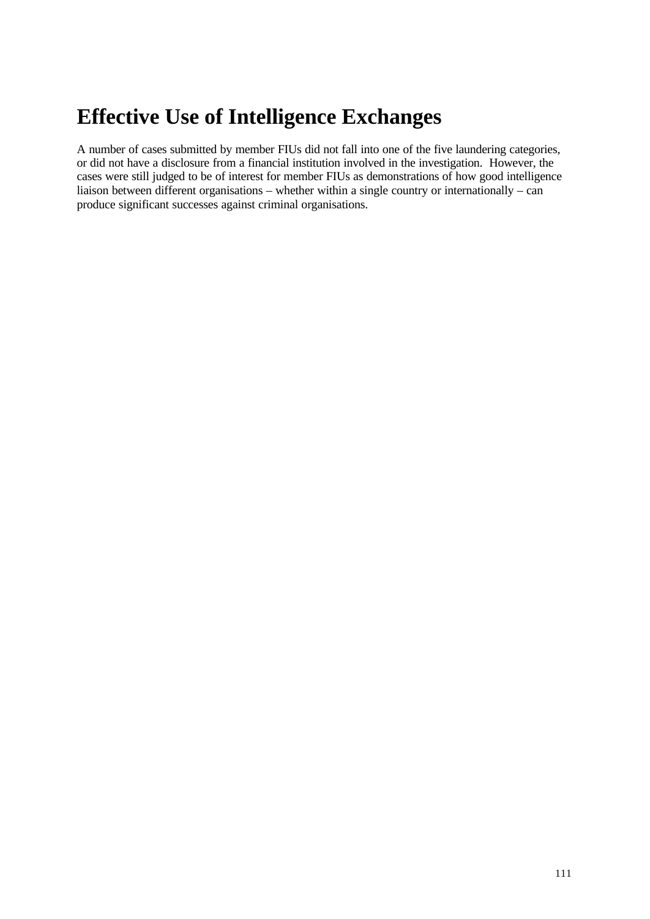# **Effective Use of Intelligence Exchanges**

A number of cases submitted by member FIUs did not fall into one of the five laundering categories, or did not have a disclosure from a financial institution involved in the investigation. However, the cases were still judged to be of interest for member FIUs as demonstrations of how good intelligence liaison between different organisations – whether within a single country or internationally – can produce significant successes against criminal organisations.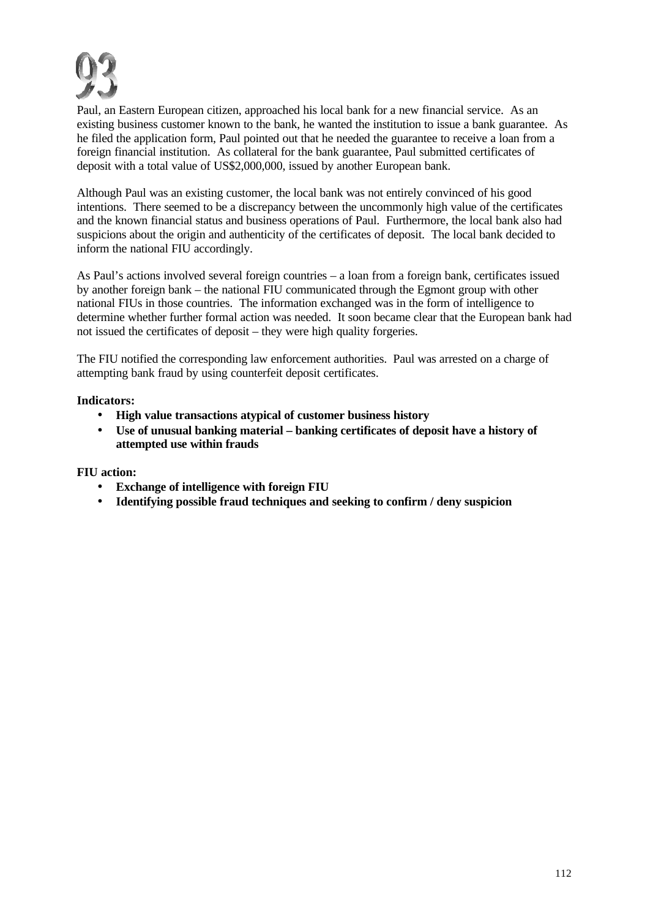

Paul, an Eastern European citizen, approached his local bank for a new financial service. As an existing business customer known to the bank, he wanted the institution to issue a bank guarantee. As he filed the application form, Paul pointed out that he needed the guarantee to receive a loan from a foreign financial institution. As collateral for the bank guarantee, Paul submitted certificates of deposit with a total value of US\$2,000,000, issued by another European bank.

Although Paul was an existing customer, the local bank was not entirely convinced of his good intentions. There seemed to be a discrepancy between the uncommonly high value of the certificates and the known financial status and business operations of Paul. Furthermore, the local bank also had suspicions about the origin and authenticity of the certificates of deposit. The local bank decided to inform the national FIU accordingly.

As Paul's actions involved several foreign countries – a loan from a foreign bank, certificates issued by another foreign bank – the national FIU communicated through the Egmont group with other national FIUs in those countries. The information exchanged was in the form of intelligence to determine whether further formal action was needed. It soon became clear that the European bank had not issued the certificates of deposit – they were high quality forgeries.

The FIU notified the corresponding law enforcement authorities. Paul was arrested on a charge of attempting bank fraud by using counterfeit deposit certificates.

## **Indicators:**

- **High value transactions atypical of customer business history**
- **Use of unusual banking material banking certificates of deposit have a history of attempted use within frauds**

**FIU action:**

- **Exchange of intelligence with foreign FIU**
- **Identifying possible fraud techniques and seeking to confirm / deny suspicion**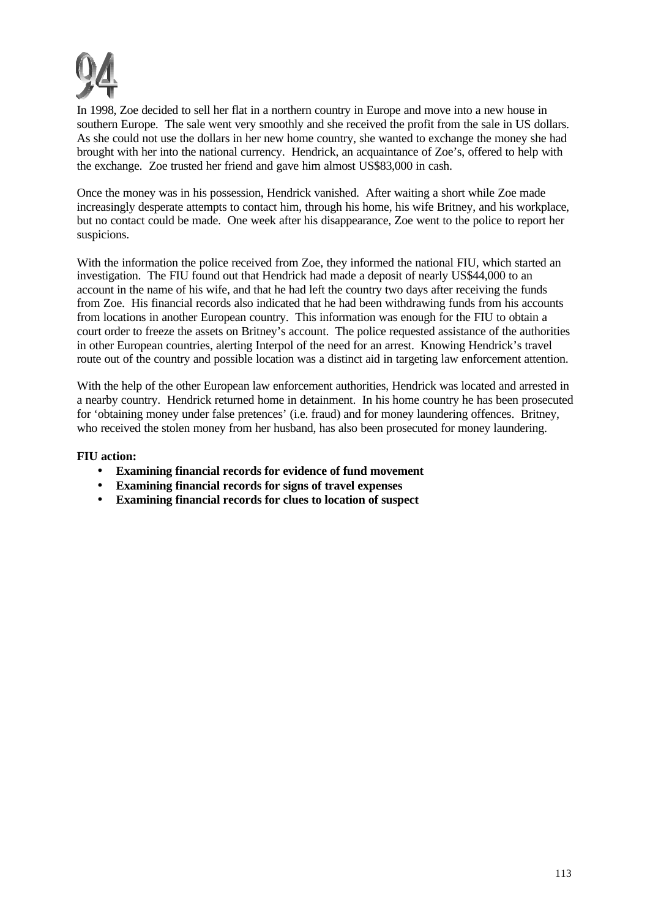

In 1998, Zoe decided to sell her flat in a northern country in Europe and move into a new house in southern Europe. The sale went very smoothly and she received the profit from the sale in US dollars. As she could not use the dollars in her new home country, she wanted to exchange the money she had brought with her into the national currency. Hendrick, an acquaintance of Zoe's, offered to help with the exchange. Zoe trusted her friend and gave him almost US\$83,000 in cash.

Once the money was in his possession, Hendrick vanished. After waiting a short while Zoe made increasingly desperate attempts to contact him, through his home, his wife Britney, and his workplace, but no contact could be made. One week after his disappearance, Zoe went to the police to report her suspicions.

With the information the police received from Zoe, they informed the national FIU, which started an investigation. The FIU found out that Hendrick had made a deposit of nearly US\$44,000 to an account in the name of his wife, and that he had left the country two days after receiving the funds from Zoe. His financial records also indicated that he had been withdrawing funds from his accounts from locations in another European country. This information was enough for the FIU to obtain a court order to freeze the assets on Britney's account. The police requested assistance of the authorities in other European countries, alerting Interpol of the need for an arrest. Knowing Hendrick's travel route out of the country and possible location was a distinct aid in targeting law enforcement attention.

With the help of the other European law enforcement authorities, Hendrick was located and arrested in a nearby country. Hendrick returned home in detainment. In his home country he has been prosecuted for 'obtaining money under false pretences' (i.e. fraud) and for money laundering offences. Britney, who received the stolen money from her husband, has also been prosecuted for money laundering.

## **FIU action:**

- **Examining financial records for evidence of fund movement**
- **Examining financial records for signs of travel expenses**
- **Examining financial records for clues to location of suspect**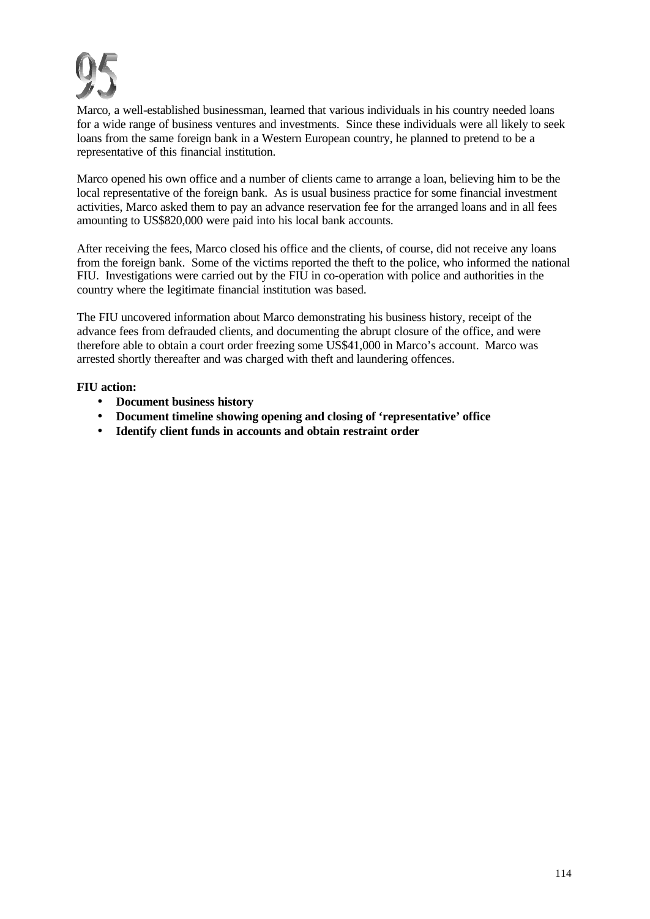

Marco, a well-established businessman, learned that various individuals in his country needed loans for a wide range of business ventures and investments. Since these individuals were all likely to seek loans from the same foreign bank in a Western European country, he planned to pretend to be a representative of this financial institution.

Marco opened his own office and a number of clients came to arrange a loan, believing him to be the local representative of the foreign bank. As is usual business practice for some financial investment activities, Marco asked them to pay an advance reservation fee for the arranged loans and in all fees amounting to US\$820,000 were paid into his local bank accounts.

After receiving the fees, Marco closed his office and the clients, of course, did not receive any loans from the foreign bank. Some of the victims reported the theft to the police, who informed the national FIU. Investigations were carried out by the FIU in co-operation with police and authorities in the country where the legitimate financial institution was based.

The FIU uncovered information about Marco demonstrating his business history, receipt of the advance fees from defrauded clients, and documenting the abrupt closure of the office, and were therefore able to obtain a court order freezing some US\$41,000 in Marco's account. Marco was arrested shortly thereafter and was charged with theft and laundering offences.

## **FIU action:**

- **Document business history**
- **Document timeline showing opening and closing of 'representative' office**
- **Identify client funds in accounts and obtain restraint order**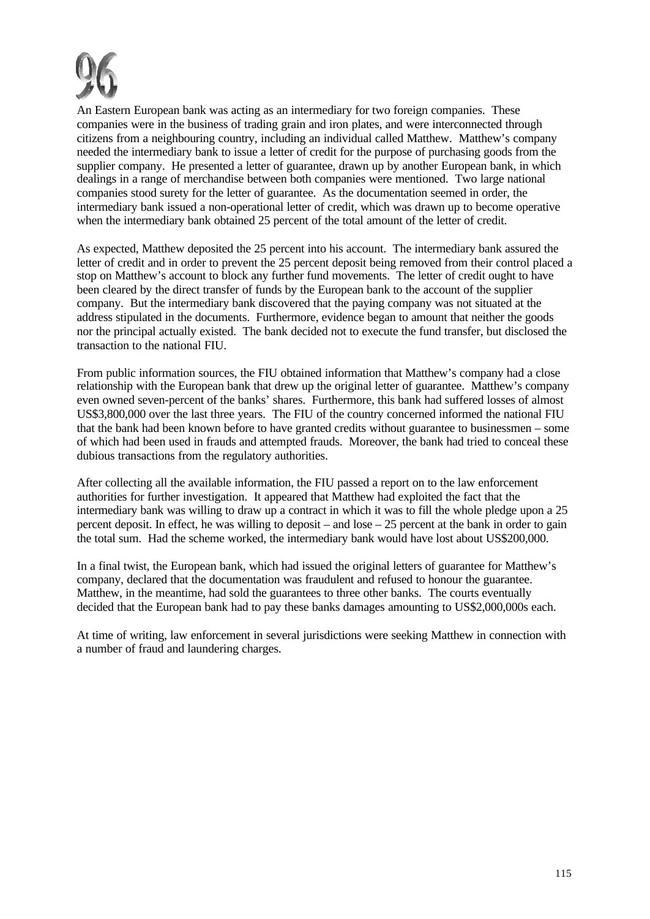

An Eastern European bank was acting as an intermediary for two foreign companies. These companies were in the business of trading grain and iron plates, and were interconnected through citizens from a neighbouring country, including an individual called Matthew. Matthew's company needed the intermediary bank to issue a letter of credit for the purpose of purchasing goods from the supplier company. He presented a letter of guarantee, drawn up by another European bank, in which dealings in a range of merchandise between both companies were mentioned. Two large national companies stood surety for the letter of guarantee. As the documentation seemed in order, the intermediary bank issued a non-operational letter of credit, which was drawn up to become operative when the intermediary bank obtained 25 percent of the total amount of the letter of credit.

As expected, Matthew deposited the 25 percent into his account. The intermediary bank assured the letter of credit and in order to prevent the 25 percent deposit being removed from their control placed a stop on Matthew's account to block any further fund movements. The letter of credit ought to have been cleared by the direct transfer of funds by the European bank to the account of the supplier company. But the intermediary bank discovered that the paying company was not situated at the address stipulated in the documents. Furthermore, evidence began to amount that neither the goods nor the principal actually existed. The bank decided not to execute the fund transfer, but disclosed the transaction to the national FIU.

From public information sources, the FIU obtained information that Matthew's company had a close relationship with the European bank that drew up the original letter of guarantee. Matthew's company even owned seven-percent of the banks' shares. Furthermore, this bank had suffered losses of almost US\$3,800,000 over the last three years. The FIU of the country concerned informed the national FIU that the bank had been known before to have granted credits without guarantee to businessmen – some of which had been used in frauds and attempted frauds. Moreover, the bank had tried to conceal these dubious transactions from the regulatory authorities.

After collecting all the available information, the FIU passed a report on to the law enforcement authorities for further investigation. It appeared that Matthew had exploited the fact that the intermediary bank was willing to draw up a contract in which it was to fill the whole pledge upon a 25 percent deposit. In effect, he was willing to deposit – and lose – 25 percent at the bank in order to gain the total sum. Had the scheme worked, the intermediary bank would have lost about US\$200,000.

In a final twist, the European bank, which had issued the original letters of guarantee for Matthew's company, declared that the documentation was fraudulent and refused to honour the guarantee. Matthew, in the meantime, had sold the guarantees to three other banks. The courts eventually decided that the European bank had to pay these banks damages amounting to US\$2,000,000s each.

At time of writing, law enforcement in several jurisdictions were seeking Matthew in connection with a number of fraud and laundering charges.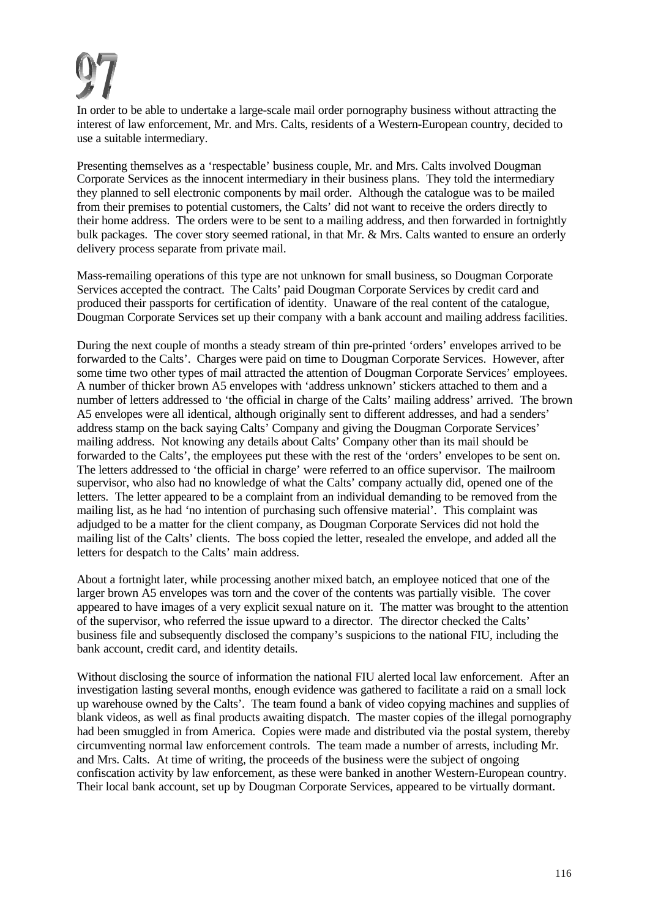In order to be able to undertake a large-scale mail order pornography business without attracting the interest of law enforcement, Mr. and Mrs. Calts, residents of a Western-European country, decided to use a suitable intermediary.

Presenting themselves as a 'respectable' business couple, Mr. and Mrs. Calts involved Dougman Corporate Services as the innocent intermediary in their business plans. They told the intermediary they planned to sell electronic components by mail order. Although the catalogue was to be mailed from their premises to potential customers, the Calts' did not want to receive the orders directly to their home address. The orders were to be sent to a mailing address, and then forwarded in fortnightly bulk packages. The cover story seemed rational, in that Mr. & Mrs. Calts wanted to ensure an orderly delivery process separate from private mail.

Mass-remailing operations of this type are not unknown for small business, so Dougman Corporate Services accepted the contract. The Calts' paid Dougman Corporate Services by credit card and produced their passports for certification of identity. Unaware of the real content of the catalogue, Dougman Corporate Services set up their company with a bank account and mailing address facilities.

During the next couple of months a steady stream of thin pre-printed 'orders' envelopes arrived to be forwarded to the Calts'. Charges were paid on time to Dougman Corporate Services. However, after some time two other types of mail attracted the attention of Dougman Corporate Services' employees. A number of thicker brown A5 envelopes with 'address unknown' stickers attached to them and a number of letters addressed to 'the official in charge of the Calts' mailing address' arrived. The brown A5 envelopes were all identical, although originally sent to different addresses, and had a senders' address stamp on the back saying Calts' Company and giving the Dougman Corporate Services' mailing address. Not knowing any details about Calts' Company other than its mail should be forwarded to the Calts', the employees put these with the rest of the 'orders' envelopes to be sent on. The letters addressed to 'the official in charge' were referred to an office supervisor. The mailroom supervisor, who also had no knowledge of what the Calts' company actually did, opened one of the letters. The letter appeared to be a complaint from an individual demanding to be removed from the mailing list, as he had 'no intention of purchasing such offensive material'. This complaint was adjudged to be a matter for the client company, as Dougman Corporate Services did not hold the mailing list of the Calts' clients. The boss copied the letter, resealed the envelope, and added all the letters for despatch to the Calts' main address.

About a fortnight later, while processing another mixed batch, an employee noticed that one of the larger brown A5 envelopes was torn and the cover of the contents was partially visible. The cover appeared to have images of a very explicit sexual nature on it. The matter was brought to the attention of the supervisor, who referred the issue upward to a director. The director checked the Calts' business file and subsequently disclosed the company's suspicions to the national FIU, including the bank account, credit card, and identity details.

Without disclosing the source of information the national FIU alerted local law enforcement. After an investigation lasting several months, enough evidence was gathered to facilitate a raid on a small lock up warehouse owned by the Calts'. The team found a bank of video copying machines and supplies of blank videos, as well as final products awaiting dispatch. The master copies of the illegal pornography had been smuggled in from America. Copies were made and distributed via the postal system, thereby circumventing normal law enforcement controls. The team made a number of arrests, including Mr. and Mrs. Calts. At time of writing, the proceeds of the business were the subject of ongoing confiscation activity by law enforcement, as these were banked in another Western-European country. Their local bank account, set up by Dougman Corporate Services, appeared to be virtually dormant.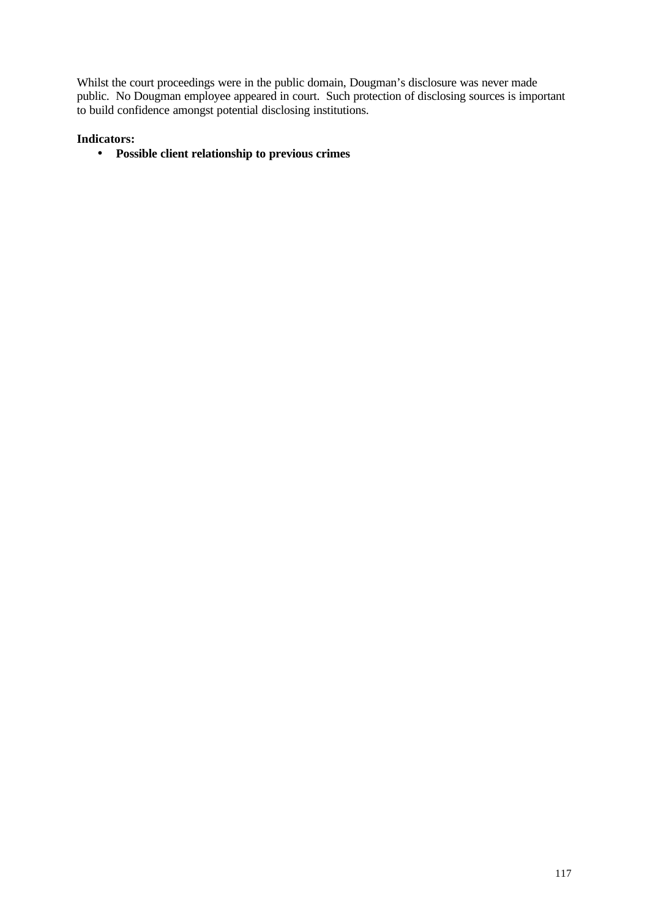Whilst the court proceedings were in the public domain, Dougman's disclosure was never made public. No Dougman employee appeared in court. Such protection of disclosing sources is important to build confidence amongst potential disclosing institutions.

## **Indicators:**

• **Possible client relationship to previous crimes**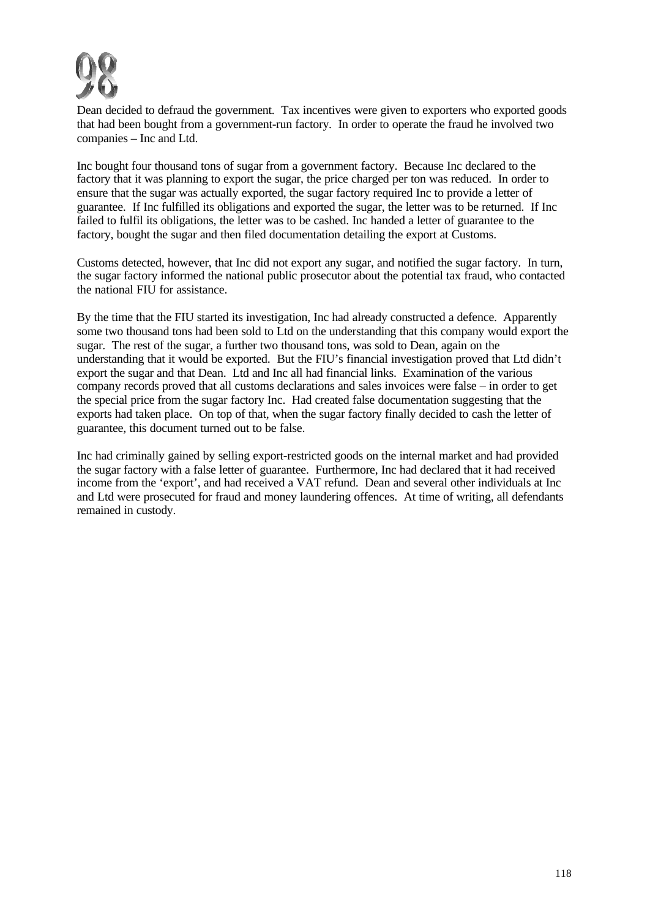

Dean decided to defraud the government. Tax incentives were given to exporters who exported goods that had been bought from a government-run factory. In order to operate the fraud he involved two companies – Inc and Ltd.

Inc bought four thousand tons of sugar from a government factory. Because Inc declared to the factory that it was planning to export the sugar, the price charged per ton was reduced. In order to ensure that the sugar was actually exported, the sugar factory required Inc to provide a letter of guarantee. If Inc fulfilled its obligations and exported the sugar, the letter was to be returned. If Inc failed to fulfil its obligations, the letter was to be cashed. Inc handed a letter of guarantee to the factory, bought the sugar and then filed documentation detailing the export at Customs.

Customs detected, however, that Inc did not export any sugar, and notified the sugar factory. In turn, the sugar factory informed the national public prosecutor about the potential tax fraud, who contacted the national FIU for assistance.

By the time that the FIU started its investigation, Inc had already constructed a defence. Apparently some two thousand tons had been sold to Ltd on the understanding that this company would export the sugar. The rest of the sugar, a further two thousand tons, was sold to Dean, again on the understanding that it would be exported. But the FIU's financial investigation proved that Ltd didn't export the sugar and that Dean. Ltd and Inc all had financial links. Examination of the various company records proved that all customs declarations and sales invoices were false – in order to get the special price from the sugar factory Inc. Had created false documentation suggesting that the exports had taken place. On top of that, when the sugar factory finally decided to cash the letter of guarantee, this document turned out to be false.

Inc had criminally gained by selling export-restricted goods on the internal market and had provided the sugar factory with a false letter of guarantee. Furthermore, Inc had declared that it had received income from the 'export', and had received a VAT refund. Dean and several other individuals at Inc and Ltd were prosecuted for fraud and money laundering offences. At time of writing, all defendants remained in custody.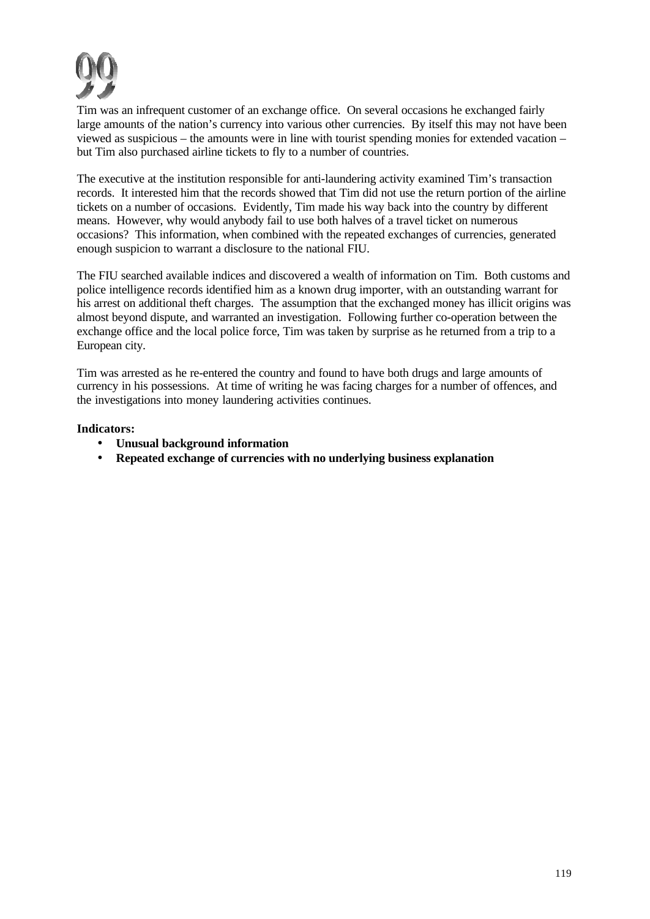

Tim was an infrequent customer of an exchange office. On several occasions he exchanged fairly large amounts of the nation's currency into various other currencies. By itself this may not have been viewed as suspicious – the amounts were in line with tourist spending monies for extended vacation – but Tim also purchased airline tickets to fly to a number of countries.

The executive at the institution responsible for anti-laundering activity examined Tim's transaction records. It interested him that the records showed that Tim did not use the return portion of the airline tickets on a number of occasions. Evidently, Tim made his way back into the country by different means. However, why would anybody fail to use both halves of a travel ticket on numerous occasions? This information, when combined with the repeated exchanges of currencies, generated enough suspicion to warrant a disclosure to the national FIU.

The FIU searched available indices and discovered a wealth of information on Tim. Both customs and police intelligence records identified him as a known drug importer, with an outstanding warrant for his arrest on additional theft charges. The assumption that the exchanged money has illicit origins was almost beyond dispute, and warranted an investigation. Following further co-operation between the exchange office and the local police force, Tim was taken by surprise as he returned from a trip to a European city.

Tim was arrested as he re-entered the country and found to have both drugs and large amounts of currency in his possessions. At time of writing he was facing charges for a number of offences, and the investigations into money laundering activities continues.

## **Indicators:**

- **Unusual background information**
- **Repeated exchange of currencies with no underlying business explanation**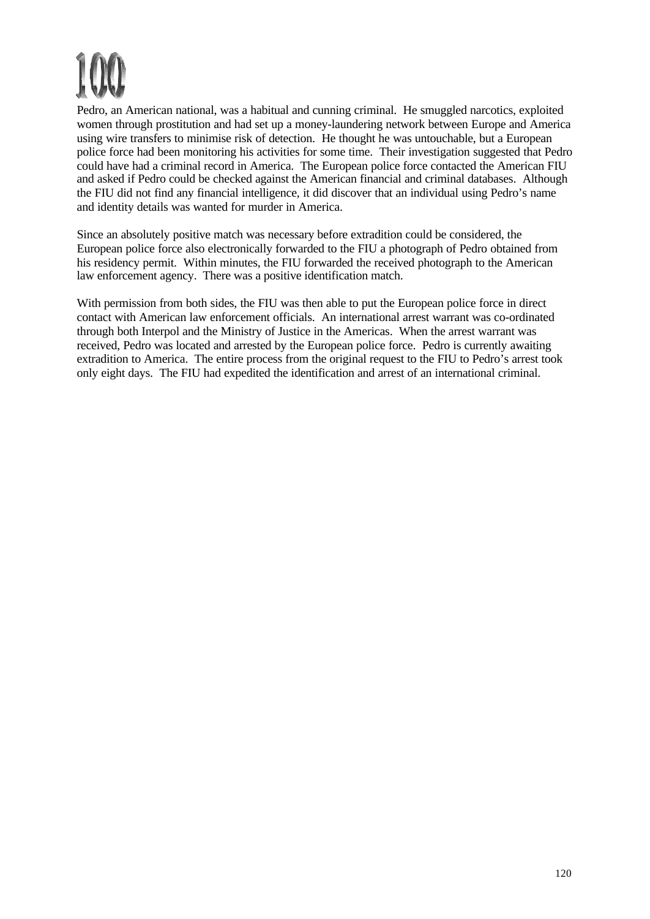Pedro, an American national, was a habitual and cunning criminal. He smuggled narcotics, exploited women through prostitution and had set up a money-laundering network between Europe and America using wire transfers to minimise risk of detection. He thought he was untouchable, but a European police force had been monitoring his activities for some time. Their investigation suggested that Pedro could have had a criminal record in America. The European police force contacted the American FIU and asked if Pedro could be checked against the American financial and criminal databases. Although the FIU did not find any financial intelligence, it did discover that an individual using Pedro's name and identity details was wanted for murder in America.

Since an absolutely positive match was necessary before extradition could be considered, the European police force also electronically forwarded to the FIU a photograph of Pedro obtained from his residency permit. Within minutes, the FIU forwarded the received photograph to the American law enforcement agency. There was a positive identification match.

With permission from both sides, the FIU was then able to put the European police force in direct contact with American law enforcement officials. An international arrest warrant was co-ordinated through both Interpol and the Ministry of Justice in the Americas. When the arrest warrant was received, Pedro was located and arrested by the European police force. Pedro is currently awaiting extradition to America. The entire process from the original request to the FIU to Pedro's arrest took only eight days. The FIU had expedited the identification and arrest of an international criminal.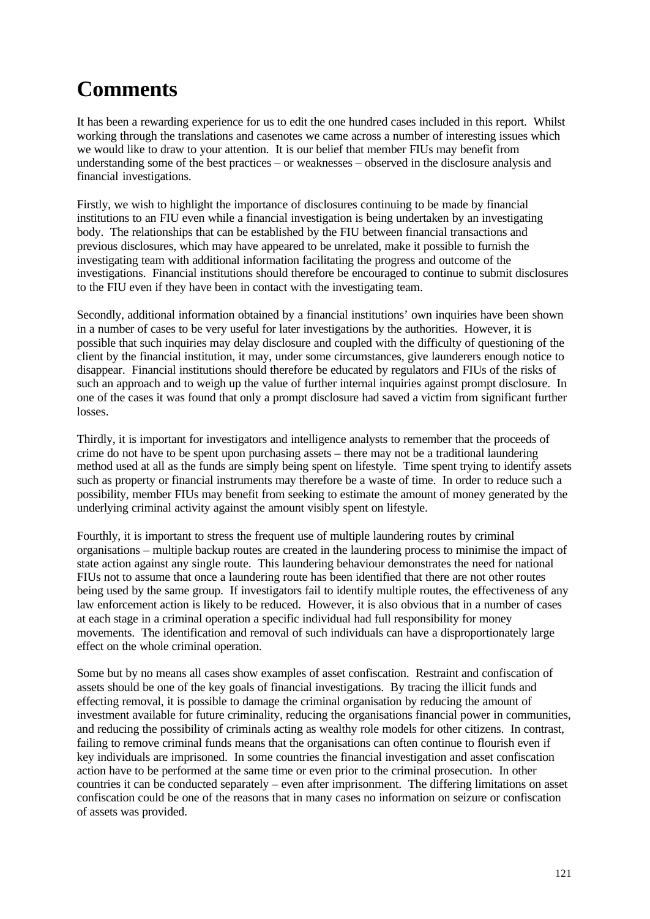## **Comments**

It has been a rewarding experience for us to edit the one hundred cases included in this report. Whilst working through the translations and casenotes we came across a number of interesting issues which we would like to draw to your attention. It is our belief that member FIUs may benefit from understanding some of the best practices – or weaknesses – observed in the disclosure analysis and financial investigations.

Firstly, we wish to highlight the importance of disclosures continuing to be made by financial institutions to an FIU even while a financial investigation is being undertaken by an investigating body. The relationships that can be established by the FIU between financial transactions and previous disclosures, which may have appeared to be unrelated, make it possible to furnish the investigating team with additional information facilitating the progress and outcome of the investigations. Financial institutions should therefore be encouraged to continue to submit disclosures to the FIU even if they have been in contact with the investigating team.

Secondly, additional information obtained by a financial institutions' own inquiries have been shown in a number of cases to be very useful for later investigations by the authorities. However, it is possible that such inquiries may delay disclosure and coupled with the difficulty of questioning of the client by the financial institution, it may, under some circumstances, give launderers enough notice to disappear. Financial institutions should therefore be educated by regulators and FIUs of the risks of such an approach and to weigh up the value of further internal inquiries against prompt disclosure. In one of the cases it was found that only a prompt disclosure had saved a victim from significant further losses.

Thirdly, it is important for investigators and intelligence analysts to remember that the proceeds of crime do not have to be spent upon purchasing assets – there may not be a traditional laundering method used at all as the funds are simply being spent on lifestyle. Time spent trying to identify assets such as property or financial instruments may therefore be a waste of time. In order to reduce such a possibility, member FIUs may benefit from seeking to estimate the amount of money generated by the underlying criminal activity against the amount visibly spent on lifestyle.

Fourthly, it is important to stress the frequent use of multiple laundering routes by criminal organisations – multiple backup routes are created in the laundering process to minimise the impact of state action against any single route. This laundering behaviour demonstrates the need for national FIUs not to assume that once a laundering route has been identified that there are not other routes being used by the same group. If investigators fail to identify multiple routes, the effectiveness of any law enforcement action is likely to be reduced. However, it is also obvious that in a number of cases at each stage in a criminal operation a specific individual had full responsibility for money movements. The identification and removal of such individuals can have a disproportionately large effect on the whole criminal operation.

Some but by no means all cases show examples of asset confiscation. Restraint and confiscation of assets should be one of the key goals of financial investigations. By tracing the illicit funds and effecting removal, it is possible to damage the criminal organisation by reducing the amount of investment available for future criminality, reducing the organisations financial power in communities, and reducing the possibility of criminals acting as wealthy role models for other citizens. In contrast, failing to remove criminal funds means that the organisations can often continue to flourish even if key individuals are imprisoned. In some countries the financial investigation and asset confiscation action have to be performed at the same time or even prior to the criminal prosecution. In other countries it can be conducted separately – even after imprisonment. The differing limitations on asset confiscation could be one of the reasons that in many cases no information on seizure or confiscation of assets was provided.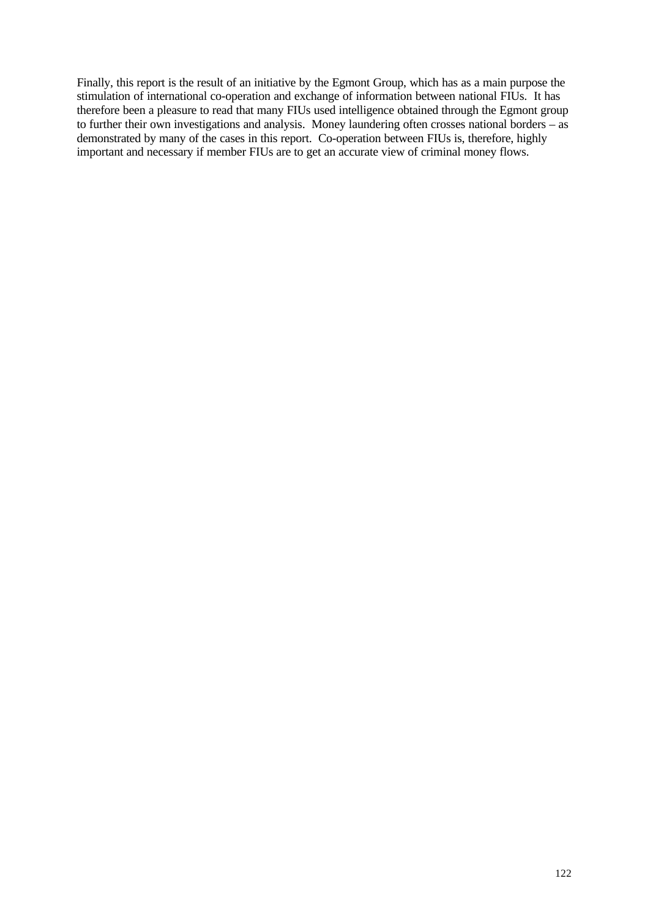Finally, this report is the result of an initiative by the Egmont Group, which has as a main purpose the stimulation of international co-operation and exchange of information between national FIUs. It has therefore been a pleasure to read that many FIUs used intelligence obtained through the Egmont group to further their own investigations and analysis. Money laundering often crosses national borders – as demonstrated by many of the cases in this report. Co-operation between FIUs is, therefore, highly important and necessary if member FIUs are to get an accurate view of criminal money flows.